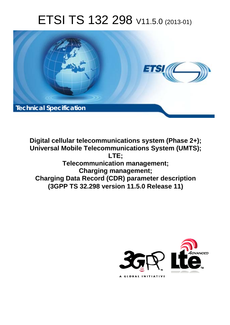# ETSI TS 132 298 V11.5.0 (2013-01)



**Digital cellular telecommunications system (Phase 2+); Universal Mobile Telecommunications System (UMTS); LTE; Telecommunication management; Charging management; Charging Data Record (CDR) parameter description (3GPP TS 32.298 version 11.5.0 Release 11)** 

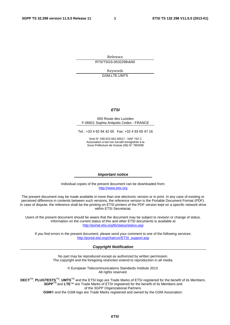Reference RTS/TSGS-0532298vb50

> Keywords GSM,LTE,UMTS

#### *ETSI*

#### 650 Route des Lucioles F-06921 Sophia Antipolis Cedex - FRANCE

Tel.: +33 4 92 94 42 00 Fax: +33 4 93 65 47 16

Siret N° 348 623 562 00017 - NAF 742 C Association à but non lucratif enregistrée à la Sous-Préfecture de Grasse (06) N° 7803/88

#### *Important notice*

Individual copies of the present document can be downloaded from: [http://www.etsi.org](http://www.etsi.org/)

The present document may be made available in more than one electronic version or in print. In any case of existing or perceived difference in contents between such versions, the reference version is the Portable Document Format (PDF). In case of dispute, the reference shall be the printing on ETSI printers of the PDF version kept on a specific network drive within ETSI Secretariat.

Users of the present document should be aware that the document may be subject to revision or change of status. Information on the current status of this and other ETSI documents is available at <http://portal.etsi.org/tb/status/status.asp>

If you find errors in the present document, please send your comment to one of the following services: [http://portal.etsi.org/chaircor/ETSI\\_support.asp](http://portal.etsi.org/chaircor/ETSI_support.asp)

#### *Copyright Notification*

No part may be reproduced except as authorized by written permission. The copyright and the foregoing restriction extend to reproduction in all media.

> © European Telecommunications Standards Institute 2013. All rights reserved.

**DECT**TM, **PLUGTESTS**TM, **UMTS**TM and the ETSI logo are Trade Marks of ETSI registered for the benefit of its Members. **3GPP**TM and **LTE**™ are Trade Marks of ETSI registered for the benefit of its Members and of the 3GPP Organizational Partners.

**GSM**® and the GSM logo are Trade Marks registered and owned by the GSM Association.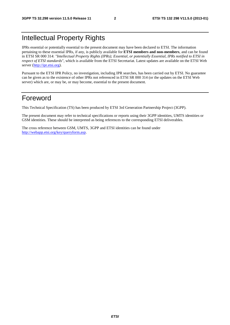# Intellectual Property Rights

IPRs essential or potentially essential to the present document may have been declared to ETSI. The information pertaining to these essential IPRs, if any, is publicly available for **ETSI members and non-members**, and can be found in ETSI SR 000 314: *"Intellectual Property Rights (IPRs); Essential, or potentially Essential, IPRs notified to ETSI in respect of ETSI standards"*, which is available from the ETSI Secretariat. Latest updates are available on the ETSI Web server ([http://ipr.etsi.org\)](http://webapp.etsi.org/IPR/home.asp).

Pursuant to the ETSI IPR Policy, no investigation, including IPR searches, has been carried out by ETSI. No guarantee can be given as to the existence of other IPRs not referenced in ETSI SR 000 314 (or the updates on the ETSI Web server) which are, or may be, or may become, essential to the present document.

# Foreword

This Technical Specification (TS) has been produced by ETSI 3rd Generation Partnership Project (3GPP).

The present document may refer to technical specifications or reports using their 3GPP identities, UMTS identities or GSM identities. These should be interpreted as being references to the corresponding ETSI deliverables.

The cross reference between GSM, UMTS, 3GPP and ETSI identities can be found under [http://webapp.etsi.org/key/queryform.asp.](http://webapp.etsi.org/key/queryform.asp)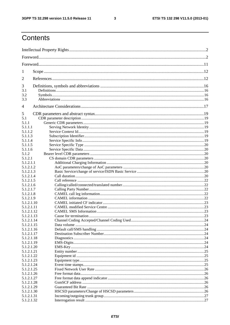$\mathbf{3}$ 

# Contents

| 1                        |  |  |  |
|--------------------------|--|--|--|
| 2                        |  |  |  |
| 3                        |  |  |  |
| 3.1                      |  |  |  |
| 3.2                      |  |  |  |
| 3.3                      |  |  |  |
| 4                        |  |  |  |
| 5                        |  |  |  |
| 5.1                      |  |  |  |
| 5.1.1                    |  |  |  |
| 5.1.1.1                  |  |  |  |
| 5.1.1.2                  |  |  |  |
| 5.1.1.3                  |  |  |  |
| 5.1.1.4                  |  |  |  |
| 5.1.1.5<br>5.1.1.6       |  |  |  |
| 5.1.2                    |  |  |  |
| 5.1.2.1                  |  |  |  |
| 5.1.2.1.1                |  |  |  |
| 5.1.2.1.2                |  |  |  |
| 5.1.2.1.3                |  |  |  |
| 5.1.2.1.4                |  |  |  |
| 5.1.2.1.5                |  |  |  |
| 5.1.2.1.6                |  |  |  |
| 5.1.2.1.7                |  |  |  |
| 5.1.2.1.8                |  |  |  |
| 5.1.2.1.9                |  |  |  |
| 5.1.2.1.10               |  |  |  |
| 5.1.2.1.11               |  |  |  |
| 5.1.2.1.12               |  |  |  |
| 5.1.2.1.13               |  |  |  |
| 5.1.2.1.14               |  |  |  |
| 5.1.2.1.15               |  |  |  |
| 5.1.2.1.16               |  |  |  |
| 5.1.2.1.17               |  |  |  |
| 5.1.2.1.18               |  |  |  |
| 5.1.2.1.19               |  |  |  |
| 5.1.2.1.20               |  |  |  |
| 5.1.2.1.21               |  |  |  |
| 5.1.2.1.22               |  |  |  |
| 5.1.2.1.23<br>5.1.2.1.24 |  |  |  |
| 5.1.2.1.25               |  |  |  |
| 5.1.2.1.26               |  |  |  |
| 5.1.2.1.27               |  |  |  |
| 5.1.2.1.28               |  |  |  |
| 5.1.2.1.29               |  |  |  |
| 5.1.2.1.30               |  |  |  |
| 5.1.2.1.31               |  |  |  |
| 5.1.2.1.32               |  |  |  |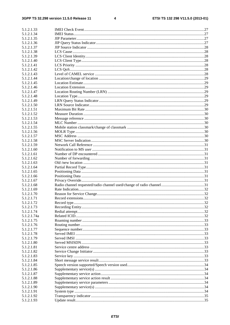$\overline{\mathbf{4}}$ 

| 5.1.2.1.33               |  |
|--------------------------|--|
| 5.1.2.1.34               |  |
| 5.1.2.1.35               |  |
| 5.1.2.1.36               |  |
| 5.1.2.1.37               |  |
| 5.1.2.1.38               |  |
| 5.1.2.1.39               |  |
| 5.1.2.1.40               |  |
| 5.1.2.1.41               |  |
| 5.1.2.1.42               |  |
| 5.1.2.1.43               |  |
| 5.1.2.1.44               |  |
| 5.1.2.1.45               |  |
| 5.1.2.1.46               |  |
| 5.1.2.1.47               |  |
| 5.1.2.1.48               |  |
| 5.1.2.1.49               |  |
| 5.1.2.1.50               |  |
| 5.1.2.1.51               |  |
| 5.1.2.1.52               |  |
| 5.1.2.1.53               |  |
| 5.1.2.1.54               |  |
| 5.1.2.1.55               |  |
| 5.1.2.1.56               |  |
| 5.1.2.1.57               |  |
| 5.1.2.1.58               |  |
| 5.1.2.1.59               |  |
| 5.1.2.1.60               |  |
| 5.1.2.1.61               |  |
| 5.1.2.1.62               |  |
| 5.1.2.1.63               |  |
| 5.1.2.1.64               |  |
| 5.1.2.1.65               |  |
| 5.1.2.1.66               |  |
| 5.1.2.1.67               |  |
| 5.1.2.1.68               |  |
| 5.1.2.1.69               |  |
| 5.1.2.1.70               |  |
| 5.1.2.1.71<br>5.1.2.1.72 |  |
| 5.1.2.1.73               |  |
| 5.1.2.1.74               |  |
| 5.1.2.1.74a              |  |
| 5.1.2.1.75               |  |
| 5.1.2.1.76               |  |
| 5.1.2.1.77               |  |
| 5.1.2.1.78               |  |
| 5.1.2.1.79               |  |
| 5.1.2.1.80               |  |
| 5.1.2.1.81               |  |
| 5.1.2.1.82               |  |
| 5.1.2.1.83               |  |
| 5.1.2.1.84               |  |
| 5.1.2.1.85               |  |
| 5.1.2.1.86               |  |
| 5.1.2.1.87               |  |
| 5.1.2.1.88               |  |
| 5.1.2.1.89               |  |
| 5.1.2.1.90               |  |
| 5.1.2.1.91               |  |
| 5.1.2.1.92               |  |
| 5.1.2.1.93               |  |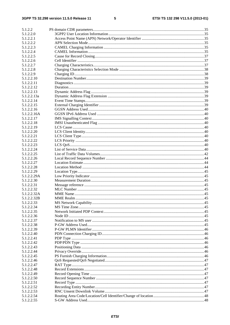$5\phantom{a}$ 

| 5.1.2.2     |  |
|-------------|--|
| 5.1.2.2.0   |  |
| 5.1.2.2.1   |  |
|             |  |
| 5.1.2.2.2   |  |
| 5.1.2.2.3   |  |
| 5.1.2.2.4   |  |
| 5.1.2.2.5   |  |
|             |  |
| 5.1.2.2.6   |  |
| 5.1.2.2.7   |  |
| 5.1.2.2.8   |  |
| 5.1.2.2.9   |  |
|             |  |
| 5.1.2.2.10  |  |
| 5.1.2.2.11  |  |
| 5.1.2.2.12  |  |
| 5.1.2.2.13  |  |
|             |  |
| 5.1.2.2.13a |  |
| 5.1.2.2.14  |  |
| 5.1.2.2.15  |  |
| 5.1.2.2.16  |  |
| 5.1.2.2.16A |  |
|             |  |
| 5.1.2.2.17  |  |
| 5.1.2.2.18  |  |
| 5.1.2.2.19  |  |
| 5.1.2.2.20  |  |
|             |  |
| 5.1.2.2.21  |  |
| 5.1.2.2.22  |  |
| 5.1.2.2.23  |  |
| 5.1.2.2.24  |  |
| 5.1.2.2.25  |  |
|             |  |
| 5.1.2.2.26  |  |
| 5.1.2.2.27  |  |
| 5.1.2.2.28  |  |
| 5.1.2.2.29  |  |
|             |  |
| 5.1.2.2.29A |  |
| 5.1.2.2.30  |  |
| 5.1.2.2.31  |  |
| 5.1.2.2.32  |  |
|             |  |
| 5.1.2.2.32A |  |
| 5.1.2.2.32B |  |
| 5.1.2.2.33  |  |
| 5.1.2.2.34  |  |
| 5.1.2.2.35  |  |
|             |  |
| 5.1.2.2.36  |  |
| 5.1.2.2.37  |  |
| 5.1.2.2.38  |  |
| 5.1.2.2.39  |  |
|             |  |
| 5.1.2.2.40  |  |
| 5.1.2.2.41  |  |
| 5.1.2.2.42  |  |
| 5.1.2.2.43  |  |
| 5.1.2.2.44  |  |
|             |  |
| 5.1.2.2.45  |  |
| 5.1.2.2.46  |  |
| 5.1.2.2.47  |  |
| 5.1.2.2.48  |  |
|             |  |
| 5.1.2.2.49  |  |
| 5.1.2.2.50  |  |
| 5.1.2.2.51  |  |
| 5.1.2.2.52  |  |
| 5.1.2.2.53  |  |
|             |  |
| 5.1.2.2.54  |  |
| 5.1.2.2.55  |  |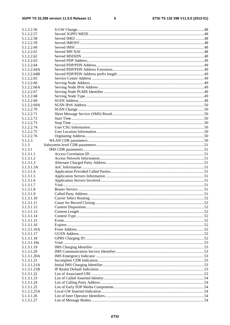$\bf 6$ 

| 5.1.2.2.56  |  |
|-------------|--|
| 5.1.2.2.57  |  |
| 5.1.2.2.58  |  |
| 5.1.2.2.59  |  |
| 5.1.2.2.60  |  |
| 5.1.2.2.61  |  |
| 5.1.2.2.62  |  |
| 5.1.2.2.63  |  |
| 5.1.2.2.64  |  |
| 5.1.2.2.64A |  |
| 5.1.2.2.64B |  |
| 5.1.2.2.65  |  |
| 5.1.2.2.66  |  |
| 5.1.2.2.66A |  |
| 5.1.2.2.67  |  |
| 5.1.2.2.68  |  |
| 5.1.2.2.69  |  |
| 5.1.2.2.69A |  |
| 5.1.2.2.70  |  |
| 5.1.2.2.71  |  |
| 5.1.2.2.72  |  |
| 5.1.2.2.73  |  |
| 5.1.2.2.74  |  |
| 5.1.2.2.75  |  |
| 5.1.2.2.76  |  |
| 5.1.2.3     |  |
| 5.1.3       |  |
| 5.1.3.1     |  |
| 5.1.3.1.1   |  |
| 5.1.3.1.2   |  |
| 5.1.3.1.3   |  |
| 5.1.3.1.3A  |  |
| 5.1.3.1.4   |  |
| 5.1.3.1.5   |  |
| 5.1.3.1.6   |  |
| 5.1.3.1.7   |  |
| 5.1.3.1.8   |  |
| 5.1.3.1.9   |  |
| 5.1.3.1.10  |  |
| 5.1.3.1.11  |  |
| 5.1.3.1.12  |  |
| 5.1.3.1.13  |  |
| 5.1.3.1.14  |  |
| 5.1.3.1.15  |  |
| 5.1.3.1.16  |  |
| 5.1.3.1.16A |  |
| 5.1.3.1.17  |  |
| 5.1.3.1.18  |  |
| 5.1.3.1.18a |  |
| 5.1.3.1.19  |  |
| 5.1.3.1.20  |  |
| 5.1.3.1.20A |  |
| 5.1.3.1.21  |  |
| 5.1.3.1.21A |  |
| 5.1.3.1.21B |  |
| 5.1.3.1.22  |  |
| 5.1.3.1.23  |  |
| 5.1.3.1.24  |  |
| 5.1.3.1.25  |  |
| 5.1.2.2.25A |  |
| 5.1.3.1.26  |  |
| 5.1.3.1.27  |  |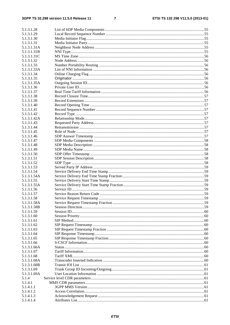#### $\overline{7}$

| 5.1.3.1.28  |  |
|-------------|--|
| 5.1.3.1.29  |  |
| 5.1.3.1.30  |  |
| 5.1.3.1.31  |  |
| 5.1.3.1.31A |  |
| 5.1.3.1.31B |  |
| 5.1.3.1.31C |  |
| 5.1.3.1.32  |  |
| 5.1.3.1.33  |  |
| 5.1.3.1.33A |  |
| 5.1.3.1.34  |  |
| 5.1.3.1.35  |  |
| 5.1.3.1.35A |  |
| 5.1.3.1.36  |  |
| 5.1.3.1.37  |  |
| 5.1.3.1.38  |  |
| 5.1.3.1.39  |  |
| 5.1.3.1.40  |  |
| 5.1.3.1.41  |  |
| 5.1.3.1.42  |  |
| 5.1.3.1.42A |  |
| 5.1.3.1.43  |  |
| 5.1.3.1.44  |  |
| 5.1.3.1.45  |  |
| 5.1.3.1.46  |  |
| 5.1.3.1.47  |  |
| 5.1.3.1.48  |  |
| 5.1.3.1.49  |  |
| 5.1.3.1.50  |  |
| 5.1.3.1.51  |  |
| 5.1.3.1.52  |  |
| 5.1.3.1.53  |  |
| 5.1.3.1.54  |  |
| 5.1.3.1.54A |  |
| 5.1.3.1.55  |  |
| 5.1.3.1.55A |  |
| 5.1.3.1.56  |  |
| 5.1.3.1.57  |  |
| 5.1.3.1.58  |  |
| 5.1.3.1.58A |  |
| 5.1.3.1.58B |  |
| 5.1.3.1.59  |  |
| 5.1.3.1.60  |  |
| 5.1.3.1.61  |  |
| 5.1.3.1.62  |  |
| 5.1.3.1.63  |  |
| 5.1.3.1.64  |  |
| 5.1.3.1.65  |  |
| 5.1.3.1.66  |  |
| 5.1.3.1.66A |  |
| 5.1.3.1.67  |  |
| 5.1.3.1.68  |  |
| 5.1.3.1.68A |  |
| 5.1.3.1.68B |  |
| 5.1.3.1.69  |  |
| 5.1.3.1.69A |  |
| 5.1.4       |  |
| 5.1.4.1     |  |
| 5.1.4.1.1   |  |
| 5.1.4.1.2   |  |
| 5.1.4.1.3   |  |
| 5.1.4.1.4   |  |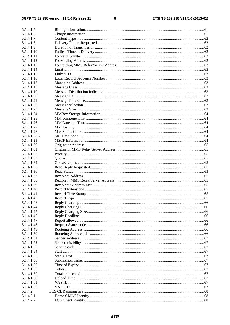#### $\bf{8}$

| 5.1.4.1.5                |  |
|--------------------------|--|
| 5.1.4.1.6                |  |
| 5.1.4.1.7                |  |
| 5.1.4.1.8                |  |
| 5.1.4.1.9                |  |
| 5.1.4.1.10               |  |
| 5.1.4.1.11               |  |
| 5.1.4.1.12               |  |
| 5.1.4.1.13               |  |
| 5.1.4.1.14               |  |
| 5.1.4.1.15               |  |
| 5.1.4.1.16               |  |
| 5.1.4.1.17               |  |
| 5.1.4.1.18               |  |
| 5.1.4.1.19               |  |
| 5.1.4.1.20               |  |
| 5.1.4.1.21               |  |
| 5.1.4.1.22               |  |
| 5.1.4.1.23               |  |
| 5.1.4.1.24               |  |
| 5.1.4.1.25               |  |
| 5.1.4.1.26               |  |
| 5.1.4.1.27               |  |
| 5.1.4.1.28               |  |
| 5.1.4.1.28A              |  |
| 5.1.4.1.29               |  |
| 5.1.4.1.30               |  |
| 5.1.4.1.31               |  |
| 5.1.4.1.32               |  |
| 5.1.4.1.33               |  |
| 5.1.4.1.34               |  |
| 5.1.4.1.35               |  |
| 5.1.4.1.36               |  |
| 5.1.4.1.37               |  |
| 5.1.4.1.38               |  |
| 5.1.4.1.39               |  |
| 5.1.4.1.40               |  |
| 5.1.4.1.41<br>5.1.4.1.42 |  |
| 5.1.4.1.43               |  |
| 5.1.4.1.44               |  |
| 5.1.4.1.45               |  |
| 5.1.4.1.46               |  |
| 5.1.4.1.47               |  |
| 5.1.4.1.48               |  |
| 5.1.4.1.49               |  |
| 5.1.4.1.50               |  |
| 5.1.4.1.51               |  |
| 5.1.4.1.52               |  |
| 5.1.4.1.53               |  |
| 5.1.4.1.54               |  |
| 5.1.4.1.55               |  |
| 5.1.4.1.56               |  |
| 5.1.4.1.57               |  |
| 5.1.4.1.58               |  |
| 5.1.4.1.59               |  |
| 5.1.4.1.60               |  |
| 5.1.4.1.61               |  |
| 5.1.4.1.62               |  |
| 5.1.4.2                  |  |
| 5.1.4.2.1                |  |
| 5.1.4.2.2                |  |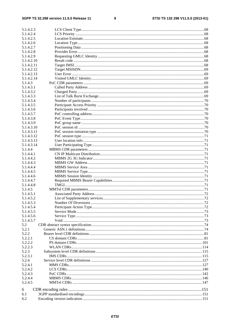$\boldsymbol{9}$ 

| 5.1.4.2.3  |  |
|------------|--|
| 5.1.4.2.4  |  |
| 5.1.4.2.5  |  |
| 5.1.4.2.6  |  |
| 5.1.4.2.7  |  |
| 5.1.4.2.8  |  |
| 5.1.4.2.9  |  |
| 5.1.4.2.10 |  |
| 5.1.4.2.11 |  |
| 5.1.4.2.12 |  |
| 5.1.4.2.13 |  |
| 5.1.4.2.14 |  |
| 5.1.4.3    |  |
| 5.1.4.3.1  |  |
| 5.1.4.3.2  |  |
| 5.1.4.3.3  |  |
| 5.1.4.3.4  |  |
| 5.1.4.3.5  |  |
| 5.1.4.3.6  |  |
| 5.1.4.3.7  |  |
| 5.1.4.3.8  |  |
| 5.1.4.3.9  |  |
| 5.1.4.3.10 |  |
| 5.1.4.3.11 |  |
| 5.1.4.3.12 |  |
| 5.1.4.3.13 |  |
| 5.1.4.3.14 |  |
| 5.1.4.4    |  |
| 5.1.4.4.1  |  |
| 5.1.4.4.2  |  |
| 5.1.4.4.3  |  |
| 5.1.4.4.4  |  |
| 5.1.4.4.5  |  |
| 5.1.4.4.6  |  |
| 5.1.4.4.7  |  |
| 5.1.4.4.8  |  |
| 5.1.4.5    |  |
| 5.1.4.5.1  |  |
| 5.1.4.5.2  |  |
| 5.1.4.5.3  |  |
| 5.1.4.5.4  |  |
| 5.1.4.5.5  |  |
| 5.1.4.5.6  |  |
| 5.1.4.5.7  |  |
| 5.2        |  |
| 5.2.1      |  |
| 5.2.2      |  |
| 5.2.2.1    |  |
| 5.2.2.2    |  |
| 5.2.2.3    |  |
| 5.2.3      |  |
| 5.2.3.1    |  |
| 5.2.4      |  |
| 5.2.4.1    |  |
| 5.2.4.2    |  |
| 5.2.4.3    |  |
| 5.2.4.4    |  |
| 5.2.4.5    |  |
| 6          |  |
| 6.1        |  |
| 6.2        |  |
|            |  |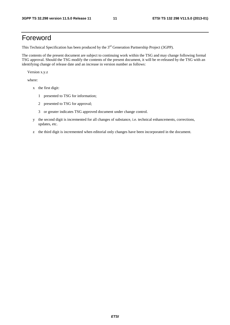# Foreword

This Technical Specification has been produced by the 3<sup>rd</sup> Generation Partnership Project (3GPP).

The contents of the present document are subject to continuing work within the TSG and may change following formal TSG approval. Should the TSG modify the contents of the present document, it will be re-released by the TSG with an identifying change of release date and an increase in version number as follows:

Version x.y.z

where:

- x the first digit:
	- 1 presented to TSG for information;
	- 2 presented to TSG for approval;
	- 3 or greater indicates TSG approved document under change control.
- y the second digit is incremented for all changes of substance, i.e. technical enhancements, corrections, updates, etc.
- z the third digit is incremented when editorial only changes have been incorporated in the document.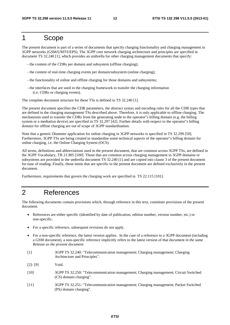## 1 Scope

The present document is part of a series of documents that specify charging functionality and charging management in 3GPP networks (GSM/UMTS/EPS). The 3GPP core network charging architecture and principles are specified in document TS 32.240 [1], which provides an umbrella for other charging management documents that specify:

- the content of the CDRs per domain and subsystem (offline charging);
- the content of real-time charging events per domain/subsystem (online charging);
- the functionality of online and offline charging for those domains and subsystems;
- the interfaces that are used in the charging framework to transfer the charging information (i.e. CDRs or charging events).

The complete document structure for these TSs is defined in TS 32.240 [1].

The present document specifies the CDR parameters, the abstract syntax and encoding rules for all the CDR types that are defined in the charging management TSs described above. Therefore, it is only applicable to offline charging. The mechanisms used to transfer the CDRs from the generating node to the operator"s billing domain (e.g. the billing system or a mediation device) are specified in TS 32.297 [42]. Further details with respect to the operator"s billing domain for offline charging are out of scope of 3GPP standardisation.

Note that a generic Diameter application for online charging in 3GPP networks is specified in TS 32.299 [50]. Furthermore, 3GPP TSs are being created to standardise some technical aspects of the operator"s billing domain for online charging, i.e. the Online Charging System (OCS).

All terms, definitions and abbreviations used in the present document, that are common across 3GPP TSs, are defined in the 3GPP Vocabulary, TR 21.905 [100]. Those that are common across charging management in 3GPP domains or subsystems are provided in the umbrella document TS 32.240 [1] and are copied into clause 3 of the present document for ease of reading. Finally, those items that are specific to the present document are defined exclusively in the present document.

Furthermore, requirements that govern the charging work are specified in TS 22.115 [101].

## 2 References

The following documents contain provisions which, through reference in this text, constitute provisions of the present document.

- References are either specific (identified by date of publication, edition number, version number, etc.) or non-specific.
- For a specific reference, subsequent revisions do not apply.
- For a non-specific reference, the latest version applies. In the case of a reference to a 3GPP document (including a GSM document), a non-specific reference implicitly refers to the latest version of that document *in the same Release as the present document*.
- [1] 3GPP TS 32.240: "Telecommunication management; Charging management; Charging Architecture and Principles".
- [2]- [9] Void.
- [10] 3GPP TS 32.250: "Telecommunication management; Charging management; Circuit Switched (CS) domain charging".
- [11] 3GPP TS 32.251: "Telecommunication management; Charging management; Packet Switched (PS) domain charging".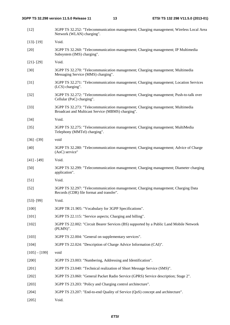| $[12]$          | 3GPP TS 32.252: "Telecommunication management; Charging management; Wireless Local Area<br>Network (WLAN) charging".                |
|-----------------|-------------------------------------------------------------------------------------------------------------------------------------|
| $[13] - [19]$   | Void.                                                                                                                               |
| $[20]$          | 3GPP TS 32.260: "Telecommunication management; Charging management; IP Multimedia<br>Subsystem (IMS) charging".                     |
| $[21] - [29]$   | Void.                                                                                                                               |
| $[30]$          | 3GPP TS 32.270: "Telecommunication management; Charging management; Multimedia<br>Messaging Service (MMS) charging".                |
| $[31]$          | 3GPP TS 32.271: "Telecommunication management; Charging management; Location Services<br>(LCS) charging".                           |
| $[32]$          | 3GPP TS 32.272: "Telecommunication management; Charging management; Push-to-talk over<br>Cellular (PoC) charging".                  |
| $[33]$          | 3GPP TS 32.273: "Telecommunication management; Charging management; Multimedia<br>Broadcast and Multicast Service (MBMS) charging". |
| $[34]$          | Void.                                                                                                                               |
| $[35]$          | 3GPP TS 32.275: "Telecommunication management; Charging management; MultiMedia<br>Telephony (MMTel) charging".                      |
| $[36] - [39]$   | void                                                                                                                                |
| $[40]$          | 3GPP TS 32.280: "Telecommunication management; Charging management; Advice of Charge<br>(AoC) service"                              |
| $[41] - [49]$   | Void.                                                                                                                               |
| $[50]$          | 3GPP TS 32.299: "Telecommunication management; Charging management; Diameter charging<br>application".                              |
| $[51]$          | Void.                                                                                                                               |
| $[52]$          | 3GPP TS 32.297: "Telecommunication management; Charging management; Charging Data<br>Records (CDR) file format and transfer".       |
| $[53]$ - $[99]$ | Void.                                                                                                                               |
| $[100]$         | 3GPP TR 21.905: "Vocabulary for 3GPP Specifications".                                                                               |
| $[101]$         | 3GPP TS 22.115: "Service aspects; Charging and billing".                                                                            |
| [102]           | 3GPP TS 22.002: "Circuit Bearer Services (BS) supported by a Public Land Mobile Network<br>(PLMN)".                                 |
| [103]           | 3GPP TS 22.004: "General on supplementary services".                                                                                |
| [104]           | 3GPP TS 22.024: "Description of Charge Advice Information (CAI)".                                                                   |
| $[105] - [199]$ | void                                                                                                                                |
| $[200]$         | 3GPP TS 23.003: "Numbering, Addressing and Identification".                                                                         |
| $[201]$         | 3GPP TS 23.040: "Technical realization of Short Message Service (SMS)".                                                             |
| $[202]$         | 3GPP TS 23.060: "General Packet Radio Service (GPRS) Service description; Stage 2".                                                 |
| $[203]$         | 3GPP TS 23.203: "Policy and Charging control architecture".                                                                         |
| [204]           | 3GPP TS 23.207: "End-to-end Quality of Service (QoS) concept and architecture".                                                     |
| [205]           | Void.                                                                                                                               |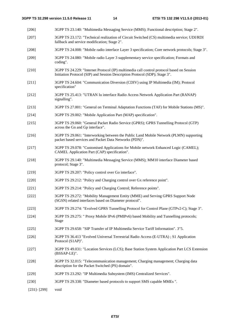[206] 3GPP TS 23.140: "Multimedia Messaging Service (MMS); Functional description; Stage 2".

- [207] 3GPP TS 23.172: "Technical realization of Circuit Switched (CS) multimedia service; UDI/RDI fallback and service modification; Stage 2". [208] 3GPP TS 24.008: "Mobile radio interface Layer 3 specification; Core network protocols; Stage 3". [209] 3GPP TS 24.080: "Mobile radio Layer 3 supplementary service specification; Formats and coding". [210] 3GPP TS 24.229: "Internet Protocol (IP) multimedia call control protocol based on Session Initiation Protocol (SIP) and Session Description Protocol (SDP); Stage 3". [211] 3GPP TS 24.604: "Communication Diversion (CDIV) using IP Multimedia (IM); Protocol specification" [212] 3GPP TS 25.413: "UTRAN Iu interface Radio Access Network Application Part (RANAP) signalling". [213] 3GPP TS 27.001: "General on Terminal Adaptation Functions (TAF) for Mobile Stations (MS)". [214] 3GPP TS 29.002: "Mobile Application Part (MAP) specification". [215] 3GPP TS 29.060: "General Packet Radio Service (GPRS); GPRS Tunnelling Protocol (GTP) across the Gn and Gp interface". [216] 3GPP TS 29.061: "Interworking between the Public Land Mobile Network (PLMN) supporting packet based services and Packet Data Networks (PDN)". [217] 3GPP TS 29.078: "Customised Applications for Mobile network Enhanced Logic (CAMEL); CAMEL Application Part (CAP) specification". [218] 3GPP TS 29.140: "Multimedia Messaging Service (MMS); MM10 interface Diameter based protocol; Stage 3". [219] 3GPP TS 29.207: "Policy control over Go interface". [220] 3GPP TS 29.212: "Policy and Charging control over Gx reference point". [221] 3GPP TS 29.214: "Policy and Charging Control; Reference points". [222] 3GPP TS 29.272: "Mobility Management Entity (MME) and Serving GPRS Support Node (SGSN) related interfaces based on Diameter protocol". [223] 3GPP TS 29.274: "Evolved GPRS Tunnelling Protocol for Control Plane (GTPv2-C); Stage 3". [224] 3GPP TS 29.275: " Proxy Mobile IPv6 (PMIPv6) based Mobility and Tunnelling protocols; Stage [225] 3GPP TS 29.658: "SIP Transfer of IP Multimedia Service Tariff Information". 3"5. [226] 3GPP TS 36.413 "Evolved Universal Terrestrial Radio Access (E-UTRA) ; S1 Application Protocol (S1AP)". [227] 3GPP TS 49.031: "Location Services (LCS); Base Station System Application Part LCS Extension (BSSAP-LE)". [228] 3GPP TS 32.015: "Telecommunication management; Charging management; Charging data description for the Packet Switched (PS) domain". [229] 3GPP TS 23.292: "IP Multimedia Subsystem (IMS) Centralized Services".
	-
	- [230] 3GPP TS 29.338: "Diameter based protocols to support SMS capable MMEs ".
	- [231]- [299] void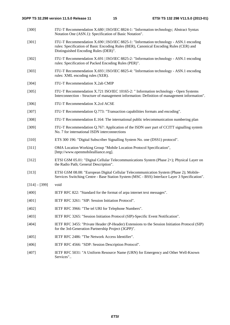| $[300]$         | ITU-T Recommendation X.680   ISO/IEC 8824-1: "Information technology; Abstract Syntax<br>Notation One (ASN.1): Specification of Basic Notation".                                                                        |
|-----------------|-------------------------------------------------------------------------------------------------------------------------------------------------------------------------------------------------------------------------|
| $[301]$         | ITU-T Recommendation X.690   ISO/IEC 8825-1: "Information technology - ASN.1 encoding<br>rules: Specification of Basic Encoding Rules (BER), Canonical Encoding Rules (CER) and<br>Distinguished Encoding Rules (DER)". |
| $[302]$         | ITU-T Recommendation X.691   ISO/IEC 8825-2: "Information technology - ASN.1 encoding<br>rules: Specification of Packed Encoding Rules (PER)".                                                                          |
| [303]           | ITU-T Recommendation X.693   ISO/IEC 8825-4: "Information technology - ASN.1 encoding<br>rules: XML encoding rules (XER).                                                                                               |
| [304]           | ITU-T Recommendation X.2ab CMIP                                                                                                                                                                                         |
| [305]           | ITU-T Recommendation X.721 ISO/IEC 10165-2: "Information technology - Open Systems<br>Interconnection - Structure of management information: Definition of management information".                                     |
| [306]           | ITU-T Recommendation X.2cd ACSE                                                                                                                                                                                         |
| $[307]$         | ITU-T Recommendation Q.773: "Transaction capabilities formats and encoding".                                                                                                                                            |
| [308]           | ITU-T Recommendation E.164: The international public telecommunication numbering plan                                                                                                                                   |
| [309]           | ITU-T Recommendation Q.767: Application of the ISDN user part of CCITT signalling system<br>No. 7 for international ISDN interconnections                                                                               |
| $[310]$         | ETS 300 196: "Digital Subscriber Signalling System No. one (DSS1) protocol".                                                                                                                                            |
| $[311]$         | OMA Location Working Group "Mobile Location Protocol Specification",<br>[http://www.openmobilealliance.org].                                                                                                            |
| $[312]$         | ETSI GSM 05.01: "Digital Cellular Telecommunications System (Phase 2+); Physical Layer on<br>the Radio Path; General Description".                                                                                      |
| [313]           | ETSI GSM 08.08: "European Digital Cellular Telecommunication System (Phase 2); Mobile-<br>Services Switching Centre - Base Station System (MSC - BSS) Interface Layer 3 Specification".                                 |
| $[314] - [399]$ | void                                                                                                                                                                                                                    |
| [400]           | IETF RFC 822: "Standard for the format of arpa internet text messages".                                                                                                                                                 |
| [401]           | IETF RFC 3261: "SIP: Session Initiation Protocol".                                                                                                                                                                      |
| $[402]$         | IETF RFC 3966: "The tel URI for Telephone Numbers".                                                                                                                                                                     |
| [403]           | IETF RFC 3265: "Session Initiation Protocol (SIP)-Specific Event Notification".                                                                                                                                         |
| [404]           | IETF RFC 3455: "Private Header (P-Header) Extensions to the Session Initiation Protocol (SIP)<br>for the 3rd-Generation Partnership Project (3GPP)".                                                                    |
| [405]           | IETF RFC 2486: "The Network Access Identifier".                                                                                                                                                                         |
| [406]           | IETF RFC 4566: "SDP: Session Description Protocol".                                                                                                                                                                     |
| [407]           | IETF RFC 5031: "A Uniform Resource Name (URN) for Emergency and Other Well-Known<br>Services"                                                                                                                           |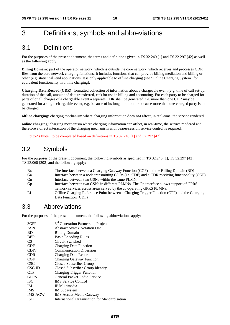# 3 Definitions, symbols and abbreviations

# 3.1 Definitions

For the purposes of the present document, the terms and definitions given in TS 32.240 [1] and TS 32.297 [42] as well as the following apply:

**Billing Domain:** part of the operator network, which is outside the core network, which receives and processes CDR files from the core network charging functions. It includes functions that can provide billing mediation and billing or other (e.g. statistical) end applications. It is only applicable to offline charging (see "Online Charging System" for equivalent functionality in online charging).

**Charging Data Record (CDR):** formatted collection of information about a chargeable event (e.g. time of call set-up, duration of the call, amount of data transferred, etc) for use in billing and accounting. For each party to be charged for parts of or all charges of a chargeable event a separate CDR shall be generated, i.e. more than one CDR may be generated for a single chargeable event, e.g. because of its long duration, or because more than one charged party is to be charged.

**offline charging:** charging mechanism where charging information **does not** affect, in real-time, the service rendered.

**online charging:** charging mechanism where charging information can affect, in real-time, the service rendered and therefore a direct interaction of the charging mechanism with bearer/session/service control is required.

Editor"s Note: to be completed based on definitions in TS 32.240 [1] and 32.297 [42].

# 3.2 Symbols

For the purposes of the present document, the following symbols as specified in TS 32.240 [1], TS 32.297 [42], TS 23.060 [202] and the following apply:

| <b>Bx</b> | The Interface between a Charging Gateway Function (CGF) and the Billing Domain (BD)           |
|-----------|-----------------------------------------------------------------------------------------------|
| Ga        | Interface between a node transmitting CDRs (i.e. CDF) and a CDR receiving functionality (CGF) |
| Gn        | Interface between two GSNs within the same PLMN.                                              |
| Gp        | Interface between two GSNs in different PLMNs. The Gp interface allows support of GPRS        |
|           | network services across areas served by the co-operating GPRS PLMNs.                          |
| Rf        | Offline Charging Reference Point between a Charging Trigger Function (CTF) and the Charging   |
|           | Data Function (CDF)                                                                           |

### 3.3 Abbreviations

For the purposes of the present document, the following abbreviations apply:

| 3GPP        | 3 <sup>rd</sup> Generation Partnership Project |
|-------------|------------------------------------------------|
| ASN.1       | <b>Abstract Syntax Notation One</b>            |
| <b>BD</b>   | <b>Billing Domain</b>                          |
| <b>BER</b>  | <b>Basic Encoding Rules</b>                    |
| CS.         | Circuit Switched                               |
| <b>CDF</b>  | <b>Charging Data Function</b>                  |
| <b>CDIV</b> | <b>Communication Diversion</b>                 |
| <b>CDR</b>  | Charging Data Record                           |
| CGF         | <b>Charging Gateway Function</b>               |
| CSG         | Closed Subscriber Group                        |
| CSG ID      | Closed Subscriber Group Identity               |
| <b>CTF</b>  | <b>Charging Trigger Function</b>               |
| <b>GPRS</b> | General Packet Radio Service                   |
| <b>ISC</b>  | <b>IMS</b> Service Control                     |
| <b>IM</b>   | IP Multimedia                                  |
| <b>IMS</b>  | <b>IM</b> Subsystem                            |
| IMS-AGW     | <b>IMS Access Media Gateway</b>                |
| <b>ISO</b>  | International Organisation for Standardisation |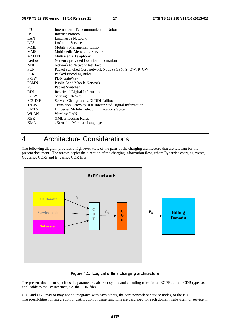| <b>ITU</b>    | International Telecommunication Union                 |
|---------------|-------------------------------------------------------|
| <b>IP</b>     | Internet Protocol                                     |
| LAN           | Local Area Network                                    |
| <b>LCS</b>    | <b>LoCation Service</b>                               |
| <b>MME</b>    | <b>Mobility Management Entity</b>                     |
| <b>MMS</b>    | Multimedia Messaging Service                          |
| <b>MMTEL</b>  | MultiMedia Telephony                                  |
| NetLoc        | Network provided Location information                 |
| <b>NNI</b>    | Network to Network Interface                          |
| <b>PCN</b>    | Packet switched Core network Node (SGSN, S–GW, P–GW)  |
| <b>PER</b>    | Packed Encoding Rules                                 |
| P-GW          | PDN GateWay                                           |
| <b>PLMN</b>   | Public Land Mobile Network                            |
| <b>PS</b>     | Packet Switched                                       |
| <b>RDI</b>    | <b>Restricted Digital Information</b>                 |
| S-GW          | Serving GateWay                                       |
| <b>SCUDIF</b> | Service Change and UDI/RDI Fallback                   |
| <b>TrGW</b>   | Transition GateWayUDIUnrestricted Digital Information |
| <b>UMTS</b>   | Universal Mobile Telecommunications System            |
| <b>WLAN</b>   | Wireless LAN                                          |
| <b>XER</b>    | <b>XML</b> Encoding Rules                             |
| XML           | eXtensible Mark-up Language                           |

# 4 Architecture Considerations

The following diagram provides a high level view of the parts of the charging architecture that are relevant for the present document. The arrows depict the direction of the charging information flow, where  $R_f$  carries charging events,  $G_a$  carries CDRs and  $B_x$  carries CDR files.



**Figure 4.1: Logical offline charging architecture** 

The present document specifies the parameters, abstract syntax and encoding rules for all 3GPP defined CDR types as applicable to the Bx interface, i.e. the CDR files.

CDF and CGF may or may not be integrated with each others, the core network or service nodes, or the BD. The possibilities for integration or distribution of these functions are described for each domain, subsystem or service in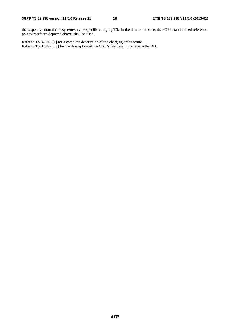the respective domain/subsystem/service specific charging TS. In the distributed case, the 3GPP standardised reference points/interfaces depicted above, shall be used.

Refer to TS 32.240 [1] for a complete description of the charging architecture. Refer to TS 32.297 [42] for the description of the CGF"s file based interface to the BD.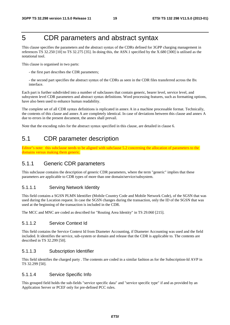# 5 CDR parameters and abstract syntax

This clause specifies the parameters and the abstract syntax of the CDRs defined for 3GPP charging management in references TS 32.250 [10] to TS 32.275 [35]. In doing this, the ASN.1 specified by the X.680 [300] is utilised as the notational tool.

This clause is organised in two parts:

- the first part describes the CDR parameters;
- the second part specifies the abstract syntax of the CDRs as seen in the CDR files transferred across the Bx interface.

Each part is further subdivided into a number of subclauses that contain generic, bearer level, service level, and subsystem level CDR parameters and abstract syntax definitions. Word processing features, such as formatting options, have also been used to enhance human readability.

The complete set of all CDR syntax definitions is replicated in annex A in a machine processable format. Technically, the contents of this clause and annex A are completely identical. In case of deviations between this clause and annex A due to errors in the present document, the annex shall prevail.

Note that the encoding rules for the abstract syntax specified in this clause, are detailed in clause 6.

# 5.1 CDR parameter description

Editor"s note: this subclause needs to be aligned with subclause 5.2 concerning the allocation of parameters to the domains versus making them generic.

### 5.1.1 Generic CDR parameters

This subclause contains the description of generic CDR parameters, where the term "generic" implies that these parameters are applicable to CDR types of more than one domain/service/subsystem.

#### 5.1.1.1 Serving Network Identity

This field contains a SGSN PLMN Identifier (Mobile Country Code and Mobile Network Code), of the SGSN that was used during the Location request. In case the SGSN changes during the transaction, only the ID of the SGSN that was used at the beginning of the transaction is included in the CDR.

The MCC and MNC are coded as described for "Routing Area Identity" in TS 29.060 [215].

#### 5.1.1.2 Service Context Id

This field contains the Service Context Id from Diameter Accounting, if Diameter Accounting was used and the field included. It identifies the service, sub-system or domain and release that the CDR is applicable to. The contents are described in TS 32.299 [50].

#### 5.1.1.3 Subscription Identifier

This field identifies the charged party . The contents are coded in a similar fashion as for the Subscription-Id AVP in TS 32.299 [50].

#### 5.1.1.4 Service Specific Info

This grouped field holds the sub-fields "service specific data" and "service specific type" if and as provided by an Application Server or PCEF only for pre-defined PCC rules.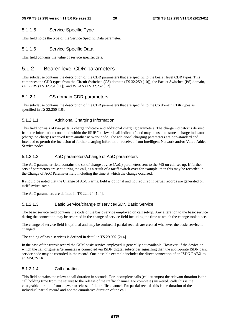#### 5.1.1.5 Service Specific Type

This field holds the type of the Service Specific Data parameter.

#### 5.1.1.6 Service Specific Data

This field contains the value of service specific data.

### 5.1.2 Bearer level CDR parameters

This subclause contains the description of the CDR parameters that are specific to the bearer level CDR types. This comprises the CDR types from the Circuit Switched (CS) domain (TS 32.250 [10]), the Packet Switched (PS) domain, i.e. GPRS (TS 32.251 [11]), and WLAN (TS 32.252 [12]).

#### 5.1.2.1 CS domain CDR parameters

This subclause contains the description of the CDR parameters that are specific to the CS domain CDR types as specified in TS 32.250 [10].

#### 5.1.2.1.1 Additional Charging Information

This field consists of two parts, a charge indicator and additional charging parameters. The charge indicator is derived from the information contained within the ISUP "backward call indicator" and may be used to store a charge indicator (charge/no charge) received from another network node. The additional charging parameters are non-standard and intended to permit the inclusion of further charging information received from Intelligent Network and/or Value Added Service nodes.

#### 5.1.2.1.2 AoC parameters/change of AoC parameters

The AoC parameter field contains the set of charge advice (AoC) parameters sent to the MS on call set-up. If further sets of parameters are sent during the call, as a result of a tariff switch-over for example, then this may be recorded in the Change of AoC Parameter field including the time at which the change occurred.

It should be noted that the Change of AoC Parms. field is optional and not required if partial records are generated on tariff switch-over.

The AoC parameters are defined in TS 22.024 [104].

#### 5.1.2.1.3 Basic Service/change of service/ISDN Basic Service

The basic service field contains the code of the basic service employed on call set-up. Any alteration to the basic service during the connection may be recorded in the change of service field including the time at which the change took place.

The change of service field is optional and may be omitted if partial records are created whenever the basic service is changed.

The coding of basic services is defined in detail in TS 29.002 [214].

In the case of the transit record the GSM basic service employed is generally not available. However, if the device on which the call originates/terminates is connected via ISDN digital subscriber signalling then the appropriate ISDN basic service code may be recorded in the record. One possible example includes the direct connection of an ISDN PABX to an MSC/VLR.

#### 5.1.2.1.4 Call duration

This field contains the relevant call duration in seconds. For incomplete calls (call attempts) the relevant duration is the call holding time from the seizure to the release of the traffic channel. For complete (answered) calls this is the chargeable duration from answer to release of the traffic channel. For partial records this is the duration of the individual partial record and not the cumulative duration of the call.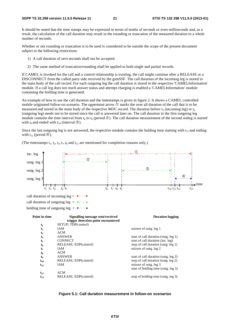It should be noted that the time stamps may be expressed in terms of tenths of seconds or even milliseconds and, as a result, the calculation of the call duration may result in the rounding or truncation of the measured duration to a whole number of seconds.

Whether or not rounding or truncation is to be used is considered to be outside the scope of the present document subject to the following restrictions:

- 1) A call duration of zero seconds shall not be accepted.
- 2) The same method of truncation/rounding shall be applied to both single and partial records.

If CAMEL is invoked for the call and a control relationship is existing, the call might continue after a RELEASE or a DISCONNECT from the called party side received by the gsmSSF. The call duration of the incoming leg is stored in the main body of the call record. For each outgoing leg the call duration is stored in the respective 'CAMELInformation' module. If a call leg does not reach answer status and attempt charging is enabled a 'CAMELInformation' module containing the holding time is generated.

An example of how to use the call duration and the timestamps is given in figure 2. It shows a CAMEL controlled mobile originated follow-on scenario. The uppermost arrow  $\mathbb O$  marks the over all duration of the call that is to be measured and stored in the main body of the respective MOC record. The duration before  $t_5$  (incoming leg) or  $t_4$ (outgoing leg) needs not to be stored since the call is answered later on. The call duration in the first outgoing leg module contains the time interval from  $t_4$  to  $t_6$  (period  $\circled{2}$ ). The call duration measurement of the second outleg is started with the interval  $\circled{3}$ ) with  $t_9$  and ended with  $t_{10}$  (interval  $\circled{3}$ ).

Since the last outgoing leg is not answered, the respective module contains the holding time starting with  $t_{11}$  and ending with  $t_{13}$  (period  $\circled{4}$ ).

time outg. leg 1 outg. leg 2 outg. leg 3 inc. leg  $t_1$   $t_2$   $t_3$   $t_4$   $t_5$  t<sub>10</sub> t<sub>11</sub> t<sub>12</sub> t<sub>13</sub> t<sub>13</sub> call duration of incoming leg =  $\leftarrow \rightarrow$ call duration of outgoing leg =  $\leftarrow -\rightarrow$ Ξ -Τ Ť, holding time of outgoing leg =  $\longleftrightarrow$  $t_4$ **Point in time Signalling message sent/received trigger detection point encountered Duration logging t<sub>1</sub>** SETUP; TDP(control)<br>**t**<sub>2</sub> IAM **t**<sub>2</sub> IAM seizure of outg. leg 1 **t<sub>3</sub>** ACM<br>**t<sub>4</sub>** ANSWER **t<sub>4</sub>** ANSWER start of call duration (outg. leg 1)<br> **t<sub>5</sub>** CONNECT start of call duration (inc. leg) **t<sub>5</sub>** CONNECT start of call duration (inc. leg)<br> **t<sub>6</sub>** RELEASE; EDP(control) stop of call duration (outg. leg **t<sub>6</sub>** RELEASE; EDP(control) stop of call duration (outg. leg 1)  $t_7$  IAM Seizure of outg. leg 2 t<sub>8</sub> ACM<br>t<sub>0</sub> ANSWER t<sub>9</sub> ANSWER start of call duration (outg. leg 2)<br>  $t_{10}$  RELEASE; EDP(control) stop of call duration (outg. leg 2) **t<sub>10</sub>** RELEASE; EDP(control) stop of call duration (outg. leg 2)<br> **t**<sub>11</sub> IAM seizure of outg. leg 3  $t_{11}$  IAM seizure of outg. leg 3 start of holding time (outg. leg 3)  $t_{12}$  ACM<br> $t_{13}$  RELEASE; EDP(control) **t<sub>13</sub>** RELEASE; EDP(control) stop of holding time (outg. leg 3)

(The timestamps  $t_1$ ,  $t_2$ ,  $t_3$ ,  $t_7$ ,  $t_8$  and  $t_{12}$  are mentioned for completion reasons only.)

#### **Figure 5.1: Call duration measurement in follow-on scenarios**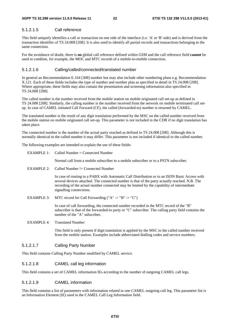#### 5.1.2.1.5 Call reference

This field uniquely identifies a call or transaction on one side of the interface (i.e. 'A' or 'B' side) and is derived from the transaction identifier of TS 24.008 [208]. It is also used to identify all partial records and transactions belonging to the same connection.

For the avoidance of doubt, there is **no** global call reference defined within GSM and the call reference field **cannot** be used to combine, for example, the MOC and MTC records of a mobile-to-mobile connection.

#### 5.1.2.1.6 Calling/called/connected/translated number

In general an Recommendation E.164 [308] number but may also include other numbering plans e.g. Recommendation X.121. Each of these fields includes the type of number and number plan as specified in detail in TS 24.008 [208]. Where appropriate, these fields may also contain the presentation and screening information also specified in TS 24.008 [208].

The called number is the number received from the mobile station on mobile originated call set-up as defined in TS 24.008 [208]. Similarly, the calling number is the number received from the network on mobile terminated call setup. In case of CAMEL initiated Call Forward (CF), the called (forwarded-to) number is returned by CAMEL.

The translated number is the result of any digit translation performed by the MSC on the called number received from the mobile station on mobile originated call set-up. This parameter is not included in the CDR if no digit translation has taken place.

The connected number is the number of the actual party reached as defined in TS 24.008 [208]. Although this is normally identical to the called number it may differ. This parameter is not included if identical to the called number.

The following examples are intended to explain the use of these fields:

| <b>EXAMPLE 1:</b> | Called Number = Connected Number                                                                                                                                                                                                                                                                                        |
|-------------------|-------------------------------------------------------------------------------------------------------------------------------------------------------------------------------------------------------------------------------------------------------------------------------------------------------------------------|
|                   | Normal call from a mobile subscriber to a mobile subscriber or to a PSTN subscriber.                                                                                                                                                                                                                                    |
| <b>EXAMPLE 2:</b> | Called Number != Connected Number                                                                                                                                                                                                                                                                                       |
|                   | In case of routing to a PABX with Automatic Call Distribution or to an ISDN Basic Access with<br>several devices attached. The connected number is that of the party actually reached. N.B. The<br>recording of the actual number connected may be limited by the capability of intermediate<br>signalling connections. |
| <b>EXAMPLE 3:</b> | MTC record for Call Forwarding ("A" -> "B" -> "C")                                                                                                                                                                                                                                                                      |
|                   | In case of call forwarding, the connected number recorded in the MTC record of the "B"<br>subscriber is that of the forwarded-to party or "C" subscriber. The calling party field contains the<br>number of the "A" subscriber.                                                                                         |
| <b>EXAMPLE 4:</b> | <b>Translated Number</b>                                                                                                                                                                                                                                                                                                |
|                   | This field is only present if digit translation is applied by the MSC to the called number received<br>from the mobile station. Examples include abbreviated dialling codes and service numbers.                                                                                                                        |

#### 5.1.2.1.7 Calling Party Number

This field contains Calling Party Number modified by CAMEL service.

#### 5.1.2.1.8 CAMEL call leg information

This field contains a set of CAMEL information IEs according to the number of outgoing CAMEL call legs.

#### 5.1.2.1.9 CAMEL information

This field contains a list of parameters with information related to one CAMEL outgoing call leg. This parameter list is an Information Element (IE) used in the CAMEL Call Leg Information field.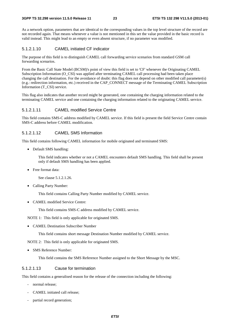As a network option, parameters that are identical to the corresponding values in the top level structure of the record are not recorded again. That means whenever a value is not mentioned in this set the value provided in the basic record is valid instead. This might lead to an empty or even absent structure, if no parameter was modified.

#### 5.1.2.1.10 CAMEL initiated CF indicator

The purpose of this field is to distinguish CAMEL call forwarding service scenarios from standard GSM call forwarding scenarios.

From the Basic Call State Model (BCSM)'s point of view this field is set to 'CF' whenever the Originating CAMEL Subscription Information (O\_CSI) was applied after terminating CAMEL call processing had been taken place changing the call destination. For the avoidance of doubt: this flag does not depend on other modified call parameter(s) (e.g.: redirection information, etc.) received in the CAP\_CONNECT message of the Terminating CAMEL Subscription Information (T\_CSI) service.

This flag also indicates that another record might be generated, one containing the charging information related to the terminating CAMEL service and one containing the charging information related to the originating CAMEL service.

#### 5.1.2.1.11 CAMEL modified Service Centre

This field contains SMS-C address modified by CAMEL service. If this field is present the field Service Centre contain SMS-C address before CAMEL modification.

#### 5.1.2.1.12 CAMEL SMS Information

This field contains following CAMEL information for mobile originated and terminated SMS:

• Default SMS handling:

 This field indicates whether or not a CAMEL encounters default SMS handling. This field shall be present only if default SMS handling has been applied.

• Free format data:

See clause 5.1.2.1.26.

• Calling Party Number:

This field contains Calling Party Number modified by CAMEL service.

• CAMEL modified Service Centre:

This field contains SMS-C address modified by CAMEL service.

NOTE 1: This field is only applicable for originated SMS.

• CAMEL Destination Subscriber Number

This field contains short message Destination Number modified by CAMEL service.

NOTE 2: This field is only applicable for originated SMS.

• SMS Reference Number:

This field contains the SMS Reference Number assigned to the Short Message by the MSC.

#### 5.1.2.1.13 Cause for termination

This field contains a generalised reason for the release of the connection including the following:

- normal release;
- CAMEL initiated call release;
- partial record generation;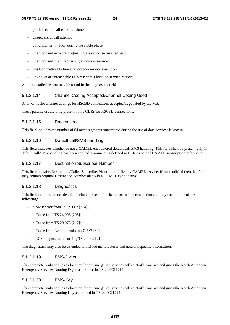- partial record call re-establishment;
- unsuccessful call attempt;
- abnormal termination during the stable phase;
- unauthorized network originating a location service request;
- unauthorized client requesting a location service;
- position method failure at a location service execution;
- unknown or unreachable LCS client at a location service request.

A more detailed reason may be found in the diagnostics field.

#### 5.1.2.1.14 Channel Coding Accepted/Channel Coding Used

A list of traffic channel codings for HSCSD connections accepted/negotiated by the MS.

These parameters are only present in the CDRs for HSCSD connections.

#### 5.1.2.1.15 Data volume

This field includes the number of 64 octet segments transmitted during the use of data services if known.

#### 5.1.2.1.16 Default call/SMS handling

This field indicates whether or not a CAMEL encountered default call/SMS handling. This field shall be present only if default call/SMS handling has been applied. Parameter is defined in HLR as part of CAMEL subscription information.

#### 5.1.2.1.17 Destination Subscriber Number

This field contains Destination/Called Subscriber Number modified by CAMEL service. If not modified then this field may contain original Destination Number also when CAMEL is not active.

#### 5.1.2.1.18 Diagnostics

This field includes a more detailed technical reason for the release of the connection and may contain one of the following:

- a MAP error from TS 29.002 [214];
- a Cause from TS 24.008 [208];
- a Cause from TS 29.078 [217];
- a Cause from Recommendation Q.767 [309];
- a LCS diagnostics according TS 29.002 [214].

The diagnostics may also be extended to include manufacturer and network specific information.

#### 5.1.2.1.19 EMS-Digits

This parameter only applies to location for an emergency services call in North America and gives the North American Emergency Services Routing Digits as defined in TS 29.002 [214].

#### 5.1.2.1.20 EMS-Key

This parameter only applies to location for an emergency services call in North America and gives the North American Emergency Services Routing Key as defined in TS 29.002 [214].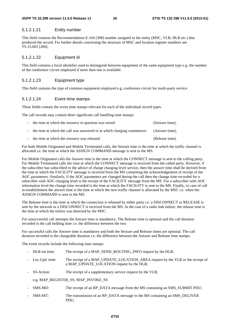#### 5.1.2.1.21 Entity number

This field contains the Recommendation E.164 [308] number assigned to the entity (MSC, VLR, HLR etc.) that produced the record. For further details concerning the structure of MSC and location register numbers see TS 23.003 [200].

#### 5.1.2.1.22 Equipment id

This field contains a local identifier used to distinguish between equipment of the same equipment type e.g. the number of the conference circuit employed if more than one is available.

#### 5.1.2.1.23 Equipment type

This field contains the type of common equipment employed e.g. conference circuit for multi-party service.

#### 5.1.2.1.24 Event time stamps

These fields contain the event time stamps relevant for each of the individual record types.

The call records may contain three significant call handling time stamps:

| - the time at which the resource in question was seized                  | (Seizure time); |
|--------------------------------------------------------------------------|-----------------|
| - the time at which the call was answered or at which charging commences | (Answer time);  |
| - the time at which the resource was released                            | (Release time). |

For both Mobile Originated and Mobile Terminated calls, the Seizure time is the time at which the traffic channel is allocated i.e. the time at which the ASSIGN COMMAND message is sent to the MS.

For Mobile Originated calls the Answer time is the time at which the CONNECT message is sent to the calling party. For Mobile Terminated calls the time at which the CONNECT message is received from the called party. However, if the subscriber has subscribed to the advice of charge charging level service, then the answer time shall be derived from the time at which the FACILITY message is received from the MS containing the acknowledgement of receipt of the AOC parameters. Similarly, if the AOC parameters are changed during the call then the change time recorded for a subscriber with AOC charging level is the receipt of the FACILITY message from the MS. For a subscriber with AOC information level the change time recorded is the time at which the FACILITY is sent to the MS. Finally, in case of call re-establishment the answer time is the time at which the new traffic channel is allocated by the MSC i.e. when the ASSIGN COMMAND is sent to the MS.

The Release time is the time at which the connection is released by either party i.e. a DISCONNECT or RELEASE is sent by the network or a DISCONNECT is received from the MS. In the case of a radio link failure, the release time is the time at which the failure was detected by the MSC.

For unsuccessful call attempts the Seizure time is mandatory. The Release time is optional and the call duration recorded is the call holding time i.e. the difference between the two.

For successful calls the Answer time is mandatory and both the Seizure and Release times are optional. The call duration recorded is the chargeable duration i.e. the difference between the Answer and Release time stamps.

The event records include the following time stamps:

- HLR-int time: The receipt of a MAP\_SEND\_ROUTING\_INFO request by the HLR;
- Loc.Upd. time: The receipt of a MAP\_UPDATE\_LOCATION\_AREA request by the VLR or the receipt of a MAP\_UPDATE\_LOCATION request by the HLR;
- SS-Action: The receipt of a supplementary service request by the VLR;

e.g. MAP\_REGISTER\_SS, MAP\_INVOKE\_SS

- SMS-MO: The receipt of an RP\_DATA message from the MS containing an SMS\_SUBMIT PDU;
- SMS-MT: The transmission of an RP\_DATA message to the MS containing an SMS\_DELIVER PDU;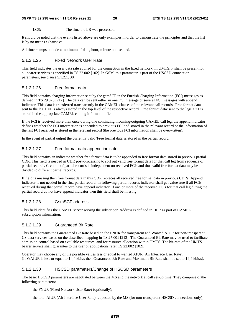LCS: The time the LR was processed.

It should be noted that the events listed above are only examples in order to demonstrate the principles and that the list is by no means exhaustive.

All time-stamps include a minimum of date, hour, minute and second.

#### 5.1.2.1.25 Fixed Network User Rate

This field indicates the user data rate applied for the connection in the fixed network. In UMTS, it shall be present for all bearer services as specified in TS 22.002 [102]. In GSM, this parameter is part of the HSCSD connection parameters, see clause 5.1.2.1. 30.

#### 5.1.2.1.26 Free format data

This field contains charging information sent by the gsmSCF in the Furnish Charging Information (FCI) messages as defined in TS 29.078 [217]. The data can be sent either in one FCI message or several FCI messages with append indicator. This data is transferred transparently in the CAMEL clauses of the relevant call records. 'Free format data' sent to the legID=1 is always stored in the top level of the respective record. 'Free format data' sent to the legID >1 is stored in the appropriate CAMEL call leg information field.

If the FCI is received more then once during one continuing incoming/outgoing CAMEL call leg, the append indicator defines whether the FCI information is appended to previous FCI and stored in the relevant record or the information of the last FCI received is stored in the relevant record (the previous FCI information shall be overwritten).

In the event of partial output the currently valid 'Free format data' is stored in the partial record.

#### 5.1.2.1.27 Free format data append indicator

This field contains an indicator whether free format data is to be appended to free format data stored in previous partial CDR. This field is needed in CDR post-processing to sort out valid free format data for that call leg from sequence of partial records. Creation of partial records is independent on received FCIs and thus valid free format data may be divided to different partial records.

If field is missing then free format data in this CDR replaces all received free format data in previous CDRs. Append indicator is not needed in the first partial record. In following partial records indicator shall get value true if all FCIs received during that partial record have append indicator. If one or more of the received FCIs for that call leg during the partial record do not have append indicator then this field shall be missing.

#### 5.1.2.1.28 GsmSCF address

This field identifies the CAMEL server serving the subscriber. Address is defined in HLR as part of CAMEL subscription information.

#### 5.1.2.1.29 Guaranteed Bit Rate

This field contains the Guaranteed Bit Rate based on the FNUR for transparent and Wanted AIUR for non-transparent CS data services based on the described mapping in TS 27.001 [213]. The Guaranteed Bit Rate may be used to facilitate admission control based on available resources, and for resource allocation within UMTS. The bit-rate of the UMTS bearer service shall guarantee to the user or applications refer TS 22.002 [102].

Operator may choose any of the possible values less or equal to wanted AIUR (Air Interface User Rate). (If WAIUR is less or equal to 14,4 kbit/s then Guaranteed Bit Rate and Maximum Bit Rate shall be set to 14,4 kbit/s).

#### 5.1.2.1.30 HSCSD parameters/Change of HSCSD parameters

The basic HSCSD parameters are negotiated between the MS and the network at call set-up time. They comprise ofthe following parameters:

- the FNUR (Fixed Network User Rate) (optionally);
- the total AIUR (Air Interface User Rate) requested by the MS (for non-transparent HSCSD connections only);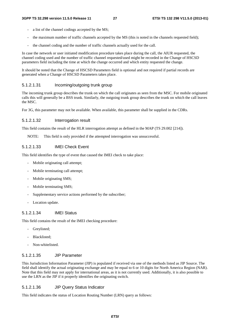- a list of the channel codings accepted by the MS;
- the maximum number of traffic channels accepted by the MS (this is noted in the channels requested field);
- the channel coding and the number of traffic channels actually used for the call.

In case the network or user initiated modification procedure takes place during the call, the AIUR requested, the channel coding used and the number of traffic channel requested/used might be recorded in the Change of HSCSD parameters field including the time at which the change occurred and which entity requested the change.

It should be noted that the Change of HSCSD Parameters field is optional and not required if partial records are generated when a Change of HSCSD Parameters takes place.

#### 5.1.2.1.31 Incoming/outgoing trunk group

The incoming trunk group describes the trunk on which the call originates as seen from the MSC. For mobile originated calls this will generally be a BSS trunk. Similarly, the outgoing trunk group describes the trunk on which the call leaves the MSC.

For 3G, this parameter may not be available. When available, this parameter shall be supplied in the CDRs.

#### 5.1.2.1.32 Interrogation result

This field contains the result of the HLR interrogation attempt as defined in the MAP (TS 29.002 [214]).

NOTE: This field is only provided if the attempted interrogation was unsuccessful.

#### 5.1.2.1.33 IMEI Check Event

This field identifies the type of event that caused the IMEI check to take place:

- Mobile originating call attempt;
- Mobile terminating call attempt;
- Mobile originating SMS;
- Mobile terminating SMS;
- Supplementary service actions performed by the subscriber;
- Location update.

#### 5.1.2.1.34 IMEI Status

This field contains the result of the IMEI checking procedure:

- Grevlisted:
- Blacklisted;
- Non-whitelisted.

#### 5.1.2.1.35 JIP Parameter

This Jurisdiction Information Parameter (JIP) is populated if received via one of the methods listed as JIP Source. The field shall identify the actual originating exchange and may be equal to 6 or 10 digits for North America Region (NAR). Note that this field may not apply for international areas, as it is not currently used. Additionally, it is also possible to use the LRN as the JIP if it properly identifies the originating switch.

#### 5.1.2.1.36 JIP Query Status Indicator

This field indicates the status of Location Routing Number (LRN) query as follows: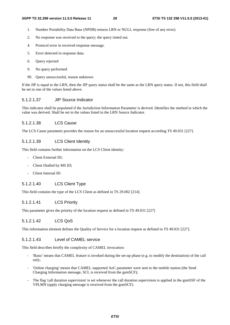- 1. Number Portability Data Base (NPDB) returns LRN or NULL response (free of any error).
- 2. No response was received to the query; the query timed out.
- 4. Protocol error in received response message.
- 5. Error detected in response data.
- 6. Query rejected
- 9. No query performed
- 99. Query unsuccessful, reason unknown

If the JIP is equal to the LRN, then the JIP query status shall be the same as the LRN query status. If not, this field shall be set to one of the values listed above.

#### 5.1.2.1.37 JIP Source Indicator

This indicator shall be populated if the Jurisdiction Information Parameter is derived. Identifies the method in which the value was derived. Shall be set to the values listed in the LRN Source Indicator.

#### 5.1.2.1.38 LCS Cause

The LCS Cause parameter provides the reason for an unsuccessful location request according TS 49.031 [227].

#### 5.1.2.1.39 LCS Client Identity

This field contains further information on the LCS Client identity:

- Client External ID;
- Client Dialled by MS ID;
- Client Internal ID.

#### 5.1.2.1.40 LCS Client Type

This field contains the type of the LCS Client as defined in TS 29.002 [214].

#### 5.1.2.1.41 LCS Priority

This parameter gives the priority of the location request as defined in TS 49.031 [227]

#### 5.1.2.1.42 LCS QoS

This information element defines the Quality of Service for a location request as defined in TS 49.031 [227].

#### 5.1.2.1.43 Level of CAMEL service

This field describes briefly the complexity of CAMEL invocation:

- 'Basic' means that CAMEL feature is invoked during the set-up phase (e.g. to modify the destination) of the call only;
- 'Online charging' means that CAMEL supported AoC parameter were sent to the mobile station (the Send Charging Information message, SCI, is received from the gsmSCF);
- The flag 'call duration supervision' is set whenever the call duration supervision is applied in the gsmSSF of the VPLMN (apply charging message is received from the gsmSCF).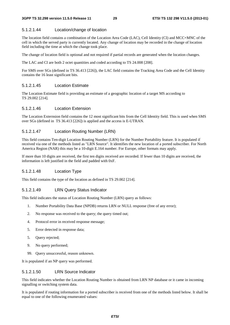#### 5.1.2.1.44 Location/change of location

The location field contains a combination of the Location Area Code (LAC), Cell Identity (CI) and MCC+MNC of the cell in which the served party is currently located. Any change of location may be recorded in the change of location field including the time at which the change took place.

The change of location field is optional and not required if partial records are generated when the location changes.

The LAC and CI are both 2 octet quantities and coded according to TS 24.008 [208].

For SMS over SGs (defined in TS 36.413 [226]), the LAC field contains the Tracking Area Code and the Cell Identity contains the 16 least significant bits.

#### 5.1.2.1.45 Location Estimate

The Location Estimate field is providing an estimate of a geographic location of a target MS according to TS 29.002 [214].

#### 5.1.2.1.46 Location Extension

The Location Externsion field contains the 12 most significant bits from the Cell Identity field. This is used when SMS over SGs (defined in TS 36.413 [226]) is applied and the access is E-UTRAN.

#### 5.1.2.1.47 Location Routing Number (LRN)

This field contains Ten-digit Location Routing Number (LRN) for the Number Portability feature. It is populated if received via one of the methods listed as "LRN Source". It identifies the new location of a ported subscriber. For North America Region (NAR) this may be a 10-digit E.164 number. For Europe, other formats may apply.

If more than 10 digits are received, the first ten digits received are recorded. If fewer than 10 digits are received, the information is left justified in the field and padded with 0xF.

#### 5.1.2.1.48 Location Type

This field contains the type of the location as defined in TS 29.002 [214].

#### 5.1.2.1.49 LRN Query Status Indicator

This field indicates the status of Location Routing Number (LRN) query as follows:

- 1. Number Portability Data Base (NPDB) returns LRN or NULL response (free of any error);
- 2. No response was received to the query; the query timed out;
- 4. Protocol error in received response message;
- 5. Error detected in response data;
- 5. Query rejected;
- 9. No query performed;
- 99. Query unsuccessful, reason unknown.

It is populated if an NP query was performed.

#### 5.1.2.1.50 LRN Source Indicator

This field indicates whether the Location Routing Number is obtained from LRN NP database or it came in incoming signalling or switching system data.

It is populated if routing information for a ported subscriber is received from one of the methods listed below. It shall be equal to one of the following enumerated values: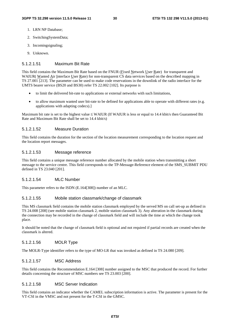- 1. LRN NP Database;
- 2. SwitchingSystemData;
- 3. Incomingsignaling;
- 9. Unknown.

#### 5.1.2.1.51 Maximum Bit Rate

This field contains the Maximum Bit Rate based on the FNUR (Fixed Network User Rate) for transparent and WAIUR( Wanted Air Interface User Rate) for non-transparent CS data services based on the described mapping in TS 27.001 [213]. The parameter can be used to make code reservations in the downlink of the radio interface for the UMTS bearer service (BS20 and BS30) refer TS 22.002 [102]. Its purpose is

- to limit the delivered bit-rate to applications or external networks with such limitations,
- to allow maximum wanted user bit-rate to be defined for applications able to operate with different rates (e.g. applications with adapting codecs).]

Maximum bit rate is set to the highest value ≤ WAIUR (If WAIUR is less or equal to 14.4 kbit/s then Guaranteed Bit Rate and Maximum Bit Rate shall be set to 14.4 kbit/s)

#### 5.1.2.1.52 Measure Duration

This field contains the duration for the section of the location measurement corresponding to the location request and the location report messages.

#### 5.1.2.1.53 Message reference

This field contains a unique message reference number allocated by the mobile station when transmitting a short message to the service centre. This field corresponds to the TP-Message-Reference element of the SMS\_SUBMIT PDU defined in TS 23.040 [201].

#### 5.1.2.1.54 MLC Number

This parameter refers to the ISDN (E.164[308]) number of an MLC.

#### 5.1.2.1.55 Mobile station classmark/change of classmark

This MS classmark field contains the mobile station classmark employed by the served MS on call set-up as defined in TS 24.008 [208] (see mobile station classmark 2, mobile station classmark 3). Any alteration in the classmark during the connection may be recorded in the change of classmark field and will include the time at which the change took place.

It should be noted that the change of classmark field is optional and not required if partial records are created when the classmark is altered.

#### 5.1.2.1.56 MOLR Type

The MOLR-Type identifier refers to the type of MO-LR that was invoked as defined in TS 24.080 [209].

#### 5.1.2.1.57 MSC Address

This field contains the Recommendation E.164 [308] number assigned to the MSC that produced the record. For further details concerning the structure of MSC numbers see TS 23.003 [200].

#### 5.1.2.1.58 MSC Server Indication

This field contains an indicator whether the CAMEL subscription information is active. The parameter is present for the VT-CSI in the VMSC and not present for the T-CSI in the GMSC.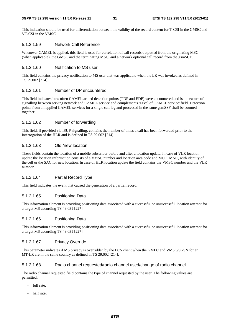#### **3GPP TS 32.298 version 11.5.0 Release 11 31 ETSI TS 132 298 V11.5.0 (2013-01)**

This indication should be used for differentiation between the validity of the record content for T-CSI in the GMSC and VT-CSI in the VMSC.

#### 5.1.2.1.59 Network Call Reference

Whenever CAMEL is applied, this field is used for correlation of call records outputted from the originating MSC (when applicable), the GMSC and the terminating MSC, and a network optional call record from the gsmSCF.

#### 5.1.2.1.60 Notification to MS user

This field contains the privacy notification to MS user that was applicable when the LR was invoked as defined in TS 29.002 [214].

#### 5.1.2.1.61 Number of DP encountered

This field indicates how often CAMEL armed detection points (TDP and EDP) were encountered and is a measure of signalling between serving network and CAMEL service and complements 'Level of CAMEL service' field. Detection points from all applied CAMEL services for a single call leg and processed in the same gsmSSF shall be counted together.

#### 5.1.2.1.62 Number of forwarding

This field, if provided via ISUP signalling, contains the number of times a call has been forwarded prior to the interrogation of the HLR and is defined in TS 29.002 [214].

#### 5.1.2.1.63 Old /new location

These fields contain the location of a mobile subscriber before and after a location update. In case of VLR location update the location information consists of a VMSC number and location area code and MCC+MNC, with identity of the cell or the SAC for new location. In case of HLR location update the field contains the VMSC number and the VLR number.

#### 5.1.2.1.64 Partial Record Type

This field indicates the event that caused the generation of a partial record.

#### 5.1.2.1.65 Positioning Data

This information element is providing positioning data associated with a successful or unsuccessful location attempt for a target MS according TS 49.031 [227].

#### 5.1.2.1.66 Positioning Data

This information element is providing positioning data associated with a successful or unsuccessful location attempt for a target MS according TS 49.031 [227].

#### 5.1.2.1.67 Privacy Override

This parameter indicates if MS privacy is overridden by the LCS client when the GMLC and VMSC/SGSN for an MT-LR are in the same country as defined in TS 29.002 [214].

#### 5.1.2.1.68 Radio channel requested/radio channel used/change of radio channel

The radio channel requested field contains the type of channel requested by the user. The following values are permitted:

- full rate:
- half rate;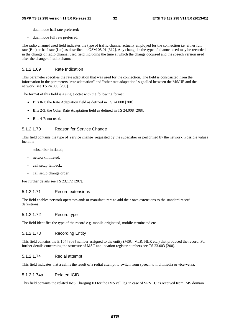- dual mode half rate preferred;
- dual mode full rate preferred.

The radio channel used field indicates the type of traffic channel actually employed for the connection i.e. either full rate (Bm) or half rate (Lm) as described in GSM 05.01 [312]. Any change in the type of channel used may be recorded in the change of radio channel used field including the time at which the change occurred and the speech version used after the change of radio channel.

#### 5.1.2.1.69 Rate Indication

This parameter specifies the rate adaptation that was used for the connection. The field is constructed from the information in the parameters "rate adaptation" and "other rate adaptation" signalled between the MS/UE and the network, see TS 24.008 [208].

The format of this field is a single octet with the following format:

- Bits 0-1: the Rate Adaptation field as defined in TS 24.008 [208];
- Bits 2-3: the Other Rate Adaptation field as defined in TS 24.008 [208];
- Bits 4-7: not used.

#### 5.1.2.1.70 Reason for Service Change

This field contains the type of service change requested by the subscriber or performed by the network. Possible values include:

- subscriber initiated;
- network initiated;
- call setup fallback;
- call setup change order.

For further details see TS 23.172 [207].

#### 5.1.2.1.71 Record extensions

The field enables network operators and/ or manufacturers to add their own extensions to the standard record definitions.

#### 5.1.2.1.72 Record type

The field identifies the type of the record e.g. mobile originated, mobile terminated etc.

#### 5.1.2.1.73 Recording Entity

This field contains the E.164 [308] number assigned to the entity (MSC, VLR, HLR etc.) that produced the record. For further details concerning the structure of MSC and location register numbers see TS 23.003 [200].

#### 5.1.2.1.74 Redial attempt

This field indicates that a call is the result of a redial attempt to switch from speech to multimedia or vice-versa.

#### 5.1.2.1.74a Related ICID

This field contains the related IMS Charging ID for the IMS call leg in case of SRVCC as received from IMS domain.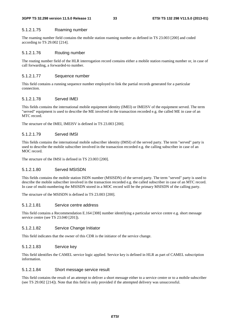#### 5.1.2.1.75 Roaming number

The roaming number field contains the mobile station roaming number as defined in TS 23.003 [200] and coded according to TS 29.002 [214].

#### 5.1.2.1.76 Routing number

The routing number field of the HLR interrogation record contains either a mobile station roaming number or, in case of call forwarding, a forwarded-to number.

#### 5.1.2.1.77 Sequence number

This field contains a running sequence number employed to link the partial records generated for a particular connection.

#### 5.1.2.1.78 Served IMEI

This fields contains the international mobile equipment identity (IMEI) or IMEISV of the equipment served. The term "served" equipment is used to describe the ME involved in the transaction recorded e.g. the called ME in case of an MTC record.

The structure of the IMEI, IMEISV is defined in TS 23.003 [200].

#### 5.1.2.1.79 Served IMSI

This fields contains the international mobile subscriber identity (IMSI) of the served party. The term "served" party is used to describe the mobile subscriber involved in the transaction recorded e.g. the calling subscriber in case of an MOC record.

The structure of the IMSI is defined in TS 23.003 [200].

#### 5.1.2.1.80 Served MSISDN

This fields contains the mobile station ISDN number (MSISDN) of the served party. The term "served" party is used to describe the mobile subscriber involved in the transaction recorded e.g. the called subscriber in case of an MTC record. In case of multi-numbering the MSISDN stored in a MOC record will be the primary MSISDN of the calling party.

The structure of the MSISDN is defined in TS 23.003 [200].

#### 5.1.2.1.81 Service centre address

This field contains a Recommendation E.164 [308] number identifying a particular service centre e.g. short message service centre (see TS 23.040 [201]).

#### 5.1.2.1.82 Service Change Initiator

This field indicates that the owner of this CDR is the initiator of the service change.

#### 5.1.2.1.83 Service key

This field identifies the CAMEL service logic applied. Service key is defined in HLR as part of CAMEL subscription information.

#### 5.1.2.1.84 Short message service result

This field contains the result of an attempt to deliver a short message either to a service centre or to a mobile subscriber (see TS 29.002 [214]). Note that this field is only provided if the attempted delivery was unsuccessful.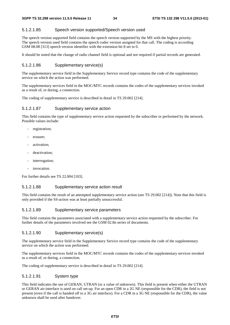#### 5.1.2.1.85 Speech version supported/Speech version used

The speech version supported field contains the speech version supported by the MS with the highest priority. The speech version used field contains the speech codec version assigned for that call. The coding is according GSM 08.08 [313] speech version identifier with the extension bit 8 set to 0.

It should be noted that the change of radio channel field is optional and not required if partial records are generated.

#### 5.1.2.1.86 Supplementary service(s)

The supplementary service field in the Supplementary Service record type contains the code of the supplementary service on which the action was performed.

The supplementary services field in the MOC/MTC records contains the codes of the supplementary services invoked as a result of, or during, a connection.

The coding of supplementary service is described in detail in TS 29.002 [214].

#### 5.1.2.1.87 Supplementary service action

This field contains the type of supplementary service action requested by the subscriber or performed by the network. Possible values include:

- registration;
- erasure:
- activation;
- deactivation;
- interrogation:
- invocation.

For further details see TS 22.004 [103].

#### 5.1.2.1.88 Supplementary service action result

This field contains the result of an attempted supplementary service action (see TS 29.002 [214]). Note that this field is only provided if the SS-action was at least partially unsuccessful.

#### 5.1.2.1.89 Supplementary service parameters

This field contains the parameters associated with a supplementary service action requested by the subscriber. For further details of the parameters involved see the GSM 02.8n series of documents.

#### 5.1.2.1.90 Supplementary service(s)

The supplementary service field in the Supplementary Service record type contains the code of the supplementary service on which the action was performed.

The supplementary services field in the MOC/MTC records contains the codes of the supplementary services invoked as a result of, or during, a connection.

The coding of supplementary service is described in detail in TS 29.002 [214].

#### 5.1.2.1.91 System type

This field indicates the use of GERAN, UTRAN (or a value of unknown). This field is present when either the UTRAN or GERAN air-interface is used on call set-up. For an open CDR in a 2G NE (responsible for the CDR), the field is not present (even if the call is handed off to a 3G air interface). For a CDR in a 3G NE (responsible for the CDR), the value unknown shall be used after handover.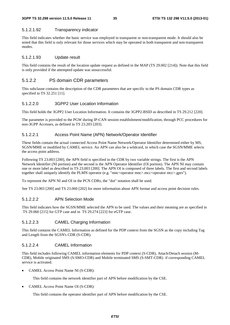#### 5.1.2.1.92 Transparency indicator

This field indicates whether the basic service was employed in transparent or non-transparent mode. It should also be noted that this field is only relevant for those services which may be operated in both transparent and non-transparent modes.

#### 5.1.2.1.93 Update result

This field contains the result of the location update request as defined in the MAP (TS 29.002 [214]). Note that this field is only provided if the attempted update was unsuccessful.

#### 5.1.2.2 PS domain CDR parameters

This subclause contains the description of the CDR parameters that are specific to the PS domain CDR types as specified in TS 32.251 [11].

#### 5.1.2.2.0 3GPP2 User Location Information

This field holds the 3GPP2 User Location Information. It contains the 3GPP2-BSID as described in TS 29.212 [220].

The parameter is provided to the PGW during IP-CAN session establishment/modification, through PCC procedures for non-3GPP Accesses, as defined in TS 23.203 [203].

#### 5.1.2.2.1 Access Point Name (APN) Network/Operator Identifier

These fields contain the actual connected Access Point Name Network/Operator Identifier determined either by MS, SGSN/MME or modified by CAMEL service. An APN can also be a wildcard, in which case the SGSN/MME selects the access point address.

Following TS 23.003 [200], the APN field is specified in the CDR by two variable strings. The first is the APN Network Identifier (NI portion) and the second is the APN Operator Identifier (OI portion). The APN NI may contain one or more label as described in TS 23.003 [200]. The APN OI is composed of three labels. The first and second labels together shall uniquely identify the PLMN operator (e.g. "mnc<operator mnc>.mcc<operator mcc>.gprs").

To represent the APN NI and OI in the PCN CDRs, the "dot" notation shall be used.

See TS 23.003 [200] and TS 23.060 [202] for more information about APN format and access point decision rules.

#### 5.1.2.2.2 APN Selection Mode

This field indicates how the SGSN/MME selected the APN to be used. The values and their meaning are as specified in TS 29.060 [215] for GTP case and in TS 29.274 [223] for eGTP case.

#### 5.1.2.2.3 CAMEL Charging Information

This field contains the CAMEL Information as defined for the PDP context from the SGSN as the copy including Tag and Length from the SGSN's CDR (S-CDR).

#### 5.1.2.2.4 CAMEL Information

This field includes following CAMEL information elements for PDP context (S-CDR), Attach/Detach session (M-CDR), Mobile originated SMS (S-SMO-CDR) and Mobile terminated SMS (S-SMT-CDR) if corresponding CAMEL service is activated.

• CAMEL Access Point Name NI (S-CDR):

This field contains the network identifier part of APN before modification by the CSE.

• CAMEL Access Point Name OI (S-CDR):

This field contains the operator identifier part of APN before modification by the CSE.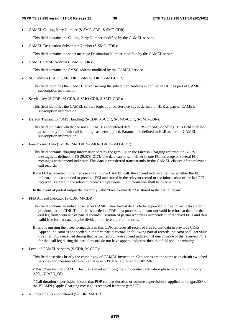• CAMEL Calling Party Number (S-SMO-CDR, S-SMT-CDR):

This field contains the Calling Party Number modified by the CAMEL service.

• CAMEL Destination Subscriber Number (S-SMO-CDR):

This field contains the short message Destination Number modified by the CAMEL service.

• CAMEL SMSC Address (S-SMO-CDR):

This field contains the SMSC address modified by the CAMEL service.

• SCF address (S-CDR, M-CDR, S-SMO-CDR, S-SMT-CDR):

This field identifies the CAMEL server serving the subscriber. Address is defined in HLR as part of CAMEL subscription information.

• Service key (S-CDR, M-CDR, S-SMO-CDR, S-SMT-CDR):

This field identifies the CAMEL service logic applied. Service key is defined in HLR as part of CAMEL subscription information.

• Default Transaction/SMS Handling (S-CDR, M-CDR, S-SMO-CDR, S-SMT-CDR):

This field indicates whether or not a CAMEL encountered default GPRS- or SMS-handling. This field shall be present only if default call handling has been applied. Parameter is defined in HLR as part of CAMEL subscription information.

• Free Format Data (S-CDR, M-CDR, S-SMO-CDR, S-SMT-CDR):

This field contains charging information sent by the gsmSCF in the Furnish Charging Information GPRS messages as defined in TS 29.078 [217]. The data can be sent either in one FCI message or several FCI messages with append indicator. This data is transferred transparently in the CAMEL clauses of the relevant call records.

If the FCI is received more then once during one CAMEL call, the append indicator defines whether the FCI information is appended to previous FCI and stored in the relevant record or the information of the last FCI received is stored in the relevant record (the previous FCI information shall be overwritten).

In the event of partial output the currently valid "Free format data" is stored in the partial record.

• FFD Append Indicator (S-CDR, M-CDR):

This field contains an indicator whether CAMEL free format data is to be appended to free format data stored in previous partial CDR. This field is needed in CDR post processing to sort out valid free format data for that call leg from sequence of partial records. Creation of partial records is independent of received FCIs and thus valid free format data may be divided to different partial records.

- If field is missing then free format data in this CDR replaces all received free format data in previous CDRs. Append indicator is not needed in the first partial record. In following partial records indicator shall get value true if all FCIs received during that partial record have append indicator. If one or more of the received FCIs for that call leg during the partial record do not have append indicator then this field shall be missing.
- Level of CAMEL services (S-CDR, M-CDR):

This field describes briefly the complexity of CAMEL invocation. Categories are the same as in circuit switched services and measure of resource usage in VPLMN requested by HPLMN.

-"Basic" means that CAMEL feature is invoked during the PDP context activation phase only (e.g. to modify APN\_NI/APN\_OI).

-"Call duration supervision" means that PDP context duration or volume supervision is applied in the gprsSSF of the VPLMN (Apply Charging message is received from the gsmSCF).

• Number of DPs encountered (S-CDR, M-CDR):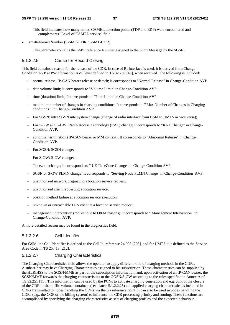This field indicates how many armed CAMEL detection points (TDP and EDP) were encountered and complements "Level of CAMEL service" field.

• smsReferenceNumber (S-SMO-CDR, S-SMT-CDR)

This parameter contains the SMS Reference Number assigned to the Short Message by the SGSN.

#### 5.1.2.2.5 Cause for Record Closing

This field contains a reason for the release of the CDR. In case of Rf interface is used, it is derived from Change-Condition AVP at PS-information AVP level defined in TS 32.299 [40], when received. The following is included:

- normal release: IP-CAN bearer release or detach; It corresponds to "Normal Release" in Change-Condition AVP.
- data volume limit; It corresponds to "Volume Limit" in Change-Condition AVP.
- time (duration) limit; It corresponds to "Time Limit" in Change-Condition AVP.
- maximum number of changes in charging conditions; It corresponds to ""Max Number of Changes in Charging conditions " in Change-Condition AVP.
- For SGSN: intra SGSN intersystem change (change of radio interface from GSM to UMTS or vice versa);
- For P-GW and S-GW: Radio Access Technology (RAT) change; It corresponds to "RAT Change" in Change-Condition AVP.
- abnormal termination (IP-CAN bearer or MM context); It corresponds to "Abnormal Release" in Change-Condition AVP.
- For SGSN: SGSN change;
- For S-GW: S-GW change;
- Timezone change; It corresponds to " UE TimeZone Change" in Change-Condition AVP.
- SGSN or S-GW PLMN change; It corresponds to "Serving Node PLMN Change" in Change-Condition AVP.
- unauthorized network originating a location service request;
- unauthorized client requesting a location service;
- position method failure at a location service execution;
- unknown or unreachable LCS client at a location service request;
- management intervention (request due to O&M reasons); It corresponds to " Management Intervention" in Change-Condition AVP.

A more detailed reason may be found in the diagnostics field.

### 5.1.2.2.6 Cell Identifier

For GSM, the Cell Identifier is defined as the Cell Id, reference 24.008 [208], and for UMTS it is defined as the Service Area Code in TS 25.413 [212].

#### 5.1.2.2.7 Charging Characteristics

The Charging Characteristics field allows the operator to apply different kind of charging methods in the CDRs. A subscriber may have Charging Characteristics assigned to his subscription. These characteristics can be supplied by the HLR/HSS to the SGSN/MME as part of the subscription information, and, upon activation of an IP-CAN bearer, the SGSN/MME forwards the charging characteristics to the GGSN/S-GW according to the rules specified in Annex A of TS 32.251 [11]. This information can be used by the PCNs to activate charging generation and e.g. control the closure of the CDR or the traffic volume containers (see clause 5.1.2.2.25) and applied charging characteristics is included in CDRs transmitted to nodes handling the CDRs via the Ga reference point. It can also be used in nodes handling the CDRs (e.g., the CGF or the billing system) to influence the CDR processing priority and routing. These functions are accomplished by specifying the charging characteristics as sets of charging profiles and the expected behaviour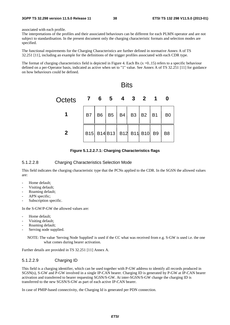associated with each profile.

The interpretations of the profiles and their associated behaviours can be different for each PLMN operator and are not subject to standardisation. In the present document only the charging characteristic formats and selection modes are specified.

The functional requirements for the Charging Characteristics are further defined in normative Annex A of TS 32.251 [11], including an example for the definitions of the trigger profiles associated with each CDR type.

The format of charging characteristics field is depicted in Figure 4. Each Bx  $(x=0.15)$  refers to a specific behaviour defined on a per-Operator basis, indicated as active when set to "1" value. See Annex A of TS 32.251 [11] for guidance on how behaviours could be defined.



**Figure 5.1.2.2.7.1: Charging Characteristics flags** 

### 5.1.2.2.8 Charging Characteristics Selection Mode

This field indicates the charging characteristic type that the PCNs applied to the CDR. In the SGSN the allowed values are:

- Home default;
- Visiting default;
- Roaming default;
- APN specific;
- Subscription specific.

In the S-GW/P-GW the allowed values are:

- Home default:
- Visiting default;
- Roaming default;
- Serving node supplied.

NOTE: The value 'Serving Node Supplied' is used if the CC what was received from e.g. S-GW is used i.e. the one what comes during bearer activation.

Further details are provided in TS 32.251 [11] Annex A.

### 5.1.2.2.9 Charging ID

This field is a charging identifier, which can be used together with P-GW address to identify all records produced in SGSN(s), S-GW and P-GW involved in a single IP-CAN bearer. Charging ID is generated by P-GW at IP-CAN bearer activation and transferred to bearer requesting SGSN/S-GW. At inter-SGSN/S-GW change the charging ID is transferred to the new SGSN/S-GW as part of each active IP-CAN bearer.

In case of PMIP-based connectivity, the Charging Id is generated per PDN connection.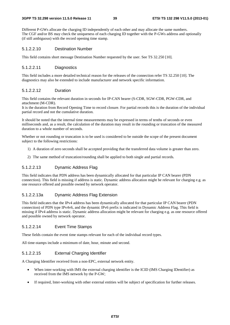#### **3GPP TS 32.298 version 11.5.0 Release 11 39 ETSI TS 132 298 V11.5.0 (2013-01)**

Different P-GWs allocate the charging ID independently of each other and may allocate the same numbers. The CGF and/or BS may check the uniqueness of each charging ID together with the P-GWs address and optionally (if still ambiguous) with the record opening time stamp.

### 5.1.2.2.10 Destination Number

This field contains short message Destination Number requested by the user. See TS 32.250 [10].

### 5.1.2.2.11 Diagnostics

This field includes a more detailed technical reason for the releases of the connection refer TS 32.250 [10]. The diagnostics may also be extended to include manufacturer and network specific information.

## 5.1.2.2.12 Duration

This field contains the relevant duration in seconds for IP-CAN bearer (S-CDR, SGW-CDR, PGW-CDR, and attachment (M-CDR).

It is the duration from Record Opening Time to record closure. For partial records this is the duration of the individual partial record and not the cumulative duration.

It should be noted that the internal time measurements may be expressed in terms of tenths of seconds or even milliseconds and, as a result, the calculation of the duration may result in the rounding or truncation of the measured duration to a whole number of seconds.

Whether or not rounding or truncation is to be used is considered to be outside the scope of the present document subject to the following restrictions:

- 1) A duration of zero seconds shall be accepted providing that the transferred data volume is greater than zero.
- 2) The same method of truncation/rounding shall be applied to both single and partial records.

## 5.1.2.2.13 Dynamic Address Flag

This field indicates that PDN address has been dynamically allocated for that particular IP CAN bearer (PDN connection). This field is missing if address is static. Dynamic address allocation might be relevant for charging e.g. as one resource offered and possible owned by network operator.

## 5.1.2.2.13a Dynamic Address Flag Extension

This field indicates that the IPv4 address has been dynamically allocated for that particular IP CAN bearer (PDN connection) of PDN type IPv4v6, and the dynamic IPv6 prefix is indicated in Dynamic Address Flag. This field is missing if IPv4 address is static. Dynamic address allocation might be relevant for charging e.g. as one resource offered and possible owned by network operator.

## 5.1.2.2.14 Event Time Stamps

These fields contain the event time stamps relevant for each of the individual record types.

All time-stamps include a minimum of date, hour, minute and second.

## 5.1.2.2.15 External Charging Identifier

A Charging Identifier received from a non-EPC, external network entity.

- When inter-working with IMS the external charging identifier is the ICID (IMS Charging IDentifier) as received from the IMS network by the P-GW;
- If required, Inter-working with other external entities will be subject of specification for further releases.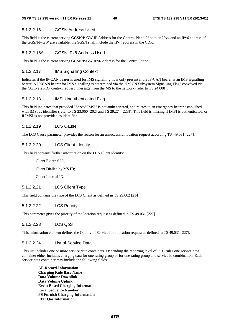### 5.1.2.2.16 GGSN Address Used

This field is the current serving GGSN/P-GW IP Address for the Control Plane. If both an IPv4 and an IPv6 address of the GGSN/P-GW are available, the SGSN shall include the IPv4 address in the CDR.

### 5.1.2.2.16A GGSN IPv6 Address Used

This field is the current serving GGSN/P-GW IPv6 Address for the Control Plane.

### 5.1.2.2.17 IMS Signalling Context

Indicates if the IP-CAN bearer is used for IMS signalling. It is only present if the IP-CAN bearer is an IMS signalling bearer. A IP-CAN bearer for IMS signalling is determined via the "IM CN Subsystem Signalling Flag" conveyed via the "Activate PDP context request" message from the MS to the network (refer to TS 24.008 ).

### 5.1.2.2.18 IMSI Unauthenticated Flag

This field indicates that provided "Served IMSI" is not authenticated, and relates to an emergency bearer established with IMSI as identifier (refer to TS 23.060 [202] and TS 29.274 [223]). This field is missing if IMSI is authenticated, or if IMSI is not provided as identifier.

### 5.1.2.2.19 LCS Cause

The LCS Cause parameter provides the reason for an unsuccessful location request according TS 49.031 [227].

## 5.1.2.2.20 LCS Client Identity

This field contains further information on the LCS Client identity:

- Client External ID;
- Client Dialled by MS ID;
- Client Internal ID.

## 5.1.2.2.21 LCS Client Type

This field contains the type of the LCS Client as defined in TS 29.002 [214].

## 5.1.2.2.22 LCS Priority

This parameter gives the priority of the location request as defined in TS 49.031 [227].

## 5.1.2.2.23 LCS QoS

This information element defines the Quality of Service for a location request as defined in TS 49.031 [227].

### 5.1.2.2.24 List of Service Data

This list includes one or more service data containers. Depending the reporting level of PCC rules one service data container either includes charging data for one rating group or for one rating group and service id combination. Each service data container may include the following fields:

**AF-Record-Information Charging Rule Base Name Data Volume Downlink Data Volume Uplink Event Based Charging Information Local Sequence Number PS Furnish Charging Information EPC Qos Information**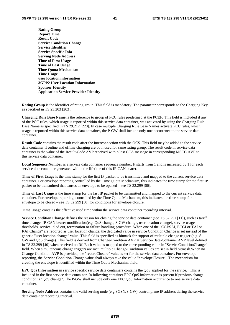**Rating Group Report Time Result Code Service Condition Change Service Identifier Service Specific Info Serving Node Address Time of First Usage Time of Last Usage Time Quota Mechanism Time Usage user location information 3GPP2 User Location Information Sponsor Identity Application Service Provider Identity** 

**Rating Group** is the identifier of rating group. This field is mandatory. The parameter corresponds to the Charging Key as specified in TS 23.203 [203].

**Charging Rule Base Name** is the reference to group of PCC rules predefined at the PCEF. This field is included if any of the PCC rules, which usage is reported within this service data container, was activated by using the Charging Rule Base Name as specified in TS 29.212 [220]. In case multiple Charging Rule Base Names activate PCC rules, which usage is reported within this service data container, the P-GW shall include only one occurrence to the service data container.

**Result Code** contains the result code after the interconnection with the OCS. This field may be added to the service data container if online and offline charging are both used for same rating group. The result code in service data container is the value of the Result-Code AVP received within last CCA message in corresponding MSCC AVP to this service data container.

**Local Sequence Number** is a service data container sequence number. It starts from 1 and is increased by 1 for each service date container generated within the lifetime of this IP-CAN bearer.

**Time of First Usage** is the time stamp for the first IP packet to be transmitted and mapped to the current service data container. For envelope reporting controlled by the Time Quota Mechanism, this indicates the time stamp for the first IP packet to be transmitted that causes an envelope to be opened – see TS 32.299 [50].

**Time of Last Usage** is the time stamp for the last IP packet to be transmitted and mapped to the current service data container. For envelope reporting, controlled by the Time Quota Mechanism, this indicates the time stamp for an envelope to be closed – see TS 32.299 [50] for conditions for envelope closure.

**Time Usage** contains the effective used time within the service data container recording interval.

**Service Condition Change** defines the reason for closing the service data container (see TS 32.251 [11]), such as tariff time change, IP-CAN bearer modification(e.g. QoS change, S-GW change, user location change), service usage thresholds, service idled out, termination or failure handling procedure. When one of the "CGI/SAI, ECGI or TAI or RAI Change" are reported as user location change, the dedicated value in service Condition Change is set instead of the generic "user location change" value. This field is specified as bitmask for support of multiple change trigger (e.g. S-GW and QoS change). This field is derived from Change-Condition AVP at Service-Data-Container AVP level defined in TS 32.299 [40] when received on Rf. Each value is mapped to the corresponding value in "ServiceConditionChange" field. When simultaneous change triggers are met, multiple Change-Condition values are set in field bitmask.When no Change-Condition AVP is provided, the "recordClosure" value is set for the service data container. For envelope reporting, the Service Condition Change value shall always take the value "envelopeClosure". The mechanism for creating the envelope is identified within the Time Quota Mechanism field.

**EPC Qos Information** in service specific service data containers contains the QoS applied for the service. This is included in the first service data container. In following container EPC QoS information is present if previous change condition is "QoS change". The P-GW shall include only one EPC QoS Information occurrence to one service data container.

**Serving Node Address** contains the valid serving node (e.g.SGSN/S-GW) control plane IP address during the service data container recording interval.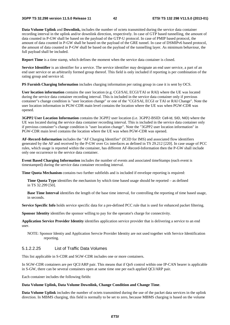**Data Volume Uplink** and **Downlink,** includes the number of octets transmitted during the service data container recording interval in the uplink and/or downlink direction, respectively. In case of GTP based tunnelling, the amount of data counted in P-GW shall be based on the payload of the GTP-U protocol. In case of PMIP based protocol, the amount of data counted in P-GW shall be based on the payload of the GRE tunnel. In case of DSMIPv6 based protocol, the amount of data counted in P-GW shall be based on the payload of the tunnelling layer. As minimum behaviour, the full payload shall be included.

**Report Time** is a time stamp, which defines the moment when the service data container is closed.

**Service Identifier** is an identifier for a service. The service identifier may designate an end user service, a part of an end user service or an arbitrarily formed group thereof. This field is only included if reporting is per combination of the rating group and service id.

**PS Furnish Charging Information** includes charging information per rating group in case it is sent by OCS.

**User location information** contains the user location (e.g. CGI/SAI, ECGI/TAI or RAI) where the UE was located during the service data container recording interval. This is included in the service data container only if previous container"s change condition is "user location change" or one of the "CGI/SAI, ECGI or TAI or RAI Change". Note the user location information in PGW-CDR main level contains the location where the UE was when PGW-CDR was opened.

**3GPP2 User Location Information** contains the 3GPP2 user location (i.e. 3GPP2-BSID: Cell-Id, SID, NID) where the UE was located during the service data container recording interval. This is included in the service data container only if previous container"s change condition is "user location change". Note the "3GPP2 user location information" in PGW-CDR main level contains the location where the UE was when PGW-CDR was opened.

**AF-Record-Information** includes the "AF Charging Identifier" (ICID for IMS) and associated flow identifiers generated by the AF and received by the P-GW over Gx interfaces as defined in TS 29.212 [220]. In case usage of PCC rules, which usage is reported within the container, has different AF-Record-Information then the P-GW shall include only one occurrence to the service data container.

**Event Based Charging Information** includes the number of events and associated timeStamps (each event is timestamped) during the service data container recording interval.

**Time Quota Mechanism** contains two further subfields and is included if envelope reporting is required:

**Time Quota Type** identifies the mechanism by which time based usage should be reported – as defined in TS 32.299 [50].

**Base Time Interval** identifies the length of the base time interval, for controlling the reporting of time based usage, in seconds.

**Service Specific Info** holds service specific data for a pre-defined PCC rule that is used for enhanced packet filtering.

**Sponsor Identity** identifies the sponsor willing to pay for the operator's charge for connectivity.

**Application Service Provider Identity** identifies application service provider that is delivering a service to an end user.

NOTE: Sponsor Identiy and Application Servcie Provider Identity are not used together with Service Identification reporting.

## 5.1.2.2.25 List of Traffic Data Volumes

This list applicable in S-CDR and SGW-CDR includes one or more containers.

In SGW-CDR containers are per QCI/ARP pair. This means that if QoS control within one IP-CAN bearer is applicable in S-GW, there can be several containers open at same time one per each applied QCI/ARP pair.

Each container includes the following fields:

#### **Data Volume Uplink, Data Volume Downlink, Change Condition and Change Time**.

**Data Volume Uplink** includes the number of octets transmitted during the use of the packet data services in the uplink direction. In MBMS charging, this field is normally to be set to zero, because MBMS charging is based on the volume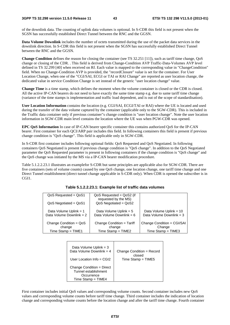of the downlink data. The counting of uplink data volumes is optional. In S-CDR this field is not present when the SGSN has successfully established Direct Tunnel between the RNC and the GGSN.

**Data Volume Downlink** includes the number of octets transmitted during the use of the packet data services in the downlink direction. In S-CDR this field is not present when the SGSN has successfully established Direct Tunnel between the RNC and the GGSN.

**Change Condition** defines the reason for closing the container (see TS 32.251 [11]), such as tariff time change, QoS change or closing of the CDR. . This field is derived from Change-Condition AVP Traffic-Data-Volumes AVP level defined in TS 32.299 [40] when received on Rf. Each value is mapped to the corresponding value in "ChangeCondition" field. When no Change-Condition AVP is provided, the "recordClosure" value is set for the container. For User Location Change, when one of the "CGI/SAI, ECGI or TAI or RAI Change" are reported as user location change, the dedicated value in service Condition Change is set instead of the generic "user location change" value.

**Change Time** is a time stamp, which defines the moment when the volume container is closed or the CDR is closed. All the active IP-CAN bearers do not need to have exactly the same time stamp e.g. due to same tariff time change (variance of the time stamps is implementation and traffic load dependent, and is out of the scope of standardisation).

**User Location Information** contains the location (e.g. CGI/SAI, ECGI/TAI or RAI) where the UE is located and used during the transfer of the data volume captured by the container (applicable only to the SGW-CDR). This is included in the Traffic data container only if previous container"s change condition is "user location change". Note the user location information in SGW-CDR main level contains the location where the UE was when PGW-CDR was opened.

**EPC QoS Information** In case of IP-CAN bearer specific container this contains authorized QoS for the IP-CAN bearer. First container for each QCI/ARP pair includes this field. In following containers this field is present if previous change condition is "QoS change". This field is applicable only in SGW-CDR.

In S-CDR first container includes following optional fields: QoS Requested and QoS Negotiated. In following containers QoS Negotiated is present if previous change condition is "QoS change". In addition to the QoS Negotiated parameter the QoS Requested parameter is present in following containers if the change condition is "QoS change" and the QoS change was initiated by the MS via a IP-CAN bearer modification procedure.

Table 5.1.2.2.23.1 illustrates an examplefor S-CDR but same principles are applicable also for SGW-CDR. There are five containers (sets of volume counts) caused by one QoS change, one location change, one tariff time change and one Direct Tunnel establishment (direct tunnel change applicable in S-CDR only). When CDR is opened the subscriber is in CGI1.

| $QoS$ Requested = $QoS1$                                   | $QoS$ Requested = $QoS$ 2 (if<br>requested by the MS)         |                                                                |
|------------------------------------------------------------|---------------------------------------------------------------|----------------------------------------------------------------|
| QoS Negotiated = QoS1                                      | $QoS$ Negotiated = $QoS2$                                     |                                                                |
| Data Volume Uplink = 1<br>Data Volume Downlink = $2$       | Data Volume Uplink = $5$<br>Data Volume Downlink = $6$        | Data Volume Uplink = 10<br>Data Volume Downlink = $3$          |
| Change Condition = QoS<br>change<br>$Time$ Stamp = $TIME1$ | Change Condition = Tariff<br>change<br>$Time$ Stamp = $TIME2$ | Change Condition = CGI/SAI<br>Change<br>$Time$ Stamp = $TIME3$ |

**Table 5.1.2.2.23.1: Example list of traffic data volumes** 

| Data Volume Uplink = $3$                                                                  | Change Condition = Record |
|-------------------------------------------------------------------------------------------|---------------------------|
| Data Volume Downlink = $4$                                                                | closed                    |
| User Location Info = $CGI2$                                                               | $Time$ Stamp = $TIME5$    |
| Change Condition = Direct<br>Tunnel establishment<br>Occurrence<br>$Time$ Stamp = $TIME4$ |                           |

First container includes initial QoS values and corresponding volume counts. Second container includes new QoS values and corresponding volume counts before tariff time change. Third container includes the indication of location change and corresponding volume counts before the location change and after the tariff time change. Fourth container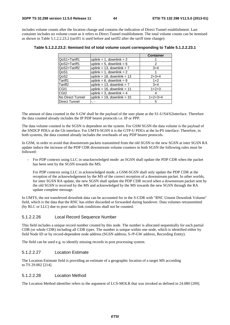includes volume counts after the location change and contains the indication of Direct Tunnel establishment. Last container includes no volume count as it refers to Direct Tunnel establishment. The total volume counts can be itemised as shown in Table 5.1.2.2.23.2 (tariff1 is used before and tariff2 after the tariff time change):

|                      |                                 | <b>Container</b> |
|----------------------|---------------------------------|------------------|
| QoS1+Tariff1         | uplink = 1, downlink = $2$      |                  |
| QoS2+Tariff1         | uplink = 5, downlink = $6$      | 2                |
| QoS2+Tariff2         | uplink = 13, downlink = $7$     | $3+4$            |
| QoS1                 | uplink = 1, downlink = $2$      |                  |
| QoS2                 | uplink = $18$ , downlink = $13$ | $2+3+4$          |
| Tariff1              | uplink = $6$ , downlink = $8$   | $1+2$            |
| Tariff <sub>2</sub>  | uplink = $13$ , downlink = $7$  | $3+4$            |
| CGI <sub>1</sub>     | uplink = $16$ , downlink = $11$ | $1+2+3$          |
| CGI <sub>2</sub>     | uplink = 3, downlink = $4$      | 4                |
| No Direct Tunnel     | uplink = $19$ , downlink = $15$ | $1+2+3+4$        |
| <b>Direct Tunnel</b> |                                 | 5                |

The amount of data counted in the S-GW shall be the payload of the user plane at the S1-U/S4/S2interface. Therefore the data counted already includes the IP PDP bearer protocols i.e. IP or PPP.

The data volume counted in the SGSN is dependent on the system. For GSM SGSN the data volume is the payload of the SNDCP PDUs at the Gb interface. For UMTS-SGSN it is the GTP-U PDUs at the Iu-PS interface. Therefore, in both systems, the data counted already includes the overheads of any PDP bearer protocols.

In GSM, in order to avoid that downstream packets transmitted from the old SGSN to the new SGSN at inter SGSN RA update induce the increase of the PDP CDR downstream volume counters in both SGSN the following rules must be followed:

- For PDP contexts using LLC in unacknowledged mode: an SGSN shall update the PDP CDR when the packet has been sent by the SGSN towards the MS;

 For PDP contexts using LLC in acknowledged mode, a GSM-SGSN shall only update the PDP CDR at the reception of the acknowledgement by the MS of the correct reception of a downstream packet. In other worlds, for inter SGSN RA update, the new SGSN shall update the PDP CDR record when a downstream packet sent by the old SGSN is received by the MS and acknowledged by the MS towards the new SGSN through the RA update complete message.

In UMTS, the not transferred downlink data can be accounted for in the S-CDR with "RNC Unsent Downlink Volume" field, which is the data that the RNC has either discarded or forwarded during handover. Data volumes retransmitted (by RLC or LLC) due to poor radio link conditions shall not be counted.

#### 5.1.2.2.26 Local Record Sequence Number

This field includes a unique record number created by this node. The number is allocated sequentially for each partial CDR (or whole CDR) including all CDR types. The number is unique within one node, which is identified either by field Node ID or by record-dependent node address (SGSN address, S-/P-GW address, Recording Entity).

The field can be used e.g. to identify missing records in post processing system.

### 5.1.2.2.27 Location Estimate

The Location Estimate field is providing an estimate of a geographic location of a target MS according to TS 29.002 [214].

#### 5.1.2.2.28 Location Method

The Location Method identifier refers to the argument of LCS-MOLR that was invoked as defined in 24.080 [209].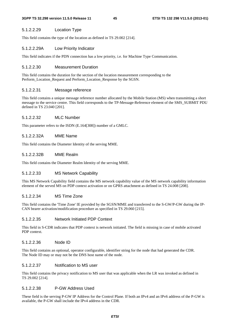### 5.1.2.2.29 Location Type

This field contains the type of the location as defined in TS 29.002 [214].

### 5.1.2.2.29A Low Priority Indicator

This field indicates if the PDN connection has a low priority, i.e. for Machine Type Communication.

#### 5.1.2.2.30 Measurement Duration

This field contains the duration for the section of the location measurement corresponding to the Perform\_Location\_Request and Perform\_Location\_Response by the SGSN.

#### 5.1.2.2.31 Message reference

This field contains a unique message reference number allocated by the Mobile Station (MS) when transmitting a short message to the service centre. This field corresponds to the TP-Message-Reference element of the SMS\_SUBMIT PDU defined in TS 23.040 [201].

### 5.1.2.2.32 MLC Number

This parameter refers to the ISDN (E.164[308]) number of a GMLC.

### 5.1.2.2.32A MME Name

This field contains the Diameter Identity of the serving MME.

### 5.1.2.2.32B MME Realm

This field contains the Diameter Realm Identity of the serving MME.

## 5.1.2.2.33 MS Network Capability

This MS Network Capability field contains the MS network capability value of the MS network capability information element of the served MS on PDP context activation or on GPRS attachment as defined in TS 24.008 [208].

### 5.1.2.2.34 MS Time Zone

This field contains the 'Time Zone' IE provided by the SGSN/MME and transferred to the S-GW/P-GW during the IP-CAN bearer activation/modification procedure as specified in TS 29.060 [215].

### 5.1.2.2.35 Network Initiated PDP Context

This field in S-CDR indicates that PDP context is network initiated. The field is missing in case of mobile activated PDP context.

### 5.1.2.2.36 Node ID

This field contains an optional, operator configurable, identifier string for the node that had generated the CDR. The Node ID may or may not be the DNS host name of the node.

#### 5.1.2.2.37 Notification to MS user

This field contains the privacy notification to MS user that was applicable when the LR was invoked as defined in TS 29.002 [214].

### 5.1.2.2.38 P-GW Address Used

These field is the serving P-GW IP Address for the Control Plane. If both an IPv4 and an IPv6 address of the P-GW is available, the P-GW shall include the IPv4 address in the CDR.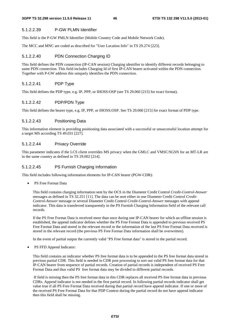### 5.1.2.2.39 P-GW PLMN Identifier

This field is the P-GW PMLN Identifier (Mobile Country Code and Mobile Network Code).

The MCC and MNC are coded as described for "User Location Info" in TS 29.274 [223].

### 5.1.2.2.40 PDN Connection Charging ID

This field defines the PDN connection (IP-CAN session) Charging identifier to identify different records belonging to same PDN connection. This field includes Charging Id of first IP-CAN bearer activated within the PDN connection. Together with P-GW address this uniquely identifies the PDN connection.

## 5.1.2.2.41 PDP Type

This field defines the PDP type, e.g. IP, PPP, or IHOSS:OSP (see TS 29.060 [215] for exact format).

### 5.1.2.2.42 PDP/PDN Type

This field defines the bearer type, e.g. IP, PPP, or IHOSS:OSP. See TS 29.060 [215] for exact format of PDP type.

#### 5.1.2.2.43 Positioning Data

This information element is providing positioning data associated with a successful or unsuccessful location attempt for a target MS according TS 49.031 [227].

#### 5.1.2.2.44 Privacy Override

This parameter indicates if the LCS client overrides MS privacy when the GMLC and VMSC/SGSN for an MT-LR are in the same country as defined in TS 29.002 [214].

### 5.1.2.2.45 PS Furnish Charging Information

This field includes following information elements for IP-CAN bearer (PGW-CDR):

PS Free Format Data

This field contains charging information sent by the OCS in the Diameter Credit Control *Credit-Control-Answer* messages as defined in TS 32.251 [11]. The data can be sent either in one Diameter Credit Control *Credit-Control-Answer* message or several Diameter Credit Control *Credit-Control-Answer* messages with append indicator. This data is transferred transparently in the PS Furnish Charging Information field of the relevant call records.

If the PS Free Format Data is received more than once during one IP-CAN bearer for which an offline session is established, the append indicator defines whether the PS Free Format Data is appended to previous received PS Free Format Data and stored in the relevant record or the information of the last PS Free Format Data received is stored in the relevant record (the previous PS Free Format Data information shall be overwritten).

In the event of partial output the currently valid "PS Free format data" is stored in the partial record.

• PS FFD Append Indicator:

This field contains an indicator whether PS free format data is to be appended to the PS free format data stored in previous partial CDR. This field is needed in CDR post processing to sort out valid PS free format data for that IP-CAN bearer from sequence of partial records. Creation of partial records is independent of received PS Free Format Data and thus valid PS free format data may be divided to different partial records.

 If field is missing then the PS free format data in this CDR replaces all received PS free format data in previous CDRs. Append indicator is not needed in the first partial record. In following partial records indicator shall get value true if all PS Free Format Data received during that partial record have append indicator. If one or more of the received PS Free Format Data for that PDP Context during the partial record do not have append indicator then this field shall be missing.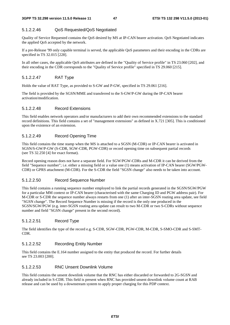## 5.1.2.2.46 QoS Requested/QoS Negotiated

Quality of Service Requested contains the QoS desired by MS at IP-CAN bearer activation. QoS Negotiated indicates the applied QoS accepted by the network.

If a pre-Release '99 only capable terminal is served, the applicable QoS parameters and their encoding in the CDRs are specified in TS 32.015 [228].

In all other cases, the applicable QoS attributes are defined in the "Quality of Service profile" in TS 23.060 [202], and their encoding in the CDR corresponds to the "Quality of Service profile" specified in TS 29.060 [215].

## 5.1.2.2.47 RAT Type

Holds the value of RAT Type, as provided to S-GW and P-GW, specified in TS 29.061 [216].

The field is provided by the SGSN/MME and transferred to the S-GW/P-GW during the IP-CAN bearer activation/modification.

## 5.1.2.2.48 Record Extensions

This field enables network operators and/or manufacturers to add their own recommended extensions to the standard record definitions. This field contains a set of "management extensions" as defined in X.721 [305]. This is conditioned upon the existence of an extension.

## 5.1.2.2.49 Record Opening Time

This field contains the time stamp when the MS is attached to a SGSN (M-CDR) or IP-CAN bearer is activated in SGSN/S-GW/P-GW (S-CDR, SGW-CDR, PGW-CDR) or record opening time on subsequent partial records (see TS 32.250 [4] for exact format).

Record opening reason does not have a separate field. For SGW/PGW-CDRs and M-CDR it can be derived from the field "Sequence number"; i.e. either a missing field or a value one (1) means activation of IP-CAN bearer (SGW/PGW-CDR) or GPRS attachment (M-CDR). For the S-CDR the field "SGSN change" also needs to be taken into account.

## 5.1.2.2.50 Record Sequence Number

This field contains a running sequence number employed to link the partial records generated in the SGSN/SGW/PGW for a particular MM context or IP-CAN bearer (characterised with the same Charging ID and PGW address pair). For M-CDR or S-CDR the sequence number always restarts from one (1) after an inter-SGSN routing area update, see field "SGSN change". The Record Sequence Number is missing if the record is the only one produced in the SGSN/SGW/PGW (e.g. inter-SGSN routing area update can result to two M-CDR or two S-CDRs without sequence number and field "SGSN change" present in the second record).

## 5.1.2.2.51 Record Type

The field identifies the type of the record e.g. S-CDR, SGW-CDR, PGW-CDR, M-CDR, S-SMO-CDR and S-SMT-CDR.

## 5.1.2.2.52 Recording Entity Number

This field contains the E.164 number assigned to the entity that produced the record. For further details see TS 23.003 [200].

### 5.1.2.2.53 RNC Unsent Downlink Volume

This field contains the unsent downlink volume that the RNC has either discarded or forwarded to 2G-SGSN and already included in S-CDR. This field is present when RNC has provided unsent downlink volume count at RAB release and can be used by a downstream system to apply proper charging for this PDP context.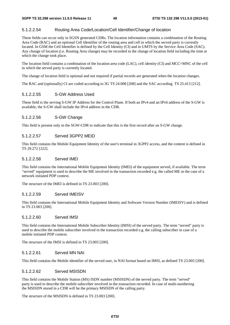## 5.1.2.2.54 Routing Area Code/Location/Cell Identifier/Change of location

These fields can occur only in SGSN generated CDRs. The location information contains a combination of the Routing Area Code (RAC) and an optional Cell Identifier of the routing area and cell in which the served party is currently located. In GSM the Cell Identifier is defined by the Cell Identity (CI) and in UMTS by the Service Area Code (SAC). Any change of location (i.e. Routing Area change) may be recorded in the change of location field including the time at which the change took place.

The location field contains a combination of the location area code (LAC), cell identity (CI) and MCC+MNC of the cell in which the served party is currently located.

The change of location field is optional and not required if partial records are generated when the location changes.

The RAC and (optionally) CI are coded according to 3G TS 24.008 [208] and the SAC according TS 25.413 [212].

### 5.1.2.2.55 S-GW Address Used

These field is the serving S-GW IP Address for the Control Plane. If both an IPv4 and an IPv6 address of the S-GW is available, the S-GW shall include the IPv4 address in the CDR.

## 5.1.2.2.56 S-GW Change

This field is present only in the SGW-CDR to indicate that this is the first record after an S-GW change.

### 5.1.2.2.57 Served 3GPP2 MEID

This field contains the Mobile Equipment Identity of the user's terminal in 3GPP2 access, and the content is defined in TS 29.272 [222].

## 5.1.2.2.58 Served IMEI

This field contains the International Mobile Equipment Identity (IMEI) of the equipment served, if available. The term "served" equipment is used to describe the ME involved in the transaction recorded e.g. the called ME in the case of a network initiated PDP context.

The structure of the IMEI is defined in TS 23.003 [200].

#### 5.1.2.2.59 Served IMEISV

This field contains the International Mobile Equipment Identity and Software Version Number (IMEISV) and is defined in TS 23.003 [200].

#### 5.1.2.2.60 Served IMSI

This field contains the International Mobile Subscriber Identity (IMSI) of the served party. The term "served" party is used to describe the mobile subscriber involved in the transaction recorded e.g. the calling subscriber in case of a mobile initiated PDP context.

The structure of the IMSI is defined in TS 23.003 [200].

### 5.1.2.2.61 Served MN NAI

This field contains the Mobile identifier of the served user, in NAI format based on IMSI, as defined TS 23.003 [200].

### 5.1.2.2.62 Served MSISDN

This field contains the Mobile Station (MS) ISDN number (MSISDN) of the served party. The term "served" party is used to describe the mobile subscriber involved in the transaction recorded. In case of multi-numbering the MSISDN stored in a CDR will be the primary MSISDN of the calling party.

The structure of the MSISDN is defined in TS 23.003 [200].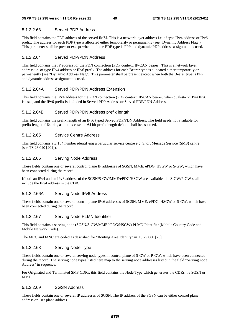## 5.1.2.2.63 Served PDP Address

This field contains the PDP address of the served IMSI. This is a network layer address i.e. of type IPv4 address or IPv6 prefix. The address for each PDP type is allocated either temporarily or permanently (see "Dynamic Address Flag"). This parameter shall be present except when both the PDP type is PPP and dynamic PDP address assignment is used.

## 5.1.2.2.64 Served PDP/PDN Address

This field contains the IP address for the PDN connection (PDP context, IP-CAN bearer). This is a network layer address i.e. of type IPv4 address or IPv6 prefix. The address for each Bearer type is allocated either temporarily or permanently (see "Dynamic Address Flag"). This parameter shall be present except when both the Bearer type is PPP and dynamic address assignment is used.

## 5.1.2.2.64A Served PDP/PDN Address Extension

This field contains the IPv4 address for the PDN connection (PDP context, IP-CAN bearer) when dual-stack IPv4 IPv6 is used, and the IPv6 prefix is included in Served PDP Address or Served PDP/PDN Address.

## 5.1.2.2.64B Served PDP/PDN Address prefix length

This field contains the prefix length of an IPv6 typed Served PDP/PDN Address. The field needs not available for prefix length of 64 bits, as in this case the 64 bit prefix length default shall be assumed.

## 5.1.2.2.65 Service Centre Address

This field contains a E.164 number identifying a particular service centre e.g. Short Message Service (SMS) centre (see TS 23.040 [201]).

## 5.1.2.2.66 Serving Node Address

These fields contain one or several control plane IP addresses of SGSN, MME, ePDG, HSGW or S-GW, which have been connected during the record.

If both an IPv4 and an IPv6 address of the SGSN/S-GW/MME/ePDG/HSGW are available, the S-GW/P-GW shall include the IPv4 address in the CDR.

## 5.1.2.2.66A Serving Node IPv6 Address

These fields contain one or several control plane IPv6 addresses of SGSN, MME, ePDG, HSGW or S-GW, which have been connected during the record.

## 5.1.2.2.67 Serving Node PLMN Identifier

This field contains a serving node (SGSN/S-GW/MME/ePDG/HSGW) PLMN Identifier (Mobile Country Code and Mobile Network Code).

The MCC and MNC are coded as described for "Routing Area Identity" in TS 29.060 [75].

## 5.1.2.2.68 Serving Node Type

These fields contain one or several serving node types in control plane of S-GW or P-GW, which have been connected during the record. The serving node types listed here map to the serving node addresses listed in the field "Serving node Address" in sequence.

For Originated and Terminated SMS CDRs, this field contains the Node Type which generates the CDRs, i.e SGSN or MME.

## 5.1.2.2.69 SGSN Address

These fields contain one or several IP addresses of SGSN. The IP address of the SGSN can be either control plane address or user plane address.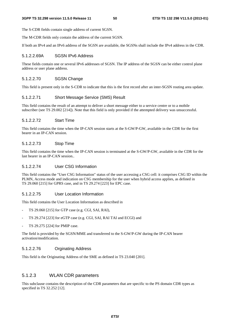The S-CDR fields contain single address of current SGSN.

The M-CDR fields only contain the address of the current SGSN.

If both an IPv4 and an IPv6 address of the SGSN are available, the SGSNs shall include the IPv4 address in the CDR.

#### 5.1.2.2.69A SGSN IPv6 Address

These fields contain one or several IPv6 addresses of SGSN. The IP address of the SGSN can be either control plane address or user plane address.

#### 5.1.2.2.70 SGSN Change

This field is present only in the S-CDR to indicate that this is the first record after an inter-SGSN routing area update.

#### 5.1.2.2.71 Short Message Service (SMS) Result

This field contains the result of an attempt to deliver a short message either to a service centre or to a mobile subscriber (see TS 29.002 [214]). Note that this field is only provided if the attempted delivery was unsuccessful.

#### 5.1.2.2.72 Start Time

This field contains the time when the IP-CAN session starts at the S-GW/P-GW, available in the CDR for the first bearer in an IP-CAN session.

## 5.1.2.2.73 Stop Time

This field contains the time when the IP-CAN session is terminated at the S-GW/P-GW, available in the CDR for the last bearer in an IP-CAN session..

## 5.1.2.2.74 User CSG Information

This field contains the "User CSG Information" status of the user accessing a CSG cell: it comprises CSG ID within the PLMN, Access mode and indication on CSG membership for the user when hybrid access applies, as defined in TS 29.060 [215] for GPRS case, and in TS 29.274 [223] for EPC case.

### 5.1.2.2.75 User Location Information

This field contains the User Location Information as described in

- TS 29.060 [215] for GTP case (e.g. CGI, SAI, RAI),
- TS 29.274 [223] for eGTP case (e.g. CGI, SAI, RAI TAI and ECGI) and
- TS 29.275 [224] for PMIP case.

The field is provided by the SGSN/MME and transferred to the S-GW/P-GW during the IP-CAN bearer activation/modification.

### 5.1.2.2.76 Orginating Address

This field is the Originating Address of the SME as defined in TS 23.040 [201].

### 5.1.2.3 WLAN CDR parameters

This subclause contains the description of the CDR parameters that are specific to the PS domain CDR types as specified in TS 32.252 [12].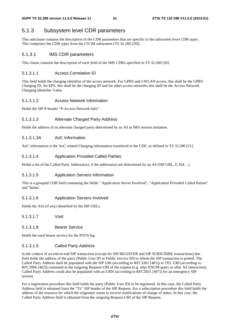# 5.1.3 Subsystem level CDR parameters

This subclause contains the description of the CDR parameters that are specific to the subsystem level CDR types. This comprises the CDR types from the CN IM subsystem (TS 32.260 [20]).

## 5.1.3.1 IMS CDR parameters

This clause contains the description of each field of the IMS CDRs specified in TS 32.260 [20].

## 5.1.3.1.1 Access Correlation ID

This field holds the charging identifier of the access network. For GPRS and I-WLAN access, this shall be the GPRS Charging ID, for EPS, this shall be the charging ID and for other access networks this shall be the Access Network Charging Identifier Value.

## 5.1.3.1.2 Access Network Information

Holds the SIP P-header "P-Access-Network-Info".

## 5.1.3.1.3 Alternate Charged Party Address

Holds the address of an alternate charged party determined by an AS at IMS session initiation.

## 5.1.3.1.3A AoC Information

AoC information is the AoC related Charging information transfered to the CDF, as defined in TS 32.280 [21].

## 5.1.3.1.4 Application Provided Called Parties

Holds a list of the Called Party Address(es), if the address(es) are determined by an AS (SIP URL, E.164…).

## 5.1.3.1.5 Application Servers Information

This is a grouped CDR field containing the fields: "Application Server Involved", "Application Provided Called Parties" and 'Status'.

### 5.1.3.1.6 Application Servers Involved

Holds the ASs (if any) identified by the SIP URLs.

5.1.3.1.7 Void

## 5.1.3.1.8 Bearer Service

Holds the used bearer service for the PSTN leg.

## 5.1.3.1.9 Called Party Address

In the context of an end-to-end SIP transaction (except for SIP REGISTER and SIP SUBSCRIBE transactions) this field holds the address of the party (Public User ID or Public Service ID) to whom the SIP transaction is posted. The Called Party Address shall be populated with the SIP URI (according to RFC3261 [401]) or TEL URI (according to RFC3966 [402]) contained in the outgoing Request-URI of the request (e.g. after ENUM query or after AS interaction). Called Party Address could also be populated with an URN (according to RFC5031 [407]) for an emergency SIP session.

For a registration procedure this field holds the party (Public User ID) to be registered. In this case, the Called Party Address field is obtained from the "To" SIP header of the SIP Request. For a subscription procedure this field holds the address of the resource for which the originator wants to receive notifications of change of states. In this case, the Called Party Address field is obtained from the outgoing Request-URI of the SIP Request.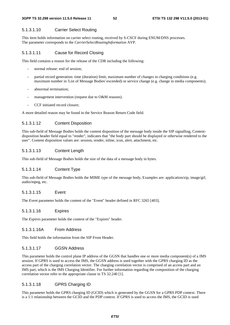## 5.1.3.1.10 Carrier Select Routing

This item holds information on carrier select routing, received by S-CSCF during ENUM/DNS processes. The parameter corresponds to the *CarrierSelectRoutingInformation* AVP.

## 5.1.3.1.11 Cause for Record Closing

This field contains a reason for the release of the CDR including the following:

- normal release: end of session;
- partial record generation: time (duration) limit, maximum number of changes in charging conditions (e.g. maximum number in 'List of Message Bodies' exceeded) or service change (e.g. change in media components);
- abnormal termination:
- management intervention (request due to O&M reasons).
- CCF initiated record closure;

A more detailed reason may be found in the Service Reason Return Code field.

## 5.1.3.1.12 Content Disposition

This sub-field of Message Bodies holds the content disposition of the message body inside the SIP signalling, Contentdisposition header field equal to "render", indicates that "the body part should be displayed or otherwise rendered to the user". Content disposition values are: session, render, inline, icon, alert, attachment, etc.

## 5.1.3.1.13 Content Length

This sub-field of Message Bodies holds the size of the data of a message body in bytes.

#### 5.1.3.1.14 Content Type

This sub-field of Message Bodies holds the MIME type of the message body, Examples are: application/zip, image/gif, audio/mpeg, etc.

## 5.1.3.1.15 Event

The *Event* parameter holds the content of the "Event" header defined in RFC 3265 [403],

## 5.1.3.1.16 Expires

The *Expires* parameter holds the content of the "Expires" header.

#### 5.1.3.1.16A From Address

This field holds the information from the SIP From Header.

#### 5.1.3.1.17 GGSN Address

This parameter holds the control plane IP address of the GGSN that handles one or more media component(s) of a IMS session. If GPRS is used to access the IMS, the GGSN address is used together with the GPRS charging ID as the access part of the charging correlation vector. The charging correlation vector is comprised of an access part and an IMS part, which is the IMS Charging Identifier. For further information regarding the composition of the charging correlation vector refer to the appropriate clause in TS 32.240 [1].

## 5.1.3.1.18 GPRS Charging ID

This parameter holds the GPRS charging ID (GCID) which is generated by the GGSN for a GPRS PDP context. There is a 1:1 relationship between the GCID and the PDP context. If GPRS is used to access the IMS, the GCID is used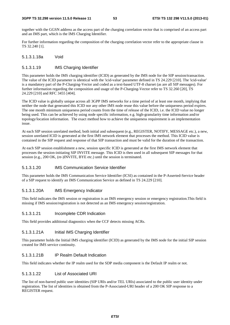together with the GGSN address as the access part of the charging correlation vector that is comprised of an access part and an IMS part, which is the IMS Charging Identifier.

For further information regarding the composition of the charging correlation vector refer to the appropriate clause in TS 32.240 [1].

### 5.1.3.1.18a Void

### 5.1.3.1.19 IMS Charging Identifier

This parameter holds the IMS charging identifier (ICID) as generated by the IMS node for the SIP session/transaction. The value of the ICID parameter is identical with the 'icid-value' parameter defined in TS 24.229 [210]. The 'icid-value' is a mandatory part of the P-Charging-Vector and coded as a text-based UTF-8 charset (as are all SIP messages). For further information regarding the composition and usage of the P-Charging-Vector refer to TS 32.260 [20], TS 24.229 [210] and RFC 3455 [404].

The ICID value is globally unique across all 3GPP IMS networks for a time period of at least one month, implying that neither the node that generated this ICID nor any other IMS node reuse this value before the uniqueness period expires. The one month minimum uniqueness period counts from the time of release of the ICID, i.e. the ICID value no longer being used. This can be achieved by using node specific information, e.g. high-granularity time information and/or topology/location information. The exact method how to achieve the uniqueness requirement is an implementation issue.

At each SIP session unrelated method, both initial and subsequent (e.g., REGISTER, NOTIFY, MESSAGE etc.), a new, session unrelated ICID is generated at the first IMS network element that processes the method. This ICID value is contained in the SIP request and response of that SIP transaction and must be valid for the duration of the transaction.

At each SIP session establishment a new, session specific ICID is generated at the first IMS network element that processes the session-initiating SIP INVITE message. This ICID is then used in all subsequent SIP messages for that session (e.g., 200 OK, (re-)INVITE, BYE etc.) until the session is terminated.

#### 5.1.3.1.20 IMS Communication Service Identifier

This parameter holds the IMS Communication Service Identifier (ICSI) as contained in the P-Asserted-Service header of a SIP request to identify an IMS Communication Service as defined in TS 24.229 [210].

#### 5.1.3.1.20A IMS Emergency Indicator

This field indicates the IMS session or registration is an IMS emergency session or emergency registration.This field is missing if IMS session/registration is not detected as an IMS emergency session/registration.

### 5.1.3.1.21 Incomplete CDR Indication

This field provides additional diagnostics when the CCF detects missing ACRs.

#### 5.1.3.1.21A Initial IMS Charging Identifier

This parameter holds the Initial IMS charging identifier (ICID) as generated by the IMS node for the initial SIP session created for IMS service continuity.

#### 5.1.3.1.21B IP Realm Default Indication

This field indicates whether the IP realm used for the SDP media component is the Default IP realm or not.

### 5.1.3.1.22 List of Associated URI

The list of non-barred public user identities (SIP URIs and/or TEL URIs) associated to the public user identity under registration. The list of identities is obtained from the P-Associated-URI header of a 200 OK SIP response to a REGISTER request.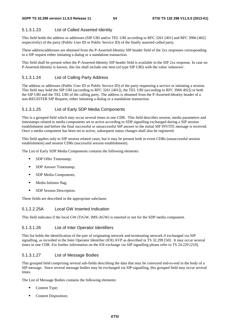## 5.1.3.1.23 List of Called Asserted Identity

This field holds the address or addresses (SIP URI and/or TEL URI according to RFC 3261 [401] and RFC 3966 [402] respectively) of the party (Public User ID or Public Service ID) of the finally asserted called party.

These address/addresses are obtained from the P-Asserted-Identity SIP header field of the 2xx responses corresponding to a SIP request either initiating a dialog or a standalone transaction.

This field shall be present when the P-Asserted-Identity SIP header field is available in the SIP 2xx response. In case no P-Asserted-Identity is known, this list shall include one item (of type SIP URI) with the value 'unknown'.

## 5.1.3.1.24 List of Calling Party Address

The address or addresses (Public User ID or Public Service ID) of the party requesting a service or initiating a session. This field may hold the SIP URI (according to RFC 3261 [401]), the TEL URI (according to RFC 3966 402]) or both the SIP URI and the TEL URI of the calling party. The address is obtained from the P-Asserted-Identity header of a non-REGISTER SIP Request, either initiating a dialog or a standalone transaction.

## 5.1.3.1.25 List of Early SDP Media Components

This is a grouped field which may occur several times in one CDR. This field describes session, media parameters and timestamps related to media components set to active according to SDP signalling exchanged during a SIP session establishment and before the final successful or unsuccessful SIP answer to the initial SIP INVITE message is received. Once a media component has been set to active, subsequent status changes shall also be registered.

This field applies only to SIP session related cases, but it may be present both in event CDRs (unsuccessful session establishment) and session CDRs (successful session establishment).

The List of Early SDP Media Components contains the following elements:

- **SDP** Offer Timestamp;
- **SDP** Answer Timestamp;
- **SDP** Media Components;
- **Media Initiator flag;**
- **SDP** Session Description.

These fields are described in the appropriate subclause.

## 5.1.2.2.25A Local GW Inserted Indication

This field indicates if the local GW (TrGW, IMS-AGW) is inserted or not for the SDP media component.

## 5.1.3.1.26 List of Inter Operator Identifiers

This list holds the identification of the pair of originating network and terminating network if exchanged via SIP signalling, as recorded in the Inter Operator Identifier (IOI) AVP as described in TS 32.299 [50]. It may occur several times in one CDR. For further information on the IOI exchange via SIP signalling please refer to TS 24.229 [210].

## 5.1.3.1.27 List of Message Bodies

This grouped field comprising several sub-fields describing the data that may be conveyed end-to-end in the body of a SIP message. Since several message bodies may be exchanged via SIP-signalling, this grouped field may occur several times.

The List of Message Bodies contains the following elements:

- Content Type;
- Content Disposition;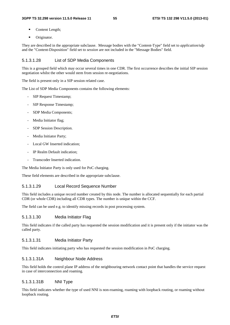- Content Length;
- **•** Originator.

They are described in the appropriate subclause. Message bodies with the "Content-Type" field set to *application/sdp* and the "Content-Disposition" field set to *session* are not included in the "Message Bodies" field.

#### 5.1.3.1.28 List of SDP Media Components

This is a grouped field which may occur several times in one CDR. The first occurrence describes the initial SIP session negotiation whilst the other would stem from session re-negotiations.

The field is present only in a SIP session related case.

The List of SDP Media Components contains the following elements:

- SIP Request Timestamp;
- SIP Response Timestamp;
- SDP Media Components;
- Media Initiator flag;
- SDP Session Description.
- Media Initiator Party;
- Local GW Inserted indication;
- IP Realm Default indication:
- Transcoder Inserted indication.

The Media Initiator Party is only used for PoC charging.

These field elements are described in the appropriate subclause.

### 5.1.3.1.29 Local Record Sequence Number

This field includes a unique record number created by this node. The number is allocated sequentially for each partial CDR (or whole CDR) including all CDR types. The number is unique within the CCF.

The field can be used e.g. to identify missing records in post processing system.

### 5.1.3.1.30 Media Initiator Flag

This field indicates if the called party has requested the session modification and it is present only if the initiator was the called party.

#### 5.1.3.1.31 Media Initiator Party

This field indicates initiating party who has requested the session modification in PoC charging.

### 5.1.3.1.31A Neighbour Node Address

This field holds the control plane IP address of the neighbouring network contact point that handles the service request in case of interconnection and roaming.

### 5.1.3.1.31B NNI Type

This field indicates whether the type of used NNI is non-roaming, roaming with loopback routing, or roaming without loopback routing.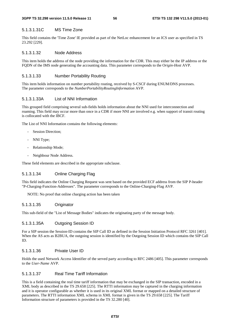#### 5.1.3.1.31C MS Time Zone

This field contains the 'Time Zone' IE provided as part of the NetLoc enhancement for an ICS user as specified in TS 23.292 [229].

### 5.1.3.1.32 Node Address

This item holds the address of the node providing the information for the CDR. This may either be the IP address or the FQDN of the IMS node generating the accounting data. This parameter corresponds to the O*rigin-Host* AVP.

### 5.1.3.1.33 Number Portability Routing

This item holds information on number portability routing, received by S-CSCF during ENUM/DNS processes. The parameter corresponds to the *NumberPortabilityRoutingInformation* AVP.

### 5.1.3.1.33A List of NNI Information

This grouped field comprising several sub-fields holds information about the NNI used for interconnection and roaming. This field may occur more than once in a CDR if more NNI are involved e.g. when support of transit routing is collocated with the IBCF.

The List of NNI Information contains the following elements:

- Session Direction;
- NNI Type;
- Relationship Mode;
- Neighbour Node Address.

These field elements are described in the appropriate subclause.

## 5.1.3.1.34 Online Charging Flag

This field indicates the Online Charging Request was sent based on the provided ECF address from the SIP P-header "P-Charging-Function-Addresses". The parameter corresponds to the Online-Charging-Flag AVP.

NOTE: No proof that online charging action has been taken

### 5.1.3.1.35 Originator

This sub-field of the "List of Message Bodies" indicates the originating party of the message body.

#### 5.1.3.1.35A Outgoing Session ID

For a SIP session the Session-ID contains the SIP Call ID as defined in the Session Initiation Protocol RFC 3261 [401]. When the AS acts as B2BUA, the outgoing session is identified by the Outgoing Session ID which contains the SIP Call ID.

### 5.1.3.1.36 Private User ID

Holds the used Network Access Identifier of the served party according to RFC 2486 [405]*.* This parameter corresponds to the *User-Name* AVP.

### 5.1.3.1.37 Real Time Tariff Information

This is a field containing the real time tariff information that may be exchanged in the SIP transaction, encoded in a XML body as described in the TS 29.658 [225]. The RTTI information may be captured in the charging information and it is operator configurable as whether it is used in its original XML format or mapped on a detailed structure of parameters. The RTTI information XML schema in XML format is given in the TS 29.658 [225]. The Tariff Information structure of parameters is provided in the TS 32.280 [40].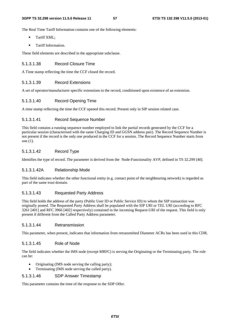The Real Time Tariff Information contains one of the following elements:

- **Tariff XML:**
- **Tariff Information.**

These field elements are described in the appropriate subclause.

## 5.1.3.1.38 Record Closure Time

A Time stamp reflecting the time the CCF closed the record.

## 5.1.3.1.39 Record Extensions

A set of operator/manufacturer specific extensions to the record, conditioned upon existence of an extension.

## 5.1.3.1.40 Record Opening Time

A time stamp reflecting the time the CCF opened this record. Present only in SIP session related case.

## 5.1.3.1.41 Record Sequence Number

This field contains a running sequence number employed to link the partial records generated by the CCF for a particular session (characterised with the same Charging ID and GGSN address pair). The Record Sequence Number is not present if the record is the only one produced in the CCF for a session. The Record Sequence Number starts from one (1).

## 5.1.3.1.42 Record Type

Identifies the type of record. The parameter is derived from the Node-Functionality AVP, defined in TS 32.299 [40].

#### 5.1.3.1.42A Relationship Mode

This field indicates whether the other functional entity (e.g. contact point of the neighbouring network) is regarded as part of the same trust domain.

### 5.1.3.1.43 Requested Party Address

This field holds the address of the party (Public User ID or Public Service ID) to whom the SIP transaction was originally posted. The Requested Party Address shall be populated with the SIP URI or TEL URI (according to RFC 3261 [401] and RFC 3966 [402] respectively) contained in the incoming Request-URI of the request. This field is only present if different from the Called Party Address parameter.

#### 5.1.3.1.44 Retransmission

This parameter, when present, indicates that information from retransmitted Diameter ACRs has been used in this CDR.

### 5.1.3.1.45 Role of Node

The field indicates whether the IMS node (except MRFC) is serving the Originating or the Terminating party. The role can be:

- Originating (IMS node serving the calling party);
- Terminating (IMS node serving the called party).

#### 5.1.3.1.46 SDP Answer Timestamp

This parameter contains the time of the response to the SDP Offer.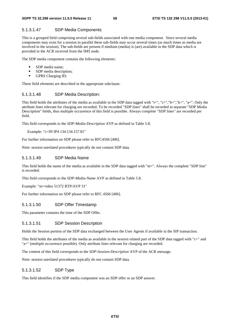### 5.1.3.1.47 SDP Media Components

This is a grouped field comprising several sub-fields associated with one media component. Since several media components may exist for a session in parallel these sub-fields may occur several times (as much times as media are involved in the session). The sub-fields are present if medium (media) is (are) available in the SDP data which is provided in the ACR received from the IMS node.

The SDP media component contains the following elements:

- SDP media name;
- $SDP$  media description;<br> $GPRS$  Charging ID:
- GPRS Charging ID;

These field elements are described in the appropriate subclause.

#### 5.1.3.1.48 SDP Media Description:

This field holds the attributes of the media as available in the SDP data tagged with "i=", "c=","b=","k=", "a=". Only the attribute lines relevant for charging are recorded. To be recorded "SDP lines" shall be recorded in separate "SDP Media Description" fields, thus multiple occurrence of this field is possible. Always complete "SDP lines" are recorded per field.

This field corresponds to the *SDP-Media-Description* AVP as defined in Table 5.8.

Example: "c=IN IP4 134.134.157.81"

For further information on SDP please refer to RFC4566 [406].

Note: session unrelated procedures typically do not contain SDP data.

### 5.1.3.1.49 SDP Media Name

This field holds the name of the media as available in the SDP data tagged with "m=". Always the complete "SDP line" is recorded.

This field corresponds to the *SDP-Media-Name* AVP as defined in Table 5.8.

Example: "m=video 51372 RTP/AVP 31"

For further information on SDP please refer to RFC 4566 [406].

### 5.1.3.1.50 SDP Offer Timestamp

This parameter contains the time of the SDP Offer.

#### 5.1.3.1.51 SDP Session Description

Holds the Session portion of the SDP data exchanged between the User Agents if available in the SIP transaction.

This field holds the attributes of the media as available in the session related part of the SDP data tagged with " $c =$ " and "a=" (multiple occurrence possible). Only attribute lines relevant for charging are recorded.

The content of this field corresponds to the *SDP-Session-Description* AVP of the ACR message.

Note: session unrelated procedures typically do not contain SDP data.

### 5.1.3.1.52 SDP Type

This field identifies if the SDP media component was an SDP offer or an SDP answer.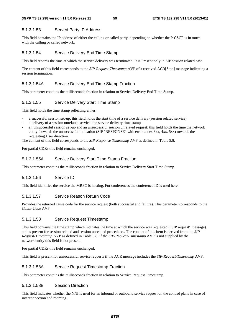## 5.1.3.1.53 Served Party IP Address

This field contains the IP address of either the calling or called party, depending on whether the P-CSCF is in touch with the calling or called network.

### 5.1.3.1.54 Service Delivery End Time Stamp

This field records the time at which the service delivery was terminated. It is Present only in SIP session related case.

The content of this field corresponds to the *SIP-Request-Timestamp* AVP of a received ACR[Stop] message indicating a session termination.

## 5.1.3.1.54A Service Delivery End Time Stamp Fraction

This parameter contains the milliseconds fraction in relation to Service Delivery End Time Stamp.

### 5.1.3.1.55 Service Delivery Start Time Stamp

This field holds the time stamp reflecting either:

- a successful session set-up: this field holds the start time of a service delivery (session related service)
- a delivery of a session unrelated service: the service delivery time stamp
- an unsuccessful session set-up and an unsuccessful session unrelated request: this field holds the time the network entity forwards the unsuccessful indication (SIP "RESPONSE" with error codes 3xx, 4xx, 5xx) towards the requesting User direction.

The content of this field corresponds to the *SIP-Response-Timestamp* AVP as defined in Table 5.8.

For partial CDRs this field remains unchanged.

### 5.1.3.1.55A Service Delivery Start Time Stamp Fraction

This parameter contains the milliseconds fraction in relation to Service Delivery Start Time Stamp.

#### 5.1.3.1.56 Service ID

This field identifies the service the MRFC is hosting. For conferences the conference ID is used here.

### 5.1.3.1.57 Service Reason Return Code

Provides the returned cause code for the service request (both successful and failure). This parameter corresponds to the *Cause-Code* AVP.

#### 5.1.3.1.58 Service Request Timestamp

This field contains the time stamp which indicates the time at which the service was requested ("SIP request" message) and is present for session related and session unrelated procedures. The content of this item is derived from the *SIP-Request-Timestamp* AVP as defined in Table 5.8. If the *SIP-Request-Timestamp* AVP is not supplied by the network entity this field is not present.

For partial CDRs this field remains unchanged.

This field is present for unsuccessful service requests if the ACR message includes the *SIP-Request-Timestamp* AVP.

#### 5.1.3.1.58A Service Request Timestamp Fraction

This parameter contains the milliseconds fraction in relation to Service Request Timestamp.

### 5.1.3.1.58B Session Direction

This field indicates whether the NNI is used for an inbound or outbound service request on the control plane in case of interconnection and roaming.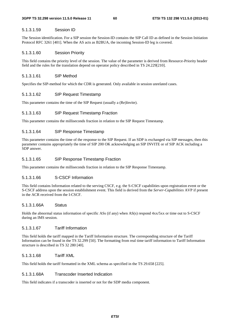### 5.1.3.1.59 Session ID

The Session identification. For a SIP session the Session-ID contains the SIP Call ID as defined in the Session Initiation Protocol RFC 3261 [401]. When the AS acts as B2BUA, the incoming Session-ID leg is covered.

### 5.1.3.1.60 Session Priority

This field contains the priority level of the session. The value of the parameter is derived from Resource-Priority header field and the rules for the translation depend on operator policy described in TS 24.229[210].

#### 5.1.3.1.61 SIP Method

Specifies the SIP-method for which the CDR is generated. Only available in session unrelated cases.

### 5.1.3.1.62 SIP Request Timestamp

This parameter contains the time of the SIP Request (usually a (Re)Invite).

### 5.1.3.1.63 SIP Request Timestamp Fraction

This parameter contains the milliseconds fraction in relation to the SIP Request Timestamp.

### 5.1.3.1.64 SIP Response Timestamp

This parameter contains the time of the response to the SIP Request. If an SDP is exchanged via SIP messages, then this parameter contains appropriately the time of SIP 200 OK acknowledging an SIP INVITE or of SIP ACK including a SDP answer.

### 5.1.3.1.65 SIP Response Timestamp Fraction

This parameter contains the milliseconds fraction in relation to the SIP Response Timestamp.

#### 5.1.3.1.66 S-CSCF Information

This field contains Information related to the serving CSCF, e.g. the S-CSCF capabilities upon registration event or the S-CSCF address upon the session establishment event. This field is derived from the *Server-Capabilities* AVP if present in the ACR received from the I-CSCF.

### 5.1.3.1.66A Status

Holds the abnormal status information of specific ASs (if any) when AS(s) respond 4xx/5xx or time out to S-CSCF during an IMS session.

## 5.1.3.1.67 Tariff Information

This field holds the tariff mapped in the Tariff Information structure. The corresponding structure of the Tariff Information can be found in the TS 32.299 [50]. The formatting from real time tariff information to Tariff Information structure is described in TS 32 280 [40].

## 5.1.3.1.68 Tariff XML

This field holds the tariff formatted in the XML schema as specified in the TS 29.658 [225].

#### 5.1.3.1.68A Transcoder Inserted Indication

This field indicates if a transcoder is inserted or not for the SDP media component.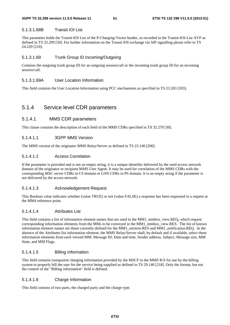### 5.1.3.1.68B Transit IOI List

This parameter holds the Transit-IOI List of the P-Charging-Vector header, as recorded in the Transit-IOI-List AVP as defined in TS 32.299 [50]. For further information on the Transit IOI exchange via SIP signalling please refer to TS 24.229 [210].

## 5.1.3.1.69 Trunk Group ID Incoming/Outgoing

Contains the outgoing trunk group ID for an outgoing session/call or the incoming trunk group ID for an incoming session/call.

### 5.1.3.1.69A User Location Information

This field contains the User Location Information using PCC mechanisms as specified in TS 23.203 [203].

# 5.1.4 Service level CDR parameters

## 5.1.4.1 MMS CDR parameters

This clause contains the description of each field of the MMS CDRs specified in TS 32.270 [30].

### 5.1.4.1.1 3GPP MMS Version

The MMS version of the originator MMS Relay/Server as defined in TS 23.140 [206].

### 5.1.4.1.2 Access Correlation

If the parameter is provided and is not an empty string, it is a unique identifier delivered by the used access network domain of the originator or recipient MMS User Agent. It may be used for correlation of the MMS CDRs with the corresponding MSC server CDRs in CS domain or GSN CDRs in PS domain. It is an empty string if the parameter is not delivered by the access network.

## 5.1.4.1.3 Acknowledgement Request

This Boolean value indicates whether (value TRUE) or not (value FALSE) a response has been requested in a request at the MM4 reference point.

## 5.1.4.1.4 Attributes List

This field contains a list of information element names that are used in the MM1\_mmbox\_view.REQ, which request corresponding information elements from the MMs to be conveyed in the MM1\_mmbox\_view.RES. The list of known information element names are those currently defined for the MM1\_retrieve.RES and MM1\_notification.REQ. In the absence of the Attributes list information element, the MMS Relay/Server shall, by default and if available, select these information elements from each viewed MM: Message ID, Date and time, Sender address, Subject, Message size, MM State, and MM Flags.

## 5.1.4.1.5 Billing Information

This field contains transparent charging information provided by the MSCF to the MMS R/S for use by the billing system to properly bill the user for the service being supplied as defined in TS 29.140 [218]. Only the format, but not the content of the "Billing information" field is defined.

## 5.1.4.1.6 Charge Information

This field consists of two parts, the charged party and the charge type.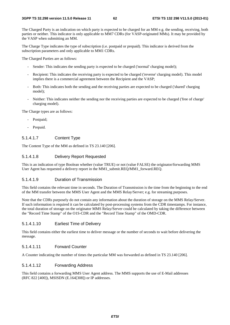The Charged Party is an indication on which party is expected to be charged for an MM e.g. the sending, receiving, both parties or neither. This indicator is only applicable to MM7 CDRs (for VASP-originated MMs). It may be provided by the VASP when submitting an MM.

The Charge Type indicates the type of subscription (i.e. postpaid or prepaid). This indicator is derived from the subscription parameters and only applicable to MM1 CDRs.

The Charged Parties are as follows:

- Sender: This indicates the sending party is expected to be charged ('normal' charging model);
- Recipient: This indicates the receiving party is expected to be charged ('reverse' charging model). This model implies there is a commercial agreement between the Recipient and the VASP;
- Both: This indicates both the sending and the receiving parties are expected to be charged ('shared' charging model);
- Neither: This indicates neither the sending nor the receiving parties are expected to be charged ('free of charge' charging model).

The Charge types are as follows:

- Postpaid;
- Prepaid.

### 5.1.4.1.7 Content Type

The Content Type of the MM as defined in TS 23.140 [206].

### 5.1.4.1.8 Delivery Report Requested

This is an indication of type Boolean whether (value TRUE) or not (value FALSE) the originator/forwarding MMS User Agent has requested a delivery report in the MM1\_submit.REO/MM1\_forward.REO.

### 5.1.4.1.9 Duration of Transmission

This field contains the relevant time in seconds. The Duration of Transmission is the time from the beginning to the end of the MM transfer between the MMS User Agent and the MMS Relay/Server; e.g. for streaming purposes.

Note that the CDRs purposely do not contain any information about the duration of storage on the MMS Relay/Server. If such information is required it can be calculated by post-processing systems from the CDR timestamps. For instance, the total duration of storage on the originator MMS Relay/Server could be calculated by taking the difference between the "Record Time Stamp" of the O1S-CDR and the "Record Time Stamp" of the OMD-CDR.

#### 5.1.4.1.10 Earliest Time of Delivery

This field contains either the earliest time to deliver message or the number of seconds to wait before delivering the message.

## 5.1.4.1.11 Forward Counter

A Counter indicating the number of times the particular MM was forwarded as defined in TS 23.140 [206].

#### 5.1.4.1.12 Forwarding Address

This field contains a forwarding MMS User Agent address. The MMS supports the use of E-Mail addresses (RFC 822 [400]), MSISDN (E.164[308]) or IP addresses.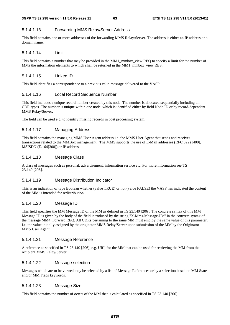## 5.1.4.1.13 Forwarding MMS Relay/Server Address

This field contains one or more addresses of the forwarding MMS Relay/Server. The address is either an IP address or a domain name.

### 5.1.4.1.14 Limit

This field contains a number that may be provided in the MM1\_mmbox\_view.REQ to specify a limit for the number of MMs the information elements to which shall be returned in the MM1\_mmbox\_view.RES.

## 5.1.4.1.15 Linked ID

This field identifies a correspondence to a previous valid message delivered to the VASP

## 5.1.4.1.16 Local Record Sequence Number

This field includes a unique record number created by this node. The number is allocated sequentially including all CDR types. The number is unique within one node, which is identified either by field Node ID or by record-dependent MMS Relay/Server.

The field can be used e.g. to identify missing records in post processing system.

## 5.1.4.1.17 Managing Address

This field contains the managing MMS User Agent address i.e. the MMS User Agent that sends and receives transactions related to the MMBox management . The MMS supports the use of E-Mail addresses (RFC 822) [400], MSISDN (E.164[308]) or IP address.

### 5.1.4.1.18 Message Class

A class of messages such as personal, advertisement, information service etc. For more information see TS 23.140 [206].

## 5.1.4.1.19 Message Distribution Indicator

This is an indication of type Boolean whether (value TRUE) or not (value FALSE) the VASP has indicated the content of the MM is intended for redistribution.

#### 5.1.4.1.20 Message ID

This field specifies the MM Message ID of the MM as defined in TS 23.140 [206]. The concrete syntax of this MM Message ID is given by the body of the field introduced by the string "X-Mms-Message-ID:" in the concrete syntax of the message MM4\_Forward.REQ. All CDRs pertaining to the same MM must employ the same value of this parameter, i.e. the value initially assigned by the originator MMS Relay/Server upon submission of the MM by the Originator MMS User Agent.

## 5.1.4.1.21 Message Reference

A reference as specified in TS 23.140 [206], e.g. URI, for the MM that can be used for retrieving the MM from the recipient MMS Relay/Server.

## 5.1.4.1.22 Message selection

Messages which are to be viewed may be selected by a list of Message References or by a selection based on MM State and/or MM Flags keywords.

#### 5.1.4.1.23 Message Size

This field contains the number of octets of the MM that is calculated as specified in TS 23.140 [206].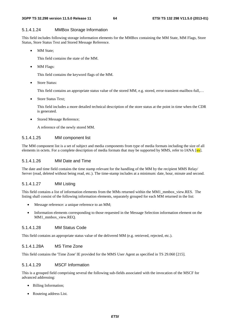#### 5.1.4.1.24 MMBox Storage Information

This field includes following storage information elements for the MMBox containing the MM State, MM Flags, Store Status, Store Status Text and Stored Message Reference.

MM State:

This field contains the state of the MM.

MM Flags:

This field contains the keyword flags of the MM.

Store Status:

This field contains an appropriate status value of the stored MM, e.g. stored, error-transient-mailbox-full,…

Store Status Text:

This field includes a more detailed technical description of the store status at the point in time when the CDR is generated.

• Stored Message Reference;

A reference of the newly stored MM.

### 5.1.4.1.25 MM component list

The MM component list is a set of subject and media components from type of media formats including the size of all elements in octets. For a complete description of media formats that may be supported by MMS, refer to IANA  $[xx]$ .

### 5.1.4.1.26 MM Date and Time

The date and time field contains the time stamp relevant for the handling of the MM by the recipient MMS Relay/ Server (read, deleted without being read, etc.). The time-stamp includes at a minimum: date, hour, minute and second.

### 5.1.4.1.27 MM Listing

This field contains a list of information elements from the MMs returned within the MM1\_mmbox\_view.RES. The listing shall consist of the following information elements, separately grouped for each MM returned in the list:

- Message reference: a unique reference to an MM;
- Information elements corresponding to those requested in the Message Selection information element on the MM1\_mmbox\_view.REQ.

### 5.1.4.1.28 MM Status Code

This field contains an appropriate status value of the delivered MM (e.g. retrieved, rejected, etc.).

### 5.1.4.1.28A MS Time Zone

This field contains the 'Time Zone' IE provided for the MMS User Agent as specified in TS 29.060 [215].

## 5.1.4.1.29 MSCF Information

This is a grouped field comprising several the following sub-fields associated with the invocation of the MSCF for advanced addressing:

- Billing Information;
- Routeing address List.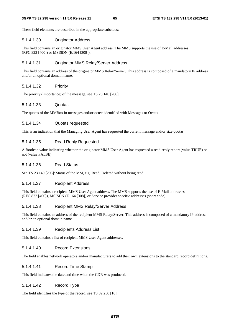These field elements are described in the appropriate subclause.

### 5.1.4.1.30 Originator Address

This field contains an originator MMS User Agent address. The MMS supports the use of E-Mail addresses (RFC 822 [400]) or MSISDN (E.164 [308]).

### 5.1.4.1.31 Originator MMS Relay/Server Address

This field contains an address of the originator MMS Relay/Server. This address is composed of a mandatory IP address and/or an optional domain name.

### 5.1.4.1.32 Priority

The priority (importance) of the message, see TS 23.140 [206].

#### 5.1.4.1.33 Quotas

The quotas of the MMBox in messages and/or octets identified with Messages or Octets

#### 5.1.4.1.34 Quotas requested

This is an indication that the Managing User Agent has requested the current message and/or size quotas.

### 5.1.4.1.35 Read Reply Requested

A Boolean value indicating whether the originator MMS User Agent has requested a read-reply report (value TRUE) or not (value FALSE).

## 5.1.4.1.36 Read Status

See TS 23.140 [206]: Status of the MM, e.g. Read, Deleted without being read.

### 5.1.4.1.37 Recipient Address

This field contains a recipient MMS User Agent address. The MMS supports the use of E-Mail addresses (RFC 822 [400]), MSISDN (E.164 [308]) or Service provider specific addresses (short code).

#### 5.1.4.1.38 Recipient MMS Relay/Server Address

This field contains an address of the recipient MMS Relay/Server. This address is composed of a mandatory IP address and/or an optional domain name.

### 5.1.4.1.39 Recipients Address List

This field contains a list of recipient MMS User Agent addresses.

#### 5.1.4.1.40 Record Extensions

The field enables network operators and/or manufacturers to add their own extensions to the standard record definitions.

### 5.1.4.1.41 Record Time Stamp

This field indicates the date and time when the CDR was produced.

### 5.1.4.1.42 Record Type

The field identifies the type of the record, see TS 32.250 [10].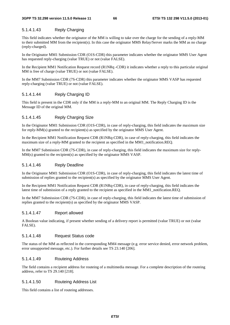## 5.1.4.1.43 Reply Charging

This field indicates whether the originator of the MM is willing to take over the charge for the sending of a reply-MM to their submitted MM from the recipient(s). In this case the originator MMS Relay/Server marks the MM as no charge (reply-charged).

In the Originator MM1 Submission CDR (O1S-CDR) this parameter indicates whether the originator MMS User Agent has requested reply-charging (value TRUE) or not (value FALSE).

In the Recipient MM1 Notification Request record (R1NRq -CDR) it indicates whether a reply to this particular original MM is free of charge (value TRUE) or not (value FALSE).

In the MM7 Submission CDR (7S-CDR) this parameter indicates whether the originator MMS VASP has requested reply-charging (value TRUE) or not (value FALSE).

## 5.1.4.1.44 Reply Charging ID

This field is present in the CDR only if the MM is a reply-MM to an original MM. The Reply Charging ID is the Message ID of the original MM.

## 5.1.4.1.45 Reply Charging Size

In the Originator MM1 Submission CDR (O1S-CDR), in case of reply-charging, this field indicates the maximum size for reply-MM(s) granted to the recipient(s) as specified by the originator MMS User Agent.

In the Recipient MM1 Notification Request CDR (R1NRq-CDR), in case of reply-charging, this field indicates the maximum size of a reply-MM granted to the recipient as specified in the MM1\_notification.REQ.

In the MM7 Submission CDR (7S-CDR), in case of reply-charging, this field indicates the maximum size for reply-MM(s) granted to the recipient(s) as specified by the originator MMS VASP.

## 5.1.4.1.46 Reply Deadline

In the Originator MM1 Submission CDR (O1S-CDR), in case of reply-charging, this field indicates the latest time of submission of replies granted to the recipient(s) as specified by the originator MMS User Agent.

In the Recipient MM1 Notification Request CDR (R1NRq-CDR), in case of reply-charging, this field indicates the latest time of submission of a reply granted to the recipient as specified in the MM1\_notification.REQ.

In the MM7 Submission CDR (7S-CDR), in case of reply-charging, this field indicates the latest time of submission of replies granted to the recipient(s) as specified by the originator MMS VASP.

#### 5.1.4.1.47 Report allowed

A Boolean value indicating, if present whether sending of a delivery report is permitted (value TRUE) or not (value FALSE).

### 5.1.4.1.48 Request Status code

The status of the MM as reflected in the corresponding MM4 message (e.g. error service denied, error network problem, error unsupported message, etc.). For further details see TS 23.140 [206].

#### 5.1.4.1.49 Routeing Address

The field contains a recipient address for routeing of a multimedia message. For a complete description of the routeing address, refer to TS 29.140 [218].

## 5.1.4.1.50 Routeing Address List

This field contains a list of routeing addresses.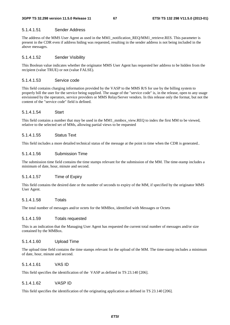#### 5.1.4.1.51 Sender Address

The address of the MMS User Agent as used in the MM1 notification REO/MM1 retrieve.RES. This parameter is present in the CDR even if address hiding was requested, resulting in the sender address is not being included in the above messages.

#### 5.1.4.1.52 Sender Visibility

This Boolean value indicates whether the originator MMS User Agent has requested her address to be hidden from the recipient (value TRUE) or not (value FALSE).

### 5.1.4.1.53 Service code

This field contains charging information provided by the VASP to the MMS R/S for use by the billing system to properly bill the user for the service being supplied. The usage of the "service code" is, in the release, open to any usage envisioned by the operators, service providers or MMS Relay/Server vendors. In this release only the format, but not the content of the "service code" field is defined.

#### 5.1.4.1.54 Start

This field contains a number that may be used in the MM1\_mmbox\_view.REQ to index the first MM to be viewed, relative to the selected set of MMs, allowing partial views to be requested

### 5.1.4.1.55 Status Text

This field includes a more detailed technical status of the message at the point in time when the CDR is generated..

### 5.1.4.1.56 Submission Time

The submission time field contains the time stamps relevant for the submission of the MM. The time-stamp includes a minimum of date, hour, minute and second.

### 5.1.4.1.57 Time of Expiry

This field contains the desired date or the number of seconds to expiry of the MM, if specified by the originator MMS User Agent.

#### 5.1.4.1.58 Totals

The total number of messages and/or octets for the MMBox, identified with Messages or Octets

### 5.1.4.1.59 Totals requested

This is an indication that the Managing User Agent has requested the current total number of messages and/or size contained by the MMBox.

#### 5.1.4.1.60 Upload Time

The upload time field contains the time stamps relevant for the upload of the MM. The time-stamp includes a minimum of date, hour, minute and second.

### 5.1.4.1.61 VAS ID

This field specifies the identification of the VASP as defined in TS 23.140 [206].

#### 5.1.4.1.62 VASP ID

This field specifies the identification of the originating application as defined in TS 23.140 [206].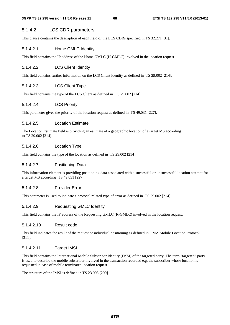## 5.1.4.2 LCS CDR parameters

This clause contains the description of each field of the LCS CDRs specified in TS 32.271 [31].

### 5.1.4.2.1 Home GMLC Identity

This field contains the IP address of the Home GMLC (H-GMLC) involved in the location request.

### 5.1.4.2.2 LCS Client Identity

This field contains further information on the LCS Client identity as defined in TS 29.002 [214].

### 5.1.4.2.3 LCS Client Type

This field contains the type of the LCS Client as defined in TS 29.002 [214].

### 5.1.4.2.4 LCS Priority

This parameter gives the priority of the location request as defined in TS 49.031 [227].

#### 5.1.4.2.5 Location Estimate

The Location Estimate field is providing an estimate of a geographic location of a target MS according to TS 29.002 [214].

## 5.1.4.2.6 Location Type

This field contains the type of the location as defined in TS 29.002 [214].

#### 5.1.4.2.7 Positioning Data

This information element is providing positioning data associated with a successful or unsuccessful location attempt for a target MS according TS 49.031 [227].

### 5.1.4.2.8 Provider Error

This parameter is used to indicate a protocol related type of error as defined in TS 29.002 [214].

### 5.1.4.2.9 Requesting GMLC Identity

This field contains the IP address of the Requesting GMLC (R-GMLC) involved in the location request.

#### 5.1.4.2.10 Result code

This field indicates the result of the request or individual positioning as defined in OMA Mobile Location Protocol [311].

### 5.1.4.2.11 Target IMSI

This field contains the International Mobile Subscriber Identity (IMSI) of the targeted party. The term "targeted" party is used to describe the mobile subscriber involved in the transaction recorded e.g. the subscriber whose location is requested in case of mobile terminated location request.

The structure of the IMSI is defined in TS 23.003 [200].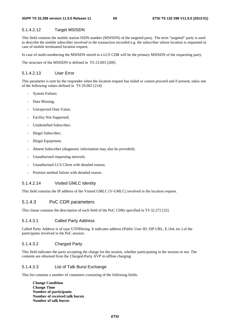### 5.1.4.2.12 Target MSISDN

This field contains the mobile station ISDN number (MSISDN) of the targeted party. The term "targeted" party is used to describe the mobile subscriber involved in the transaction recorded e.g. the subscriber whose location is requested in case of mobile terminated location request.

In case of multi-numbering the MSISDN stored in a LCS CDR will be the primary MSISDN of the requesting party.

The structure of the MSISDN is defined in TS 23.003 [200].

### 5.1.4.2.13 User Error

This parameter is sent by the responder when the location request has failed or cannot proceed and if present, takes one of the following values defined in TS 29.002 [214]:

- System Failure;
- Data Missing;
- Unexpected Data Value:
- Facility Not Supported;
- Unidentified Subscriber;
- Illegal Subscriber;
- Illegal Equipment;
- Absent Subscriber (diagnostic information may also be provided);
- Unauthorised requesting network;
- Unauthorised LCS Client with detailed reason;
- Position method failure with detailed reason.

#### 5.1.4.2.14 Visited GMLC Identity

This field contains the IP address of the Visited GMLC (V-GMLC) involved in the location request.

## 5.1.4.3 PoC CDR parameters

This clause contains the description of each field of the PoC CDRs specified in TS 32.272 [32].

#### 5.1.4.3.1 Called Party Address

Called Party Address is of type UTF8String. It indicates address (Public User ID, SIP URL, E.164, etc.) of the participants involved in the PoC session.

### 5.1.4.3.2 Charged Party

This field indicates the party accepting the charge for the session, whether participating in the session or not. The contents are obtained from the Charged-Party AVP in offline charging.

### 5.1.4.3.3 List of Talk Burst Exchange

This list contains a number of containers consisting of the following fields:

**Change Condition Change Time Number of participants Number of received talk bursts Number of talk bursts**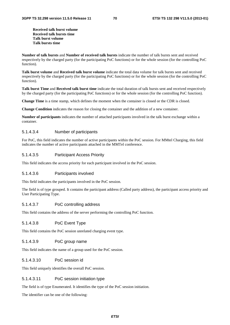**Received talk burst volume Received talk bursts time Talk burst volume Talk bursts time** 

**Number of talk bursts** and **Number of received talk bursts** indicate the number of talk bursts sent and received respectively by the charged party (for the participating PoC functions) or for the whole session (for the controlling PoC function).

**Talk burst volume** and **Received talk burst volume** indicate the total data volume for talk bursts sent and received respectively by the charged party (for the participating PoC functions) or for the whole session (for the controlling PoC function).

**Talk burst Time** and **Received talk burst time** indicate the total duration of talk bursts sent and received respectively by the charged party (for the participating PoC functions) or for the whole session (for the controlling PoC function).

**Change Time** is a time stamp, which defines the moment when the container is closed or the CDR is closed.

**Change Condition** indicates the reason for closing the container and the addition of a new container.

**Number of participants** indicates the number of attached participants involved in the talk burst exchange within a container.

#### 5.1.4.3.4 Number of participants

For PoC, this field indicates the number of active participants within the PoC session. For MMtel Charging, this field indicates the number of active participants attached in the MMTel conference.

### 5.1.4.3.5 Participant Access Priority

This field indicates the access priority for each participant involved in the PoC session.

#### 5.1.4.3.6 Participants involved

This field indicates the participants involved in the PoC session.

The field is of type grouped. It contains the participant address (Called party address), the participant access priority and User Participating Type.

#### 5.1.4.3.7 PoC controlling address

This field contains the address of the server performing the controlling PoC function.

#### 5.1.4.3.8 PoC Event Type

This field contains the PoC session unrelated charging event type.

#### 5.1.4.3.9 PoC group name

This field indicates the name of a group used for the PoC session.

#### 5.1.4.3.10 PoC session id

This field uniquely identifies the overall PoC session.

### 5.1.4.3.11 PoC session initiation type

The field is of type Enumerated. It identifies the type of the PoC session initiation.

The identifier can be one of the following: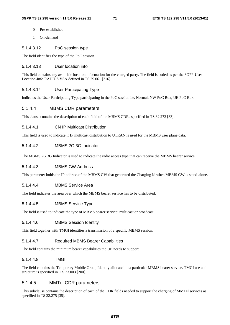- 0 Pre-established
- 1 On-demand

## 5.1.4.3.12 PoC session type

The field identifies the type of the PoC session.

## 5.1.4.3.13 User location info

This field contains any available location information for the charged party. The field is coded as per the 3GPP-User-Location-Info RADIUS VSA defined in TS 29.061 [216].

## 5.1.4.3.14 User Participating Type

Indicates the User Participating Type participating in the PoC session i.e. Normal, NW PoC Box, UE PoC Box.

### 5.1.4.4 MBMS CDR parameters

This clause contains the description of each field of the MBMS CDRs specified in TS 32.273 [33].

### 5.1.4.4.1 CN IP Multicast Distribution

This field is used to indicate if IP multicast distribution to UTRAN is used for the MBMS user plane data.

## 5.1.4.4.2 MBMS 2G 3G Indicator

The MBMS 2G 3G Indicator is used to indicate the radio access type that can receive the MBMS bearer service.

### 5.1.4.4.3 MBMS GW Address

This parameter holds the IP-address of the MBMS GW that generated the Charging Id when MBMS GW is stand-alone.

#### 5.1.4.4.4 MBMS Service Area

The field indicates the area over which the MBMS bearer service has to be distributed.

## 5.1.4.4.5 MBMS Service Type

The field is used to indicate the type of MBMS bearer service: multicast or broadcast.

### 5.1.4.4.6 MBMS Session Identity

This field together with TMGI identifies a transmission of a specific MBMS session.

## 5.1.4.4.7 Required MBMS Bearer Capabilities

The field contains the minimum bearer capabilities the UE needs to support.

## 5.1.4.4.8 TMGI

The field contains the Temporary Mobile Group Identity allocated to a particular MBMS bearer service. TMGI use and structure is specified in TS 23.003 [200].

## 5.1.4.5 MMTel CDR parameters

This subclause contains the description of each of the CDR fields needed to support the charging of MMTel services as specified in TS 32.275 [35].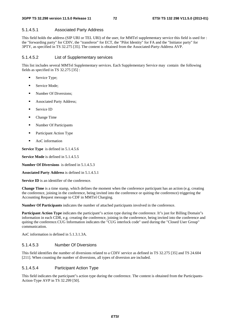### 5.1.4.5.1 Associated Party Address

This field holds the address (SIP URI or TEL URI) of the user, for MMTel supplementary service this field is used for : the "forwarding party" for CDIV, the "transferor" for ECT, the "Pilot Identity" for FA and the "Initiator party" for 3PTY, as specified in TS 32.275 [35]. The content is obtained from the Associated-Party-Address AVP.

### 5.1.4.5.2 List of Supplementary services

This list includes several MMTel Supplementary services. Each Supplementary Service may contain the following fields as specified in TS 32.275 [35] :

- Service Type;
- Service Mode:
- **Number Of Diversions;**
- **Associated Party Address;**
- **Service ID**
- Change Time
- **Number Of Participants**
- **Participant Action Type**
- AoC information

**Service Type** is defined in 5.1.4.5.6

**Service Mode** is defined in 5.1.4.5.5

**Number Of Diversions** is defined in 5.1.4.5.3

**Associated Party Address** is defined in 5.1.4.5.1

**Service ID** is an identifier of the conference.

**Change Time** is a time stamp, which defines the moment when the conference participant has an action (e.g. creating the conference, joining in the conference, being invited into the conference or quiting the conference) triggering the Accounting Request message to CDF in MMTel Charging.

**Number Of Participants** indicates the number of attached participants involved in the conference.

**Participant Action Type** indicates the participant"s action type during the conference. It"s just for Billing Domain"s information in each CDR, e.g. creating the conference, joining in the conference, being invited into the conference and quiting the conference.CUG Information indicates the "CUG interlock code" used during the "Closed User Group" communication.

AoC information is defined in 5.1.3.1.3A.

### 5.1.4.5.3 Number Of Diversions

This field identifies the number of diversions related to a CDIV service as defined in TS 32.275 [35] and TS 24.604 [211]. When counting the number of diversions, all types of diversion are included.

### 5.1.4.5.4 Participant Action Type

This field indicates the participant"s action type during the conference. The content is obtained from the Participants-Action-Type AVP in TS 32.299 [50].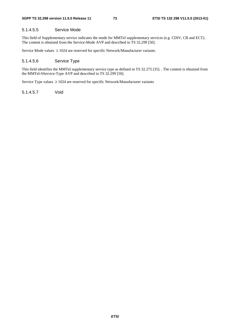### 5.1.4.5.5 Service Mode

This field of Supplementary service indicates the mode for MMTel supplementary services (e.g CDIV, CB and ECT). The content is obtained from the Service-Mode AVP and described in TS 32.299 [50].

Service Mode values ≥ 1024 are reserved for specific Network/Manufacturer variants.

### 5.1.4.5.6 Service Type

This field identifies the MMTel supplementary service type as defined in TS 32.275 [35]. . The content is obtained from the MMTel-SService-Type AVP and described in TS 32.299 [50].

Service Type values ≥ 1024 are reserved for specific Network/Manufacturer variants

5.1.4.5.7 Void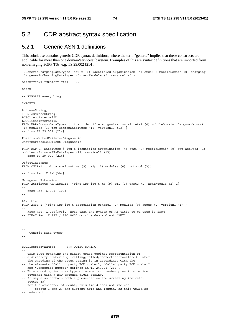--

# 5.2 CDR abstract syntax specification

# 5.2.1 Generic ASN.1 definitions

This subclause contains generic CDR syntax definitions, where the term "generic" implies that these constructs are applicable for more than one domain/service/subsystem. Examples of this are syntax definitions that are imported from non-charging 3GPP TSs, e.g. TS 29.002 [214].

```
 $GenericChargingDataTypes {itu-t (0) identified-organization (4) etsi(0) mobileDomain (0) charging 
(5) genericChargingDataTypes (0) asn1Module (0) version1 (0)} 
DEFINITIONS IMPLICIT TAGS ::= 
BEGIN
-- EXPORTS everything 
IMPORTS 
AddressString, 
ISDN-AddressString, 
LCSClientExternalID, 
LCSClientInternalID 
FROM MAP-CommonDataTypes { itu-t identified-organization (4) etsi (0) mobileDomain (0) gsm-Network 
(1) modules (3) map-CommonDataTypes (18) version13 (13) } 
-- from TS 29.002 [214] 
PositionMethodFailure-Diagnostic, 
UnauthorizedLCSClient-Diagnostic 
FROM MAP-ER-DataTypes { itu-t identified-organization (4) etsi (0) mobileDomain (0) gsm-Network (1) 
modules (3) map-ER-DataTypes (17) version13 (13)} 
-- from TS 29.002 [214] 
ObjectInstance 
FROM CMIP-1 {joint-iso-itu-t ms (9) cmip (1) modules (0) protocol (3)} 
-- 
-- from Rec. X.2ab[304] 
ManagementExtension 
FROM Attribute-ASN1Module {joint-iso-itu-t ms (9) smi (3) part2 (2) asn1Module (2) 1} 
-- 
-- from Rec. X.721 [305] 
-- 
AE-title 
FROM ACSE-1 {joint-iso-itu-t association-control (2) modules (0) apdus (0) version1 (1) };
-- 
-- From Rec. X.2cd[306]. Note that the syntax of AE-title to be used is from 
-- ITU-T Rec. X.227 / ISO 8650 corrigendum and not "ANY" 
-- 
-- 
-- 
-- Generic Data Types 
-- 
-- 
BCDDirectoryNumber ::= OCTET STRING 
-- 
-- This type contains the binary coded decimal representation of 
-- a directory number e.g. calling/called/connected/translated number. 
-- The encoding of the octet string is in accordance with the 
-- the elements "Calling party BCD number", "Called party BCD number" 
-- and "Connected number" defined in TS 24.008 [208].
-- This encoding includes type of number and number plan information 
-- together with a BCD encoded digit string. 
-- It may also contain both a presentation and screening indicator 
-- (octet 3a). 
-- For the avoidance of doubt, this field does not include 
     -- octets 1 and 2, the element name and length, as this would be 
-- redundant.
```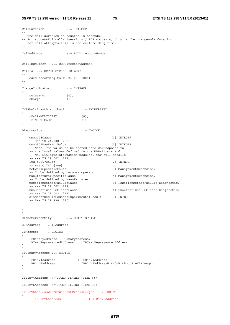## **3GPP TS 32.298 version 11.5.0 Release 11 75 ETSI TS 132 298 V11.5.0 (2013-01)**

```
CallDuration ::= INTEGER 
-- 
-- The call duration is counted in seconds. 
-- For successful calls /sessions / PDP contexts, this is the chargeable duration. 
-- For call attempts this is the call holding time. 
-- 
CalledNumber ::= BCDDirectoryNumber 
CallingNumber ::= BCDDirectoryNumber 
CellId ::= OCTET STRING (SIZE(2)) 
-- 
-- Coded according to TS 24.008 [208] 
-- 
ChargeIndicator ::= INTEGER 
{ 
    noCharge (0), 
    charge (1) 
} 
CNIPMulticastDistribution ::= ENUMERATED 
{ 
    nO-IP-MULTICAST (0), 
   iP-MULTICAST (1) 
} 
Diagnostics \cdot := CHOICE
{ 
    gsm0408Cause [0] INTEGER, 
    -- See TS 24.008 [208] 
   gsm0902MapErrorValue [1] INTEGER,
    -- Note: The value to be stored here corresponds to 
    -- the local values defined in the MAP-Errors and 
    -- MAP-DialogueInformation modules, for full details 
    -- see TS 29.002 [214]. 
   itu-tQ767Cause [2] INTEGER,
   -- See Q.767 [309]<br>networkSpecificCause
                                           [3] ManagementExtension,
    -- To be defined by network operator 
   manufacturerSpecificCause [4] ManagementExtension,
    -- To be defined by manufacturer 
    positionMethodFailureCause [5] PositionMethodFailure-Diagnostic, 
    -- see TS 29.002 [214] 
    unauthorizedLCSClientCause [6] UnauthorizedLCSClient-Diagnostic, 
    -- see TS 29.002 [214] 
   diameterResultCodeAndExperimentalResult [7] INTEGER
    -- See TS 29.338 [230] 
} 
DiameterIdentity ::= OCTET STRING 
GSNAddress ::= IPAddress 
IPAddress ::= CHOICE 
{ 
    iPBinaryAddress IPBinaryAddress, 
    iPTextRepresentedAddress IPTextRepresentedAddress 
} 
IPBinaryAddress ::= CHOICE 
{ 
 iPBinV4Address [0] IPBinV4Address, 
 iPBinV6Address IPBinV6AddressWithOrWithoutPrefixLength 
} 
IPBinV4Address :: = OCTET STRING (SIZE(4)) 
IPBinV6Address :: = OCTET STRING (SIZE(16)) 
IPBinV6AddressWithOrWithoutPrefixLength :: = CHOICE 
{ 
       iPBinV6Address [1] IPBinV6Address,
```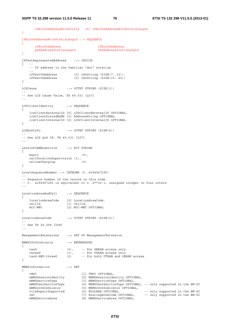```
 iPBinV6AddressWithPrefix [4] IPBinV6AddressWithPrefixLength 
} 
IPBinV6AddressWithPrefixLength ::= SEQUENCE 
\{ iPBinV6Address IPBinV6Address, 
 pDPAddressPrefixLength PDPAddressPrefixLength 
} 
IPTextRepresentedAddress ::= CHOICE 
\left\{ \qquad -- \right. -- IP address in the familiar "dot" notation 
    -- 
                       [2] IA5String (SIZE(7..15)),
    iPTextV6Address [3] IA5String (SIZE(15..45)) 
} 
LCSCause ::= OCTET STRING (SIZE(1))
-- 
-- See LCS Cause Value, TS 49.031 [227] 
-- 
LCSClientIdentity ::= SEQUENCE 
{ 
 lcsClientExternalID [0] LCSClientExternalID OPTIONAL, 
 lcsClientDialedByMS [1] AddressString OPTIONAL, 
    lcsClientInternalID [2] LCSClientInternalID OPTIONAL 
} 
LCSQoSInfo ::= OCTET STRING (SIZE(4)) 
-- 
-- See LCS QoS IE, TS 49.031 [227] 
-- 
LevelOfCAMELService ::= BIT STRING 
{ 
   \mathbf{basic} (0),
  callDurationSupervision (1),<br>onlineCharging (2)
   onlineCharging
} 
LocalSequenceNumber ::= INTEGER (0..4294967295) 
-- 
-- Sequence number of the record in this node 
-- 0.. 4294967295 is equivalent to 0..2**32-1, unsigned integer in four octets 
-- 
LocationAreaAndCell ::= SEQUENCE 
{ 
    locationAreaCode [0] LocationAreaCode, 
 cellId [1] CellId, 
 mCC-MNC [2] MCC-MNC OPTIONAL 
} 
LocationAreaCode ::= OCTET STRING (SIZE(2)) 
-- 
-- See TS 24.008 [208] 
-- 
ManagementExtensions ::= SET OF ManagementExtension 
MBMS2G3GIndicator ::= ENUMERATED 
{ 
 twoG (0), -- For GERAN access only 
 threeG (1), -- For UTRAN access only 
 twoG-AND-threeG (2) -- For both UTRAN and GERAN access 
} 
MBMSInformation ::= SET 
{ 
tMGI [1] TMGI OPTIONAL,
 mBMSSessionIdentity [2] MBMSSessionIdentity OPTIONAL, 
 mBMSServiceType [3] MBMSServiceType OPTIONAL, 
 mBMSUserServiceType [4] MBMSUserServiceType OPTIONAL, -- only supported in the BM-SC 
 mBMS2G3GIndicator [5] MBMS2G3GIndicator OPTIONAL, 
 fileRepairSupported [6] BOOLEAN OPTIONAL, -- only supported in the BM-SC 
 rAI [7] RoutingAreaCode OPTIONAL, -- only supported in the BM-SC 
    mBMSServiceArea [8] MBMSServiceArea OPTIONAL,
```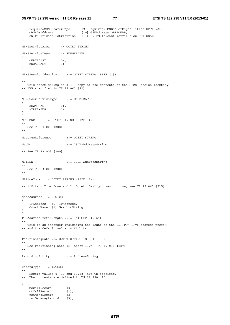incGatewayRecord (3),

```
 requiredMBMSBearerCaps [9] RequiredMBMSBearerCapabilities OPTIONAL, 
   mBMSGWAddress [10] GSNAddress OPTIONAL,
    cNIPMulticastDistribution [11] CNIPMulticastDistribution OPTIONAL 
} 
MBMSServiceArea ::= OCTET STRING 
MBMSServiceType ::= ENUMERATED 
{ 
   mULTICAST (0),<br>hroadcast (1)
    bROADCAST (1) 
} 
MBMSSessionIdentity ::= OCTET STRING (SIZE (1)) 
-- 
-- This octet string is a 1:1 copy of the contents of the MBMS-Session-Identity 
-- AVP specified in TS 29.061 [82] 
-- 
MBMSUserServiceType ::= ENUMERATED 
{ 
   dOWNLOAD (0),<br>sTREAMING (1)
   STREAMING} 
MCC-MNC ::= OCTET STRING (SIZE(3))
-- 
-- See TS 24.008 [208] 
-- 
MessageReference ::= OCTET STRING 
MscNo ::= ISDN-AddressString 
-- 
-- See TS 23.003 [200] 
-- 
MSISDN ::= ISDN-AddressString 
-- 
-- See TS 23.003 [200] 
-- 
MSTimeZone ::= OCTET STRING (SIZE (2)) 
-- 
-- 1.Octet: Time Zone and 2. Octet: Daylight saving time, see TS 29.060 [215] 
-- 
NodeAddress ::= CHOICE 
{ 
 iPAddress [0] IPAddress, 
 domainName [1] GraphicString 
} 
PDPAddressPrefixLength :: = INTEGER (1..64) 
-- 
-- This is an interger indicating the leght of the PDP/PDN IPv6 address prefix 
-- and the default value is 64 bits. 
-- 
PositioningData ::= OCTET STRING (SIZE(1..33)) 
-- 
-- See Positioning Data IE (octet 3..n), TS 49.031 [227] 
-- 
RecordingEntity ::= AddressString 
RecordType ::= INTEGER 
-- 
-- Record values 0..17 and 87,88 are CS specific. 
-- The contents are defined in TS 32.250 [10] 
-- 
{ 
moCallRecord (0),
 mtCallRecord (1), 
 roamingRecord (2),
```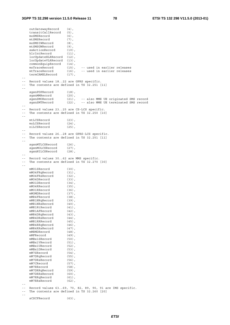outGatewayRecord (4),<br>transitCallRecord (5), transitCallRecord (5), moSMSRecord (6), mtSMSRecord (7), moSMSIWRecord (8), mtSMSGWRecord (9), ssActionRecord (10), hlrIntRecord (11), locUpdateHLRRecord (12), locUpdateVLRRecord (13), commonEquipRecord (15),<br>moTraceRecord (15),<br>cord (16), -- used in earlier releases -- used in earlier releases termCAMELRecord (17), -- -- Record values 18..22 are GPRS specific. -- The contents are defined in TS 32.251 [11] - sgsnPDPRecord (18),<br>sgsnMMRecord (20), sgsnMMRecord (20),<br>sgsnSMORecord (21), -- also MME UE originated SMS record sgsnSMTRecord (22), -- also MME UE terminated SMS record -- -- Record values 23..25 are CS-LCS specific. -- The contents are defined in TS 32.250 [10] - mtLCSRecord (23), moLCSRecord (24),<br>
niLCSRecord (25), niLCSRecord -- -- Record values 26..28 are GPRS-LCS specific. -- The contents are defined in TS 32.251 [11] - sgsnMTLCSRecord (26), sgsnMOLCSRecord (27), sgsnNILCSRecord (28), -- -- Record values 30..62 are MMS specific.<br>-- The contents are defined in TS 32.270 The contents are defined in TS 32.270 [30] - mMO1SRecord (30),<br>mMO4FRqRecord (31), mMO4FRqRecord (31), mMO4FRsRecord (32), mMO4DRecord (33), mMO1DRecord (34), mMO4RRecord (35), mMO1RRecord (36), mMOMDRecord (37), mMR4FRecord (38), mMR1NRqRecord (39), mMR1NRsRecord (40), mMR1RtRecord (41), mMR1AFRecord (42),<br>mMR4DRaRecord (43), mMR4DRqRecord (43),<br>mMR4DRsRecord (44), mMR4DRsRecord (44),<br>mMR1RRRecord (45), mMR1RRRecord mMR4RRqRecord (46), mMR4RRsRecord (47), mmunical (48), mMFRecord (49), mMBx1SRecord (50), mMBx1VRecord (51), mMBx1URecord (52),<br>mMBx1DRecord (53), mMBx1DRecord (53),<br>mM7SRecord (54), mM7SRecord mM7DRqRecord (55),<br>mM7DRsRecord (56), mM7DRsRecord (56),<br>mM7CRecord (57), mM7CRecord mM7RRecord (58), mM7DRRqRecord (59),<br>mM7DRRsRecord (60), mM7DRRsRecord (60), mM7RRqRecord (61), mM7RRsRecord (62), -- -- Record values 63..69, 70, 82, 89, 90, 91 are IMS specific. -- The contents are defined in TS 32.260 [20] - sCSCFRecord (63),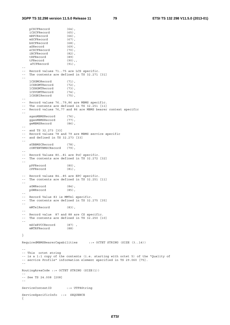pCSCFRecord (64),

iCSCFRecord (65),<br>mRFCRecord (66), mRFCRecord mGCFRecord (67), bGCFRecord (68),<br>aSRecord (69), aSRecord (69),<br>eCSCFRecord (70), eCSCFRecord (70),<br>iBCFRecord (82), iBCFRecord tRFRecord (89) tFRecord (90),, aTCFRecord (91),  $\sim$   $-$ -- Record values 71..75 are LCS specific. -- The contents are defined in TS 32.271 [31] - lCSGMORecord (71), lCSRGMTRecord (72), lCSHGMTRecord (73),<br>lCSVGMTRecord (74), lCSVGMTRecord (74),<br>lCSGNIRecord (75), lCSGNIRecord -- -- Record values 76..79,86 are MBMS specific. -- The contents are defined in TS 32.251 [11] -- Record values 76,77 and 86 are MBMS bearer context specific - sgsnMBMSRecord (76),<br>qqsnMBMSRecord (77), ggsnMBMSRecord (77),<br>gwMBMSRecord (86), gwMBMSRecord -- -- and TS 32.273 [33] -- Record values 78 and 79 are MBMS service specific -- and defined in TS 32.273 [33] - sUBBMSCRecord (78) cONTENTBMSCRecord (79), -- -- Record Values 80..81 are PoC specific. -- The contents are defined in TS 32.272 [32] - pPFRecord (80), cPFRecord (81), -- Record values 84..85 are EPC specific.<br>-- The contents are defined in TS 32.251 The contents are defined in TS 32.251 [11] - sGWRecord (84), pGWRecord (85), -- -- Record Value 83 is MMTel specific. -- The contents are defined in TS 32.275 [35] - mMTelRecord (83), -- -- Record value 87 and 88 are CS specific. -- The contents are defined in TS 32.250 [10] - mSCsRVCCRecord (87) mMTRFRecord (88) } RequiredMBMSBearerCapabilities ::= OCTET STRING (SIZE (3..14)) -- -- This octet string -- is a 1:1 copy of the contents (i.e. starting with octet 5) of the "Quality of -- service Profile" information element specified in TS 29.060 [75]. -- RoutingAreaCode ::= OCTET STRING (SIZE(1)) -- -- See TS 24.008 [208] -- ServiceContextID ::= UTF8String ServiceSpecificInfo ::= SEQUENCE {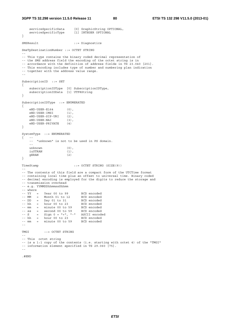```
 serviceSpecificData [0] GraphicString OPTIONAL, 
 serviceSpecificType [1] INTEGER OPTIONAL 
} 
SMSResult ::= Diagnostics 
SmsTpDestinationNumber ::= OCTET STRING 
-- 
-- This type contains the binary coded decimal representation of 
-- the SMS address field the encoding of the octet string is in 
-- accordance with the definition of address fields in TS 23.040 [201]. 
-- This encoding includes type of number and numbering plan indication 
-- together with the address value range. 
-- 
SubscriptionID ::= SET 
{ 
 subscriptionIDType [0] SubscriptionIDType, 
 subscriptionIDData [1] UTF8String 
} 
SubscriptionIDType ::= ENUMERATED 
{ 
     eND-USER-E164 (0), 
    eND-USER-IMSI (1)
     eND-USER-SIP-URI (2), 
    eND-USER-NAI (3),<br>eND-USER-PRIVATE (4)
     eND-USER-PRIVATE (4) 
} 
SystemType ::= ENUMERATED 
\left\{ \begin{array}{cc} & & - - \\ & & - - \end{array} \right."unknown" is not to be used in PS domain.
    -unknown (0),
     iuUTRAN (1), 
     gERAN (2) 
} 
TimeStamp ::= OCTET STRING (SIZE(9))
-- 
-- The contents of this field are a compact form of the UTCTime format 
-- containing local time plus an offset to universal time. Binary coded 
-- decimal encoding is employed for the digits to reduce the storage and 
-- transmission overhead 
-- e.g. YYMMDDhhmmssShhmm 
-- where<br>-- YY =<br>-- MM =
            Year 00 to 99 BCD encoded<br>
Month 01 to 12 BCD encoded<br>
Day 01 to 31 BCD encoded<br>
hour 00 to 32 RCD
            Month 01 to 12
-- DD = Day 01 to 31 BCD encoded<br>-- hh = hour 00 to 23 BCD encoded<br>-- mm = minute 00 to 59 BCD encoded
-- hh = hour 00 to 23 BCD encoded
-- mm = minute 00 to 59 BCD encoded 
-- ss = second 00 to 59 BCD encoded 
- S = Sign 0 = "+", "-" ASCII encoded
-- hh = hour 00 to 23 BCD encoded<br>-- mm = minute 00 to 59 BCD encoded
-- mm = minute 00 to 59
-- 
TMGI ::= OCTET STRING
-- 
-- This octet string 
-- is a 1:1 copy of the contents (i.e. starting with octet 4) of the "TMGI" 
-- information element specified in TS 29.060 [75]. 
--
```
.#END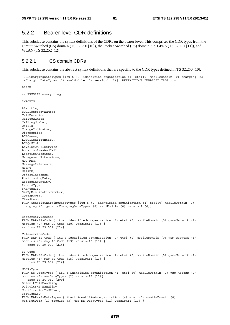# 5.2.2 Bearer level CDR definitions

This subclause contains the syntax definitions of the CDRs on the bearer level. This comprises the CDR types from the Circuit Switched (CS) domain (TS 32.250 [10]), the Packet Switched (PS) domain, i.e. GPRS (TS 32.251 [11]), and WLAN (TS 32.252 [12]).

## 5.2.2.1 CS domain CDRs

This subclause contains the abstract syntax definitions that are specific to the CDR types defined in TS 32.250 [10].

 \$CSChargingDataTypes {itu-t (0) identified-organization (4) etsi(0) mobileDomain (0) charging (5) csChargingDataTypes (1) asn1Module (0) version1 (0)} DEFINITIONS IMPLICIT TAGS ::=

```
BEGIN
```

```
-- EXPORTS everything
```
**IMPORTS** 

```
AE-title, 
BCDDirectoryNumber, 
CallDuration, 
CalledNumber, 
CallingNumber, 
CellId, 
ChargeIndicator, 
Diagnostics, 
LCSCause, 
LCSClientIdentity, 
LCSQoSInfo, 
LevelOfCAMELService, 
LocationAreaAndCell, 
LocationAreaCode, 
ManagementExtensions, 
MCC-MNC, 
MessageReference, 
MscNo, 
MSISDN, 
ObjectInstance, 
PositioningData, 
RecordingEntity, 
RecordType, 
SMSResult, 
SmsTpDestinationNumber, 
SystemType, 
TimeStamp 
FROM GenericChargingDataTypes {itu-t (0) identified-organization (4) etsi(0) mobileDomain (0) 
charging (5) genericChargingDataTypes (0) asn1Module (0) version1 (0)} 
BearerServiceCode 
FROM MAP-BS-Code { itu-t identified-organization (4) etsi (0) mobileDomain (0) gsm-Network (1) 
modules (3) map-BS-Code (20) version13 (13) } 
-- from TS 29.002 [214] 
TeleserviceCode 
FROM MAP-TS-Code { itu-t identified-organization (4) etsi (0) mobileDomain (0) gsm-Network (1) 
modules (3) map-TS-Code (19) version13 (13) } 
-- from TS 29.002 [214] 
SS-Code 
FROM MAP-SS-Code { itu-t identified-organization (4) etsi (0) mobileDomain (0) gsm-Network (1) 
modules (3) map-SS-Code (15) version13 (13) } 
-- from TS 29.002 [214] 
MOLR-Type 
FROM SS-DataTypes { itu-t identified-organization (4) etsi (0) mobileDomain (0) gsm-Access (2) 
modules (3) ss-DataTypes (2) version13 (13)} 
-- from TS 24.080 [209] 
DefaultCallHandling, 
DefaultSMS-Handling, 
NotificationToMSUser, 
ServiceKey 
FROM MAP-MS-DataTypes { itu-t identified-organization (4) etsi (0) mobileDomain (0) 
gsm-Network (1) modules (3) map-MS-DataTypes (11) version13 (13) }
```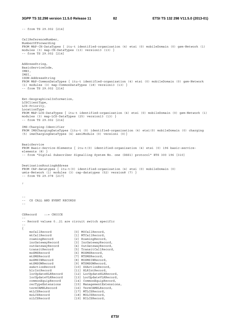-- from TS 29.002 [214]

CallReferenceNumber, NumberOfForwarding FROM MAP-CH-DataTypes { itu-t identified-organization (4) etsi (0) mobileDomain (0) gsm-Network (1) modules (3) map-CH-DataTypes (13) version13 (13) } -- from TS 29.002 [214] AddressString, BasicServiceCode, IMEI, IMSI, ISDN-AddressString FROM MAP-CommonDataTypes { itu-t identified-organization (4) etsi (0) mobileDomain (0) gsm-Network (1) modules (3) map-CommonDataTypes (18) version13 (13) } -- from TS 29.002 [214] Ext-GeographicalInformation, LCSClientType, LCS-Priority, LocationType FROM MAP-LCS-DataTypes { itu-t identified-organization (4) etsi (0) mobileDomain (0) gsm-Network (1) modules (3) map-LCS-DataTypes (25) version13 (13) } -- from TS 29.002 [214] IMS-Charging-Identifier FROM IMSChargingDataTypes {itu-t (0) identified-organization (4) etsi(0) mobileDomain (0) charging (5) imsChargingDataTypes (4) asn1Module (0) version1 (0)} BasicService FROM Basic-Service-Elements { itu-t(0) identified-organization (4) etsi (0) 196 basic-serviceelements (8) } -- from "Digital Subscriber Signalling System No. one (DSS1) protocol" ETS 300 196 [310] DestinationRoutingAddress FROM CAP-datatypes { itu-t(0) identified-organization (4) etsi (0) mobileDomain (0) umts-Network (1) modules (3) cap-datatypes (52) version8 (7) } -- from TS 29.078 [217] ; -- -- CS CALL AND EVENT RECORDS -- CSRecord ::= CHOICE -- -- Record values 0..21 are circuit switch specific -- { mocallRecord [0] MOCallRecord,<br>mtCallRecord [1] MTCallRecord,<br>romingRecord [1] MTCallRecord,<br>incli mtCallRecord [1] MTCallRecord, roamingRecord [2] RoamingRecord, incGatewayRecord [3] IncGatewayRecord, outGatewayRecord [4] OutGatewayRecord, transitRecord [5] TransitCallRecord, moSMSRecord [6] MOSMSRecord, mtSMSRecord [7] MTSMSRecord, moSMSIWRecord [8] MOSMSIWRecord, mtSMSGWRecord [9] MTSMSGWRecord, ssActionRecord [10] SSActionRecord, hlrIntRecord [11] HLRIntRecord, locUpdateHLRRecord [12] LocUpdateHLRRecord, locUpdateVLRRecord [13] LocUpdateVLRRecord, commonEquipRecord [14] CommonEquipRecord, recTypeExtensions [15] ManagementExtensions, termCAMELRecord [16] TermCAMELRecord, mtLCSRecord [17] MTLCSRecord, moLCSRecord [18] MOLCSRecord, mtLCSRecord [17] MTLCSRecord, moLCSRecord [18] MOLCSRecord, niLCSRecord [19] NILCSRecord,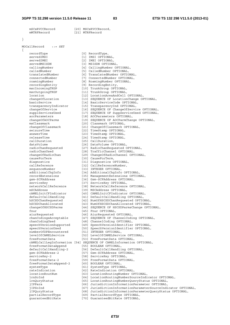}

 mSCsRVCCRecord [20] MSCsRVCCRecord, mMTRFRecord [21] MTRFRecord MOCallRecord ::= SET { recordType [0] RecordType, servedIMSI [1] IMSI OPTIONAL, servedIMEI [2] IMEI OPTIONAL, servedMSISDN [3] MSISDN OPTIONAL, callingNumber [4] CallingNumber OPTIONAL, calledNumber [5] CalledNumber OPTIONAL, translatedNumber [6] TranslatedNumber OPTIONAL, connectedNumber [7] ConnectedNumber OPTIONAL, roamingNumber [8] RoamingNumber OPTIONAL, recordingEntity [9] RecordingEntity, mscIncomingTKGP [10] TrunkGroup OPTIONAL, mscOutgoingTKGP [11] TrunkGroup OPTIONAL, basicService [14] BasicServiceCode OPTIONAL, transparencyIndicator [15] TransparencyInd OPTIONAL, aocParameters [18] AOCParameters OPTIONAL, msClassmark [20] Classmark OPTIONAL, seizureTime [22] TimeStamp OPTIONAL, answerTime [23] TimeStamp OPTIONAL, releaseTime [24] TimeStamp OPTIONAL, callDuration [25] CallDuration, dataVolume [26] DataVolume OPTIONAL, radioChanUsed [28] TrafficChannel OPTIONAL, causeForTerm [30] CauseForTerm, diagnostics [31] Diagnostics OPTIONAL, callReference [32] CallReferenceNumber, sequenceNumber [33] INTEGER OPTIONAL, gsm-SCFAddress [36] Gsm-SCFAddress OPTIONAL, serviceKey [37] ServiceKey OPTIONAL, mSCAddress [39] MSCAddress OPTIONAL, fnur [45] Fnur OPTIONAL, aiurRequested [46] AiurRequested OPTIONAL, chanCodingUsed [48] ChannelCoding OPTIONAL, numberOfDPEncountered [51] INTEGER OPTIONAL, freeFormatData [53] FreeFormatData OPTIONAL, freeFormatDataAppend [55] BOOLEAN OPTIONAL, gsm-SCFAddress-2 [57] Gsm-SCFAddress OPTIONAL, serviceKey-2 [58] ServiceKey OPTIONAL, freeFormatData-2 [59] FreeFormatData OPTIONAL, freeFormatDataAppend-2 [60] BOOLEAN OPTIONAL, systemType  $[61]$  SystemType OPTIONAL, rateIndication [62] RateIndication OPTIONAL,

 location [12] LocationAreaAndCell OPTIONAL, changeOfLocation [13] SEQUENCE OF LocationChange OPTIONAL, changeOfService [16] SEQUENCE OF ChangeOfService OPTIONAL, supplServicesUsed [17] SEQUENCE OF SuppServiceUsed OPTIONAL, changeOfAOCParms [19] SEQUENCE OF AOCParmChange OPTIONAL, changeOfClassmark [21] ChangeOfClassmark OPTIONAL, radioChanRequested [27] RadioChanRequested OPTIONAL, changeOfRadioChan [29] ChangeOfRadioChannel OPTIONAL, additionalChgInfo [34] AdditionalChgInfo OPTIONAL, recordExtensions [35] ManagementExtensions OPTIONAL, networkCallReference [38] NetworkCallReference OPTIONAL, cAMELInitCFIndicator [40] CAMELInitCFIndicator OPTIONAL, defaultCallHandling [41] DefaultCallHandling OPTIONAL, hSCSDChanRequested [42] NumOfHSCSDChanRequested OPTIONAL, hSCSDChanAllocated [43] NumOfHSCSDChanAllocated OPTIONAL, changeOfHSCSDParms [44] SEQUENCE OF HSCSDParmsChange OPTIONAL, chanCodingsAcceptable [47] SEQUENCE OF ChannelCoding OPTIONAL, speechVersionSupported [49] SpeechVersionIdentifier OPTIONAL, speechVersionUsed [50] SpeechVersionIdentifier OPTIONAL, levelOfCAMELService [52] LevelOfCAMELService OPTIONAL, cAMELCallLegInformation [54] SEQUENCE OF CAMELInformation OPTIONAL, defaultCallHandling-2 [56] DefaultCallHandling OPTIONAL, systemType 11 (61) SystemType OPTIONAL,<br>
rateIndication (62) RateIndication OPTIONAL,<br>
locationRoutNum (63) LocationRoutingNumber OPTIONAL, lrnSoInd [64] LocationRoutingNumberSourceIndicator OPTIONAL, lrnQuryStatus [65] LocationRoutingNumberQueryStatus OPTIONAL, jIPPara [66] JurisdictionInformationParameter OPTIONAL,

jIPSoInd [67] JurisdictionInformationParameterSourceIndicator OPTIONAL,

jIPQuryStatus [68] JurisdictionInformationParameterQueryStatus OPTIONAL,

partialRecordType [69] PartialRecordType OPTIONAL,

guaranteedBitRate [70] GuaranteedBitRate OPTIONAL,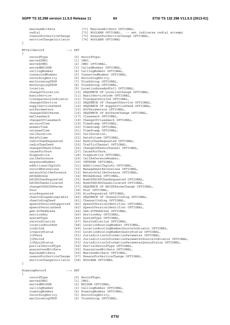```
maximumBitRate [71] MaximumBitRate OPTIONAL,
 redial [72] BOOLEAN OPTIONAL, -- set indicates redial attempt 
serviceChangeInitiator [74] BOOLEAN OPTIONAL
```
MTCallRecord ::= SET

}

{

}

{

reasonForServiceChange [73] ReasonForServiceChange OPTIONAL,

[0] RecordType, recordType [0] Recor<br>servedIMSI [1] IMSI, servedIMEI [2] IMEI OPTIONAL,<br>servedMSISDN [3] CalledNumber C servedMSISDN [3] CalledNumber OPTIONAL,<br>callingNumber [4] CallingNumber OPTIONAL,<br>connectedNumber [1] callingNumber [4] CallingNumber OPTIONAL, connectedNumber [5] ConnectedNumber OPTIONAL, recordingEntity [6] RecordingEntity, mscIncomingTKGP [7] TrunkGroup OPTIONAL, mscOutgoingTKGP [8] TrunkGroup OPTIONAL, location [9] LocationAreaAndCell OPTIONAL, Iocation [9] LocationAreaAndCell OPTIONAL,<br>changeOfLocation [10] SEQUENCE OF LocationChange OPTIONAL,<br>basicService [11] BasicServiceCode OPTIONAL, basicService [11] BasicServiceCode OPTIONAL, transparencyIndicator [12] TransparencyInd OPTIONAL, changeOfService [13] SEQUENCE OF ChangeOfService OPTIONAL, supplServicesUsed [14] SEQUENCE OF SuppServiceUsed OPTIONAL, aocParameters [15] AOCParameters OPTIONAL, changeOfAOCParms [16] SEQUENCE OF AOCParmChange OPTIONAL, msClassmark [17] Classmark OPTIONAL, changeOfClassmark [18] ChangeOfClassmark OPTIONAL, seizureTime [19] TimeStamp OPTIONAL, answerTime [19] TimeStamp OPTIONAL,<br>answerTime [20] TimeStamp OPTIONAL, releaseTime [21] TimeStamp OPTIONAL,<br>callDuration [22] CallDuration, callDuration [22] CallDuration, dataVolume [23] DataVolume OPTIONAL, radioChanRequested [24] RadioChanRequested OPTIONAL, radioChanUsed [25] TrafficChannel OPTIONAL, changeOfRadioChan [26] ChangeOfRadioChannel OPTIONAL, causeForTerm [27] CauseForTerm, diagnostics [28] Diagnostics OPTIONAL, callReference [29] CallReferenceNumber, sequenceNumber [30] INTEGER OPTIONAL, additionalChgInfo [31] AdditionalChgInfo OPTIONAL, recordExtensions [32] ManagementExtensions OPTIONAL, networkCallReference [33] NetworkCallReference OPTIONAL, mSCAddress [34] MSCAddress OPTIONAL, hSCSDChanRequested [35] NumOfHSCSDChanRequested OPTIONAL, hSCSDChanAllocated [36] NumOfHSCSDChanAllocated OPTIONAL, changeOfHSCSDParms [37] SEQUENCE OF HSCSDParmsChange OPTIONAL, fnur [38] Fnur OPTIONAL, aiurRequested [39] AiurRequested OPTIONAL, chanCodingsAcceptable [40] SEQUENCE OF ChannelCoding OPTIONAL, chanCodingUsed [41] ChannelCoding OPTIONAL, speechVersionSupported [42] SpeechVersionIdentifier OPTIONAL, speechVersionUsed [43] SpeechVersionIdentifier OPTIONAL, gsm-SCFAddress [44] Gsm-SCFAddress OPTIONAL, serviceKey [45] ServiceKey OPTIONAL, systemType [46] SystemType OPTIONAL, rateIndication [47] RateIndication OPTIONAL, locationRoutNum [48] LocationRoutingNumber OPTIONAL, lrnSoInd [49] LocationRoutingNumberSourceIndicator OPTIONAL, lrnQuryStatus [50] LocationRoutingNumberQueryStatus OPTIONAL, jIPPara [51] JurisdictionInformationParameter OPTIONAL, jIPSoInd [52] JurisdictionInformationParameterSourceIndicator OPTIONAL, jIPQuryStatus [53] JurisdictionInformationParameterQueryStatus OPTIONAL,

```
 partialRecordType [54] PartialRecordType OPTIONAL, 
 guaranteedBitRate [55] GuaranteedBitRate OPTIONAL, 
 maximumBitRate [56] MaximumBitRate OPTIONAL, 
 reasonForServiceChange [57] ReasonForServiceChange OPTIONAL, 
 serviceChangeInitiator [58] BOOLEAN OPTIONAL 
RoamingRecord ::= SET 
    recordType [0] RecordType,<br>servedIMSI [1] IMSI,
    servedIMSI<br>servedMSISDN
   servedMSISDN [2] MSISDN OPTIONAL,<br>callingNumber [3] CallingNumber OP
    callingNumber [3] CallingNumber OPTIONAL,<br>roamingNumber [4] RoamingNumber OPTIONAL,
 roamingNumber [4] RoamingNumber OPTIONAL, 
 recordingEntity [5] RecordingEntity,
```
mscIncomingTKGP [6] TrunkGroup OPTIONAL,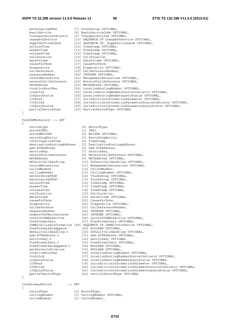| mscOutgoingTKGP                             | [7] TrunkGroup OPTIONAL,                                            |
|---------------------------------------------|---------------------------------------------------------------------|
| basicService                                | [8] BasicServiceCode OPTIONAL,                                      |
| transparencyIndicator                       | [9] TransparencyInd OPTIONAL,                                       |
| changeOfService                             | [10] SEQUENCE OF ChangeOfService OPTIONAL,                          |
| supplServicesUsed                           | [11] SEQUENCE OF SuppServiceUsed OPTIONAL,                          |
| seizureTime                                 | [12] TimeStamp OPTIONAL,                                            |
| answerTime                                  | [13] TimeStamp OPTIONAL,                                            |
| releaseTime                                 | [14] TimeStamp OPTIONAL,                                            |
| callDuration                                | [15] CallDuration,                                                  |
| dataVolume                                  | [16] DataVolume OPTIONAL,                                           |
| causeForTerm                                | [17] CauseForTerm,                                                  |
| diagnostics                                 | [18] Diagnostics OPTIONAL,                                          |
| callReference                               | [19] CallReferenceNumber,                                           |
| sequenceNumber                              | [20] INTEGER OPTIONAL,                                              |
| recordExtensions                            | [21] ManagementExtensions OPTIONAL,                                 |
| networkCallReference                        | [22] NetworkCallReference OPTIONAL,                                 |
| mSCAddress                                  | [23] MSCAddress OPTIONAL,                                           |
| locationRoutNum                             | [24] LocationRoutingNumber OPTIONAL,                                |
| lrnSoInd                                    | [25] LocationRoutingNumberSourceIndicator OPTIONAL,                 |
| lrnQuryStatus                               | [26] LocationRoutingNumberQueryStatus OPTIONAL,                     |
| jIPPara                                     | [27] JurisdictionInformationParameter OPTIONAL,                     |
| jIPSoInd                                    | [28] JurisdictionInformationParameterSourceIndicator OPTIONAL,      |
| jIPQuryStatus                               | [29] JurisdictionInformationParameterQueryStatus OPTIONAL,          |
| partialRecordType                           | [30] PartialRecordType OPTIONAL                                     |
| <sup>}</sup>                                |                                                                     |
|                                             |                                                                     |
| $TermCAMELRecord : := SET$                  |                                                                     |
| $\{$                                        |                                                                     |
| recordtype<br>servedIMSI                    | [0] RecordType,                                                     |
|                                             | $[1]$ IMSI,                                                         |
| servedMSISDN                                | [2] MSISDN OPTIONAL,                                                |
| recordingEntity<br>interrogationTime        | [3] RecordingEntity,<br>[4] TimeStamp,                              |
|                                             |                                                                     |
| destinationRoutingAddress<br>gsm-SCFAddress | [5] DestinationRoutingAddress,<br>[6] Gsm-SCFAddress,               |
|                                             |                                                                     |
| serviceKey<br>networkCallReference          | [7] ServiceKey,                                                     |
|                                             | [8] NetworkCallReference OPTIONAL,                                  |
| mSCAddress                                  | [9] MSCAddress OPTIONAL,                                            |
| defaultCallHandling<br>recordExtensions     | [10] DefaultCallHandling OPTIONAL,                                  |
| calledNumber                                | [11] ManagementExtensions OPTIONAL,<br>[12] CalledNumber,           |
|                                             | [13] CallingNumber OPTIONAL,                                        |
| callingNumber                               |                                                                     |
| mscIncomingTKGP                             | [14] TrunkGroup OPTIONAL,                                           |
| mscOutgoingTKGP<br>seizureTime              | [15] TrunkGroup OPTIONAL,<br>[16] TimeStamp OPTIONAL,               |
| answerTime                                  | [17] TimeStamp OPTIONAL,                                            |
| releaseTime                                 | [18] TimeStamp OPTIONAL,                                            |
| callDuration                                | [19] CallDuration,                                                  |
| dataVolume                                  | [20] DataVolume OPTIONAL,                                           |
| causeForTerm                                | [21] CauseForTerm,                                                  |
| diagnostics                                 | [22] Diagnostics OPTIONAL,                                          |
| callReference                               | [23] CallReferenceNumber,                                           |
| sequenceNumber                              | [24] INTEGER OPTIONAL,                                              |
| numberOfDPEncountered                       | [25] INTEGER OPTIONAL,                                              |
| levelOfCAMELService                         | [26] LevelOfCAMELService OPTIONAL,                                  |
| freeFormatData                              | [27] FreeFormatData OPTIONAL,                                       |
|                                             | cAMELCallLegInformation [28] SEQUENCE OF CAMELInformation OPTIONAL, |
| freeFormatDataAppend                        | [29] BOOLEAN OPTIONAL,                                              |
| defaultCallHandling-2                       | [30] DefaultCallHandling OPTIONAL,                                  |
| qsm-SCFAddress-2                            | [31] Gsm-SCFAddress OPTIONAL,                                       |
| serviceKey-2                                | [32] ServiceKey OPTIONAL,                                           |
| freeFormatData-2                            | [33] FreeFormatData OPTIONAL,                                       |
| freeFormatDataAppend-2                      | [34] BOOLEAN OPTIONAL,                                              |
| mscServerIndication                         | [35] BOOLEAN OPTIONAL,                                              |
| locationRoutNum                             | [36] LocationRoutingNumber OPTIONAL,                                |
| lrnSoInd                                    | [37] LocationRoutingNumberSourceIndicator OPTIONAL,                 |
| lrnQuryStatus                               | [38] LocationRoutingNumberQueryStatus OPTIONAL,                     |
| jIPPara                                     | [39] JurisdictionInformationParameter OPTIONAL,                     |
| jIPSoInd                                    | [40] JurisdictionInformationParameterSourceIndicator OPTIONAL,      |
| jIPQuryStatus                               | [41] JurisdictionInformationParameterQueryStatus OPTIONAL,          |
| partialRecordType                           | [42] PartialRecordType OPTIONAL                                     |
| }                                           |                                                                     |
|                                             |                                                                     |
|                                             |                                                                     |

|  | IncGatewayRecord |  |  |
|--|------------------|--|--|
|  |                  |  |  |

{

IncGatewayRecord ::= SET

recordType [0] RecordType,

callingNumber [1] CallingNumber OPTIONAL,

- calledNumber [2] CalledNumber,
- -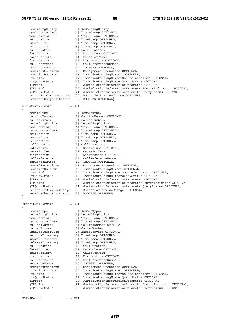recordingEntity [3] RecordingEntity, mscIncomingTKGP [4] TrunkGroup OPTIONAL,<br>mscOutgoingTKGP [5] TrunkGroup OPTIONAL, mscincominginor<br>
mscOutgoingTKGP [5] TrunkGroup OPTIONAL,<br>
seizureTime [6] TimeStamp OPTIONAL, [6] TimeStamp OPTIONAL, answerTime [7] TimeStamp OPTIONAL,<br>releaseTime [8] TimeStamp OPTIONAL, releaseTime [8] TimeStamp OPTIONAL,<br>callDuration [9] CallDuration,<br>dataVolume [10] DataVolume OPTIONAL, callDuration [9] CallDuration, dataVolume [10] DataVolume OPTIONAL, causeForTerm [11] CauseForTerm, diagnostics [12] Diagnostics OPTIONAL, callReference [13] CallReferenceNumber, sequenceNumber [14] INTEGER OPTIONAL, recordExtensions [15] ManagementExtensions OPTIONAL, locationRoutNum [16] LocationRoutingNumber OPTIONAL, lrnSoInd [17] LocationRoutingNumberSourceIndicator OPTIONAL, lrnQuryStatus [18] LocationRoutingNumberQueryStatus OPTIONAL, jIPPara [19] JurisdictionInformationParameter OPTIONAL, jIPSoInd [20] JurisdictionInformationParameterSourceIndicator OPTIONAL, jIPQuryStatus [21] JurisdictionInformationParameterQueryStatus OPTIONAL, reasonForServiceChange [22] ReasonForServiceChange OPTIONAL, serviceChangeInitiator [23] BOOLEAN OPTIONAL} OutGatewayRecord ::= SET { recordType [0] RecordType, callingNumber [1] CallingNumber OPTIONAL, calledNumber [2] CalledNumber, recordingEntity [3] RecordingEntity, mscIncomingTKGP [4] TrunkGroup OPTIONAL, mscOutgoingTKGP [5] TrunkGroup OPTIONAL, seizureTime [6] TimeStamp OPTIONAL, answerTime [7] TimeStamp OPTIONAL, releaseTime [8] TimeStamp OPTIONAL, callDuration [9] CallDuration, dataVolume [10] DataVolume OPTIONAL, causeForTerm [11] CauseForTerm, diagnostics [12] Diagnostics OPTIONAL, callReference [13] CallReferenceNumber, sequenceNumber [14] INTEGER OPTIONAL, recordExtensions [15] ManagementExtensions OPTIONAL, locationRoutNum [16] LocationRoutingNumber OPTIONAL, lrnSoInd [17] LocationRoutingNumberSourceIndicator OPTIONAL, lrnQuryStatus [18] LocationRoutingNumberQueryStatus OPTIONAL, jIPPara [19] JurisdictionInformationParameter OPTIONAL, jIPSoInd [20] JurisdictionInformationParameterSourceIndicator OPTIONAL, jIPQuryStatus [21] JurisdictionInformationParameterQueryStatus OPTIONAL, reasonForServiceChange [22] ReasonForServiceChange OPTIONAL, serviceChangeInitiator [23] BOOLEAN OPTIONAL } TransitCallRecord ::= SET { recordType [0] RecordType, recordingEntity [1] RecordingEntity, mscIncomingTKGP [2] TrunkGroup OPTIONAL, mscOutgoingTKGP [3] TrunkGroup OPTIONAL, callingNumber [4] CallingNumber OPTIONAL, calledNumber [5] CalledNumber, isdnBasicService [6] BasicService OPTIONAL, seizureTimestamp [7] TimeStamp OPTIONAL, answerTimestamp [8] TimeStamp OPTIONAL, releaseTimestamp [9] TimeStamp OPTIONAL, callDuration [10] CallDuration, dataVolume [11] DataVolume OPTIONAL, causeForTerm [12] CauseForTerm, diagnostics [13] Diagnostics OPTIONAL, callReference [14] CallReferenceNumber, sequenceNumber [15] INTEGER OPTIONAL, recordExtensions [16] ManagementExtensions OPTIONAL, locationRoutNum [17] LocationRoutingNumber OPTIONAL, lrnSoInd [18] LocationRoutingNumberSourceIndicator OPTIONAL, lrnQuryStatus [19] LocationRoutingNumberQueryStatus OPTIONAL, Information (19) Indian Indian Controller (19) Intervention-<br>
19) Indian RoutingNumberQueryStatus OPTIONAL,<br>
19) JurisdictionInformationParameter OPTIONAL, jIPSoInd [21] JurisdictionInformationParameterSourceIndicator OPTIONAL, jIPQuryStatus [22] JurisdictionInformationParameterQueryStatus OPTIONAL } MOSMSRecord ::= SET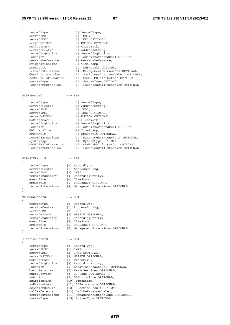{ recordType [0] RecordType, servedIMSI [1] IMSI, servedIMEI [2] IMEI OPTIONAL,<br>servedMSISDN [3] MSISDN OPTION servedMSISDN [3] MSISDN OPTIONAL, msClassmark [4] Classmark, serviceCentre [5] AddressString, recordingEntity [6] RecordingEntity, location [7] LocationAreaAndCell OPTIONAL, messageReference [8] MessageReference, originationTime [9] TimeStamp, smsResult [10] SMSResult OPTIONAL, recordExtensions [11] ManagementExtensions OPTIONAL, destinationNumber [12] SmsTpDestinationNumber OPTIONAL, cAMELSMSInformation [13] CAMELSMSInformation OPTIONAL, systemType [14] SystemType OPTIONAL, locationExtension [15] LocationCellExtension OPTIONAL } MTSMSRecord ::= SET { recordType [0] RecordType,<br>serviceCentre [1] AddressStri [1] AddressString,<br>[2] IMSI, servedIMSI<br>servedIMSI [2] IMSI,<br>servedIMSISDN [3] IMEI OPTIONAL,<br>servedMSISDN [4] MSISDN OPTIONAL, servedIMEI [3] IMEI OPTIONAL, servedMSISDN [4] MSISDN OPTIONAL, msClassmark [5] Classmark, recordingEntity [6] RecordingEntity, location [7] LocationAreaAndCell OPTIONAL, deliveryTime [8] TimeStamp, smsResult [9] SMSResult OPTIONAL, recordExtensions [10] ManagementExtensions OPTIONAL, systemType [11] SystemType OPTIONAL, cAMELSMSInformation [12] CAMELSMSInformation OPTIONAL, locationExtension [13] LocationCellExtension OPTIONAL } MOSMSIWRecord ::= SET { recordType [0] RecordType, serviceCentre [1] AddressString, servedIMSI [2] IMSI, recordingEntity [3] RecordingEntity, eventTime [4] TimeStamp, smsResult [5] SMSResult OPTIONAL, recordExtensions [6] ManagementExtensions OPTIONAL } MTSMSGWRecord ::= SET { recordType [0] RecordType, serviceCentre [1] AddressString, servedIMSI [2] IMSI, servedMSISDN [3] MSISDN OPTIONAL, recordingEntity [4] RecordingEntity, eventTime [5] TimeStamp, smsResult [6] SMSResult OPTIONAL, recordExtensions [7] ManagementExtensions OPTIONAL } SSActionRecord ::= SET { recordType [0] RecordType,<br>servedIMSI [1] IMSI,<br>servedIMEI [2] IMEI OPTIONAL. servedIMSI<br>servedIMSI servedIMEI [2] IMEI OPTIONAL, servedMSISDN [3] MSISDN OPTIONAL, msClassmark [4] Classmark, recordingEntity [5] RecordingEntity, location [6] LocationAreaAndCell OPTIONAL, basicServices [7] BasicServices OPTIONAL, supplService [8] SS-Code OPTIONAL, ssAction [9] SSActionType OPTIONAL, ssActionTime [10] TimeStamp, ssParameters [11] SSParameters OPTIONAL, ssActionResult [12] SSActionResult OPTIONAL, callReference [13] CallReferenceNumber, recordExtensions [14] ManagementExtensions OPTIONAL, systemType [15] SystemType OPTIONAL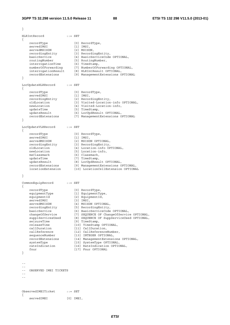} HLRIntRecord ::= SET { recordType [0] RecordType, servedIMSI [1] IMSI, servedMSISDN [2] MSISDN, recordingEntity [3] RecordingEntity, basicService [4] BasicServiceCode OPTIONAL, routingNumber [5] RoutingNumber, interrogationTime [6] TimeStamp, numberOfForwarding [7] NumberOfForwarding OPTIONAL, interrogationResult [8] HLRIntResult OPTIONAL, recordExtensions [9] ManagementExtensions OPTIONAL } LocUpdateHLRRecord ::= SET { recordType [0] RecordType, servedIMSI [1] IMSI, recordingEntity [2] RecordingEntity,<br>oldLocation [3] Visited-Location<br>in Wisited Location [3] Visited-Location-info OPTIONAL, [4] Visited-Location-info,<br>[5] TimeStamp, newLocation<br>
updateTime<br>
updateResult<br>
recordExtensions [6] LocUpdResult OPTIONAL, [7] ManagementExtensions OPTIONAL } LocUpdateVLRRecord ::= SET { recordType [0] RecordType, servedIMSI [1] IMSI, servedMSISDN [2] MSISDN OPTIONAL, recordingEntity [3] RecordingEntity, oldLocation [4] Location-info OPTIONAL, newLocation [5] Location-info, msClassmark [6] Classmark, updateTime [7] TimeStamp, updateResult [8] LocUpdResult OPTIONAL, recordExtensions [9] ManagementExtensions OPTIONAL, locationExtension [10] LocationCellExtension OPTIONAL } CommonEquipRecord ::= SET { recordType [0] RecordType, equipmentType [1] EquipmentType, equipmentId [2] EquipmentId, servedIMSI [3] IMSI, servedMSISDN [4] MSISDN OPTIONAL, recordingEntity [5] RecordingEntity, basicService [6] BasicServiceCode OPTIONAL, changeOfService [7] SEQUENCE OF ChangeOfService OPTIONAL, supplServicesUsed [8] SEQUENCE OF SuppServiceUsed OPTIONAL, seizureTime [9] TimeStamp, releaseTime [10] TimeStamp OPTIONAL, callDuration [11] CallDuration, callReference [12] CallReferenceNumber, sequenceNumber [13] INTEGER OPTIONAL, recordExtensions [14] ManagementExtensions OPTIONAL, systemType [15] SystemType OPTIONAL, rateIndication [16] RateIndication OPTIONAL, fnur [17] Fnur OPTIONAL } -- -- -- OBSERVED IMEI TICKETS -- -- ObservedIMEITicket ::= SET { servedIMEI [0] IMEI,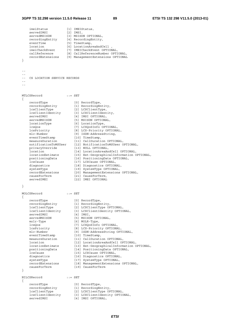## **3GPP TS 32.298 version 11.5.0 Release 11 89 ETSI TS 132 298 V11.5.0 (2013-01)**

| }         | imeiStatus<br>servedIMSI<br>servedMSISDN<br>recordingEntity<br>eventTime<br>location<br>imeiCheckEvent<br>callReference<br>recordExtensions                                                                                                                                                                                                                                            |            | [1] IMEIStatus,<br>$[2]$ IMSI,<br>[3] MSISDN OPTIONAL,<br>[4] RecordingEntity,<br>[5] TimeStamp,<br>[6] LocationAreaAndCell,<br>[7] IMEICheckEvent OPTIONAL,<br>[8] CallReferenceNumber OPTIONAL,<br>[9] ManagementExtensions OPTIONAL                                                                                                                                                                                                                                                                                                                                                                                                                         |
|-----------|----------------------------------------------------------------------------------------------------------------------------------------------------------------------------------------------------------------------------------------------------------------------------------------------------------------------------------------------------------------------------------------|------------|----------------------------------------------------------------------------------------------------------------------------------------------------------------------------------------------------------------------------------------------------------------------------------------------------------------------------------------------------------------------------------------------------------------------------------------------------------------------------------------------------------------------------------------------------------------------------------------------------------------------------------------------------------------|
| - -       | CS LOCATION SERVICE RECORDS                                                                                                                                                                                                                                                                                                                                                            |            |                                                                                                                                                                                                                                                                                                                                                                                                                                                                                                                                                                                                                                                                |
|           | MTLCSRecord                                                                                                                                                                                                                                                                                                                                                                            |            | $: :=$ SET                                                                                                                                                                                                                                                                                                                                                                                                                                                                                                                                                                                                                                                     |
| $\{$<br>} | recordType<br>recordingEntity<br>lcsClientType<br>lcsClientIdentity<br>servedIMSI<br>servedMSISDN<br>locationType<br>lcsQos<br>lcsPriority<br>mlc-Number<br>eventTimeStamp<br>measureDuration<br>notificationToMSUser<br>privacyOverride<br>location<br>locationEstimate<br>positioningData<br>lcsCause<br>diagnostics<br>systemType<br>recordExtensions<br>causeForTerm<br>servedIMEI |            | [0] RecordType,<br>[1] RecordingEntity,<br>[2] LCSClientType,<br>[3] LCSClientIdentity,<br>[4] IMSI OPTIONAL,<br>[5] MSISDN OPTIONAL,<br>[6] LocationType,<br>[7] LCSQoSInfo OPTIONAL,<br>[8] LCS-Priority OPTIONAL,<br>[9] ISDN-AddressString,<br>[10] TimeStamp,<br>[11] CallDuration OPTIONAL,<br>[12] NotificationToMSUser OPTIONAL,<br>[13] NULL OPTIONAL,<br>[14] LocationAreaAndCell OPTIONAL,<br>[15] Ext-GeographicalInformation OPTIONAL,<br>[16] PositioningData OPTIONAL,<br>[17] LCSCause OPTIONAL,<br>[18] Diagnostics OPTIONAL,<br>[19] SystemType OPTIONAL,<br>[20] ManagementExtensions OPTIONAL,<br>[21] CauseForTerm,<br>[22] IMEI OPTIONAL |
|           | MOLCSRecord                                                                                                                                                                                                                                                                                                                                                                            | $: :=$ SET |                                                                                                                                                                                                                                                                                                                                                                                                                                                                                                                                                                                                                                                                |
| }         | recordType<br>recordingEntity<br>lcsClientType<br>lcsClientIdentity<br>servedIMSI<br>servedMSISDN<br>molr-Type<br>lcsQos<br>lcsPriority<br>mlc-Number<br>eventTimeStamp<br>measureDuration<br>location<br>locationEstimate<br>positioningData<br>lcsCause<br>diagnostics<br>systemType<br>recordExtensions<br>causeForTerm                                                             |            | [0] RecordType,<br>[1] RecordingEntity,<br>[2] LCSClientType OPTIONAL,<br>[3] LCSClientIdentity OPTIONAL,<br>$[4]$ IMSI,<br>[5] MSISDN OPTIONAL,<br>[6] MOLR-Type,<br>[7] LCSQoSInfo OPTIONAL,<br>[8] LCS-Priority OPTIONAL,<br>[9] ISDN-AddressString OPTIONAL,<br>[10] TimeStamp,<br>[11] CallDuration OPTIONAL,<br>[12] LocationAreaAndCell OPTIONAL,<br>[13] Ext-GeographicalInformation OPTIONAL,<br>[14] PositioningData OPTIONAL,<br>[15] LCSCause OPTIONAL,<br>[16] Diagnostics OPTIONAL,<br>[17] SystemType OPTIONAL,<br>[18] ManagementExtensions OPTIONAL,<br>[19] CauseForTerm                                                                     |
|           | NILCSRecord                                                                                                                                                                                                                                                                                                                                                                            |            | $: :=$ SET                                                                                                                                                                                                                                                                                                                                                                                                                                                                                                                                                                                                                                                     |
| $\{$      | recordType<br>recordingEntity<br>lcsClientType<br>lcsClientIdentity<br>servedIMSI                                                                                                                                                                                                                                                                                                      |            | [0] RecordType,<br>[1] RecordingEntity,<br>[2] LCSClientType OPTIONAL,<br>[3] LCSClientIdentity OPTIONAL,<br>[4] IMSI OPTIONAL,                                                                                                                                                                                                                                                                                                                                                                                                                                                                                                                                |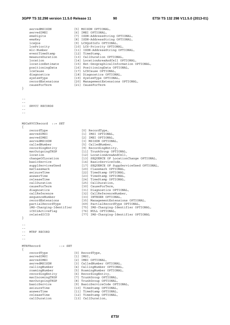#### **3GPP TS 32.298 version 11.5.0 Release 11 90 ETSI TS 132 298 V11.5.0 (2013-01)**

servedMSISDN [5] MSISDN OPTIONAL,<br>servedIMEI [6] IMEI OPTIONAL, [6] IMEI OPTIONAL, emsDigits [7] ISDN-AddressString OPTIONAL,<br>
emsNey [8] ISDN-AddressString OPTIONAL,<br>
lcsQos [9] LCSQoSInfo OPTIONAL, emsKey [8] ISDN-AddressString OPTIONAL, lcsQos [9] LCSQoSInfo OPTIONAL, lcsPriority [10] LCS-Priority OPTIONAL, mlc-Number [11] ISDN-AddressString OPTIONAL, eventTimeStamp [12] TimeStamp, measureDuration [13] CallDuration OPTIONAL, location [14] LocationAreaAndCell OPTIONAL, locationEstimate [15] Ext-GeographicalInformation OPTIONAL, positioningData [16] PositioningData OPTIONAL, lcsCause [17] LCSCause OPTIONAL, diagnostics [18] Diagnostics OPTIONAL, systemType [19] SystemType OPTIONAL, recordExtensions [20] ManagementExtensions OPTIONAL, causeForTerm [21] CauseForTerm } -- -- SRVCC RECORDS -- -- MSCsRVCCRecord ::= SET { recordType [0] RecordType, servedIMSI [1] IMSI OPTIONAL, servedIMEI [2] IMEI OPTIONAL, servedMSISDN [3] MSISDN OPTIONAL, calledNumber [5] CalledNumber, recordingEntity [9] RecordingEntity, mscOutgoingTKGP [11] TrunkGroup OPTIONAL, location [12] LocationAreaAndCell, changeOfLocation [13] SEQUENCE OF LocationChange OPTIONAL, basicService [14] BasicServiceCode, supplServicesUsed [17] SEQUENCE OF SuppServiceUsed OPTIONAL, msClassmark [20] Classmark OPTIONAL, seizureTime [22] TimeStamp OPTIONAL, answerTime [23] TimeStamp OPTIONAL, releaseTime [24] TimeStamp OPTIONAL, callDuration [25] CallDuration, causeForTerm [30] CauseForTerm, diagnostics [31] Diagnostics OPTIONAL, callReference [32] CallReferenceNumber, sequenceNumber [33] INTEGER OPTIONAL, recordExtensions [35] ManagementExtensions OPTIONAL, partialRecordType [69] PartialRecordType OPTIONAL, iMS-Charging-Identifier [75] IMS-Charging-Identifier OPTIONAL, iCSI2ActiveFlag [76] NULL OPTIONAL, relatedICID [77] IMS-Charging-Identifier OPTIONAL } -- -- -- MTRF RECORD -- -- MTRFRecord ::= SET { recordType [0] RecordType, servedIMSI [1] IMSI, servedIMEI [2] IMEI OPTIONAL, servedMSISDN [3] CalledNumber OPTIONAL, callingNumber [4] CallingNumber OPTIONAL, roamingNumber [5] RoamingNumber OPTIONAL, recordingEntity [6] RecordingEntity, mscIncomingTKGP [7] TrunkGroup OPTIONAL, mscOutgoingTKGP [8] TrunkGroup OPTIONAL, basicService [9] BasicServiceCode OPTIONAL, seizureTime [10] TimeStamp OPTIONAL, answerTime [11] TimeStamp OPTIONAL, releaseTime [12] TimeStamp OPTIONAL, callDuration [13] CallDuration,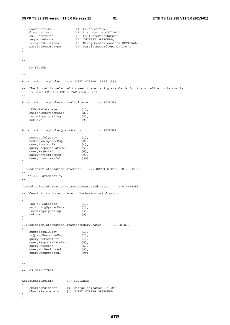#### **3GPP TS 32.298 version 11.5.0 Release 11 91 ETSI TS 132 298 V11.5.0 (2013-01)**

```
 causeForTerm [14] CauseForTerm, 
 diagnostics [15] Diagnostics OPTIONAL, 
 callReference [16] CallReferenceNumber, 
sequenceNumber [17] INTEGER OPTIONAL,
 recordExtensions [18] ManagementExtensions OPTIONAL, 
 partialRecordType [19] PartialRecordType OPTIONAL 
} 
-- 
-- 
-- NP Fields 
-- 
-- 
LocationRoutingNumber ::= OCTET STRING (SIZE (5)) 
-- 
-- The format is selected to meet the existing standards for the wireline in Telcordia<br>-- Belcore GR-1100-CORE BAF Module 720
    Belcore GR-1100-CORE, BAF Module 720.
-- 
LocationRoutingNumberSourceIndicator ::= INTEGER 
{ 
 lRN-NP-Database (1), 
switchingSystemData (2),
incomingsignaling (3),
    incomingsignaling (3)<br>unknown (9)
} 
LocationRoutingNumberQueryStatus ::= INTEGER 
{ 
    \begin{array}{lll} \texttt{successfulQuery} & & \texttt{(1)}\texttt{,} \\ \texttt{noQueryResponseMsg} & & \texttt{(2)}\texttt{,} \\ \texttt{queryProtocolErr} & & \texttt{(4)}\texttt{,} \end{array}noQueryResponseMsg<br>moQueryResponseMsg<br>queryProtocolErr
    queryProtocolErr
    queryResponseDataErr (5),
    queryRejected (6),
    queryNotPerformed (9),
    queryUnsuccessful (99)
} 
JurisdictionInformationParameter ::= OCTET STRING (SIZE (5))
-- 
-- /* JIP Parameter */ 
-- 
JurisdictionInformationParameterSourceIndicator ::= INTEGER 
-- 
-- Identical to LocationRoutingNumberSourceIndicator 
-- 
\{ lRN-NP-Database (1), 
    switchingSystemData (2),
    incomingsignaling (3),<br>unknown (9)
    unknown
} 
JurisdictionInformationParameterQueryStatus ::= INTEGER 
{ 
    successfulQuery (1),<br>noQueryResponseMsg (2),
    succentinities ...
    queryProtocolErr (4),<br>queryResponseDataErr (5),
    queryResponseDataErr (5),<br>queryRejected (6),
    queryRejected (6),<br>queryNotPerformed (9),<br>queryUnsuccessful (99)
    queryNotPerformed
     queryUnsuccessful (99) 
} 
-- 
-- 
-- CS DATA TYPES 
-- 
AdditionalChgInfo ::= SEQUENCE 
{ 
 chargeIndicator [0] ChargeIndicator OPTIONAL, 
 chargeParameters [1] OCTET STRING OPTIONAL 
}
```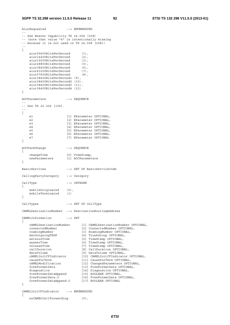```
AiurRequested ::= ENUMERATED 
-- 
-- See Bearer Capability TS 24.008 [208] 
-- (note that value "4" is intentionally missing 
-- because it is not used in TS 24.008 [208]) 
-- 
{ 
   aiur09600BitsPerSecond (1),<br>aiur14400BitsPerSecond (2),
   aiur14400BitsPerSecond
   aiur19200BitsPerSecond (3),
    aiur28800BitsPerSecond (5), 
 aiur38400BitsPerSecond (6), 
 aiur43200BitsPerSecond (7), 
   aiur38400BitsPerSecond (6),<br>aiur43200BitsPerSecond (7),<br>aiur57600BitsPerSecond (8),
    aiur38400BitsPerSecond1 (9), 
    aiur38400BitsPerSecond2 (10), 
    aiur38400BitsPerSecond3 (11), 
    aiur38400BitsPerSecond4 (12) 
} 
AOCParameters ::= SEQUENCE 
-- 
-- See TS 22.024 [104]. 
-- 
{ 
   e1 [1] EParameter OPTIONAL,
   e2 [2] EParameter OPTIONAL,
   e3 [3] EParameter OPTIONAL,
   e4 [4] EParameter OPTIONAL,
   e5 [5] EParameter OPTIONAL,
    e6 [6] EParameter OPTIONAL,
    e7 [7] EParameter OPTIONAL
} 
AOCParmChange ::= SEQUENCE 
{ 
 changeTime [0] TimeStamp, 
 newParameters [1] AOCParameters 
} 
BasicServices ::= SET OF BasicServiceCode 
CallingPartyCategory ::= Category 
CallType ::= INTEGER 
{ 
   mobileOriginated (0),
    mobileTerminated (1) 
} 
CallTypes ::= SET OF CallType 
CAMELDestinationNumber ::= DestinationRoutingAddress 
CAMELInformation ::= SET 
{ 
 cAMELDestinationNumber [1] CAMELDestinationNumber OPTIONAL, 
 connectedNumber [2] ConnectedNumber OPTIONAL, 
 roamingNumber [3] RoamingNumber OPTIONAL, 
   manimal communications of the communications of the communications of the matched operations of the matched operations of the matched operations of the matched operations of the matched operations of the matched operations
    seizureTime [5] TimeStamp OPTIONAL,<br>answerTime [6] TimeStamp OPTIONAL.
                               [6] TimeStamp OPTIONAL,
   releaseTime [7] TimeStamp OPTIONAL,<br>callDuration [8] CallDuration OPTION
                              callDuration OPTIONAL,<br>[8] CallDuration OPTIONAL,<br>[9] DataVolume OPTIONAL,
 dataVolume [9] DataVolume OPTIONAL, 
 cAMELInitCFIndicator [10] CAMELInitCFIndicator OPTIONAL, 
 causeForTerm [11] CauseForTerm OPTIONAL, 
 cAMELModification [12] ChangedParameters OPTIONAL, 
 freeFormatData [13] FreeFormatData OPTIONAL, 
 diagnostics [14] Diagnostics OPTIONAL, 
 freeFormatDataAppend [15] BOOLEAN OPTIONAL, 
 freeFormatData-2 [16] FreeFormatData OPTIONAL, 
 freeFormatDataAppend-2 [17] BOOLEAN OPTIONAL 
} 
CAMELInitCFIndicator ::= ENUMERATED 
{
```
noCAMELCallForwarding (0),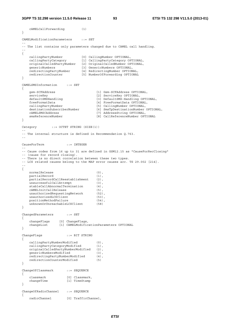**3GPP TS 32.298 version 11.5.0 Release 11 93 ETSI TS 132 298 V11.5.0 (2013-01)**

```
 cAMELCallForwarding (1) 
} 
CAMELModificationParameters ::= SET 
-- 
-- The list contains only parameters changed due to CAMEL call handling. 
-- 
{ 
 callingPartyNumber [0] CallingNumber OPTIONAL, 
 callingPartyCategory [1] CallingPartyCategory OPTIONAL, 
    originalCalledPartyNumber [2] OriginalCalledNumber OPTIONAL, 
 genericNumbers [3] GenericNumbers OPTIONAL, 
 redirectingPartyNumber [4] RedirectingNumber OPTIONAL, 
 redirectionCounter [5] NumberOfForwarding OPTIONAL 
} 
CAMELSMSInformation ::= SET 
{ 
   gsm-SCFAddress (1) Gsm-SCFAddress OPTIONAL,<br>serviceKey (2) ServiceKey OPTIONAL,
   serviceKey [2] ServiceKey OPTIONAL,<br>defaultSMSHandling [3] DefaultSMS-Handling
                                    [3] DefaultSMS-Handling OPTIONAL,
    freeFormatData [4] FreeFormatData OPTIONAL, 
    callingPartyNumber [5] CallingNumber OPTIONAL, 
    destinationSubscriberNumber [6] SmsTpDestinationNumber OPTIONAL, 
    cAMELSMSCAddress [7] AddressString OPTIONAL, 
    smsReferenceNumber [8] CallReferenceNumber OPTIONAL 
} 
Category ::= OCTET STRING (SIZE(1))
-- 
-- The internal structure is defined in Recommendation Q.763. 
-- 
CauseForTerm ::= INTEGER 
-- 
-- Cause codes from 16 up to 31 are defined in GSM12.15 as "CauseForRecClosing" 
-- (cause for record closing). 
-- There is no direct correlation between these two types. 
-- LCS related causes belong to the MAP error causes acc. TS 29.002 [214]. 
-- 
{ 
   normalRelease (0),
   partialRecord (1),
    partialRecordCallReestablishment (2), 
   unsuccessfulCallAttempt (3),
   stableCallAbnormalTermination (4),
    cAMELInitCallRelease (5), 
   unauthorizedRequestingNetwork (52),
   unauthorizedLCSClient (53),
   positionMethodFailure (54),
    unknownOrUnreachableLCSClient (58) 
} 
ChangedParameters ::= SET 
{ 
   changeFlags [0] ChangeFlags,<br>changeList [1] CAMELModific
                  [1] CAMELModificationParameters OPTIONAL
} 
ChangeFlags ::= BIT STRING 
{ 
 callingPartyNumberModified (0), 
 callingPartyCategoryModified (1), 
   originalCalledPartyNumberModified (2),<br>
qenericNumbersModified (3).
 genericNumbersModified (3), 
 redirectingPartyNumberModified (4), 
   redirectingPartyNumberModified (4),<br>redirectionCounterModified (5)
} 
ChangeOfClassmark ::= SEQUENCE 
{ 
    classmark [0] Classmark, 
   changeTime [1] TimeStamp
} 
ChangeOfRadioChannel ::= SEQUENCE 
{ 
    radioChannel [0] TrafficChannel,
```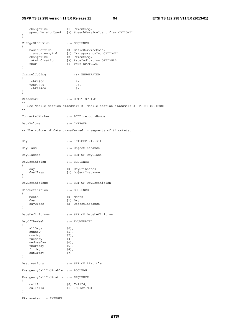#### **3GPP TS 32.298 version 11.5.0 Release 11 94 ETSI TS 132 298 V11.5.0 (2013-01)**

 changeTime [1] TimeStamp, speechVersionUsed [2] SpeechVersionIdentifier OPTIONAL } ChangeOfService ::= SEQUENCE { basicService [0] BasicServiceCode, transparencyInd [1] TransparencyInd OPTIONAL, changeTime [2] TimeStamp, rateIndication [3] RateIndication OPTIONAL, fnur [4] Fnur OPTIONAL } ChannelCoding ::= ENUMERATED { tchF4800 (1), tchF9600 (2), tchF14400 (3) } Classmark ::= OCTET STRING -- -- See Mobile station classmark 2, Mobile station classmark 3, TS 24.008[208] -- ConnectedNumber ::= BCDDirectoryNumber DataVolume ::= INTEGER -- -- The volume of data transferred in segments of 64 octets. -- Day ::= INTEGER  $(1..31)$ DayClass ::= ObjectInstance DayClasses ::= SET OF DayClass DayDefinition ::= SEQUENCE { day [0] DayOfTheWeek, .<br>[1] ObjectInstance } DayDefinitions ::= SET OF DayDefinition DateDefinition ::= SEQUENCE { month [0] Month, day [1] Day, [2] ObjectInstance } DateDefinitions ::= SET OF DateDefinition DayOfTheWeek ::= ENUMERATED { allDays (0), sunday (1),  $mondav$  (2), tuesday (3),<br>wednesday (4), wednesday thursday (5), friday (6), saturday (7) } Destinations ::= SET OF AE-title EmergencyCallIndEnable ::= BOOLEAN EmergencyCallIndication ::= SEQUENCE { cellId [0] CellId, callerId [1] IMSIorIMEI } EParameter ::= INTEGER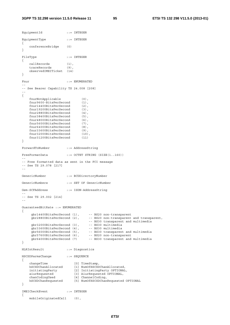```
EquipmentId ::= INTEGER
EquipmentType ::= INTEGER 
{ 
     conferenceBridge (0) 
} 
FileType ::= INTEGER
{ 
   callRecords (1),<br>traceboosed
    traceRecords (9), 
    observedIMEITicket (14) 
} 
Fnur ::= ENUMERATED
-- 
-- See Bearer Capability TS 24.008 [208] 
-- 
{ 
    fnurNotApplicable (0), 
    fnur9600-BitsPerSecond (1), 
     fnur14400BitsPerSecond (2), 
    fnur19200BitsPerSecond (3), 
     fnur28800BitsPerSecond (4), 
    fnur38400BitsPerSecond (5), 
    fnur48000BitsPerSecond (6), 
    fnur56000BitsPerSecond (7),<br>fnur64000BitsPerSecond (8),
   fnur64000BitsPerSecond (8),<br>fnur33600BitsPerSecond (9).
     fnur33600BitsPerSecond (9), 
    fnur32000BitsPerSecond (10),<br>fnur31200BitsPerSecond (11)
     fnur31200BitsPerSecond (11) 
} 
ForwardToNumber ::= AddressString 
FreeFormatData ::= OCTET STRING (SIZE(1..160)) 
-- 
-- Free formatted data as sent in the FCI message 
-- See TS 29.078 [217] 
-- 
GenericNumber ::= BCDDirectoryNumber 
GenericNumbers ::= SET OF GenericNumber 
Gsm-SCFAddress ::= ISDN-AddressString 
-- 
-- See TS 29.002 [214] 
-- 
GuaranteedBitRate ::= ENUMERATED 
{ 
 gbr14400BitsPerSecond (1), -- BS20 non-transparent 
 gbr28800BitsPerSecond (2), -- BS20 non-transparent and transparent, 
                                   -- BS30 transparent and multimedia 
     gbr32000BitsPerSecond (3), -- BS30 multimedia 
    gbr33600BitsPerSecond (4),<br>qbr56000BitsPerSecond (5),
                                 -- BS30 multimedia<br>-- BS30 transparent and multimedia<br>-- BS20 non-transparent
    gbr57600BitsPerSecond (6),
    gbr64000BitsPerSecond (7) -- BS30 transparent and multimedia
} 
HLRIntResult ::= Diagnostics 
HSCSDParmsChange ::= SEQUENCE 
{ 
 changeTime [0] TimeStamp, 
 hSCSDChanAllocated [1] NumOfHSCSDChanAllocated, 
 initiatingParty [2] InitiatingParty OPTIONAL, 
 aiurRequested [3] AiurRequested OPTIONAL, 
 chanCodingUsed [4] ChannelCoding, 
 hSCSDChanRequested [5] NumOfHSCSDChanRequested OPTIONAL 
} 
IMEICheckEvent ::= INTEGER 
{ 
    mobileOriginatedCall (0),
```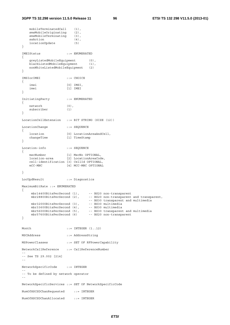```
 mobileTerminatedCall (1), 
 smsMobileOriginating (2), 
 smsMobileTerminating (3), 
   ssAction (4),
    locationUpdate (5) 
} 
IMEIStatus ::= ENUMERATED 
{ 
    greyListedMobileEquipment (0), 
   blackListedMobileEquipment (1),
    nonWhiteListedMobileEquipment (2) 
} 
IMSIorIMEI ::= CHOICE 
{ 
    imsi [0] IMSI, 
    imei [1] IMEI 
} 
InitiatingParty ::= ENUMERATED 
{ 
    network (0), 
    subscriber (1) 
} 
LocationCellExtension ::= BIT STRING (SIZE (12)) 
LocationChange ::= SEQUENCE 
{ 
   location [0] LocationAreaAndCell,<br>changeTime [1] TimeStamp
                  [1] TimeStamp
} 
Location-info ::= SEQUENCE
{ 
 mscNumber [1] MscNo OPTIONAL, 
 location-area [2] LocationAreaCode, 
    cell-identification [3] CellId OPTIONAL, 
    mCC-MNC [4] MCC-MNC OPTIONAL 
} 
LocUpdResult ::= Diagnostics 
MaximumBitRate ::= ENUMERATED 
{ 
 mbr14400BitsPerSecond (1), -- BS20 non-transparent 
 mbr28800BitsPerSecond (2), -- BS20 non-transparent and transparent, 
                                -- BS30 transparent and multimedia 
    mbr32000BitsPerSecond (3),
    mbr33600BitsPerSecond (4),<br>mbr56000BitsPerSecond (5),
 mbr56000BitsPerSecond (5), -- BS30 transparent and multimedia 
 mbr57600BitsPerSecond (6) -- BS20 non-transparent 
} 
Month ::= INTEGER (1..12)MSCAddress ::= AddressString 
MSPowerClasses ::= SET OF RFPowerCapability 
NetworkCallReference ::= CallReferenceNumber 
-- 
-- See TS 29.002 [214] 
-- 
NetworkSpecificCode ::= INTEGER 
-- 
-- To be defined by network operator 
-- 
NetworkSpecificServices ::= SET OF NetworkSpecificCode 
NumOfHSCSDChanRequested ::= INTEGER 
NumOfHSCSDChanAllocated ::= INTEGER
```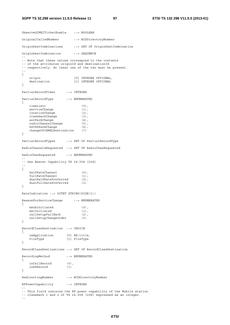#### **3GPP TS 32.298 version 11.5.0 Release 11 97 ETSI TS 132 298 V11.5.0 (2013-01)**

ObservedIMEITicketEnable ::= BOOLEAN OriginalCalledNumber ::= BCDDirectoryNumber OriginDestCombinations ::= SET OF OriginDestCombination OriginDestCombination ::= SEQUENCE -- -- Note that these values correspond to the contents -- of the attributes originId and destinationId -- respectively. At least one of the two must be present. -- { origin [0] INTEGER OPTIONAL,<br>destination [1] INTEGER OPTIONAL [1] INTEGER OPTIONAL } PartialRecordTimer ::= INTEGER PartialRecordType ::= ENUMERATED { timeLimit (0), serviceChange (1),<br>
locationChange (2),<br>
classmarkChange (3), locationChange classmarkChange (3),<br>aocParmChange (4), aocParmChange (4), radioChannelChange (5), hSCSDParmChange (6), changeOfCAMELDestination (7) } PartialRecordTypes ::= SET OF PartialRecordType RadioChannelsRequested ::= SET OF RadioChanRequested RadioChanRequested ::= ENUMERATED -- -- See Bearer Capability TS 24.008 [208] -- { halfRateChannel (0), fullRateChannel (1), dualHalfRatePreferred (2), dualFullRatePreferred (3) } RateIndication ::= OCTET STRING(SIZE(1)) ReasonForServiceChange ::= ENUMERATED { msubInitiated (0), mscInitiated (1),<br>callSetupFallBack (2), callSetupFallBack (2)<br>callSetupChanqeOrder (3) callSetupChangeOrder } RecordClassDestination ::= CHOICE { osApplication [0] AE-title, fileType [1] FileType } RecordClassDestinations ::= SET OF RecordClassDestination RecordingMethod ::= ENUMERATED { inCallRecord (0), inSSRecord (1) } RedirectingNumber ::= BCDDirectoryNumber RFPowerCapability ::= INTEGER -- -- This field contains the RF power capability of the Mobile station -- classmark 1 and 2 of TS 24.008 [208] expressed as an integer.

--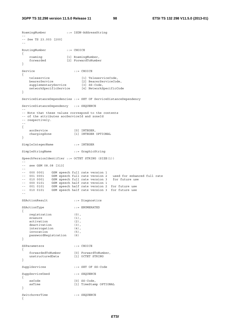```
RoamingNumber ::= ISDN-AddressString 
-- 
-- See TS 23.003 [200] 
-- 
RoutingNumber ::= CHOICE 
{ 
 roaming [1] RoamingNumber, 
 forwarded [2] ForwardToNumber 
} 
Service ::= CHOICE
{ 
 teleservice [1] TeleserviceCode, 
 bearerService [2] BearerServiceCode, 
 supplementaryService [3] SS-Code, 
 networkSpecificService [4] NetworkSpecificCode 
} 
ServiceDistanceDependencies ::= SET OF ServiceDistanceDependency 
ServiceDistanceDependency ::= SEQUENCE 
-- 
-- Note that these values correspond to the contents 
-- of the attributes aocServiceId and zoneId
-- respectively. 
-- 
{ 
 aocService [0] INTEGER, 
 chargingZone [1] INTEGER OPTIONAL 
} 
SimpleIntegerName ::= INTEGER 
SimpleStringName ::= GraphicString 
SpeechVersionIdentifier ::= OCTET STRING (SIZE(1)) 
-- 
-- see GSM 08.08 [313] 
-- 
-- 000 0001 GSM speech full rate version 1 
-- 001 0001 GSM speech full rate version 2 used for enhanced full rate 
-- 010 0001 GSM speech full rate version 3 for future use 
-- 000 0101 GSM speech half rate version 1 
-- 001 0101 GSM speech half rate version 2 for future use 
-- 010 0101 GSM speech half rate version 3 for future use 
-- 
SSActionResult ::= Diagnostics 
SSActionType ::= ENUMERATED 
{ 
   registration (0),<br>erasure (1),
   \frac{1}{2} erasure \frac{1}{2}, \frac{1}{2}, \frac{1}{2}, \frac{1}{2} activation (2), 
   deactivation (3),
    interrogation (4), 
    invocation (5), 
    passwordRegistration (6) 
} 
SSParameters ::= CHOICE
{ 
 forwardedToNumber [0] ForwardToNumber, 
 unstructuredData [1] OCTET STRING 
} 
SupplServices ::= SET OF SS-Code 
SuppServiceUsed ::= SEQUENCE 
{ 
   ssCode [0] SS-Code,<br>ssTime [1] TimeStam
                        [1] TimeStamp OPTIONAL
} 
SwitchoverTime ::= SEOUENCE
{
```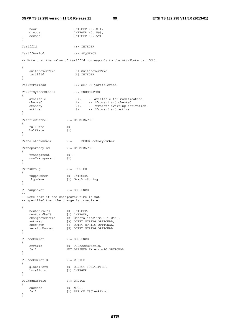hour INTEGER (0..23), minute INTEGER (0..59), second INTEGER (0..59) } TariffId ::= INTEGER TariffPeriod ::= SEQUENCE -- -- Note that the value of tariffId corresponds to the attribute tariffId. -- { switchoverTime [0] SwitchoverTime, tariffId [1] INTEGER } TariffPeriods ::= SET OF TariffPeriod TariffSystemStatus ::= ENUMERATED { available (0), -- available for modification checked (1), -- "frozen" and checked standby (2), -- "frozen" awaiting activation active (3) -- "frozen" and active } TrafficChannel ::= ENUMERATED { fullRate (0), halfRate (1) } TranslatedNumber ::= BCDDirectoryNumber TransparencyInd ::= ENUMERATED { transparent (0), nonTransparent (1) } TrunkGroup ::= CHOICE { tkgpNumber [0] INTEGER, tkgpName [1] GraphicString } TSChangeover ::= SEQUENCE -- -- Note that if the changeover time is not -- specified then the change is immediate. -- { newActiveTS [0] INTEGER, newStandbyTS [1] INTEGER, changeoverTime [2] GeneralizedTime OPTIONAL, authkey [3] OCTET STRING OPTIONAL, authkey [3] OCTET STRING OPTIONAL,<br>checksum [4] OCTET STRING OPTIONAL,<br>versionNumber [5] OCTET STRING OPTIONAL [5] OCTET STRING OPTIONAL } TSCheckError ::= SEQUENCE { errorId [0] TSCheckErrorId, fail ANY DEFINED BY errorId OPTIONAL } TSCheckErrorId ::= CHOICE { globalForm [0] OBJECT IDENTIFIER, localForm [1] INTEGER } TSCheckResult ::= CHOICE { success [0] NULL, fail [1] SET OF TSCheckError }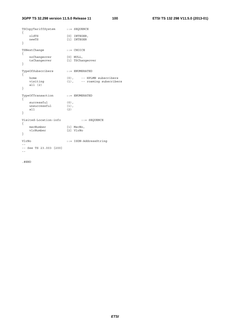## **3GPP TS 32.298 version 11.5.0 Release 11 100 ETSI TS 132 298 V11.5.0 (2013-01)**

| TSCopyTariffSystem ::= SEQUENCE<br>₹ |                                   |                                                          |
|--------------------------------------|-----------------------------------|----------------------------------------------------------|
| ł                                    | oldTS<br>newTS                    | [0] INTEGER,<br>[1] INTEGER                              |
| ₹                                    | TSNextChange                      | $::=$ $CHOICE$                                           |
| ł                                    | noChangeover<br>tsChangeover      | $[0]$ NULL,<br>[1] TSChangeover                          |
| $\{$                                 | TypeOfSubscribers                 |                                                          |
| ł                                    | home<br>visiting<br>all (2)       | (0), -- HPLMN subscribers<br>(1), -- roaming subscribers |
| ₹                                    | TypeOfTransaction                 |                                                          |
| ł                                    | successful<br>unsuccessful<br>a11 | $(0)$ ,<br>$(1)$ ,<br>(2)                                |
|                                      | Visited-Location-info             | $: :=$ SEQUENCE                                          |
| ₹<br>ł                               | mscNumber<br>vlrNumber            | $[1]$ $MscNo$ ,<br>[2] VlrNo                             |
| VlrNo                                |                                   | $::=$ ISDN-AddressString                                 |
|                                      | -- See TS 23.003 [200]            |                                                          |

.#END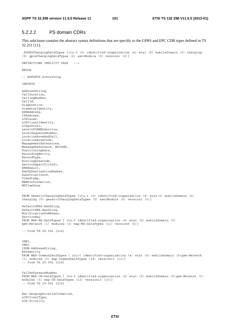## 5.2.2.2 PS domain CDRs

This subclause contains the abstract syntax definitions that are specific to the GPRS and EPC CDR types defined in TS 32.251 [11].

.\$GPRSChargingDataTypes {itu-t (0) identified-organization (4) etsi (0) mobileDomain (0) charging (5) gprsChargingDataTypes (2) asn1Module (0) version1 (0)}

DEFINITIONS IMPLICIT TAGS ::=

**BEGIN** 

-- EXPORTS everything

Ext-GeographicalInformation,

LCSClientType, LCS-Priority,

IMPORTS

AddressString, CallDuration, CallingNumber, CellId, Diagnostics, DiameterIdentity, GSNAddress, IPAddress, LCSCause, LCSClientIdentity, LCSQoSInfo, LevelOfCAMELService, LocalSequenceNumber, LocationAreaAndCell, LocationAreaCode, ManagementExtensions, MessageReference, MSISDN, PositioningData, RecordingEntity, RecordType, RoutingAreaCode, ServiceSpecificInfo, SMSResult, SmsTpDestinationNumber, SubscriptionID, TimeStamp, MBMSInformation, MSTimeZone FROM GenericChargingDataTypes {itu-t (0) identified-organization (4) etsi(0) mobileDomain (0) charging (5) genericChargingDataTypes (0) asn1Module (0) version1 (0) } DefaultGPRS-Handling, DefaultSMS-Handling, NotificationToMSUser, ServiceKey FROM MAP-MS-DataTypes { itu-t identified-organization (4) etsi (0) mobileDomain (0) gsm-Network (1) modules (3) map-MS-DataTypes (11) version6 (6)} -- from TS 29.002 [214] IMEI, IMSI, ISDN-AddressString, RAIdentity FROM MAP-CommonDataTypes { itu-t identified-organization (4) etsi (0) mobileDomain (0)gsm-Network (1) modules (3) map-CommonDataTypes (18) version13 (13)} -- from TS 29.002 [214] CallReferenceNumber FROM MAP-CH-DataTypes { itu-t identified-organization (4) etsi (0) mobileDomain (0)gsm-Network (1) modules (3) map-CH-DataTypes (13) version13 (13)} -- from TS 29.002 [214]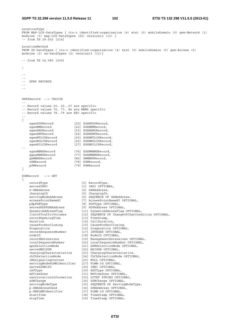```
LocationType 
FROM MAP-LCS-DataTypes { itu-t identified-organization (4) etsi (0) mobileDomain (0) gsm-Network (1) 
modules (3) map-LCS-DataTypes (25) version13 (13) } 
-- from TS 29.002 [214] 
LocationMethod 
FROM SS-DataTypes { itu-t identified-organization (4) etsi (0) mobileDomain (0) gsm-Access (2) 
modules (3) ss-DataTypes (2) version13 (13)} 
-- from TS 24.080 [209] 
; 
-- 
-- 
-- GPRS RECORDS 
-- 
-- 
GPRSRecord ::= CHOICE 
-- 
-- Record values 20, 22..27 are specific 
-- Record values 76, 77, 86 are MBMS specific 
-- Record values 78..79 are EPC specific 
-- 
{ 
 sgsnPDPRecord [20] SGSNPDPRecord, 
 sgsnMMRecord [22] SGSNMMRecord, 
sgsnSMORecord [23] SGSNSMORecord,
 sgsnSMTRecord [24] SGSNSMTRecord, 
 sgsnMTLCSRecord [25] SGSNMTLCSRecord, 
 sgsnMOLCSRecord [26] SGSNMOLCSRecord, 
 sgsnNILCSRecord [27] SGSNNILCSRecord, 
-- 
 sgsnMBMSRecord [76] SGSNMBMSRecord, 
 ggsnMBMSRecord [77] GGSNMBMSRecord, 
 gwMBMSRecord [86] GWMBMSRecord, 
sGWRecord [78] SGWRecord,
    pGWRecord [79] PGWRecord 
} 
SGWRecord ::= SET 
{ 
 recordType [0] RecordType, 
servedIMSI [3] IMSI OPTIONAL,
 s-GWAddress [4] GSNAddress, 
 chargingID [5] ChargingID, 
 servingNodeAddress [6] SEQUENCE OF GSNAddress, 
 accessPointNameNI [7] AccessPointNameNI OPTIONAL, 
 pdpPDNType [8] PDPType OPTIONAL, 
 servedPDPPDNAddress [9] PDPAddress OPTIONAL, 
 dynamicAddressFlag [11] DynamicAddressFlag OPTIONAL, 
 listOfTrafficVolumes [12] SEQUENCE OF ChangeOfCharCondition OPTIONAL, 
 recordOpeningTime [13] TimeStamp, 
duration [14] CallDuration,
 causeForRecClosing [15] CauseForRecClosing, 
 diagnostics [16] Diagnostics OPTIONAL, 
 recordSequenceNumber [17] INTEGER OPTIONAL, 
nodeID [18] NodeID OPTIONAL,
 recordExtensions [19] ManagementExtensions OPTIONAL, 
 localSequenceNumber [20] LocalSequenceNumber OPTIONAL, 
 apnSelectionMode [21] APNSelectionMode OPTIONAL, 
servedMSISDN [22] MSISDN OPTIONAL,
 chargingCharacteristics [23] ChargingCharacteristics, 
 chChSelectionMode [24] ChChSelectionMode OPTIONAL, 
 iMSsignalingContext [25] NULL OPTIONAL, 
    servingNodePLMNIdentifier [27] PLMN-Id OPTIONAL, 
   servedIMEISV [29] IMEI OPTIONAL,
   rATType [30] RATType OPTIONAL,
 mSTimeZone [31] MSTimeZone OPTIONAL, 
 userLocationInformation [32] OCTET STRING OPTIONAL, 
 sGWChange [34] SGWChange OPTIONAL, 
 servingNodeType [35] SEQUENCE OF ServingNodeType, 
 p-GWAddressUsed [36] GSNAddress OPTIONAL, 
 p-GWPLMNIdentifier [37] PLMN-Id OPTIONAL, 
    startTime [38] TimeStamp OPTIONAL, 
   stopTime [39] TimeStamp OPTIONAL,
```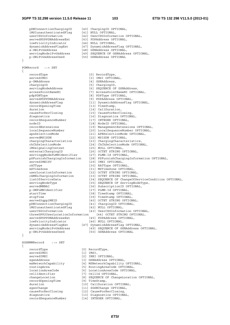#### **3GPP TS 32.298 version 11.5.0 Release 11 103 ETSI TS 132 298 V11.5.0 (2013-01)**

 pDNConnectionChargingID [40] ChargingID OPTIONAL, iMSIunauthenticatedFlag iMSIunauthenticatedFlag [41] NULL OPTIONAL,<br>userCSGInformation [42] UserCSGInformation OPTIONAL, servedPDPPDNAddressExt [43] PDPAddress OPTIONAL, lowPriorityIndicator [44] NULL OPTIONAL, dynamicAddressFlagExt [47] DynamicAddressFlag OPTIONAL, s-GWiPv6Address [48] GSNAddress OPTIONAL, servingNodeiPv6Address [49] SEQUENCE OF GSNAddress OPTIONAL, p-GWiPv6Address (49) SEQUENCE of CSNAddress<br>p-GWiPv6AddressUsed [50] GSNAddress OPTIONAL } PGWRecord ::= SET { recordType [0] RecordType, servedIMSI [3] IMSI OPTIONAL,<br>p-GWAddress [4] GSNAddress, [4] GSNAddress, chargingID [5] ChargingID, servingNodeAddress [6] SEQUENCE OF GSNAddress,<br>accessPointNameNI [7] AccessPointNameNI OPTIC accessPointNameNI [7] AccessPointNameNI OPTIONAL,<br>pdpPDNType (8] PDPType OPTIONAL, pdpPDNType [8] PDPType OPTIONAL,<br>servedPDPPDNAddress [9] PDPAddress OPTION served PDPAddress OPTIONAL, dynamicAddressFlag [11] DynamicAddressFlag OPTIONAL, recordOpeningTime [13] TimeStamp, duration [14] CallDuration,<br>causeForRecClosing [15] CauseForRecCl causeForRecClosing [15] CauseForRecClosing, diagnostics [16] Diagnostics OPTIONAL, recordSequenceNumber [17] INTEGER OPTIONAL, nodeID [18] NodeID OPTIONAL,<br>recordExtensions [19] ManagementExtens recordExtensions [19] ManagementExtensions OPTIONAL, localSequenceNumber [20] LocalSequenceNumber OPTIONAL, [21] APNSelectionMode OPTIONAL, servedMSISDN [22] MSISDN OPTIONAL, chargingCharacteristics [23] ChargingCharacteristics, chChSelectionMode [24] ChChSelectionMode OPTIONAL, iMSsignalingContext [25] NULL OPTIONAL, externalChargingID [26] OCTET STRING OPTIONAL, servinggNodePLMNIdentifier [27] PLMN-Id OPTIONAL, pSFurnishChargingInformation [28] PSFurnishChargingInformation OPTIONAL, servedIMEISV [29] IMEI OPTIONAL, rATType  $[30]$  RATType OPTIONAL mSTimeZone [31] MSTimeZone OPTIONAL,<br>userLocationInformation [32] OCTET STRING OPTIONAL. userLocationInformation [32] OCTET STRING OPTIONAL, cAMELChargingInformation [33] OCTET STRING OPTIONAL, listOfServiceData [34] SEQUENCE OF ChangeOfServiceCondition OPTIONAL, servingNodeType [35] SEQUENCE OF ServingNodeType, servedMNNAI [36] SubscriptionID OPTIONAL, p-GWPLMNIdentifier [37] PLMN-Id OPTIONAL, startTime [38] TimeStamp OPTIONAL, stopTime [39] TimeStamp OPTIONAL, served3gpp2MEID [40] OCTET STRING OPTIONAL, pDNConnectionChargingID [41] ChargingID OPTIONAL, iMSIunauthenticatedFlag [42] NULL OPTIONAL, userCSGInformation [43] UserCSGInformation OPTIONAL, threeGPP2UserLocationInformation [44] OCTET STRING OPTIONAL, servedPDPPDNAddressExt [45] PDPAddress OPTIONAL,<br>lowPriorityIndicator [46] NULL OPTIONAL, lowPriorityIndicator [46] NULL OPTIONAL, dynamicAddressFlagExt [47] DynamicAddressFlag OPTIONAL, servingNodeiPv6Address [49] SEQUENCE OF GSNAddress OPTIONAL, p-GWiPv6AddressUsed [50] GSNAddress OPTIONAL } SGSNMMRecord ::= SET { recordType [0] RecordType, servedIMSI [1] IMSI, servedIMEI [2] IMEI OPTIONAL, sgsnAddress [3] GSNAddress OPTIONAL,<br>msNetworkCapability [4] MSNetworkCapability [4] MSNetworkCapability OPTIONAL, routingArea [5] RoutingAreaCode OPTIONAL, locationAreaCode [6] LocationAreaCode OPTIONAL, cellIdentifier [7] CellId OPTIONAL, changeLocation [8] SEQUENCE OF ChangeLocation OPTIONAL,<br>recordOpeningTime [9] TimeStamp, recordOpeningTime

- duration [10] CallDuration OPTIONAL,
- sgsnChange [11] SGSNChange OPTIONAL,<br>causeForRecClosing [12] CauseForRecClosing,
- causeForRecClosing [12] CauseForRecClosing,<br>diagnostics [13] Diagnostics OPTIONA
	- [13] Diagnostics OPTIONAL,<br>[14] INTEGER OPTIONAL,
		-

recordSequenceNumber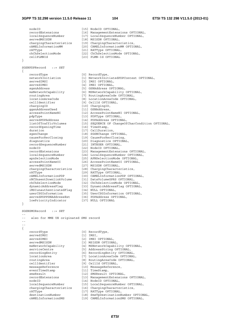#### **3GPP TS 32.298 version 11.5.0 Release 11 104 ETSI TS 132 298 V11.5.0 (2013-01)**

nodeID [15] NodeID OPTIONAL, recordExtensions [16] ManagementExtensions OPTIONAL, localSequenceNumber [17] LocalSequenceNumber OPTIONAL, SGSNPDPRecord ::= SET

}

{

recordOpeningTime [16] TimeStamp,

servedMSISDN [18] MSISDN OPTIONAL, chargingCharacteristics [19] ChargingCharacteristics, cAMELInformationMM [20] CAMELInformationMM OPTIONAL, rATType [21] RATType OPTIONAL, rATType<br>
chChSelectionMode [22] ChChSelectionMode [22] ChChSelectionMode (22] ChChSelectionMode OPTIONAL,<br>
cellPLMNId [23] PLMN-Id OPTIONAL, [23] PLMN-Id OPTIONAL recordType [0] RecordType,<br>networkInitiation [1] NetworkInitiatedPDPContext OPTIONAL,<br>servedIMSI [3] IMSI OPTIONAL, networkInitiation [1] NetworkInitiatedPDPContext OPTIONAL, servedIMSI [3] IMSI OPTIONAL, servedIMEI [4] IMEI OPTIONAL, sgsnAddress [5] GSNAddress OPTIONAL, msNetworkCapability [6] MSNetworkCapability OPTIONAL, routingArea [7] RoutingAreaCode OPTIONAL, locationAreaCode [8] LocationAreaCode OPTIONAL, cellIdentifier [9] CellId OPTIONAL, chargingID [10] ChargingID, ggsnAddressUsed [11] GSNAddress, accessPointNameNI [12] AccessPointNameNI OPTIONAL, pdpType [13] PDPType OPTIONAL, servedPDPAddress [14] PDPAddress OPTIONAL, listOfTrafficVolumes [15] SEQUENCE OF ChangeOfCharCondition OPTIONAL, duration [17] CallDuration, sgsnChange [18] SGSNChange OPTIONAL, causeForRecClosing [19] CauseForRecClosing, diagnostics [20] Diagnostics OPTIONAL, diagnostics [20] Diagnostics (2017)<br>
recordSequenceNumber [21] INTEGER OPTIONAL,<br>
nodeID (22) NodeID OPTIONAL,<br>
recordExtensions [22] NodeID OPTIONAL, nodeID [22] NodeID OPTIONAL, recordExtensions [23] ManagementExtensions OPTIONAL, localSequenceNumber [24] LocalSequenceNumber OPTIONAL, apnSelectionMode [25] APNSelectionMode OPTIONAL, accessPointNameOI [26] AccessPointNameOI OPTIONAL, servedMSISDN [27] MSISDN OPTIONAL, chargingCharacteristics [28] ChargingCharacteristics, rATType  $[29]$  RATType OPTIONAL, cAMELInformationPDP [30] CAMELInformationPDP OPTIONAL, rNCUnsentDownlinkVolume [31] DataVolumeGPRS OPTIONAL, chChSelectionMode [32] ChChSelectionMode OPTIONAL, dynamicAddressFlag [33] DynamicAddressFlag OPTIONAL, iMSIunauthenticatedFlag [34] NULL OPTIONAL, userCSGInformation [35] UserCSGInformation OPTIONAL, servedPDPPDNAddressExt [36] PDPAddress OPTIONAL, lowPriorityIndicator [37] NULL OPTIONAL SGSNSMORecord ::= SET also for MME UE originated SMS record

--

--

{

}

```
-- 
   recordType [0] RecordType, 
  servedIMSI [1] IMSI,
   servedIMEI [2] IMEI OPTIONAL, 
servedMSISDN [3] MSISDN OPTIONAL,
 msNetworkCapability [4] MSNetworkCapability OPTIONAL, 
 serviceCentre [5] AddressString OPTIONAL, 
 recordingEntity [6] RecordingEntity OPTIONAL, 
 locationArea [7] LocationAreaCode OPTIONAL, 
 routingArea [8] RoutingAreaCode OPTIONAL, 
 cellIdentifier [9] CellId OPTIONAL, 
 messageReference [10] MessageReference, 
eventTimeStamp [11] TimeStamp,
smsResult [12] SMSResult OPTIONAL,
 recordExtensions [13] ManagementExtensions OPTIONAL, 
nodeID [14] NodeID OPTIONAL,
 localSequenceNumber [15] LocalSequenceNumber OPTIONAL, 
 chargingCharacteristics [16] ChargingCharacteristics, 
 rATType [17] RATType OPTIONAL, 
 destinationNumber [18] SmsTpDestinationNumber OPTIONAL, 
 cAMELInformationSMS [19] CAMELInformationSMS OPTIONAL,
```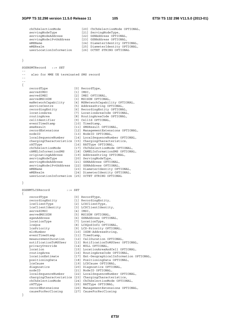# **3GPP TS 32.298 version 11.5.0 Release 11 105 ETSI TS 132 298 V11.5.0 (2013-01)**

|     | chChSelectionMode                                     |             | [20] ChChSelectionMode OPTIONAL,           |
|-----|-------------------------------------------------------|-------------|--------------------------------------------|
|     | servingNodeType                                       |             | [21] ServingNodeType,                      |
|     | servingNodeAddress                                    |             | [22] GSNAddress OPTIONAL,                  |
|     | servingNodeiPv6Address                                |             | [23] GSNAddress OPTIONAL,                  |
|     | mMEName                                               |             | [24] DiameterIdentity OPTIONAL,            |
|     | mMERealm                                              |             | [25] DiameterIdentity OPTIONAL,            |
|     | userLocationInformation                               |             | [26] OCTET STRING OPTIONAL                 |
|     |                                                       |             |                                            |
|     |                                                       |             |                                            |
| }   |                                                       |             |                                            |
|     |                                                       |             |                                            |
|     | SGSNSMTRecord ::= SET                                 |             |                                            |
|     |                                                       |             |                                            |
| - - | also for MME UE terminated SMS record                 |             |                                            |
| - - |                                                       |             |                                            |
| - - |                                                       |             |                                            |
| {   |                                                       |             |                                            |
|     | recordType                                            |             | [0] RecordType,                            |
|     | servedIMSI                                            | $[1]$ IMSI, |                                            |
|     | servedIMEI                                            |             | [2] IMEI OPTIONAL,                         |
|     | servedMSISDN                                          |             | [3] MSISDN OPTIONAL,                       |
|     | msNetworkCapability                                   |             | [4] MSNetworkCapability OPTIONAL,          |
|     | serviceCentre                                         |             | [5] AddressString OPTIONAL,                |
|     | recordingEntity                                       |             | [6] RecordingEntity OPTIONAL,              |
|     | locationArea                                          |             | [7] LocationAreaCode OPTIONAL,             |
|     | routingArea                                           |             | [8] RoutingAreaCode OPTIONAL,              |
|     | cellIdentifier                                        |             | [9] CellId OPTIONAL,                       |
|     | eventTimeStamp                                        |             | [10] TimeStamp,                            |
|     | smsResult                                             |             | [11] SMSResult OPTIONAL,                   |
|     | recordExtensions                                      |             | [12] ManagementExtensions OPTIONAL,        |
|     | nodeID                                                |             | [13] NodeID OPTIONAL,                      |
|     | localSequenceNumber                                   |             | [14] LocalSequenceNumber OPTIONAL,         |
|     | chargingCharacteristics [15] ChargingCharacteristics, |             |                                            |
|     | rATType                                               |             | [16] RATType OPTIONAL,                     |
|     | chChSelectionMode                                     |             | [17] ChChSelectionMode OPTIONAL,           |
|     | cAMELInformationSMS                                   |             | [18] CAMELInformationSMS OPTIONAL,         |
|     | originatingAddress                                    |             | [19] AddressString OPTIONAL,               |
|     | servingNodeType                                       |             | [20] ServingNodeType,                      |
|     | servingNodeAddress                                    |             | [21] GSNAddress OPTIONAL,                  |
|     | servingNodeiPv6Address                                |             | [22] GSNAddress OPTIONAL,                  |
|     | mMEName                                               |             | [23] DiameterIdentity OPTIONAL,            |
|     | mMERealm                                              |             | [24] DiameterIdentity OPTIONAL,            |
|     | userLocationInformation [25] OCTET STRING OPTIONAL    |             |                                            |
|     |                                                       |             |                                            |
| }   |                                                       |             |                                            |
|     |                                                       |             |                                            |
|     | SGSNMTLCSRecord<br>$: :=$ SET                         |             |                                            |
| {   |                                                       |             |                                            |
|     | recordType                                            |             | [0] RecordType,                            |
|     | recordingEntity                                       |             | [1] RecordingEntity,                       |
|     | lcsClientType                                         |             | [2] LCSClientType,                         |
|     | lcsClientIdentity                                     |             | [3] LCSClientIdentity,                     |
|     | servedIMSI                                            | $[4]$ IMSI, |                                            |
|     | servedMSISDN                                          |             | [5] MSISDN OPTIONAL,                       |
|     | sgsnAddress                                           |             | [6] GSNAddress OPTIONAL,                   |
|     | locationType                                          |             | [7] LocationType,                          |
|     | lcsQos                                                |             | [8] LCSQOSInfo OPTIONAL,                   |
|     | lcsPriority                                           |             | [9] LCS-Priority OPTIONAL,                 |
|     | mlcNumber                                             |             | [10] ISDN-AddressString,                   |
|     | eventTimeStamp                                        |             | [11] TimeStamp,                            |
|     | measurementDuration                                   |             | [12] CallDuration OPTIONAL,                |
|     | notificationToMSUser                                  |             | [13] NotificationToMSUser OPTIONAL,        |
|     | privacyOverride                                       |             | [14] NULL OPTIONAL,                        |
|     | location                                              |             | [15] LocationAreaAndCell OPTIONAL,         |
|     | routingArea                                           |             | [16] RoutingAreaCode OPTIONAL,             |
|     | locationEstimate                                      |             | [17] Ext-GeographicalInformation OPTIONAL, |
|     | positioningData                                       |             | [18] PositioningData OPTIONAL,             |
|     | lcsCause                                              |             | [19] LCSCause OPTIONAL,                    |
|     | diagnostics                                           |             | [20] Diagnostics OPTIONAL,                 |
|     | nodeID                                                |             | [21] NodeID OPTIONAL,                      |
|     | localSequenceNumber                                   |             | [22] LocalSequenceNumber OPTIONAL,         |
|     | chargingCharacteristics [23] ChargingCharacteristics, |             |                                            |
|     | chChSelectionMode                                     |             | [24] ChChSelectionMode OPTIONAL,           |
|     | rATType                                               |             | [25] RATType OPTIONAL,                     |
|     | recordExtensions                                      |             | [26] ManagementExtensions OPTIONAL,        |
|     | causeForRecClosing                                    |             | [27] CauseForRecClosing                    |

}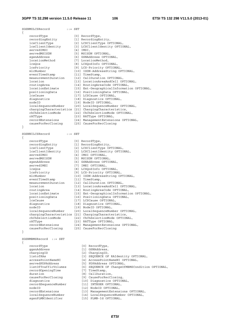## **3GPP TS 32.298 version 11.5.0 Release 11 106 ETSI TS 132 298 V11.5.0 (2013-01)**

| SGSNMOLCSRecord                       | $: :=$ SET                                                                   |
|---------------------------------------|------------------------------------------------------------------------------|
| $\{$<br>recordType                    | [0] RecordType,                                                              |
| recordingEntity                       | [1] RecordingEntity,                                                         |
| lcsClientType                         | [2] LCSClientType OPTIONAL,                                                  |
| lcsClientIdentity                     | [3] LCSClientIdentity OPTIONAL,                                              |
| servedIMSI                            | $[4]$ IMSI,                                                                  |
| servedMSISDN                          | [5] MSISDN OPTIONAL,                                                         |
| sqsnAddress<br>locationMethod         | [6] GSNAddress OPTIONAL,                                                     |
| lcs0os                                | [7] LocationMethod,<br>[8] LCSQOSInfo OPTIONAL,                              |
| lcsPriority                           | [9] LCS-Priority OPTIONAL,                                                   |
| mlcNumber                             | [10] ISDN-AddressString OPTIONAL,                                            |
| eventTimeStamp                        | [11] TimeStamp,                                                              |
| measurementDuration                   | [12] CallDuration OPTIONAL,                                                  |
| location                              | [13] LocationAreaAndCell OPTIONAL,                                           |
| routingArea<br>locationEstimate       | [14] RoutingAreaCode OPTIONAL,                                               |
| positioningData                       | [15] Ext-GeographicalInformation OPTIONAL,<br>[16] PositioningData OPTIONAL, |
| lcsCause                              | [17] LCSCause OPTIONAL,                                                      |
| diagnostics                           | [18] Diagnostics OPTIONAL,                                                   |
| nodeID                                | [19] NodeID OPTIONAL,                                                        |
| localSequenceNumber                   | [20] LocalSequenceNumber OPTIONAL,                                           |
|                                       | chargingCharacteristics [21] ChargingCharacteristics,                        |
| chChSelectionMode                     | [22] ChChSelectionMode OPTIONAL,                                             |
| rATType<br>recordExtensions           | [23] RATType OPTIONAL,<br>[24] ManagementExtensions OPTIONAL,                |
| causeForRecClosinq                    | [25] CauseForRecClosing                                                      |
| }                                     |                                                                              |
| SGSNNILCSRecord                       | $: :=$ SET                                                                   |
| $\{$                                  |                                                                              |
| recordType                            | [0] RecordType,                                                              |
| recordingEntity                       | [1] RecordingEntity,                                                         |
| lcsClientType<br>lcsClientIdentity    | [2] LCSClientType OPTIONAL,                                                  |
| servedIMSI                            | [3] LCSClientIdentity OPTIONAL,<br>[4] IMSI OPTIONAL,                        |
| servedMSISDN                          | [5] MSISDN OPTIONAL,                                                         |
| sqsnAddress                           | [6] GSNAddress OPTIONAL,                                                     |
| servedIMEI                            | [7] IMEI OPTIONAL,                                                           |
| lcsQos                                | [8] LCSQoSInfo OPTIONAL,                                                     |
| lcsPriority                           | [9] LCS-Priority OPTIONAL,                                                   |
| mlcNumber                             | [10] ISDN-AddressString OPTIONAL,                                            |
| eventTimeStamp<br>measurementDuration | [11] TimeStamp,<br>[12] CallDuration OPTIONAL,                               |
| location                              | [13] LocationAreaAndCell OPTIONAL,                                           |
| routingArea                           | [14] RoutingAreaCode OPTIONAL,                                               |
| locationEstimate                      | [15] Ext-GeographicalInformation OPTIONAL,                                   |
| positioningData                       | [16] PositioningData OPTIONAL,                                               |
| lcsCause                              | [17] LCSCause OPTIONAL,                                                      |
| diagnostics                           | [18] Diagnostics OPTIONAL,                                                   |
| nodeID<br>localSequenceNumber         | [19] NodeID OPTIONAL,<br>[20] LocalSequenceNumber OPTIONAL,                  |
|                                       | chargingCharacteristics [21] ChargingCharacteristics,                        |
| chChSelectionMode                     | [22] ChChSelectionMode OPTIONAL,                                             |
| rATType                               | [23] RATType OPTIONAL,                                                       |
| recordExtensions                      | [24] ManagementExtensions OPTIONAL,                                          |
| causeForRecClosing                    | [25] CauseForRecClosing                                                      |
| }                                     |                                                                              |
| SGSNMBMSRecord<br>$: :=$ SET          |                                                                              |
| $\{$                                  |                                                                              |
| recordType<br>ggsnAddress             | [0] RecordType,<br>[1] GSNAddress,                                           |
| chargingID                            | [2] ChargingID,                                                              |
| listofRAs                             | [3] SEQUENCE OF RAIdentity OPTIONAL,                                         |
| accessPointNameNI                     | [4] AccessPointNameNI OPTIONAL,                                              |
| servedPDPAddress                      | [5] PDPAddress OPTIONAL,                                                     |
| listOfTrafficVolumes                  | [6] SEQUENCE OF ChangeOfMBMSCondition OPTIONAL,                              |
| recordOpeningTime                     | [7] TimeStamp,                                                               |
| duration<br>causeForRecClosing        | [8] CallDuration,<br>[9] CauseForRecClosing,                                 |
| diagnostics                           | [10] Diagnostics OPTIONAL,                                                   |
| recordSequenceNumber                  | [11] INTEGER OPTIONAL,                                                       |
| nodeID                                | [12] NodeID OPTIONAL,                                                        |
| recordExtensions                      | [13] ManagementExtensions OPTIONAL,                                          |
| localSequenceNumber                   | [14] LocalSequenceNumber OPTIONAL,                                           |

sgsnPLMNIdentifier [15] PLMN-Id OPTIONAL,

*ETSI*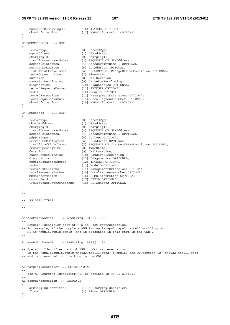```
numberofReceivingUE [16] INTEGER OPTIONAL,
   mbmsInformation [17] MBMSInformation OPTIONAL
} 
GGSNMBMSRecord ::= SET 
{ 
   recordType [0] RecordType,<br>qqsnAddress [1] GSNAddress.
                             respondent<br>[1] GSNAddress,
 chargingID [2] ChargingID, 
 listofDownstreamNodes [3] SEQUENCE OF GSNAddress, 
   accessPointNameNI [4] AccessPointNameNI OPTIONAL,<br>servedPDPAddress [5] PDPAddress OPTIONAL,
 servedPDPAddress [5] PDPAddress OPTIONAL, 
 listOfTrafficVolumes [6] SEQUENCE OF ChangeOfMBMSCondition OPTIONAL, 
   listOfTrafficVolumes<br>recordOpeningTime
duration [8] CallDuration,
 causeForRecClosing [9] CauseForRecClosing, 
 diagnostics [10] Diagnostics OPTIONAL, 
 recordSequenceNumber [11] INTEGER OPTIONAL, 
   nodeID [12] NodeID OPTIONAL,<br>recordExtensions [13] ManagementExtens
 recordExtensions [13] ManagementExtensions OPTIONAL, 
 localSequenceNumber [14] LocalSequenceNumber OPTIONAL, 
   mbmsInformation [15] MBMSInformation OPTIONAL
} 
GWMBMSRecord ::= SET 
{ 
   recordType [0] RecordType,
   mbmsGWAddress [1] GSNAddress,<br>chargingID [2] ChargingID,
   chargingID<br>listofDownstreamNodes
 listofDownstreamNodes [3] SEQUENCE OF GSNAddress, 
 accessPointNameNI [4] AccessPointNameNI OPTIONAL, 
 pdpPDNType [5] PDPType OPTIONAL, 
 servedPDPPDNAddress [6] PDPAddress OPTIONAL, 
 listOfTrafficVolumes [7] SEQUENCE OF ChangeOfMBMSCondition OPTIONAL, 
 recordOpeningTime [8] TimeStamp, 
duration [9] CallDuration,
 causeForRecClosing [10] CauseForRecClosing, 
 diagnostics [11] Diagnostics OPTIONAL, 
 recordSequenceNumber [12] INTEGER OPTIONAL, 
nodeID [13] NodeID OPTIONAL,
 recordExtensions [14] ManagementExtensions OPTIONAL, 
 localSequenceNumber [15] LocalSequenceNumber OPTIONAL, 
   mbmsInformation [15] BocalSequenceRuniber OFITCH<br>mbmsInformation [16] MBMSInformation OPTIONAL,
    commonTeid [17] CTEID OPTIONAL, 
    iPMulticastSourceAddress [18] PDPAddress OPTIONAL 
} 
-- 
-- 
-- PS DATA TYPES 
-- 
-- 
AccessPointNameNI ::= IA5String (SIZE(1..63)) 
-- 
-- Network Identifier part of APN in dot representation. 
-- For example, if the complete APN is 'apn1a.apn1b.apn1c.mnc022.mcc111.gprs' 
-- NI is 'apn1a.apn1b.apn1c' and is presented in this form in the CDR.. 
-- 
AccessPointNameOI ::= IA5String (SIZE(1..37)) 
-- 
-- Operator Identifier part of APN in dot representation. 
-- In the 'apn1a.apn1b.apn1c.mnc022.mcc111.gprs' example, the OI portion is 'mnc022.mcc111.gprs'
-- and is presented in this form in the CDR. 
-- 
AFChargingIdentifier ::= OCTET STRING 
-- 
-- see AF-Charging-Identifier AVP as defined in TS 29.214[221] 
-- 
AFRecordInformation ::= SEQUENCE 
{ 
    aFChargingIdentifier [1] AFChargingIdentifier, 
   flows [2] Flows OPTIONAL
}
```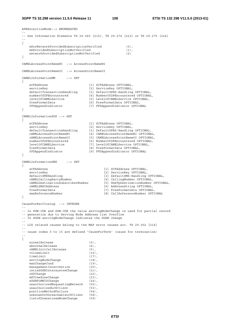```
3GPP TS 32.298 version 11.5.0 Release 11 108 ETSI TS 132 298 V11.5.0 (2013-01)
```

```
APNSelectionMode::= ENUMERATED 
-- 
-- See Information Elements TS 29.060 [215], TS 29.274 [223] or TS 29.275 [224] 
-- 
{ 
    mSorNetworkProvidedSubscriptionVerified (0), 
   mSProvidedSubscriptionNotVerified (1),
    networkProvidedSubscriptionNotVerified (2) 
} 
CAMELAccessPointNameNI ::= AccessPointNameNI 
CAMELAccessPointNameOI ::= AccessPointNameOI 
CAMELInformationMM ::= SET 
{ 
   sCFAddress [1] SCFAddress OPTIONAL,<br>serviceKey [2] ServiceKey OPTIONAL,
 serviceKey [2] ServiceKey OPTIONAL, 
 defaultTransactionHandling [3] DefaultGPRS-Handling OPTIONAL, 
 numberOfDPEncountered [4] NumberOfDPEncountered OPTIONAL, 
 levelOfCAMELService [5] LevelOfCAMELService OPTIONAL, 
    freeFormatData [6] FreeFormatData OPTIONAL, 
                               [7] FFDAppendIndicator OPTIONAL
} 
CAMELInformationPDP ::= SET 
{ 
   sCFAddress [1] SCFAddress OPTIONAL,<br>serviceKey [2] ServiceKey OPTIONAL,
 serviceKey [2] ServiceKey OPTIONAL, 
 defaultTransactionHandling [3] DefaultGPRS-Handling OPTIONAL, 
 cAMELAccessPointNameNI [4] CAMELAccessPointNameNI OPTIONAL, 
 cAMELAccessPointNameOI [5] CAMELAccessPointNameOI OPTIONAL, 
 numberOfDPEncountered [6] NumberOfDPEncountered OPTIONAL, 
 levelOfCAMELService [7] LevelOfCAMELService OPTIONAL, 
 freeFormatData [8] FreeFormatData OPTIONAL, 
    fFDAppendIndicator [9] FFDAppendIndicator OPTIONAL 
} 
CAMELInformationSMS ::= SET 
{ 
    sCFAddress [1] SCFAddress OPTIONAL, 
    serviceKey [2] ServiceKey OPTIONAL, 
                                      defaultSMS-Handling OPTIONAL,<br>[4] CallingNumber OPTIONAL,
   cAMELCallingPartyNumber
    cAMELDestinationSubscriberNumber [5] SmsTpDestinationNumber OPTIONAL, 
    cAMELSMSCAddress [6] AddressString OPTIONAL, 
    freeFormatData [7] FreeFormatData OPTIONAL, 
    smsReferenceNumber [8] CallReferenceNumber OPTIONAL 
} 
CauseForRecClosing ::= INTEGER 
-- 
-- In PGW-CDR and SGW-CDR the value servingNodeChange is used for partial record 
-- generation due to Serving Node Address list Overflow 
-- In SGSN servingNodeChange indicates the SGSN change 
-- 
-- LCS related causes belong to the MAP error causes acc. TS 29.002 [214] 
-- 
-- cause codes 0 to 15 are defined 'CauseForTerm' (cause for termination) 
-- 
{ 
   normalRelease (0),
   abnormalRelease (4),
    cAMELInitCallRelease (5), 
   volumeLimit (16),<br>timeLimit (17),
   timeLimit
   servingNodeChange (18),<br>
maxChangeCond (19),
   maxChangeCond<br>managementIntervention
managementIntervention (20),
 intraSGSNIntersystemChange (21), 
 rATChange (22), 
   mSTimeZoneChange (23),
   sGSNPLMNIDChange (24),
   unauthorizedRequestingNetwork (52),<br>unauthorizedLCSClient (53),
   unauthorizedLCSClient
   positionMethodFailure (54),<br>unknownOrUnreachableLCSClient (58),
   unknownOrUnreachableLCSClient
    listofDownstreamNodeChange (59)
```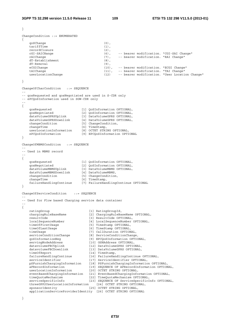```
} 
ChangeCondition ::= ENUMERATED 
{ 
    qoSChange (0), 
   tariffTime (1),<br>recordClosure (2),
   recordClosure (2),<br>
cGI-SAICHange (6),
                                                -- bearer modification. "CGI-SAI Change"
    rAIChange (7), -- bearer modification. "RAI Change" 
    dT-Establishment (8), 
   dT-Removal (9), eCGIChange (10), (10), (10) eCGIChange (10), -- bearer modification. "ECGI Change" 
 tAIChange (11), -- bearer modification. "TAI Change" 
   userLocationChange (12) -- bearer modification. "User Location Change"
} 
ChangeOfCharCondition ::= SEQUENCE 
-- 
-- qosRequested and qosNegotiated are used in S-CDR only 
-- ePCQoSInformation used in SGW-CDR only 
-- 
{ 
 qosRequested [1] QoSInformation OPTIONAL, 
 qosNegotiated [2] QoSInformation OPTIONAL, 
 dataVolumeGPRSUplink [3] DataVolumeGPRS OPTIONAL, 
 dataVolumeGPRSDownlink [4] DataVolumeGPRS OPTIONAL, 
 changeCondition [5] ChangeCondition, 
   changeCondition [5] ChangeCond<br>changeTime [6] TimeStamp,<br>userLocationInformation [8] OCTET STRI
 userLocationInformation [8] OCTET STRING OPTIONAL, 
 ePCQoSInformation [9] EPCQoSInformation OPTIONAL 
} 
ChangeOfMBMSCondition ::= SEQUENCE 
-- 
-- Used in MBMS record 
-- 
{ 
 qosRequested [1] QoSInformation OPTIONAL, 
 qosNegotiated [2] QoSInformation OPTIONAL, 
 dataVolumeMBMSUplink [3] DataVolumeMBMS OPTIONAL, 
 dataVolumeMBMSDownlink [4] DataVolumeMBMS, 
 changeCondition [5] ChangeCondition, 
changeTime [6] TimeStamp,
    failureHandlingContinue [7] FailureHandlingContinue OPTIONAL 
} 
ChangeOfServiceCondition ::= SEQUENCE 
-- 
-- Used for Flow based Charging service data container 
-- 
{ 
   ratingGroup<br>
chargingRuleBaseName (1) ChargingRuleBa<br>
[2] ChargingRuleBaseName
    chargingRuleBaseName [2] ChargingRuleBaseName OPTIONAL, 
   chargingRuleBaseName<br>
resultCode [3] ResultCode OPTIONAL,<br>
localSequenceNumber [4] LocalSequenceNumber (
                                 localSequenceNumber [4] LocalSequenceNumber OPTIONAL, 
    timeOfFirstUsage [5] TimeStamp OPTIONAL, 
   timeOfLastUsage [6] TimeStamp OPTIONAL,
 timeUsage [7] CallDuration OPTIONAL, 
 serviceConditionChange [8] ServiceConditionChange, 
 qoSInformationNeg [9] EPCQoSInformation OPTIONAL, 
 servingNodeAddress [10] GSNAddress OPTIONAL, 
 datavolumeFBCUplink [12] DataVolumeGPRS OPTIONAL, 
 datavolumeFBCDownlink [13] DataVolumeGPRS OPTIONAL, 
timeOfReport [14] TimeStamp,
 failureHandlingContinue [16] FailureHandlingContinue OPTIONAL, 
 serviceIdentifier [17] ServiceIdentifier OPTIONAL, 
 pSFurnishChargingInformation [18] PSFurnishChargingInformation OPTIONAL, 
 aFRecordInformation [19] SEQUENCE OF AFRecordInformation OPTIONAL, 
 userLocationInformation [20] OCTET STRING OPTIONAL, 
   eventBasedChargingInformation [21] EventBasedChargingInformation OPTIONAL,
   timeQuotaMechanism [22] Exemploymerical product timeQuotaMechanism OPTIONAL,<br>
[22] TimeQuotaMechanism OPTIONAL,<br>
serviceSposificTrf:
   serviceSpecificInfo [23] SEQUENCE OF ServiceSpecificInfo OPTIONAL,<br>threeGPP2UserLocationInformation [24] OCTET STRING OPTIONAL,
   threeGPP2UserLocationInformationsponsorIdentity [25] OCTET STRING OPTIONAL,
    applicationServiceProviderIdentity [26] OCTET STRING OPTIONAL
```
}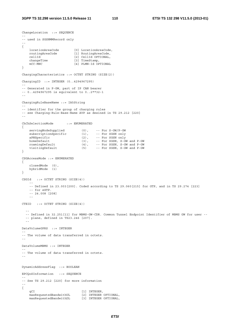ChangeLocation ::= SEQUENCE

```
-- 
-- used in SGSNMMRecord only 
-- 
{ 
 locationAreaCode [0] LocationAreaCode, 
 routingAreaCode [1] RoutingAreaCode, 
 cellId [2] CellId OPTIONAL, 
   cellId<sup>-</sup> [2] CellId<sup>-</sup>OPTIONAL,<br>
changeTime [3] TimeStamp,
    mCC-MNC [4] PLMN-Id OPTIONAL 
} 
ChargingCharacteristics ::= OCTET STRING (SIZE(2)) 
ChargingID ::= INTEGER (0..4294967295) 
-- 
-- Generated in P-GW, part of IP CAN bearer 
-- 0..4294967295 is equivalent to 0..2**32-1 
-- 
ChargingRuleBaseName ::= IA5String 
-- 
-- identifier for the group of charging rules 
-- see Charging-Rule-Base-Name AVP as desined in TS 29.212 [220] 
-- 
ChChSelectionMode ::= ENUMERATED 
{ 
    servingNodeSupplied (0), -- For S-GW/P-GW<br>subscriptionSpecific (1), -- For SGSN only
   servingNodeSupplied (0),<br>subscriptionSpecific (1),<br>aPNSpecific (2),
 aPNSpecific (2), -- For SGSN only 
 homeDefault (3), -- For SGSN, S-GW and P-GW 
 roamingDefault (4), -- For SGSN, S-GW and P-GW 
 visitingDefault (5) -- For SGSN, S-GW and P-GW 
} 
CSGAccessMode ::= ENUMERATED 
{ 
 closedMode (0), 
 hybridMode (1) 
} 
CSGId ::= OCTET STRING (SIZE(4)) 
 -- 
     -- Defined in 23.003[200]. Coded according to TS 29.060[215] for GTP, and in TS 29.274 [223] 
     -- for eGTP. 
     -- 24.008 [208] 
 -- 
CTEID ::= OCTET STRING (SIZE(4)) 
 -- 
   -- Defined in 32.251[11] for MBMS-GW-CDR. Common Tunnel Endpoint Identifier of MBMS GW for user -- 
   -- plane, defined in TS23.246 [207]. 
- - -DataVolumeGPRS ::= INTEGER 
-- 
-- The volume of data transferred in octets. 
-- 
DataVolumeMBMS ::= INTEGER 
-- 
-- The volume of data transferred in octets. 
-- 
DynamicAddressFlag ::= BOOLEAN 
EPCQoSInformation ::= SEQUENCE 
-- 
-- See TS 29.212 [220] for more information 
-- 
{ 
qCI [1] INTEGER,
 maxRequestedBandwithUL [2] INTEGER OPTIONAL, 
 maxRequestedBandwithDL [3] INTEGER OPTIONAL,
```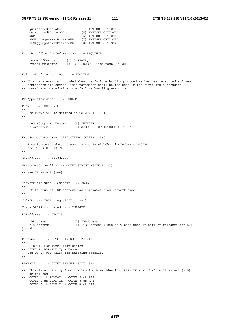```
 guaranteedBitrateUL [4] INTEGER OPTIONAL, 
 guaranteedBitrateDL [5] INTEGER OPTIONAL, 
   guaranteedBitrateDL [5] INTEGER OPTIONAL,<br>aRP [6] INTEGER OPTIONAL,
 aPNAggregateMaxBitrateUL [7] INTEGER OPTIONAL, 
 aPNAggregateMaxBitrateDL [8] INTEGER OPTIONAL 
} 
EventBasedChargingInformation ::= SEQUENCE 
{ 
 numberOfEvents [1] INTEGER, 
 eventTimeStamps [2] SEQUENCE OF TimeStamp OPTIONAL 
} 
FailureHandlingContinue ::= BOOLEAN 
-- 
-- This parameter is included when the failure handling procedure has been executed and new 
-- containers are opened. This parameter shall be included in the first and subsequent 
-- containers opened after the failure handling execution. 
-- 
FFDAppendIndicator ::= BOOLEAN 
Flows ::= SEQUENCE 
-- 
-- See Flows AVP as defined in TS 29.214 [221] 
-- 
{ 
 mediaComponentNumber [1] INTEGER, 
 flowNumber [2] SEQUENCE OF INTEGER OPTIONAL 
} 
FreeFormatData ::= OCTET STRING (SIZE(1..160)) 
-- 
-- Free formatted data as sent in the FurnishChargingInformationGPRS 
-- see TS 29.078 [217] 
-- 
GSNAddress ::= IPAddress 
MSNetworkCapability ::= OCTET STRING (SIZE(1..8)) 
-- 
-- see TS 24.008 [208] 
-- 
NetworkInitiatedPDPContext ::= BOOLEAN 
-- 
-- Set to true if PDP context was initiated from network side 
-- 
NodeID ::= IA5String (SIZE(1..20)) 
NumberOfDPEncountered ::= INTEGER 
PDPAddress ::= CHOICE 
{ 
 iPAddress [0] IPAddress 
                           [1] ETSIAddress : has only been used in earlier releases for X.121
format 
} 
PDPType ::= OCTET STRING (SIZE(2)) 
-- 
-- OCTET 1: PDP Type Organization 
-- OCTET 2: PDP/PDN Type Number 
-- See TS 29.060 [215] for encoding details.
-- 
PLMN-Id ::= OCTET STRING (SIZE (3)) 
-- 
-- This is a 1:1 copy from the Routing Area Identity (RAI) IE specified in TS 29.060 [215] 
-- as follows: 
-- OCTET 1 of PLMN-Id = OCTET 2 of RAI 
-- OCTET 2 of PLMN-Id = OCTET 3 of RAI 
-- OCTET 3 of PLMN-Id = OCTET 4 of RAI 
--
```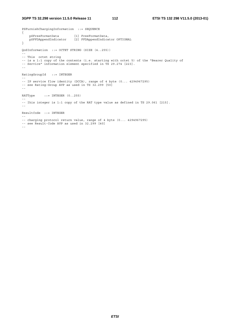# **3GPP TS 32.298 version 11.5.0 Release 11 112 ETSI TS 132 298 V11.5.0 (2013-01)**

```
PSFurnishChargingInformation ::= SEQUENCE 
{ 
 pSFreeFormatData [1] FreeFormatData, 
 pSFFDAppendIndicator [2] FFDAppendIndicator OPTIONAL 
} 
QoSInformation ::= OCTET STRING (SIZE (4..255)) 
-- 
-- This octet string 
-- is a 1:1 copy of the contents (i.e. starting with octet 5) of the "Bearer Quality of 
-- Service" information element specified in TS 29.274 [223].
-- 
RatingGroupId ::= INTEGER 
-- 
-- IP service flow identity (DCCA), range of 4 byte (0... 4294967295) 
-- see Rating-Group AVP as used in TS 32.299 [50] 
-- 
RATType ::= INTEGER (0..255)-- 
-- Ihis integer is 1:1 copy of the RAT type value as defined in TS 29.061 [215]. 
-- 
ResultCode ::= INTEGER 
-- 
-- charging protocol return value, range of 4 byte (0... 4294967295) 
-- see Result-Code AVP as used in 32.299 [40] 
--
```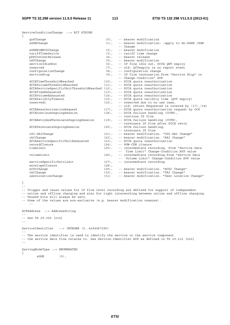ServiceConditionChange ::= BIT STRING

| $\{$                                                                                           |                                                                                    |  |                                                                                                     |  |
|------------------------------------------------------------------------------------------------|------------------------------------------------------------------------------------|--|-----------------------------------------------------------------------------------------------------|--|
| qoSChanqe                                                                                      | $(0)$ ,                                                                            |  | -- bearer modification                                                                              |  |
| sGSNChange                                                                                     | $(1)$ ,                                                                            |  | -- bearer modification: : apply to Gn-SGSN /SGW                                                     |  |
|                                                                                                |                                                                                    |  | -- Change                                                                                           |  |
| sGSNPLMNIDChange                                                                               | $(2)$ ,                                                                            |  | -- bearer modification                                                                              |  |
| tariffTimeSwitch                                                                               | $(3)$ ,                                                                            |  | -- tariff time change                                                                               |  |
| pDPContextRelease                                                                              | $(4)$ ,                                                                            |  | -- bearer release                                                                                   |  |
| rATChange                                                                                      | $(5)$ ,                                                                            |  | -- bearer modification                                                                              |  |
| serviceIdledOut                                                                                | $(6)$ ,                                                                            |  | -- IP flow idle out, DCCA QHT expiry                                                                |  |
| reserved                                                                                       | $(7)$ ,                                                                            |  | -- old: QCTexpiry is no report event                                                                |  |
| configurationChange                                                                            | $(8)$ ,                                                                            |  | -- configuration change                                                                             |  |
| serviceStop                                                                                    | $(9)$ ,                                                                            |  | -- IP flow termination. From "Service Stop" in                                                      |  |
|                                                                                                |                                                                                    |  | -- Change-Condition" AVP                                                                            |  |
| dCCATimeThresholdReached                                                                       | $(10)$ ,                                                                           |  | -- DCCA quota reauthorization                                                                       |  |
| dCCAVolumeThresholdReached                                                                     | $(11)$ ,                                                                           |  | -- DCCA quota reauthorization                                                                       |  |
| dCCAServiceSpecificUnitThresholdReached (12),                                                  |                                                                                    |  | -- DCCA quota reauthorization                                                                       |  |
| dCCATimeExhausted                                                                              | $(13)$ ,                                                                           |  | -- DCCA quota reauthorization                                                                       |  |
| dCCAVolumeExhausted                                                                            | $(14)$ ,                                                                           |  | -- DCCA quota reauthorization                                                                       |  |
| dCCAValidityTimeout                                                                            | $(15)$ ,                                                                           |  | -- DCCA quota validity time (QVT expiry)                                                            |  |
| reserved1                                                                                      | $(16)$ ,                                                                           |  | -- reserved due to no use case,                                                                     |  |
|                                                                                                |                                                                                    |  | -- old: return Requested is covered by (17), (18)                                                   |  |
| dCCAReauthorisationRequest                                                                     | $(17)$ ,                                                                           |  | -- DCCA quota reauthorization request by OCS                                                        |  |
| dCCAContinueOngoingSession                                                                     | $(18)$ ,                                                                           |  | -- DCCA failure handling (CCFH),                                                                    |  |
|                                                                                                |                                                                                    |  | -- continue IP flow                                                                                 |  |
| dCCARetryAndTerminateOngoingSession                                                            | $(19)$ ,                                                                           |  | -- DCCA failure handling (CCFH),                                                                    |  |
|                                                                                                |                                                                                    |  | -- terminate IP flow after DCCA retry                                                               |  |
| dCCATerminateOngoingSession                                                                    | $(20)$ ,                                                                           |  | -- DCCA failure handling,                                                                           |  |
|                                                                                                |                                                                                    |  | -- terminate IP flow                                                                                |  |
| cGI-SAIChange                                                                                  | $(21)$ ,                                                                           |  | -- bearer modification. "CGI-SAI Change"                                                            |  |
| rAIChange                                                                                      | $(22)$ ,                                                                           |  | -- bearer modification. "RAI Change"                                                                |  |
| dCCAServiceSpecificUnitExhausted                                                               | $(23)$ ,                                                                           |  | -- DCCA quota reauthorization                                                                       |  |
| recordClosure                                                                                  | $(24)$ ,                                                                           |  | -- PGW-CDR closure                                                                                  |  |
| timeLimit                                                                                      | $(25)$ ,                                                                           |  | -- intermediate recording. From "Service Data                                                       |  |
|                                                                                                |                                                                                    |  | -- Time Limit" Change-Condition AVP value                                                           |  |
| volumeLimit                                                                                    | $(26)$ ,                                                                           |  | -- intermediate recording. From "Service Data                                                       |  |
|                                                                                                |                                                                                    |  | -- Volume Limit" Change-Condition AVP value                                                         |  |
|                                                                                                |                                                                                    |  | -- intermediate recording                                                                           |  |
| serviceSpecificUnitLimit<br>envelopeClosure                                                    | $(27)$ ,<br>$(28)$ ,                                                               |  |                                                                                                     |  |
| eCGIChange                                                                                     | $(29)$ ,                                                                           |  | -- bearer modification. "ECGI Change"                                                               |  |
|                                                                                                |                                                                                    |  |                                                                                                     |  |
| tAIChange                                                                                      | $(30)$ ,                                                                           |  | -- bearer modification. "TAI Change"                                                                |  |
| userLocationChange                                                                             | (31)                                                                               |  | -- bearer modification. "User Location Change"                                                      |  |
|                                                                                                |                                                                                    |  |                                                                                                     |  |
| $\}$                                                                                           |                                                                                    |  |                                                                                                     |  |
|                                                                                                |                                                                                    |  |                                                                                                     |  |
| -- Trigger and cause values for IP flow level recording are defined for support of independent |                                                                                    |  |                                                                                                     |  |
|                                                                                                |                                                                                    |  | -- online and offline charging and also for tight interworking between online and offline charging. |  |
| -- Unused bits will always be zero.                                                            |                                                                                    |  |                                                                                                     |  |
| -- Some of the values are non-exclusive (e.g. bearer modification reasons).                    |                                                                                    |  |                                                                                                     |  |
| $=$ $-$                                                                                        |                                                                                    |  |                                                                                                     |  |
|                                                                                                |                                                                                    |  |                                                                                                     |  |
| SCFAddress ::= AddressString                                                                   |                                                                                    |  |                                                                                                     |  |
|                                                                                                |                                                                                    |  |                                                                                                     |  |
| -- See TS 29.002 [214]                                                                         |                                                                                    |  |                                                                                                     |  |
| $ -$                                                                                           |                                                                                    |  |                                                                                                     |  |
|                                                                                                |                                                                                    |  |                                                                                                     |  |
| ServiceIdentifier<br>$::=$ INTEGER $(04294967295)$                                             |                                                                                    |  |                                                                                                     |  |
|                                                                                                |                                                                                    |  |                                                                                                     |  |
|                                                                                                | -- The service identifier is used to identify the service or the service component |  |                                                                                                     |  |
| -- the service data flow relates to. See Service-Identifier AVP as defined in TS 29.212 [220]  |                                                                                    |  |                                                                                                     |  |
|                                                                                                |                                                                                    |  |                                                                                                     |  |
|                                                                                                |                                                                                    |  |                                                                                                     |  |
| ServingNodeType ::= ENUMERATED                                                                 |                                                                                    |  |                                                                                                     |  |
|                                                                                                |                                                                                    |  |                                                                                                     |  |

 $SGSN$  (0),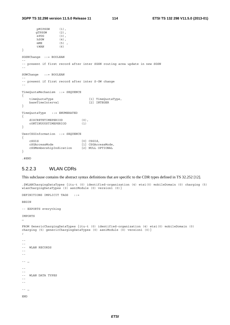```
pMIPSGW (1), 
       gTPSGW (2),<br>ePDG (3),
                   (3),
       hSGW (4),
       mME (5),<br>tWAN (6)
       tWAN
} 
SGSNChange ::= BOOLEAN 
-- 
-- present if first record after inter SGSN routing area update in new SGSN 
-- 
SGWChange ::= BOOLEAN 
-- 
-- present if first record after inter S-GW change 
-- 
TimeQuotaMechanism ::= SEQUENCE 
{ 
    timeQuotaType [1] TimeQuotaType, 
    baseTimeInterval [2] INTEGER 
} 
TimeQuotaType ::= ENUMERATED 
{ 
   dISCRETETIMEPERIOD (0),<br>cONTINUOUSTIMEPERIOD (1)
    cONTINUOUSTIMEPERIOD (1) 
} 
UserCSGInformation ::= SEQUENCE 
{ 
    cSGId [0] CSGId, 
    cSGAccessMode [1] CSGAccessMode, 
    cSGMembershipIndication [2] NULL OPTIONAL 
} 
.#END
```
# 5.2.2.3 WLAN CDRs

This subclause contains the abstract syntax definitions that are specific to the CDR types defined in TS 32.252 [12].

```
.$WLANChargingDataTypes {itu-t (0) identified-organization (4) etsi(0) mobileDomain (0) charging (5) 
whatever you are the property of the contract of the what charging DataTypes (3) asn1Module (0) version1 (0) }
DEFINITIONS IMPLICIT TAGS ::= 
BEGIN 
-- EXPORTS everything 
IMPORTS
… 
FROM GenericChargingDataTypes {itu-t (0) identified-organization (4) etsi(0) mobileDomain (0) 
charging (5) genericChargingDataTypes (0) asn1Module (0) version1 (0)} 
; 
-- 
-- 
-- WLAN RECORDS 
-- 
--- … 
-- 
-- 
-- WLAN DATA TYPES 
-- 
--- … 
END
```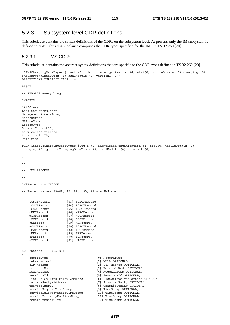# 5.2.3 Subsystem level CDR definitions

This subclause contains the syntax definitions of the CDRs on the subsystem level. At present, only the IM subsystem is defined in 3GPP, thus this subclause comprises the CDR types specified for the IMS in TS 32.260 [20].

# 5.2.3.1 IMS CDRs

This subclause contains the abstract syntax definitions that are specific to the CDR types defined in TS 32.260 [20].

```
.$IMSChargingDataTypes {itu-t (0) identified-organization (4) etsi(0) mobileDomain (0) charging (5) 
imsChargingDataTypes (4) asn1Module (0) version1 (0)} 
DEFINITIONS IMPLICIT TAGS ::=
```
BEGIN

-- EXPORTS everything

IMPORTS

```
IPAddress, 
LocalSequenceNumber, 
ManagementExtensions, 
NodeAddress, 
MSTimeZone, 
RecordType, 
ServiceContextID, 
ServiceSpecificInfo, 
SubscriptionID, 
TimeStamp 
FROM GenericChargingDataTypes {itu-t (0) identified-organization (4) etsi(0) mobileDomain (0) 
charging (5) genericChargingDataTypes (0) asn1Module (0) version1 (0)} 
; 
-- 
-- 
-- IMS RECORDS 
--- 
IMSRecord ::= CHOICE 
-- 
-- Record values 63-69, 82, 89, ,90, 91 are IMS specific 
-- 
{ 
    sCSCFRecord [63] SCSCFRecord,<br>pCSCFRecord [64] PCSCFRecord,
    pCSCFRecord [64] PCSCFRecord,<br>iCSCFRecord [65] ICSCFRecord,
                        [65] ICSCFRecord,
    mRFCRecord [66] MRFCRecord,
    mGCFRecord [67] MGCFRecord,
    bGCFRecord [68] BGCFRecord,<br>aSRecord [69] ASRecord,
    aSRecord [69] ASRecord,<br>eCSCFRecord [70] ECSCFReco
    eCSCFRecord [70] ECSCFRecord,<br>iBCFRecord [82] IBCFRecord,
                        [82] IBCFRecord,
     tRFRecord [89] TRFRecord, 
     tFRecord [90] TFRecord, 
     aTCFRecord [91] aTCFRecord 
} 
SCSCFRecord ::= SET 
{ 
     recordType [0] RecordType, 
     retransmission [1] NULL OPTIONAL, 
    sIP-Method [2] SIP-Method OPTIONAL.
     role-of-Node [3] Role-of-Node OPTIONAL, 
    nodeAddress [4] NodeAddress OPTIONAL,
    session-Id [5] Session-Id OPTIONAL,
     list-Of-Calling-Party-Address [6] ListOfInvolvedParties OPTIONAL, 
     called-Party-Address [7] InvolvedParty OPTIONAL, 
    privateUserID [8] GraphicString OPTIONAL,<br>serviceRequestTimeStamp [9] TimeStamp OPTIONAL,
    serviceRequestTimeStamp [9] TimeStamp OPTIONAL,<br>serviceDeliveryStartTimeStamp [10] TimeStamp OPTIONAL,
    serviceDeliveryStartTimeStamp [10] TimeStamp OPTIONAL,<br>serviceDeliveryEndTimeStamp [11] TimeStamp OPTIONAL,
    serviceDeliveryEndTimeStamp
     recordOpeningTime [12] TimeStamp OPTIONAL,
```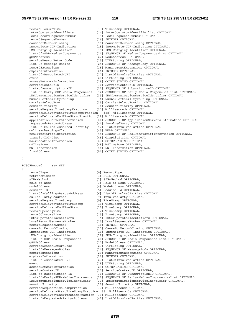}

{

```
recordClosureTime [13] TimeStamp OPTIONAL,
     interOperatorIdentifiers [14] InterOperatorIdentifierlist OPTIONAL, 
     localRecordSequenceNumber [15] LocalSequenceNumber OPTIONAL, 
     recordSequenceNumber [16] INTEGER OPTIONAL, 
    causeForRecordClosing [17] CauseForRecordClosing OPTIONAL,<br>incomplete-CDR-Indication [18] Incomplete-CDR-Indication OPTIC
    incomplete-CDR-Indication [18] Incomplete-CDR-Indication OPTIONAL,<br>iMS-Charging-Identifier [19] IMS-Charging-Identifier OPTIONAL,
    iMS-Charging-Identifier [19] IMS-Charging-Identifier OPTIONAL,<br>list-Of-SDP-Media-Components [21] SEQUENCE OF Media-Components-List
     list-Of-SDP-Media-Components [21] SEQUENCE OF Media-Components-List OPTIONAL, 
                                         [22] NodeAddress OPTIONAL,
    serviceReasonReturnCode [23] UTF8String OPTIONAL,
     list-Of-Message-Bodies [24] SEQUENCE OF MessageBody OPTIONAL, 
     recordExtensions [25] ManagementExtensions OPTIONAL, 
    expiresInformation [26] INTEGER OPTIONAL,
     list-Of-Associated-URI [27] ListOfInvolvedParties OPTIONAL, 
    event<br>
event [28] UTF8String OPTIONAL,<br>
accessNetworkInformation [29] OCTET STRING OPTIONA
                                          [29] OCTET STRING OPTIONAL,
    serviceContextID [30] ServiceContextID OPTIONAL,
     list-of-subscription-ID [31] SEQUENCE OF SubscriptionID OPTIONAL, 
     list-Of-Early-SDP-Media-Components [32] SEQUENCE OF Early-Media-Components-List OPTIONAL, 
 iMSCommunicationServiceIdentifier [33] IMSCommunicationServiceIdentifier OPTIONAL, 
 numberPortabilityRouting [34] NumberPortabilityRouting OPTIONAL, 
     carrierSelectRouting [35] CarrierSelectRouting OPTIONAL, 
     sessionPriority [36] SessionPriority OPTIONAL, 
    serviceRequestTimeStampFraction [37] Milliseconds OPTIONAL,<br>serviceDeliveryStartTimeStampFraction [38] Milliseconds OPTIONAL,
    serviceDeliveryStartTimeStampFraction
     serviceDeliveryEndTimeStampFraction [39] Milliseconds OPTIONAL, 
    applicationServersInformation [40] SEQUENCE OF ApplicationServersInformation OPTIONAL,<br>requested-Party-Address [41] InvolvedParty OPTIONAL,
                                          [41] InvolvedParty OPTIONAL,
     list-Of-Called-Asserted-Identity [42] ListOfInvolvedParties OPTIONAL, 
    online-charging-flag [43] NULL OPTIONAL,
    realTimeTariffInformation [44] SEQUENCE OF RealTimeTariffInformation OPTIONAL,<br>transit-IOI-List [45] GraphicString OPTIONAL,
    transit-IOI-List [45] GraphicString OPTIONAL,<br>userLocationInformation [47] OCTRT STRING OPTIONAL,
                                         [47] OCTET STRING OPTIONAL,
   mSTimeZone [48] MSTimeZone OPTIONAL,
     nNI-Information [46] NNI-Information OPTIONAL, 
     fromAddress [51] OCTET STRING OPTIONAL 
PCSCFRecord ::= SET 
    recordType [0] RecordType,<br>retransmission [1] NULL OPTION
    retransmission [1] NULL OPTIONAL,<br>sTP-Method [2] STP-Method OPT
                                          [2] SIP-Method OPTIONAL,
     role-of-Node [3] Role-of-Node OPTIONAL, 
    nodeAddress [4] NodeAddress OPTIONAL,
    session-Id
[5] Session-Id
OPTIONAL,
     list-Of-Calling-Party-Address [6] ListOfInvolvedParties OPTIONAL, 
    called-Party-Address [7] InvolvedParty OPTIONAL,<br>serviceRequestTimeStamp [9] TimeStamp OPTIONAL,
    serviceRequestTimeStamp [9] TimeStamp OPTIONAL,<br>serviceDeliveryStartTimeStamp [10] TimeStamp OPTIONAL,<br>serviceDeliveryEndTimeStamp [11] TimeStamp OPTIONAL,
    serviceDeliveryStartTimeStamp
    serviceDeliveryEndTimeStamp
    recordOpeningTime [12] TimeStamp OPTIONAL,<br>recordClosureTime [13] TimeStamp OPTIONAL,
    recordClosureTime [13] TimeStamp OPTIONAL,<br>interOperatorIdentifiers [14] InterOperatorIdenti
    interOperatorIdentifiers [14] InterOperatorIdentifiers OPTIONAL,<br>
localRecordSequenceNumber [15] LocalSequenceNumber OPTIONAL,
                                          localRecordSequenceNumber [15] LocalSequenceNumber OPTIONAL, 
     recordSequenceNumber [16] INTEGER OPTIONAL, 
                                         [17] CauseForRecordClosing OPTIONAL,
     incomplete-CDR-Indication [18] Incomplete-CDR-Indication OPTIONAL, 
    iMS-Charging-Identifier [19] IMS-Charging-Identifier OPTIONAL,
     list-Of-SDP-Media-Components [21] SEQUENCE OF Media-Components-List OPTIONAL, 
                                          [22] NodeAddress OPTIONAL,
     serviceReasonReturnCode [23] UTF8String OPTIONAL, 
                                          [24] SEQUENCE OF MessageBody OPTIONAL,
     recordExtensions [25] ManagementExtensions OPTIONAL, 
    expiresInformation [26] INTEGER OPTIONAL,<br>list-Of-Associated-URI [27] ListOfInvolvedPar
     list-Of-Associated-URI [27] ListOfInvolvedParties OPTIONAL, 
                                         [28] UTF8String OPTIONAL,
     accessNetworkInformation [29] OCTET STRING OPTIONAL, 
     serviceContextID [30] ServiceContextID OPTIONAL, 
     list-of-subscription-ID [31] SEQUENCE OF SubscriptionID OPTIONAL, 
 list-Of-Early-SDP-Media-Components [32] SEQUENCE OF Early-Media-Components-List OPTIONAL, 
 iMSCommunicationServiceIdentifier [33] IMSCommunicationServiceIdentifier OPTIONAL,
    sessionPriority [36] SessionPriority OPTIONAL,
     serviceRequestTimeStampFraction [37] Milliseconds OPTIONAL, 
     serviceDeliveryStartTimeStampFraction [38] Milliseconds OPTIONAL, 
     serviceDeliveryEndTimeStampFraction [39] Milliseconds OPTIONAL, 
     list-of-Requested-Party-Address [41] ListOfInvolvedParties OPTIONAL,
```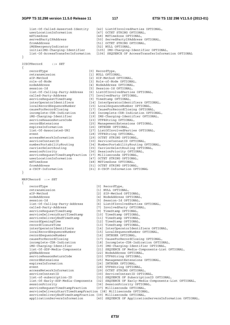### **3GPP TS 32.298 version 11.5.0 Release 11 117 ETSI TS 132 298 V11.5.0 (2013-01)**

 list-Of-Called-Asserted-Identity [42] ListOfInvolvedParties OPTIONAL, userLocationInformation mSTimeZone [48] MSTimeZone OPTIONAL, servedPartyIPAddress [50] ServedPartyIPAddress OPTIONAL, fromAddress [51] OCTET STRING OPTIONAL, iMSEmergencyIndicator [52] NULL OPTIONAL, initialIMS-Charging-Identifier [105] IMS-Charging-Identifier OPTIONAL, list-Of-AccessTransferInformation [106] SEQUENCE OF AccessTransferInformation OPTIONAL } ICSCFRecord ::= SET { recordType [0] RecordType, retransmission [1] NULL OPTIONAL, sIP-Method [2] SIP-Method OPTIONAL,<br>role-of-Node [3] Role-of-Node OPTIONA [3] Role-of-Node OPTIONAL, nodeAddress [4] NodeAddress OPTIONAL, session-Id<br>list-Of-Calling-Party-Address [6] ListOfInvolvedParties OPTIONAL, list-Of-Calling-Party-Address [6] ListOfInvolvedParties OPTIONAL, called-Party-Address [7] InvolvedParty OPTIONAL, serviceRequestTimeStamp [9] TimeStamp OPTIONAL, interOperatorIdentifiers [14] InterOperatorIdentifiers OPTIONAL, localRecordSequenceNumber [15] LocalSequenceNumber OPTIONAL, causeForRecordClosing [17] CauseForRecordClosing OPTIONAL, incomplete-CDR-Indication [18] Incomplete-CDR-Indication OPTIONAL, iMS-Charging-Identifier [19] IMS-Charging-Identifier OPTIONAL, serviceReasonReturnCode [23] UTF8String OPTIONAL, recordExtensions [25] ManagementExtensions OPTIONAL, expiresInformation [26] INTEGER OPTIONAL, list-Of-Associated-URI [27] ListOfInvolvedParties OPTIONAL, event [28] UTF8String OPTIONAL, accessNetworkInformation [29] OCTET STRING OPTIONAL, serviceContextID [30] ServiceContextID OPTIONAL, numberPortabilityRouting [34] NumberPortabilityRouting OPTIONAL, carrierSelectRouting [35] CarrierSelectRouting OPTIONAL, sessionPriority [36] SessionPriority OPTIONAL, serviceRequestTimeStampFraction [37] Milliseconds OPTIONAL, userLocationInformation [47] OCTET STRING OPTIONAL, mSTimeZone [48] MSTimeZone OPTIONAL, fromAddress [51] OCTET STRING OPTIONAL,<br>s-CSCF-Information [61] S-CSCF-Information OPT [61] S-CSCF-Information OPTIONAL } MRFCRecord ::= SET { recordType [0] RecordType, retransmission [1] NULL OPTIONAL, sIP-Method [2] SIP-Method OPTIONAL, nodeAddress [4] NodeAddress OPTIONAL, session-Id<br>
list-Of-Calling-Party-Address [5] Session-Id OPTIONAL,<br>
[6] ListOfInvolvedPartie list-Of-Calling-Calling-Calling-Calling-Calling-Calling-Calling-Calling-Calling-Calling-Calling-Calling-Calling-<br>[7] InvolvedParty OPTIONAL, called-Party-Address serviceRequestTimeStamp [9] TimeStamp OPTIONAL,<br>serviceDeliveryStartTimeStamp [10] TimeStamp OPTIONAL,<br>serviceDeliveryEndTimeStamp [11] TimeStamp OPTIONAL, serviceDeliveryStartTimeStamp [10] TimeStamp OPTIONAL, serviceDeliveryEndTimeStamp [11] TimeStamp OPTIONAL, recordOpeningTime [12] TimeStamp OPTIONAL, recordClosureTime [13] TimeStamp OPTIONAL,<br>interOperatorIdentifiers [14] InterOperatorIdenti interOperatorIdentifiers [14] InterOperatorIdentifiers OPTIONAL, localRecordSequenceNumber [15] LocalSequenceNumber OPTIONAL, recordSequenceNumber [16] INTEGER OPTIONAL, causeForRecordClosing [17] CauseForRecordClosing OPTIONAL, incomplete-CDR-Indication [18] Incomplete-CDR-Indication OPTIONAL, incomplete-CDR-Indication [18] Incomplete-CDR-Indication OPTIONA<br>
iMS-Charging-Identifier [19] IMS-Charging-Identifier OPTIONAL,<br>
list-Of-SDP-Media-Components [21] SEQUENCE OF Media-Components-List list-Of-SDP-Media-Components [21] SEQUENCE OF Media-Components-List OPTIONAL, .<br>[22] NodeAddress OPTIONAL, serviceReasonReturnCode [23] UTF8String OPTIONAL,<br>recordExtensions [25] ManaqementExtensions recordExtensions [25] ManagementExtensions OPTIONAL, [26] INTEGER OPTIONAL, event [28] UTF8String OPTIONAL, accessNetworkInformation [29] OCTET STRING OPTIONAL, serviceContextID [30] ServiceContextID OPTIONAL, list-of-subscription-ID [31] SEQUENCE OF SubscriptionID OPTIONAL, list-Of-Early-SDP-Media-Components [32] SEQUENCE OF Early-Media-Components-List OPTIONAL, sessionPriority [36] SessionPriority OPTIONAL, serviceRequestTimeStampFraction [37] Milliseconds OPTIONAL, serviceDeliveryStartTimeStampFraction [38] Milliseconds OPTIONAL, serviceDeliveryEndTimeStampFraction [39] Milliseconds OPTIONAL, applicationServersInformation [40] SEQUENCE OF ApplicationServersInformation OPTIONAL,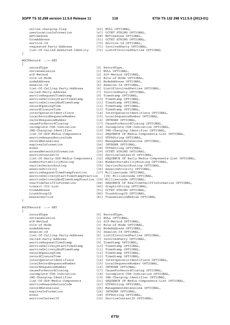online-charging-flag [43] NULL OPTIONAL, userLocationInformation [47] OCTET STRING OPTIONAL,<br>mSTimeZone [48] MSTimeZone OPTIONAL, [48] MSTimeZone OPTIONAL, fromAddress [51] OCTET STRING OPTIONAL, service-Id<br>
requested-Party-Address [71] InvolvedParty OPTION<br>
[71] InvolvedParty OPTION [71] InvolvedParty OPTIONAL, list-Of-Called-Asserted-Identity [72] ListOfInvolvedParties OPTIONAL } MGCFRecord ::= SET { recordType [0] RecordType, retransmission [1] NULL OPTIONAL, sIP-Method [2] SIP-Method OPTIONAL, role-of-Node [3] Role-of-Node OPTIONAL, [4] NodeAddress OPTIONAL, session-Id [5] Session-Id OPTIONAL, list-Of-Calling-Party-Address [6] ListOfInvolvedParties OPTIONAL, called-Party-Address [7] InvolvedParty OPTIONAL,<br>serviceRequestTimeStamp [9] TimeStamp OPTIONAL, serviceRequestTimeStamp [9] TimeStamp OPTIONAL, serviceDeliveryStartTimeStamp [10] TimeStamp OPTIONAL, serviceDeliveryEndTimeStamp [11] TimeStamp OPTIONAL, recordOpeningTime [12] TimeStamp OPTIONAL, recordOpeningTime [12] TimeStamp OPTIONAL,<br>recordClosureTime [13] TimeStamp OPTIONAL,<br>interOperatorIdentifiers [14] InterOperatorIdenti interOperatorIdentifiers [14] InterOperatorIdentifiers OPTIONAL, localRecordSequenceNumber [15] LocalSequenceNumber OPTIONAL, recordSequenceNumber [16] INTEGER OPTIONAL, causeForRecordClosing [17] CauseForRecordClosing OPTIONAL, incomplete-CDR-Indication [18] Incomplete-CDR-Indication OPTIONAL, iMS-Charging-Identifier [19] IMS-Charging-Identifier OPTIONAL, list-Of-SDP-Media-Components [21] SEQUENCE OF Media-Components-List OPTIONAL, serviceReasonReturnCode [21] SEQUENCE OF Media-ConserviceReasonReturnCode [23] UTF8String OPTIONAL,<br>serviceReasonReturnCode [23] UTF8String OPTIONAL,<br>recordExtensions [25] ManagementExtensions [25] ManagementExtensions OPTIONAL, expiresInformation [26] INTEGER OPTIONAL, event [28] UTF8String OPTIONAL, accessNetworkInformation [29] OCTET STRING OPTIONAL, serviceContextID [30] ServiceContextID OPTIONAL, list-Of-Early-SDP-Media-Components [32] SEQUENCE OF Early-Media-Components-List OPTIONAL,<br>numberPortabilityRouting [34] NumberPortabilityRouting OPTIONAL,<br>simularlastRouting [25] CarrierSelectRouting OPTIONAL, [34] NumberPortabilityRouting OPTIONAL, carrierSelectRouting [35] CarrierSelectRouting OPTIONAL, sessionPriority [36] SessionPriority OPTIONAL, serviceRequestTimeStampFraction [37] Milliseconds OPTIONAL, serviceDeliveryStartTimeStampFraction [38] Milliseconds OPTIONAL, serviceDeliveryEndTimeStampFraction [39] Milliseconds OPTIONAL, realTimeTariffInformation [44] SEQUENCE OF RealTimeTariffInformation OPTIONAL, transit-IOI-List [45] GraphicString OPTIONAL, fromAddress [51] OCTET STRING OPTIONAL, trunkGroupID [80] TrunkGroupID OPTIONAL, bearerService [81] TransmissionMedium OPTIONAL } BGCFRecord ::= SET { recordType [0] RecordType,<br>retransmission [1] NUTLL OPTION retransmission [1] NULL OPTIONAL,<br>sIP-Method [2] SIP-Method OPT [2] SIP-Method OPTIONAL, role-of-Node [3] Role-of-Node OPTIONAL, nodeAddress [4] NodeAddress OPTIONAL, session-Id<br>list-Of-Calling-Party-Address [5] Session-Id OPTIONAL,<br>list-Of-Calling-Party-Address [6] ListOfInvolvedParties OPTIONAL, list-Of-Calling-Party-Address called-Party-Address [7] InvolvedParty OPTIONAL,<br>serviceRequestTimeStamp [9] TimeStamp OPTIONAL, serviceRequestTimeStamp [9] TimeStamp OPTIONAL,<br>serviceDeliveryStartTimeStamp [10] TimeStamp OPTIONAL, serviceDeliveryStartTimeStamp<br>serviceDeliveryEndTimeStamp<br>serviceDeliveryEndTimeStamp serviceDeliveryEndTimeStamp recordOpeningTimeStamp (11) TimeStamp OPTIONAL,<br>recordOpeningTime (12) TimeStamp OPTIONAL, recordClosureTime [13] TimeStamp OPTIONAL,<br>interOperatorIdentifiers [14] InterOperatorIdenti interOperatorIdentifiers [14] InterOperatorIdentifiers OPTIONAL,<br>
localRecordSequenceNumber [15] LocalSequenceNumber OPTIONAL, .<br>[15] LocalSequenceNumber OPTIONAL, recordSequenceNumber [16] INTEGER OPTIONAL, causeForRecordClosing [17] CauseForRecordClosing OPTIONAL, incomplete-CDR-Indication [18] Incomplete-CDR-Indication OPTIONAL, iMS-Charging-Identifier [19] IMS-Charging-Identifier OPTIONAL,<br>list-Of-SDP-Media-Components [21] SEQUENCE OF Media-Components-List list<br>[21] SEQUENCE OF Media-Components-List OPTIONAL,<br>[23] UTF8String OPTIONAL, serviceReasonReturnCode recordExtensions [25] ManagementExtensions OPTIONAL, expiresInformation [26] INTEGER OPTIONAL,<br>exent [28] ITERString OPTION event [28] UTF8String OPTIONAL,<br>serviceContextID [30] ServiceContextID OPT [30] ServiceContextID OPTIONAL,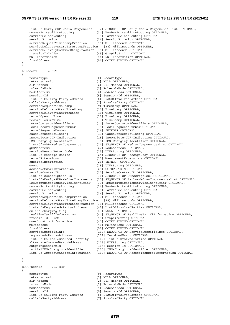### **3GPP TS 32.298 version 11.5.0 Release 11 119 ETSI TS 132 298 V11.5.0 (2013-01)**

 list-Of-Early-SDP-Media-Components [32] SEQUENCE OF Early-Media-Components-List OPTIONAL, [34] NumberPortabilityRouting OPTIONAL, carrierSelectRouting [35] CarrierSelectRouting OPTIONAL, sessionPriority [36] SessionPriority [36] SessionPriority OPTIONAL, serviceRequestTimeStampFraction [37] Milliseconds OPTIONAL,<br>serviceDeliveryStartTimeStampFraction [38] Milliseconds OPTIONAL, serviceDeliveryStartTimeStampFraction serviceDeliveryEndTimeStampFraction [39] Milliseconds OPTIONAL, [45] GraphicString OPTIONAL nNI-Information [46] NNI-Information OPTIONAL, fromAddress [51] OCTET STRING OPTIONAL } ASRecord ::= SET { recordType [0] RecordType, retransmission [1] NULL OPTIONAL, sIP-Method [2] SIP-Method OPTIONAL, role-of-Node [3] Role-of-Node OPTIONAL, nodeAddress [4] NodeAddress OPTIONAL,<br>session-Id [5] Session-Id OPTIONAL, session-Id<br>
list-Of-Calling-Party-Address [5] Session-Id OPTIONAL,<br>
[6] ListOfInvolvedPartie list-Of-Calling-Calling-Calling-Calling-Address Corporal, called-Party-Address [7] InvolvedParty OPTIONAL, serviceRequestTimeStamp [9] TimeStamp OPTIONAL,<br>serviceDeliveryStartTimeStamp [10] TimeStamp OPTIONAL, serviceDeliveryStartTimeStamp serviceDeliveryEndTimeStamp  $\begin{minipage}[c]{0.9\linewidth} \begin{minipage}[c]{0.9\linewidth} \end{minipage}[12] \begin{minipage}[c]{0.9\linewidth} \end{minipage}[12] \begin{minipage}[c]{0.9\linewidth} \end{minipage}[12] \begin{minipage}[c]{0.9\linewidth} \end{minipage}[12] \begin{minipage}[c]{0.9\linewidth} \end{minipage}[13] \end{minipage}[14] \end{minipage}[15] \end{minipage}[16] \begin{minipage}[c]{0.9\linewidth} \end{minipage}[16] \begin{minipage}[c]{0.9\linewidth} \end{minipage}[16] \$ recordClosureTime [13] TimeStamp OPTIONAL,<br>interOperatorIdentifiers [14] InterOperatorIdenti interOperatorIdentifiers [14] InterOperatorIdentifiers OPTIONAL, localRecordSequenceNumber [15] LocalSequenceNumber OPTIONAL, recordSequenceNumber [16] INTEGER OPTIONAL, causeForRecordClosing [17] CauseForRecordClosing OPTIONAL,<br>incomplete-CDR-Indication [18] Incomplete-CDR-Indication OPTIC incomplete-CDR-Indication [18] Incomplete-CDR-Indication OPTIONAL,<br>iMS-Charging-Identifier [19] IMS-Charging-Identifier OPTIONAL, [19] IMS-Charging-Identifier OPTIONAL, list-Of-SDP-Media-Components [21] SEQUENCE OF Media-Components-List OPTIONAL, gGSNaddress [22] NodeAddress OPTIONAL, serviceReasonReturnCode [23] UTF8String OPTIONAL, list-Of-Message-Bodies [24] SEQUENCE OF MessageBody OPTIONAL, [25] ManagementExtensions OPTIONAL, expiresInformation [26] INTEGER OPTIONAL, event<br>
event [28] UTF8String OPTIONAL,<br>
accessNetworkInformation [29] OCTET STRING OPTION accessNetworkInformation [29] OCTET STRING OPTIONAL,<br>serviceContextID [30] ServiceContextID OPTIC serviceContextID [30] ServiceContextID OPTIONAL,<br>list-of-subscription-ID [31] SEQUENCE OF SubscriptionID [31] SEQUENCE OF SubscriptionID OPTIONAL, list-Of-Early-SDP-Media-Components [32] SEQUENCE OF Early-Media-Components-List OPTIONAL, iMSCommunicationServiceIdentifier [33] IMSCommunicationServiceIdentifier OPTIONAL, numberPortabilityRouting [34] NumberPortabilityRouting OPTIONAL, carrierSelectRouting [35] CarrierSelectRouting OPTIONAL, sessionPriority [36] SessionPriority OPTIONAL, serviceRequestTimeStampFraction [37] Milliseconds OPTIONAL, serviceDeliveryStartTimeStampFraction [38] Milliseconds OPTIONAL, serviceDeliveryEndTimeStampFraction [39] Milliseconds OPTIONAL, list-of-Requested-Party-Address [41] ListOfInvolvedParties OPTIONAL, online-charging-flag [43] NULL OPTIONAL,<br>
realTimeTariffInformation [44] SEOUENCE OF Re realTimeTariffInformation [44] SEQUENCE OF RealTimeTariffInformation OPTIONAL,<br>transit-TOT-List [45] GraphicString OPTIONAL, transit-IOI-List [45] GraphicString OPTIONAL,<br>userLocationInformation [47] OCTRT STRING OPTIONAL, [47] OCTET STRING OPTIONAL, mSTimeZone [48] MSTimeZone OPTIONAL, fromAddress [51] OCTET STRING OPTIONAL, serviceSpecificInfo [100] SEQUENCE OF ServiceSpecificInfo OPTIONAL,<br>requested-Party-Address [101] InvolvedParty OPTIONAL, requested-Party OPTIONAL, list-Of-Called-Asserted-Identity [102] ListOfInvolvedParties OPTIONAL, alternateChargedPartyAddress outgoingSessionId [104] Session-Id OPTIONAL, [105] IMS-Charging-Identifier OPTIONAL, list-Of-AccessTransferInformation [106] SEQUENCE OF AccessTransferInformation OPTIONAL

```
}
```
ECSCFRecord ::= SET

{

 recordType [0] RecordType, retransmission [1] NULL OPTIONAL, sIP-Method [2] SIP-Method OPTIONAL, nodeAddress [4] NodeAddress OPTIONAL, session-Id<br>
1ist-Of-Calling-Party-Address [5] Session-Id OPTIONAL,<br>
[6] ListOfInvolvedParties OPTIONAL, list-Of-Calling-Party-Address [6] ListOfInvolvedParties OPTIONAL,

- 
- 
- 
- [3] Role-of-Node OPTIONAL,
- 
- 
- 
- called-Party-Address [7] InvolvedParty OPTIONAL,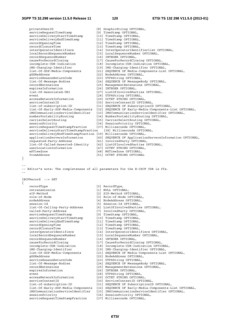| privateUserID                                                   | [8] GraphicString OPTIONAL,                                                        |
|-----------------------------------------------------------------|------------------------------------------------------------------------------------|
| serviceRequestTimeStamp                                         | [9] TimeStamp OPTIONAL,                                                            |
| serviceDeliveryStartTimeStamp                                   | [10] TimeStamp OPTIONAL,                                                           |
| serviceDeliveryEndTimeStamp                                     | [11] TimeStamp OPTIONAL,                                                           |
| recordOpeningTime                                               | [12] TimeStamp OPTIONAL,                                                           |
| recordClosureTime                                               | [13] TimeStamp OPTIONAL,                                                           |
| interOperatorIdentifiers                                        | [14] InterOperatorIdentifierlist OPTIONAL,                                         |
| localRecordSequenceNumber                                       | [15] LocalSequenceNumber OPTIONAL,                                                 |
| recordSequenceNumber                                            | [16] INTEGER OPTIONAL,                                                             |
| causeForRecordClosinq                                           | [17] CauseForRecordClosing OPTIONAL,                                               |
| incomplete-CDR-Indication                                       | [18] Incomplete-CDR-Indication OPTIONAL,<br>[19] IMS-Charging-Identifier OPTIONAL, |
| iMS-Charging-Identifier<br>list-Of-SDP-Media-Components         | [21] SEQUENCE OF Media-Components-List OPTIONAL,                                   |
| qGSNaddress                                                     | [22] NodeAddress OPTIONAL,                                                         |
| serviceReasonReturnCode                                         | [23] UTF8String OPTIONAL,                                                          |
| list-Of-Message-Bodies                                          | [24] SEQUENCE OF MessageBody OPTIONAL,                                             |
| recordExtensions                                                | [25] ManagementExtensions OPTIONAL,                                                |
| expiresInformation                                              | [26] INTEGER OPTIONAL,                                                             |
| list-Of-Associated-URI                                          | [27] ListOfInvolvedParties OPTIONAL,                                               |
| event                                                           | [28] UTF8String OPTIONAL,                                                          |
| accessNetworkInformation                                        | [29] OCTET STRING OPTIONAL,                                                        |
| serviceContextID                                                | [30] ServiceContextID OPTIONAL,                                                    |
| list-of-subscription-ID                                         | [31] SEQUENCE OF SubscriptionID OPTIONAL,                                          |
| list-Of-Early-SDP-Media-Components                              | [32] SEQUENCE OF Early-Media-Components-List OPTIONAL,                             |
| iMSCommunicationServiceIdentifier                               | [33] IMSCommunicationServiceIdentifier OPTIONAL,                                   |
| numberPortabilityRouting                                        | [34] NumberPortabilityRouting OPTIONAL,                                            |
| carrierSelectRouting                                            | [35] CarrierSelectRouting OPTIONAL,                                                |
| sessionPriority                                                 | [36] SessionPriority OPTIONAL,                                                     |
| serviceRequestTimeStampFraction                                 | [37] Milliseconds OPTIONAL,                                                        |
| serviceDeliveryStartTimeStampFraction                           | [38] Milliseconds OPTIONAL,                                                        |
| serviceDeliveryEndTimeStampFraction [39] Milliseconds OPTIONAL, |                                                                                    |
| applicationServersInformation                                   | [40] SEQUENCE OF ApplicationServersInformation OPTIONAL,                           |
| requested-Party-Address                                         | [41] InvolvedParty OPTIONAL,                                                       |
| list-Of-Called-Asserted-Identity                                | [42] ListOfInvolvedParties OPTIONAL,                                               |
| userLocationInformation                                         | [47] OCTET STRING OPTIONAL,                                                        |
| mSTimeZone                                                      | [48] MSTimeZone OPTIONAL,                                                          |
| fromAddress<br>}                                                | [51] OCTET STRING OPTIONAL                                                         |
|                                                                 |                                                                                    |
| $- -$                                                           | -- Editor"s note: The completeness of all parameters for the E-CSCF CDR is ffs.    |
| IBCFRecord ::= SET                                              |                                                                                    |
| $\{$                                                            |                                                                                    |
| recordType                                                      | [0] RecordType,                                                                    |
| retransmission                                                  | [1] NULL OPTIONAL,                                                                 |
| sIP-Method<br>role-of-Node                                      | [2] SIP-Method OPTIONAL,                                                           |
| nodeAddress                                                     | [3] Role-of-Node OPTIONAL,                                                         |
| session-Id                                                      | [4] NodeAddress OPTIONAL,<br>[5] Session-Id OPTIONAL,                              |
| list-Of-Calling-Party-Address                                   | [6] ListOfInvolvedParties OPTIONAL,                                                |
| called-Party-Address                                            | [7] InvolvedParty OPTIONAL,                                                        |
| serviceRequestTimeStamp                                         | [9] TimeStamp OPTIONAL,                                                            |
| serviceDeliveryStartTimeStamp                                   | [10] TimeStamp OPTIONAL,                                                           |
| serviceDeliveryEndTimeStamp                                     | [11] TimeStamp OPTIONAL,                                                           |
| recordOpeningTime                                               | [12] TimeStamp OPTIONAL,                                                           |
| recordClosureTime                                               | [13] TimeStamp OPTIONAL,                                                           |
| interOperatorIdentifiers                                        | [14] InterOperatorIdentifiers OPTIONAL,                                            |
| localRecordSequenceNumber                                       | [15] LocalSequenceNumber OPTIONAL,                                                 |
| recordSequenceNumber                                            | [16] INTEGER OPTIONAL,                                                             |
| causeForRecordClosing                                           | [17] CauseForRecordClosing OPTIONAL,                                               |
| incomplete-CDR-Indication                                       | [18] Incomplete-CDR-Indication OPTIONAL,                                           |
| iMS-Charging-Identifier                                         | [19] IMS-Charging-Identifier OPTIONAL,                                             |
| list-Of-SDP-Media-Components                                    | [21] SEQUENCE OF Media-Components-List OPTIONAL,                                   |
| qGSNaddress                                                     | [22] NodeAddress OPTIONAL,                                                         |
| serviceReasonReturnCode                                         | [23] UTF8String OPTIONAL,                                                          |
| list-Of-Message-Bodies                                          | [24] SEQUENCE OF MessageBody OPTIONAL,                                             |
| recordExtensions<br>expiresInformation                          | [25] ManagementExtensions OPTIONAL,<br>[26] INTEGER OPTIONAL,                      |
| event                                                           | [28] UTF8String OPTIONAL,                                                          |
| accessNetworkInformation                                        | [29] OCTET STRING OPTIONAL,                                                        |
| serviceContextID                                                | [30] ServiceContextID OPTIONAL,                                                    |
| list-of-subscription-ID                                         | [31] SEQUENCE OF SubscriptionID OPTIONAL,                                          |
| list-Of-Early-SDP-Media-Components                              | [32] SEQUENCE OF Early-Media-Components-List OPTIONAL,                             |
| iMSCommunicationServiceIdentifier                               | [33] IMSCommunicationServiceIdentifier OPTIONAL,                                   |
| sessionPriority<br>serviceRequestTimeStampFraction              | [36] SessionPriority OPTIONAL,<br>[37] Milliseconds OPTIONAL,                      |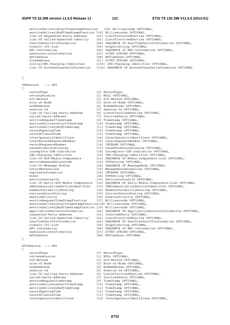# **3GPP TS 32.298 version 11.5.0 Release 11 121 ETSI TS 132 298 V11.5.0 (2013-01)**

 serviceDeliveryStartTimeStampFraction [38] Milliseconds OPTIONAL, serviceDeliveryEndTimeStampFraction [39] Milliseconds OPTIONAL, list-of-Requested-Party-Address [41] ListOfInvolvedParties OPTIONAL, list-Of-Called-Asserted-Identity [42] ListOfInvolvedParties OPTIONAL, realTimeTariffInformation [44] SEQUENCE OF RealTimeTariffInformation OPTIONAL,<br>transit-IOI-List [45] GraphicString OPTIONAL, transit-IOI-List [45] GraphicString OPTIONAL,<br>nNI-Information [46] SEOUENCE of NNI-Informa nNI-Information [46] SEQUENCE of NNI-Information OPTIONAL,<br>userLocationInformation [47] OCTET STRING OPTIONAL, <sup>1</sup>47] OCTET STRING OPTIONAL, mSTimeZone [48] MSTimeZone OPTIONAL, fromAddress [51] OCTET STRING OPTIONAL, initialIMS-Charging-Identifier [105] IMS-Charging-Identifier OPTIONAL, list-Of-AccessTransferInformation [106] SEQUENCE OF AccessTransferInformation OPTIONAL

}

TRFRecord ::= SET { recordType [0] RecordType,<br>retransmission [1] NUIL OPTION retransmission [1] NULL OPTIONAL,<br>sIP-Method [2] SIP-Method OPT [2] SIP-Method OPTIONAL, role-of-Node [3] Role-of-Node OPTIONAL, nodeAddress [4] NodeAddress OPTIONAL, session-Id
[5] Session-Id OPTIONAL, list-Of-Calling-Party-Address [6] ListOfInvolvedParties OPTIONAL, called-Party-Address [7] InvolvedParty OPTIONAL, serviceRequestTimeStamp [9] TimeStamp OPTIONAL,<br>serviceDeliveryStartTimeStamp [10] TimeStamp OPTIONAL,<br>serviceDeliveryEndTimeStamp [11] TimeStamp OPTIONAL, serviceDeliveryStartTimeStamp [10] TimeStamp OPTIONAL, serviceDeliveryEndTimeStamp [11] TimeStamp OPTIONAL, recordOpeningTime [12] TimeStamp OPTIONAL, recordClosureTime [13] TimeStamp OPTIONAL, interOperatorIdentifiers [14] InterOperatorIdentifiers OPTIONAL, localRecordSequenceNumber [15] LocalSequenceNumber OPTIONAL, recordSequenceNumber [16] INTEGER OPTIONAL, causeForRecordClosing [17] CauseForRecordClosing OPTIONAL,<br>incomplete-CDR-Indication [18] Incomplete-CDR-Indication OPTIC [18] Incomplete-CDR-Indication OPTIONAL, iMS-Charging-Identifier [19] IMS-Charging-Identifier OPTIONAL, list-Of-SDP-Media-Components [21] SEQUENCE OF Media-Components-List OPTIONAL, serviceReasonReturnCode list-Of-Message-Bodies [24] SEQUENCE OF MessageBody OPTIONAL, recordExtensions [25] ManagementExtensions OPTIONAL, [26] INTEGER OPTIONAL, event in the contract of the contract of the contract of the contract of the contract of the contract of the contract of the contract of the contract of the contract of the contract of the contract of the contract of the c serviceContextID [30] ServiceContextID OPTIONAL, list-Of-Early-SDP-Media-Components [32] SEQUENCE OF Early-Media-Components-List OPTIONAL, iMSCommunicationServiceIdentifier [33] IMSCommunicationServiceIdentifier OPTIONAL, [34] NumberPortabilityRouting OPTIONAL, carrierSelectRouting [35] CarrierSelectRouting OPTIONAL, sessionPriority [36] SessionPriority OPTIONAL,<br>serviceRequestTimeStampFraction [37] Milliseconds OPTIONAL, serviceRequestTimeStampFraction serviceDeliveryStartTimeStampFraction[38] Milliseconds OPTIONAL, serviceDeliveryEndTimeStampFraction [39] Milliseconds OPTIONAL, applicationServersInformation [40] SEQUENCE OF ApplicationServersInformation OPTIONAL,<br>requested-Party-Address [41] InvolvedParty OPTIONAL, [41] InvolvedParty OPTIONAL, list-Of-Called-Asserted-Identity [42] ListOfInvolvedParties OPTIONAL, [44] SEQUENCE OF RealTimeTariffInformation OPTIONAL, transit-IOI-List [45] GraphicString OPTIONAL, nNI-Information [46] SEQUENCE of NNI-Information OPTIONAL, userLocationInformation [47] OCTET STRING OPTIONAL, mSTimeZone [48] MSTimeZone OPTIONAL } ATCFRecord ::= SET { recordType  $[0]$  RecordType, retransmission [1] NULL OPTIONAL,<br>sIP-Method [2] SIP-Method OPT sIP-Method [2] SIP-Method OPTIONAL,<br>
role-of-Node [3] Role-of-Node OPTION [3] Role-of-Node OPTIONAL, nodeAddress [4] NodeAddress OPTIONAL, session-Id [5] Session-Id OPTIONAL, list-Of-Calling-Party-Address [6] ListOfInvolvedParties OPTIONAL, called-Party-Address [7] InvolvedParty OPTIONAL,<br>serviceRequestTimeStamp [9] TimeStamp OPTIONAL, serviceRequestTimeStamp [9] TimeStamp OPTIONAL,<br>serviceDeliveryStartTimeStamp [10] TimeStamp OPTIONAL, serviceDeliveryStartTimeStamp serviceDeliveryEndTimeStamp [11] TimeStamp OPTIONAL, recordOpeningTime [12] TimeStamp OPTIONAL,<br>recordClosureTime [13] TimeStamp OPTIONAL, recordClosureTime [13] TimeStamp OPTIONAL,<br>interOperatorIdentifiers [14] InterOperatorIdenti interOperatorIdentifiers [14] InterOperatorIdentifiers OPTIONAL,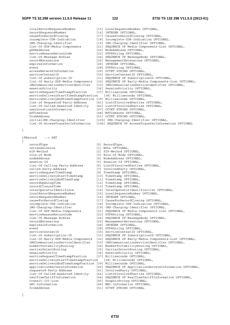|                                                                 | [15] LocalSequenceNumber OPTIONAL,                     |
|-----------------------------------------------------------------|--------------------------------------------------------|
| localRecordSequenceNumber                                       |                                                        |
| recordSequenceNumber                                            | [16] INTEGER OPTIONAL,                                 |
| causeForRecordClosinq                                           | [17] CauseForRecordClosing OPTIONAL,                   |
| incomplete-CDR-Indication                                       | [18] Incomplete-CDR-Indication OPTIONAL,               |
| iMS-Charging-Identifier                                         | [19] IMS-Charging-Identifier OPTIONAL,                 |
| list-Of-SDP-Media-Components                                    | [21] SEQUENCE OF Media-Components-List OPTIONAL,       |
| qGSNaddress                                                     | [22] NodeAddress OPTIONAL,                             |
| serviceReasonReturnCode                                         | [23] UTF8String OPTIONAL,                              |
| list-Of-Message-Bodies                                          | [24] SEQUENCE OF MessageBody OPTIONAL,                 |
| recordExtensions                                                | [25] ManagementExtensions OPTIONAL,                    |
| expiresInformation                                              | [26] INTEGER OPTIONAL,                                 |
| event.                                                          | [28] UTF8String OPTIONAL,                              |
| accessNetworkInformation                                        | [29] OCTET STRING OPTIONAL,                            |
| serviceContextID                                                | [30] ServiceContextID OPTIONAL,                        |
| list-of-subscription-ID                                         | [31] SEQUENCE OF SubscriptionID OPTIONAL,              |
| list-Of-Early-SDP-Media-Components                              | [32] SEQUENCE OF Early-Media-Components-List OPTIONAL, |
| iMSCommunicationServiceIdentifier                               | [33] IMSCommunicationServiceIdentifier OPTIONAL,       |
| sessionPriority                                                 | [36] SessionPriority OPTIONAL,                         |
| serviceRequestTimeStampFraction                                 | [37] Milliseconds OPTIONAL,                            |
| serviceDeliveryStartTimeStampFraction                           | [38] Milliseconds OPTIONAL,                            |
| serviceDeliveryEndTimeStampFraction [39] Milliseconds OPTIONAL, |                                                        |
| list-of-Requested-Party-Address                                 | [41] ListOfInvolvedParties OPTIONAL,                   |
| list-Of-Called-Asserted-Identity                                | [42] ListOfInvolvedParties OPTIONAL,                   |
| userLocationInformation                                         | [47] OCTET STRING OPTIONAL,                            |
| mSTimeZone                                                      | [48] MSTimeZone OPTIONAL,                              |
| fromAddress                                                     | [51] OCTET STRING OPTIONAL,                            |
| initialIMS-Charging-Identifier                                  | [105] IMS-Charging-Identifier OPTIONAL,                |
| list-Of-AccessTransferInformation                               | [106] SEOUENCE OF AccessTransferInformation OPTIONAL   |

}

tFRecord ::= SET

{

 recordType [0] RecordType, retransmission [1] NULL OPTIONAL, sIP-Method [2] SIP-Method OPTIONAL, role-of-Node [3] Role-of-Node OPTIONAL, nodeAddress [4] NodeAddress OPTIONAL, session-Id [5] Session-Id OPTIONAL, list-Of-Calling-Party-Address [6] ListOfInvolvedParties OPTIONAL, called-Party-Address [7] InvolvedParty OPTIONAL, serviceRequestTimeStamp [9] TimeStamp OPTIONAL, serviceDeliveryStartTimeStamp [10] TimeStamp OPTIONAL, serviceDeliveryEndTimeStamp [11] TimeStamp OPTIONAL, recordOpeningTime [12] TimeStamp OPTIONAL, recordClosureTime [13] TimeStamp OPTIONAL, interOperatorIdentifiers [13] TimeStamp OPTIONAL,<br>
interOperatorIdentifiers [14] InterOperatorIdentifierlist OPTIONAL, localRecordSequenceNumber [15] LocalSequenceNumber OPTIONAL, recordSequenceNumber [16] INTEGER OPTIONAL, causeForRecordClosing [17] CauseForRecordClosing OPTIONAL,<br>incomplete-CDR-Indication [18] Incomplete-CDR-Indication OPTIC<br>iMS-Charging-Identifier [19] IMS-Charging-Identifier OPTIONA<br>list-Of-SDP-Media-Components [21] SEQUE incomplete-CDR-Indication [18] Incomplete-CDR-Indication OPTIONAL, iMS-Charging-Identifier [19] IMS-Charging-Identifier OPTIONAL, serviceReasonReturnCode<br>list-Of-Messaqe-Bodies list-Of-Message-Bodies [24] SEQUENCE OF MessageBody OPTIONAL, expiresInformation [26] INTEGER OPTIONAL, event [28] UTF8String OPTIONAL, serviceContextID [30] ServiceContextID OPTIONAL, list-of-subscription-ID [31] SEQUENCE OF SubscriptionID OPTIONAL, list-Of-Early-SDP-Media-Components [32] SEQUENCE OF Early-Media-Components-List OPTIONAL, iMSCommunicationServiceIdentifier [33] IMSCommunicationServiceIdentifier OPTIONAL, numberPortabilityRouting [34] NumberPortabilityRouting OPTIONAL, carrierSelectRouting [35] CarrierSelectRouting OPTIONAL, sessionPriority [36] SessionPriority OPTIONAL,<br>serviceRequestTimeStampFraction [37] Milliseconds OPTIONAL, serviceRequestTimeStampFraction [37] Milliseconds OPTIONAL,<br>serviceDeliveryStartTimeStampFraction [38] Milliseconds OPTIONAL, serviceDeliveryStartTimeStampFraction serviceDeliveryEndTimeStampFraction [39] Milliseconds OPTIONAL, requested-Party-Address [41] InvolvedParty OPTIONAL, list-Of-Called-Asserted-Identity [42] ListOfInvolvedParties OPTIONAL, transit-IOI-List [45] GraphicString OPTIONAL, nNI-Information [46] NNI-Information OPTIONAL, fromAddress [51] OCTET STRING OPTIONAL

- 
- [44] SEQUENCE OF RealTimeTariffInformation OPTIONAL,
	-
- -

}

*ETSI* 

- 
- 
- 
- 
- 
- 
- [21] SEQUENCE OF Media-Components-List OPTIONAL,<br>[23] UTF8String OPTIONAL,
	-
	-
- [25] ManagementExtensions OPTIONAL,
- 
- 
- 
- 
- 
- 
- -
	-
	-
	-
- applicationServersInformation [40] SEQUENCE OF ApplicationServersInformation OPTIONAL,
	-
	- -
	- -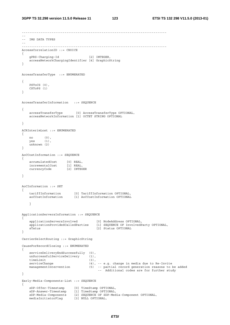------------------------------------------------------------------------------ -- -- IMS DATA TYPES -- ------------------------------------------------------------------------------ AccessCorrelationID ::= CHOICE { gPRS-Charging-Id [2] INTEGER, accessNetworkChargingIdentifier [4] GraphicString } AccessTransferType ::= ENUMERATED { PSToCS (0), CSToPS (1) } AccessTransferInformation ::= SEQUENCE { accessTransferType [0] AccessTransferType OPTIONAL, accessNetworkInformation [1] OCTET STRING OPTIONAL } ACRInterimLost ::= ENUMERATED { no (0), yes (1), unknown (2) } AoCCostInformation ::= SEQUENCE { accumulatedCost [0] REAL, incrementalCost [1] REAL, currencyCode [2] INTEGER } AoCInformation ::= SET { tariffInformation [0] TariffInformation OPTIONAL, aoCCostInformation [1] AoCCostInformation OPTIONAL } ApplicationServersInformation ::= SEQUENCE { applicationServersInvolved [0] NodeAddress OPTIONAL, applicationProvidedCalledParties [1] SEQUENCE OF InvolvedParty OPTIONAL, sTatus [2] Status OPTIONAL } CarrierSelectRouting ::= GraphicString CauseForRecordClosing ::= ENUMERATED { serviceDeliveryEndSuccessfully (0), unSuccessfulServiceDelivery (1),<br>timeLimit (3), timeLimit<br>serviceChange  $(4)$ , -- e.g. change in media due to Re-Invite managementIntervention (5) -- partial record generation reasons to be added -- Additional codes are for further study } Early-Media-Components-List ::= SEQUENCE { sDP-Offer-Timestamp [0] TimeStamp OPTIONAL, sDP-Answer-Timestamp [1] TimeStamp OPTIONAL, sDP-Media-Components [2] SEQUENCE OF SDP-Media-Component OPTIONAL, mediaInitiatorFlag [3] NULL OPTIONAL,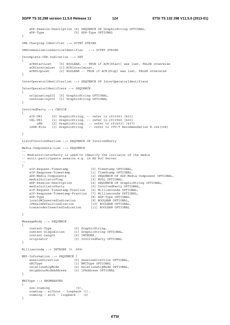```
 sDP-Session-Description [4] SEQUENCE OF GraphicString OPTIONAL, 
   sDP-Type [5] SDP-Type OPTIONAL
} 
IMS-Charging-Identifier ::= OCTET STRING 
IMSCommunicationServiceIdentifier ::= OCTET STRING 
Incomplete-CDR-Indication ::= SET 
{ 
    aCRStartLost [0] BOOLEAN, –- TRUE if ACR[Start] was lost, FALSE otherwise 
    aCRInterimLost [1] ACRInterimLost, 
    aCRStopLost [2] BOOLEAN –- TRUE if ACR[Stop] was lost, FALSE otherwise 
} 
InterOperatorIdentifierlist ::= SEQUENCE OF InterOperatorIdentifiers 
InterOperatorIdentifiers ::= SEQUENCE 
{ 
 originatingIOI [0] GraphicString OPTIONAL, 
 terminatingIOI [1] GraphicString OPTIONAL 
} 
InvolvedParty ::= CHOICE 
{ 
   sIP-URI [0] GraphicString, -- refer to rfc3261 [401]
 tEL-URI [1] GraphicString, -- refer to rfc3966 [402] 
 uRN [2] GraphicString, -- refer to rfc5031 [407] 
 iSDN-E164 [3] GraphicString -- refer to ITU-T Recommendation E.164[308] 
} 
ListOfInvolvedParties ::= SEQUENCE OF InvolvedParty 
Media-Components-List ::= SEQUENCE 
-- 
-- MediaInitiatorParty is used to identify the initiator of the media 
-- multi-participants session e.g. in AS PoC Server 
-- 
{ 
 sIP-Request-Timestamp [0] TimeStamp OPTIONAL, 
 sIP-Response-Timestamp [1] TimeStamp OPTIONAL, 
 sDP-Media-Components [2] SEQUENCE OF SDP-Media-Component OPTIONAL, 
 mediaInitiatorFlag [3] NULL OPTIONAL, 
   mediaInitiatorFlag [3] NULL UFILOWAL,<br>SDP-Session-Description [4] SEQUENCE OF GraphicString OPTIONAL,<br>FRI InvolvedParty OPTIONAL,
 mediaInitiatorParty [5] InvolvedParty OPTIONAL, 
 sIP-Request-Timestamp-Fraction [6] Milliseconds OPTIONAL, 
    sIP-Response-Timestamp-Fraction [7] Milliseconds OPTIONAL, 
 sDP-Type [8] SDP-Type OPTIONAL, 
 localGWInsertedIndication [9] BOOLEAN OPTIONAL, 
 iPRealmDefaultIndication [10] BOOLEAN OPTIONAL, 
 transcoderInsertedIndication [11] BOOLEAN OPTIONAL 
} 
MessageBody ::= SEQUENCE 
{ 
 content-Type [0] GraphicString, 
 content-Disposition [1] GraphicString OPTIONAL, 
 content-Length [2] INTEGER, 
   originator - 1-1, 1-1<br>
content-Length [2] INTEGER,<br>
originator [3] InvolvedParty OPTIONAL
} 
Milliseconds ::= INTEGER (0..999) 
NNI-Information ::= SEQUENCE { 
   sessionDirection [0] SessionDirection OPTIONAL,<br>nNIType OPTIONAL,
                           [1] NNIType OPTIONAL ,
 relationshipMode [2] RelationshipMode OPTIONAL, 
 neighbourNodeAddress [3] IPAddress OPTIONAL 
} 
NNIType ::= ENUMERATED 
{ 
    non-roaming (0), 
    roaming - without - loopback (1), 
    roaming - with - loopback (2) 
}
```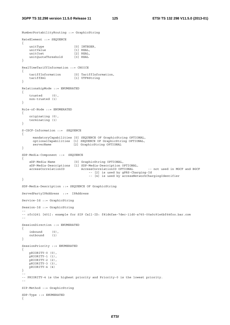NumberPortabilityRouting ::= GraphicString

```
RateElement ::= SEQUENCE 
{ 
    unitType [0] INTEGER,<br>unitValue [1] REAL,
   unitValue [1] REAL,<br>unitCost [2] REAL,
   unitCost [2] REAL,<br>unitQuotaThreshold [3] REAL
   unitQuotaThreshold
} 
RealTimeTariffInformation ::= CHOICE 
{ 
   tariffInformation [0] TariffInformation,<br>tariffXml [1] UTF8String
                             [1] UTF8String
} 
RelationshipMode ::= ENUMERATED 
{ 
     trusted (0), 
    non-trusted (1) 
} 
Role-of-Node ::= ENUMERATED 
{ 
    originating (0), 
    terminating (1) 
} 
S-CSCF-Information ::= SEQUENCE 
{ 
      mandatoryCapabilities [0] SEQUENCE OF GraphicString OPTIONAL, 
      optionalCapabilities [1] SEQUENCE OF GraphicString OPTIONAL, 
      serverName [2] GraphicString OPTIONAL 
} 
SDP-Media-Component ::= SEQUENCE 
{ 
     sDP-Media-Name [0] GraphicString OPTIONAL, 
     sDP-Media-Descriptions [1] SDP-Media-Description OPTIONAL, 
                                 AccessCorrelationID OPTIONAL -- not used in MGCF and BGCF
                                      -- [2] is used by gPRS-Charging-Id 
                                       -- [4] is used by accessNetworkChargingIdentifier 
} 
SDP-Media-Description ::= SEQUENCE OF GraphicString 
ServedPartyIPAddress ::= IPAddress 
Service-Id ::= GraphicString 
Session-Id ::= GraphicString 
-- 
-- rfc3261 [401]: example for SIP Call-ID: f81d4fae-7dec-11d0-a765-00a0c91e6bf6@foo.bar.com 
-- 
SessionDirection ::= ENUMERATED 
{ 
 inbound (0), 
 outbound (1) 
} 
SessionPriority ::= ENUMERATED 
{ 
    pRIORITY-0 (0), 
    pRIORITY-1 (1), 
    pRIORITY-2 (2), 
    pRIORITY-3 (3), 
    pRIORITY-4 (4) 
} 
-- 
-- PRIORITY-4 is the highest priority and Priority-0 is the lowest priority. 
-- 
SIP-Method ::= GraphicString 
SDP-Type ::= ENUMERATED 
{
```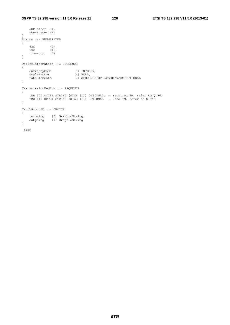```
 sDP-offer (0), 
   sDP-answer (1) 
} 
Status ::= ENUMERATED 
{ 
4xx (0),
5xx (1),
 time-out (2) 
} 
TariffInformation ::= SEQUENCE 
{ 
 currencyCode [0] INTEGER, 
 scaleFactor [1] REAL, 
    rateElements [2] SEQUENCE OF RateElement OPTIONAL 
} 
TransmissionMedium ::= SEQUENCE 
{ 
 tMR [0] OCTET STRING (SIZE (1)) OPTIONAL, -- required TM, refer to Q.763 
 tMU [1] OCTET STRING (SIZE (1)) OPTIONAL -- used TM, refer to Q.763 
} 
TrunkGroupID ::= CHOICE 
{ 
 incoming [0] GraphicString, 
 outgoing [1] GraphicString 
} 
.#END
```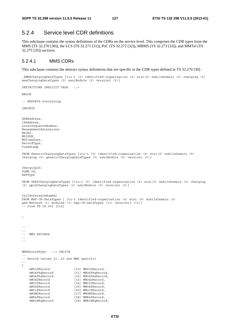# 5.2.4 Service level CDR definitions

This subclause contains the syntax definitions of the CDRs on the service level. This comprises the CDR types from the MMS (TS 32.270 [30]), the LCS (TS 32.271 [31]), PoC (TS 32.272 [32]), MBMS (TS 32.273 [33]), and MMTel (TS 32.275 [35]) services.

# 5.2.4.1 MMS CDRs

DEFINITIONS IMPLICIT TAGS ::=

This subclause contains the abstract syntax definitions that are specific to the CDR types defined in TS 32.270 [30].

.\$MMSChargingDataTypes {itu-t (0) identified-organization (4) etsi(0) mobileDomain (0) charging (5) mmsChargingDataTypes (5) asn1Module (0) version1 (0)}

```
BEGIN 
-- EXPORTS everything 
IMPORTS 
GSNAddress, 
IPAddress, 
LocalSequenceNumber, 
ManagementExtensions, 
MscNo, 
MSISDN, 
MSTimeZone, 
RecordType, 
TimeStamp 
FROM GenericChargingDataTypes {itu-t (0) identified-organization (4) etsi(0) mobileDomain (0) 
charging (5) genericChargingDataTypes (0) asn1Module (0) version1 (0)} 
ChargingID, 
PLMN-Id, 
RATType 
FROM GPRSChargingDataTypes {itu-t (0) identified-organization (4) etsi(0) mobileDomain (0) charging 
(5) gprsChargingDataTypes (2) asn1Module (0) version1 (0)} 
CallReferenceNumber 
FROM MAP-CH-DataTypes { itu-t identified-organization (4) etsi (0) mobileDomain (0) 
gsm-Network (1) modules (3) map-CH-DataTypes (13) version13 (13)} 
-- from TS 29.002 [214] 
; 
-- 
-- 
-- MMS RECORDS 
-- 
-- 
MMSRecordType ::= CHOICE 
-- 
-- Record values 30..62 are MMS specific 
-- 
{ 
    mMO1SRecord [30] MMO1SRecord.
     mMO4FRqRecord [31] MMO4FRqRecord, 
     mMO4FRsRecord [32] MMO4FRsRecord, 
    mMO4DRecord [33] MMO4DRecord,
    mMO1DRecord [34] MMO1DRecord,
    mMO4RRecord [35] MMO4RRecord,<br>mMO1RRecord [36] MMO1RRecord,
    mMO1RRecord [36] MMO1RRecord,<br>mMOMDRecord [37] MMOMDRecord,
    mMOMDRecord [37] MMOMDRecord,<br>mMR4FRecord [38] MMR4FRecord,
                             [38] MMR4FRecord,
    mMR1NRqRecord [39] MMR1NRqRecord,
```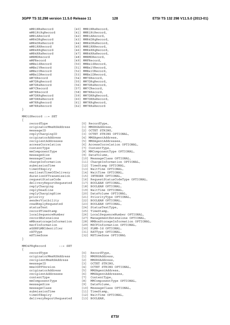mMR1NRsRecord [40] MMR1NRsRecord,<br>mMR1RtRqRecord [41] MMR1RtRecord,<br>mMR1ARecord [42] MMR1ARecord, mMR1RtRqRecord [41] MMR1RtRecord, mMR1ARecord [42] MMR1ARecord, mMR4DRqRecord [43] MMR4DRqRecord, mMR4DRsRecord [44] MMR4DRsRecord, mMR1RRRecord [45] MMR1RRRecord, mMR4RRqRecord [46] MMR4RRqRecord, mMR4RRsRecord [47] MMR4RRsRecord, mMRMDRecord [48] MMRMDRecord, mMFRecord [49] MMFRecord, mMBx1SRecord [50] MMBx1SRecord, mMBx1VRecord [51] MMBx1VRecord, mMBx1URecord [52] MMBx1URecord, mMBx1DRecord [53] MMBx1DRecord, mM7SRecord [54] MM7SRecord, mM7DRqRecord [55] MM7DRqRecord, mM7DRsRecord [56] MM7DRsRecord, mM7CRecord [57] MM7CRecord, mM7RRecord [58] MM7RRecord, mM7DRRqRecord [59] MM7DRRqRecord, mM7DRRsRecord [60] MM7DRRsRecord, mM7RRqRecord [61] MM7RRqRecord, mM7RRsRecord [62] MM7RRsRecord MMO1SRecord ::= SET recordType [0] RecordType, originatorMmsRSAddress [1] MMSRSAddress, messageID [2] OCTET STRING, replyChargingID [3] OCTET STRING OPTIONAL, originatorAddress [4] MMSAgentAddress, recipientAddresses [5] MMSAgentAddresses, accessCorrelation [6] AccessCorrelation OPTIONAL, contentType [7] ContentType, mmComponentType [8] MMComponentType OPTIONAL, messageSize [9] DataVolume, messageClass [10] MessageClass OPTIONAL, chargeInformation [11] ChargeInformation OPTIONAL, submissionTime [12] TimeStamp OPTIONAL, timeOfExpiry [13] WaitTime OPTIONAL, earliestTimeOfDelivery [14] WaitTime OPTIONAL, durationOfTransmission [15] INTEGER OPTIONAL, requestStatusCode [16] RequestStatusCodeType OPTIONAL, deliveryReportRequested [17] BOOLEAN OPTIONAL, replyCharging [18] BOOLEAN OPTIONAL, replyDeadline [19] WaitTime OPTIONAL, replyChargingSize [20] DataVolume OPTIONAL, senderVisik readReplyRe statusText recordTimeS recordExten<br>mMBoxstorac sGSNPLMNIde rATType  $mSTimPZ$ one MM04FRqRecord recordType [0] RecordType, originatorM

}

{

}

|      | $v_{\text{max}}$ , $v_{\text{max}}$ $v_{\text{max}}$                                                                                                                                                                                                                                                 |                                                                                |                                                                                                                                                                                                                                                                                                                  |
|------|------------------------------------------------------------------------------------------------------------------------------------------------------------------------------------------------------------------------------------------------------------------------------------------------------|--------------------------------------------------------------------------------|------------------------------------------------------------------------------------------------------------------------------------------------------------------------------------------------------------------------------------------------------------------------------------------------------------------|
|      | priority                                                                                                                                                                                                                                                                                             |                                                                                | [21] PriorityType OPTIONAL,                                                                                                                                                                                                                                                                                      |
|      | senderVisibility                                                                                                                                                                                                                                                                                     |                                                                                | [22] BOOLEAN OPTIONAL,                                                                                                                                                                                                                                                                                           |
|      | readReplyRequested                                                                                                                                                                                                                                                                                   |                                                                                | [23] BOOLEAN OPTIONAL,                                                                                                                                                                                                                                                                                           |
|      | statusText                                                                                                                                                                                                                                                                                           |                                                                                | [24] StatusTextType,                                                                                                                                                                                                                                                                                             |
|      | recordTimeStamp                                                                                                                                                                                                                                                                                      |                                                                                | [25] TimeStamp,                                                                                                                                                                                                                                                                                                  |
|      | localSequenceNumber                                                                                                                                                                                                                                                                                  |                                                                                | [26] LocalSequenceNumber OPTIONAL,                                                                                                                                                                                                                                                                               |
|      | recordExtensions                                                                                                                                                                                                                                                                                     |                                                                                | [27] ManagementExtensions OPTIONAL,                                                                                                                                                                                                                                                                              |
|      | mMBoxstorageInformation                                                                                                                                                                                                                                                                              |                                                                                | [28] MMBoxStorageInformation OPTIONAL,                                                                                                                                                                                                                                                                           |
|      | mscfInformation                                                                                                                                                                                                                                                                                      |                                                                                | [29] MSCFInformation OPTIONAL,                                                                                                                                                                                                                                                                                   |
|      | sGSNPLMNIdentifier                                                                                                                                                                                                                                                                                   |                                                                                | [30] PLMN-Id OPTIONAL,                                                                                                                                                                                                                                                                                           |
|      | rATType                                                                                                                                                                                                                                                                                              |                                                                                | [31] RATType OPTIONAL,                                                                                                                                                                                                                                                                                           |
|      | mSTimeZone                                                                                                                                                                                                                                                                                           |                                                                                | [32] MSTimeZone OPTIONAL                                                                                                                                                                                                                                                                                         |
| }    |                                                                                                                                                                                                                                                                                                      |                                                                                |                                                                                                                                                                                                                                                                                                                  |
| $\{$ | MM04FRqRecord<br>$: :=$ SET<br>recordType<br>originatorMmsRSAddress<br>recipientMmsRSAddress<br>messageID<br>mms3GPPVersion<br>originatorAddress<br>recipientAddresses<br>contentType<br>mmComponentType<br>messageSize<br>messageClass<br>submissionTime<br>timeOfExpiry<br>deliveryReportRequested | [0]<br>$\begin{bmatrix} 1 \end{bmatrix}$<br>$\left[ 5 \right]$<br>$[6]$<br>[8] | RecordType,<br>MMSRSAddress,<br>[2] MMSRSAddress,<br>[3] OCTET STRING,<br>[4] OCTET STRING OPTIONAL,<br>MMSAgentAddress,<br>MMSAgentAddresses,<br>[7] ContentType,<br>MMComponentType OPTIONAL,<br>[9] DataVolume,<br>[10] MessageClass OPTIONAL,<br>[11] TimeStamp,<br>[12] WaitTime OPTIONAL,<br>[13] BOOLEAN, |
|      |                                                                                                                                                                                                                                                                                                      |                                                                                |                                                                                                                                                                                                                                                                                                                  |
|      |                                                                                                                                                                                                                                                                                                      |                                                                                |                                                                                                                                                                                                                                                                                                                  |

*ETSI*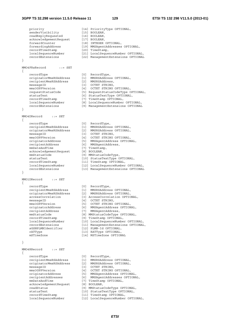### **3GPP TS 32.298 version 11.5.0 Release 11 129 ETSI TS 132 298 V11.5.0 (2013-01)**

```
priority [14] PriorityType OPTIONAL,
senderVisibility [15] BOOLEAN,
 readReplyRequested [16] BOOLEAN, 
 acknowledgementRequest [17] BOOLEAN, 
 forwardCounter [18] INTEGER OPTIONAL, 
 forwardingAddress [19] MMSAgentAddresses OPTIONAL, 
 recordTimeStamp [20] TimeStamp, 
 localSequenceNumber [21] LocalSequenceNumber OPTIONAL, 
 recordExtensions [22] ManagementExtensions OPTIONAL 
} 
MMO4FRsRecord ::= SET 
{ 
   recordType [0]
 originatorMmsRSAddress [1] MMSRSAddress OPTIONAL, 
 recipientMmsRSAddress [2] MMSRSAddress, 
   messageID [3]
 mms3GPPVersion [4] OCTET STRING OPTIONAL, 
 requestStatusCode [5] RequestStatusCodeType OPTIONAL, 
 statusText [6] StatusTextType OPTIONAL, 
 recordTimeStamp [7] TimeStamp OPTIONAL, 
 localSequenceNumber [8] LocalSequenceNumber OPTIONAL, 
 recordExtensions [9] ManagementExtensions OPTIONAL 
} 
MMO4DRecord ::= SET 
{ 
 recordType [0] RecordType, 
 recipientMmsRSAddress [1] MMSRSAddress OPTIONAL, 
 originatorMmsRSAddress [2] MMSRSAddress OPTIONAL, 
messageID [3] OCTET STRING,
 mms3GPPVersion [4] OCTET STRING OPTIONAL, 
 originatorAddress [5] MMSAgentAddress OPTIONAL, 
 recipientAddress [6] MMSAgentAddress, 
mmDateAndTime [7] TimeStamp,
 acknowledgementRequest [8] BOOLEAN, 
mmStatusCode [9] MMStatusCodeType,
 statusText [10] StatusTextType OPTIONAL, 
 recordTimeStamp [11] TimeStamp OPTIONAL, 
 localSequenceNumber [12] LocalSequenceNumber OPTIONAL, 
 recordExtensions [13] ManagementExtensions OPTIONAL 
MMO1DRecord ::= SET 
{ 
 recordType [0] RecordType, 
 recipientMmsRSAddress [1] MMSRSAddress OPTIONAL, 
 originatorMmsRSAddress [2] MMSRSAddress OPTIONAL, 
 accessCorrelation [3] AccessCorrelation OPTIONAL, 
 messageID [4] OCTET STRING, 
 mms3GPPVersion [5] OCTET STRING OPTIONAL, 
 originatorAddress [6] MMSAgentAddress OPTIONAL, 
 recipientAddress [7] MMSAgentAddress, 
 mmStatusCode [8] MMStatusCodeType OPTIONAL, 
 recordTimeStamp [9] TimeStamp OPTIONAL, 
 localSequenceNumber [10] LocalSequenceNumber OPTIONAL, 
 recordExtensions [11] ManagementExtensions OPTIONAL, 
 sGSNPLMNIdentifier [12] PLMN-Id OPTIONAL, 
rATType [13] RATType OPTIONAL,
 mSTimeZone [14] MSTimeZone OPTIONAL 
MMO4RRecord ::= SET 
  recordType [0] RecordType,<br>
recipientMmsRSAddress [1] MMSRSAddress OPTIONAL,<br>
originatorMmsRSAddress [2] MMSRSAddress OPTIONAL,<br>
messageID [2] OCERE CHERE OPTIONAL,
 recipientMmsRSAddress [1] MMSRSAddress OPTIONAL, 
 originatorMmsRSAddress [2] MMSRSAddress OPTIONAL, 
messageID [3] OCTET STRING,
 mms3GPPVersion [4] OCTET STRING OPTIONAL, 
 originatorAddress [5] MMSAgentAddress OPTIONAL, 
 recipientAddresses [6] MMSAgentAddresses OPTIONAL, 
 mmDateAndTime [7] TimeStamp OPTIONAL, 
 acknowledgementRequest [8] BOOLEAN, 
 readStatus [9] MMStatusCodeType OPTIONAL, 
 statusText [10] StatusTextType OPTIONAL,
```

| ManagementExtensions OPT |
|--------------------------|
|                          |
|                          |
|                          |
|                          |
| RecordType,              |
| MMSRSAddress OPTIONAL,   |
| MMSRSAddress,            |
| OCTET STRING,            |
| OCTET STRING OPTIONAL,   |
| RequestStatusCodeType OP |

- 
- 
- 
- 
- 

# }

# }

{

- 
- 
- 
- 
- 
- 
- 
- 
- 
- 
- 
- 
- 
- 
- 
- 
- 
- 
- 
- 
- 
- 
- 
- 
- 

recordTimeStamp [11] TimeStamp OPTIONAL,

localSequenceNumber [12] LocalSequenceNumber OPTIONAL,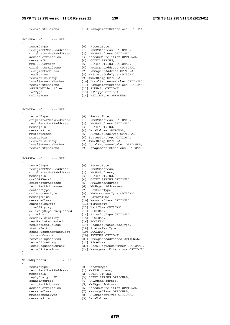recordExtensions [13] ManagementExtensions OPTIONAL } MMO1RRecord ::= SET { recordType [0] RecordType, recipientMmsRSAddress [1] MMSRSAddress OPTIONAL, originatorMmsRSAddress [2] MMSRSAddress OPTIONAL, accessCorrelation [3] AccessCorrelation OPTIONAL, messageID [4] OCTET STRING, mms3GPPVersion [5] OCTET STRING OPTIONAL, originatorAddress [6] MMSAgentAddress OPTIONAL, recipientAddress [7] MMSAgentAddress OPTIONAL, readStatus [8] MMStatusCodeType OPTIONAL, recordTimeStamp [9] TimeStamp OPTIONAL, localSequenceNumber [10] LocalSequenceNumber OPTIONAL, recordExtensions [11] ManagementExtensions OPTIONAL, sGSNPLMNIdentifier [12] PLMN-Id OPTIONAL, rATType  $[13]$  RATType OPTIONAL, mSTimeZone [14] MSTimeZone OPTIONAL } MMOMDRecord ::= SET { recordType [0] RecordType, originatorMmsRSAddress [1] MMSRSAddress OPTIONAL, recipientMmsRSAddress [2] MMSRSAddress OPTIONAL, messageID [3] OCTET STRING, messageSize [4] DataVolume OPTIONAL, mmStatusCode [5] MMStatusCodeType OPTIONAL, statusText [6] StatusTextType OPTIONAL, recordTimeStamp [7] TimeStamp OPTIONAL, localSequenceNumber [8] LocalSequenceNumber OPTIONAL, recordExtensions [9] ManagementExtensions OPTIONAL } MMR4FRecord ::= SET { recordType [0] RecordType, recipientMmsRSAddress [1] MMSRSAddress, originatorMmsRSAddress [2] MMSRSAddress, messageID [3] OCTET STRING, mms3GPPVersion [4] OCTET STRING OPTIONAL, originatorAddress [5] MMSAgentAddress, recipientAddresses [6] MMSAgentAddresses, contentType [7] ContentType, mmComponentType [8] MMComponentType OPTIONAL, messageSize [9] DataVolume, messageClass [10] MessageClass OPTIONAL, submissionTime [11] TimeStamp, timeOfExpiry [12] WaitTime OPTIONAL, deliveryReportRequested [13] BOOLEAN, priority [14] PriorityType OPTIONAL, senderVisibility [15] BOOLEAN, readReplyRequested [16] BOOLEAN, requestStatusCode [17] RequestStatusCodeType, statusText [18] StatusTextType, acknowledgementRequest [19] BOOLEAN, forwardCounter [20] INTEGER OPTIONAL, forwardingAddress [21] MMSAgentAddresses OPTIONAL, recordTimeStamp [22] TimeStamp, localSequenceNumber [23] LocalSequenceNumber OPTIONAL, recordExtensions [24] ManagementExtensions OPTIONAL } MMR1NRqRecord ::= SET { recordType [0] RecordType, recipientMmsRSAddress [1] MMSRSAddress,

messageID [2] OCTET STRING, replyChargingID [3] OCTET STRING OPTIONAL, senderAddress [4] MMSAgentAddress, recipientAddress [5] MMSAgentAddress, messageClass [7] MessageClass OPTIONAL,

- 
- accessCorrelation [6] AccessCorrelation OPTIONAL,
	-
- mmComponentType [8] MMComponentType OPTIONAL,
- messageSize [9] DataVolume,

*ETSI*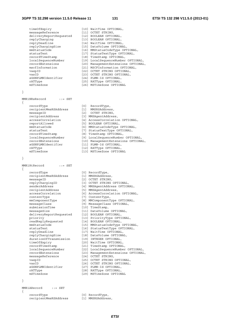| timeOfExpiry            | [10] WaitTime OPTIONAL,             |
|-------------------------|-------------------------------------|
| messageReference        | [11] OCTET STRING,                  |
| deliveryReportRequested | [12] BOOLEAN OPTIONAL,              |
| replyCharging           | [13] BOOLEAN OPTIONAL,              |
| replyDeadline           | [14] WaitTime OPTIONAL,             |
| replyChargingSize       | [15] DataVolume OPTIONAL,           |
| mmStatusCode            | [16] MMStatusCodeType OPTIONAL,     |
| statusText              | [17] StatusTextType OPTIONAL,       |
| recordTimeStamp         | [18] TimeStamp OPTIONAL,            |
| localSequenceNumber     | [19] LocalSequenceNumber OPTIONAL,  |
| recordExtensions        | [20] ManagementExtensions OPTIONAL, |
| mscfInformation         | [21] MSCFInformation OPTIONAL,      |
| vaspID                  | [22] OCTET STRING OPTIONAL,         |
| vasID                   | [23] OCTET STRING OPTIONAL,         |
| sGSNPLMNIdentifier      | [24] PLMN-Id OPTIONAL,              |
| rATType                 | [25] RATType OPTIONAL,              |
| mSTimeZone              | [26] MSTimeZone OPTIONAL            |

$$
\overline{}
$$

MMR1NRsRecord ::= SET

{

 recordType [0] RecordType, recipientMmsRSAddress [1] MMSRSAddress, messageID [2] OCTET STRING, recipientAddress [3] MMSAgentAddress, reportAllowed [5] BOOLEAN OPTIONAL, recordTimeStamp [8] TimeStamp OPTIONAL, sGSNPLMNIdentifier [11] PLMN-Id OPTIONAL, rATType [12] RATType OPTIONAL,

}

MMR1RtRecord ::= SET

{

 recordType [0] RecordType, recipientMmsRSAddress [1] MMSRSAddress, messageID [2] OCTET STRING, recipientAddress [5] MMSAgentAddress, contentType [7] ContentType, submissionTime [10] TimeStamp, messageSize [11] DataVolume OPTIONAL, deliveryReportRequested [12] BOOLEAN OPTIONAL, readReplyRequested [14] BOOLEAN OPTIONAL, replyDeadline [17] WaitTime OPTIONAL, replyChargingSize [18] DataVolume OPTIONAL, durationOfTransmission [19] INTEGER OPTIONAL, timeOfExpiry [20] WaitTime OPTIONAL, recordTimeStamp [21] TimeStamp OPTIONAL, messageReference [24] OCTET STRING, sGSNPLMNIdentifier [27] PLMN-Id OPTIONAL, rATType [28] RATType OPTIONAL, mSTimeZone [29] MSTimeZone OPTIONAL

}

MMR1ARecord ::= SET

{

- recordType [0] RecordType,<br>recipientMmsRSAddress [1] MMSRSAddress, recipientMmsRSAddress [1] MMSRSAddress,
- accessCorrelation [4] AccessCorrelation OPTIONAL, mmStatusCode [6] MMStatusCodeType OPTIONAL, statusText [7] StatusTextType OPTIONAL, localSequenceNumber [9] LocalSequenceNumber OPTIONAL, recordExtensions [10] ManagementExtensions OPTIONAL, mSTimeZone [13] MSTimeZone OPTIONAL replyChargingID [3] OCTET STRING OPTIONAL, senderAddress [4] MMSAgentAddress OPTIONAL, accessCorrelation [6] AccessCorrelation OPTIONAL, mmComponentType [8] MMComponentType OPTIONAL, messageClass [9] MessageClass OPTIONAL, priority [13] PriorityType OPTIONAL, mmStatusCode [15] MMStatusCodeType OPTIONAL, statusText [16] StatusTextType OPTIONAL, localSequenceNumber [22] LocalSequenceNumber OPTIONAL, recordExtensions [23] ManagementExtensions OPTIONAL, vaspID [25] OCTET STRING OPTIONAL, vasID [26] OCTET STRING OPTIONAL,
	-
	-
	-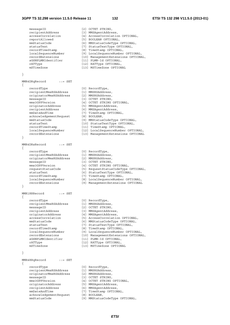### **3GPP TS 32.298 version 11.5.0 Release 11 132 ETSI TS 132 298 V11.5.0 (2013-01)**

messageID [2] OCTET STRING, recipientAddress [3] MMSAgentAddress, accessCorrelation [4] AccessCorrelation OPTIONAL, reportAllowed [5] BOOLEAN OPTIONAL, mmStatusCode [6] MMStatusCodeType OPTIONAL, statusText [7] StatusTextType OPTIONAL, recordTimeStamp [8] TimeStamp OPTIONAL, localSequenceNumber [9] LocalSequenceNumber OPTIONAL, recordExtensions [10] ManagementExtensions OPTIONAL, sGSNPLMNIdentifier [11] PLMN-Id OPTIONAL, rATType [12] RATType OPTIONAL, mSTimeZone [13] MSTimeZone OPTIONAL } MMR4DRqRecord ::= SET { recordType [0] RecordType, recipientMmsRSAddress [1] MMSRSAddress, originatorMmsRSAddress [2] MMSRSAddress, messageID [3] OCTET STRING, mms3GPPVersion [4] OCTET STRING OPTIONAL, originatorAddress [5] MMSAgentAddress, recipientAddress [6] MMSAgentAddress, mmDateAndTime [7] TimeStamp OPTIONAL, acknowledgementRequest [8] BOOLEAN, mmStatusCode [9] MMStatusCodeType OPTIONAL, statusText [10] StatusTextType OPTIONAL, recordTimeStamp [11] TimeStamp OPTIONAL, localSequenceNumber [12] LocalSequenceNumber OPTIONAL, recordExtensions [13] ManagementExtensions OPTIONAL } MMR4DRsRecord ::= SET { recordType [0] RecordType, recipientMmsRSAddress [1] MMSRSAddress, originatorMmsRSAddress [2] MMSRSAddress, messageID [3] OCTET STRING, mms3GPPVersion [4] OCTET STRING OPTIONAL, requestStatusCode [5] RequestStatusCodeType OPTIONAL, statusText [6] StatusTextType OPTIONAL, recordTimeStamp [7] TimeStamp OPTIONAL, localSequenceNumber [8] LocalSequenceNumber OPTIONAL, recordExtensions [9] ManagementExtensions OPTIONAL } MMR1RRRecord ::= SET { recordType [0] RecordType, recipientMmsRSAddress [1] MMSRSAddress, messageID [2] OCTET STRING, recipientAddress [3] MMSAgentAddress, originatorAddress [4] MMSAgentAddress, accessCorrelation [5] AccessCorrelation OPTIONAL, mmStatusCode [6] MMStatusCodeType OPTIONAL, statusText [7] StatusTextType OPTIONAL, recordTimeStamp [8] TimeStamp OPTIONAL, localSequenceNumber [9] LocalSequenceNumber OPTIONAL, recordExtensions [10] ManagementExtensions OPTIONAL, sGSNPLMNIdentifier [11] PLMN-Id OPTIONAL, rATType  $[12]$  RATType OPTIONAL, mSTimeZone [13] MSTimeZone OPTIONAL } MMR4RRqRecord ::= SET { recordType [0] RecordType, recipientMmsRSAddress [1] MMSRSAddress, originatorMmsRSAddress [2] MMSRSAddress,

messageID [3] OCTET STRING,

acknowledgementRequest [8] BOOLEAN,

 mms3GPPVersion [4] OCTET STRING OPTIONAL, originatorAddress [5] MMSAgentAddress, recipientAddress [6] MMSAgentAddress, mmDateAndTime [7] TimeStamp OPTIONAL,

mmStatusCode [9] MMStatusCodeType OPTIONAL,

*ETSI*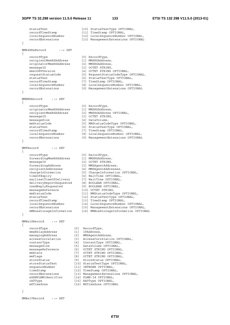```
statusText [10] StatusTextType OPTIONAL,
    recordTimeStamp [11] TimeStamp OPTIONAL, 
                         localSequenceNumber [12] LocalSequenceNumber OPTIONAL, 
    recordExtensions [13] ManagementExtensions OPTIONAL 
} 
MMR4RRsRecord ::= SET 
{ 
 recordType [0] RecordType, 
 recipientMmsRSAddress [1] MMSRSAddress, 
 originatorMmsRSAddress [2] MMSRSAddress, 
messageID [3] OCTET STRING,
 mms3GPPVersion [4] OCTET STRING OPTIONAL, 
 requestStatusCode [5] RequestStatusCodeType OPTIONAL, 
 statusText [6] StatusTextType OPTIONAL, 
 recordTimeStamp [7] TimeStamp OPTIONAL, 
 localSequenceNumber [8] LocalSequenceNumber OPTIONAL, 
 recordExtensions [9] ManagementExtensions OPTIONAL 
} 
MMRMDRecord ::= SET 
{ 
 recordType [0] RecordType, 
 originatorMmsRSAddress [1] MMSRSAddress, 
 recipientMmsRSAddress [2] MMSRSAddress OPTIONAL, 
messageID [3] OCTET STRING,
 messageSize [4] DataVolume, 
 mmStatusCode [5] MMStatusCodeType OPTIONAL, 
 statusText [6] StatusTextType OPTIONAL, 
 recordTimeStamp [7] TimeStamp OPTIONAL, 
 localSequenceNumber [8] LocalSequenceNumber OPTIONAL, 
 recordExtensions [9] ManagementExtensions OPTIONAL 
} 
MMFRecord ::= SET 
{ 
 recordType [0] RecordType, 
 forwardingMmsRSAddress [1] MMSRSAddress, 
 messageID [2] OCTET STRING, 
 forwardingAddress [3] MMSAgentAddress, 
 recipientAddresses [4] MMSAgentAddresses, 
 chargeInformation [5] ChargeInformation OPTIONAL, 
 timeOfExpiry [6] WaitTime OPTIONAL, 
 earliestTimeOfDelivery [7] WaitTime OPTIONAL, 
 deliveryReportRequested [8] BOOLEAN OPTIONAL, 
 readReplyRequested [9] BOOLEAN OPTIONAL, 
 messageReference [10] OCTET STRING, 
 mmStatusCode [11] MMStatusCodeType OPTIONAL, 
 statusText [12] StatusTextType OPTIONAL, 
 recordTimeStamp [13] TimeStamp OPTIONAL, 
 localSequenceNumber [14] LocalSequenceNumber OPTIONAL, 
 recordExtensions [15] ManagementExtensions OPTIONAL, 
 mMBoxstorageInformation [16] MMBoxStorageInformation OPTIONAL 
} 
MMBx1SRecord ::= SET 
{ 
 recordType [0] RecordType, 
 mmsRelayAddress [1] IPAddress, 
 managingAddress [2] MMSAgentAddress, 
 accessCorrelation [3] AccessCorrelation OPTIONAL, 
 contentType [4] ContentType OPTIONAL, 
 messageSize [5] DataVolume OPTIONAL, 
 messageReference [6] OCTET STRING OPTIONAL, 
 mmState [7] OCTET STRING OPTIONAL, 
 mmFlags [8] OCTET STRING OPTIONAL, 
 storeStatus [9] StoreStatus OPTIONAL, 
 storeStatusText [10] StatusTextType OPTIONAL, 
sequenceNumber [11] INTEGER OPTIONAL,
 timeStamp [12] TimeStamp OPTIONAL, 
 recordExtensions [13] ManagementExtensions OPTIONAL, 
 sGSNPLMNIdentifier [14] PLMN-Id OPTIONAL, 
 rATType [15] RATType OPTIONAL, 
 mSTimeZone [16] MSTimeZone OPTIONAL
```

```
}
```
MMBx1VRecord ::= SET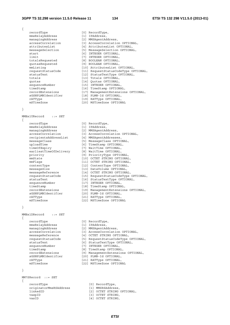{

 recordType [0] RecordType, mmsRelayAddress [1] IPAddress,

}

{

MMBx1URecord ::= SET

 recordType [0] RecordType, mmsRelayAddress [1] IPAddress, managingAddress [2] MMSAgentAddress, recipientsAddressList [4] MMSAgentAddresses, uploadTime [6] TimeStamp OPTIONAL, timeOfExpiry [7] WaitTime OPTIONAL, earliestTimeOfDelivery [8] WaitTime OPTIONAL, sequenceNumber [17] INTEGER OPTIONAL, sGSNPLMNIdentifier [20] PLMN-Id OPTIONAL, rATType [21] RATType OPTIONAL,

# }

MMBx1DRecord ::= SET {

 recordType [0] RecordType, mmsRelayAddress [1] IPAddress, managingAddress [2] MMSAgentAddress, timeStamp [8] TimeStamp OPTIONAL, sGSNPLMNIdentifier [20] PLMN-Id OPTIONAL,

#### }

MM7SRecord ::= SET { recordType originatorMms vaspID<br>vasID

 managingAddress [2] MMSAgentAddress, accessCorrelation [3] AccessCorrelation OPTIONAL, attributesList [4] AttributesList OPTIONAL, messageSelection [5] MessageSelection OPTIONAL, start [6] INTEGER OPTIONAL, limit [7] INTEGER OPTIONAL, totalsRequested [8] BOOLEAN OPTIONAL, quotasRequested [9] BOOLEAN OPTIONAL, mmListing [10] AttributesList OPTIONAL, requestStatusCode [11] RequestStatusCodeType OPTIONAL, statusText [12] StatusTextType OPTIONAL, totals [13] Totals OPTIONAL, quotas [14] Quotas OPTIONAL, sequenceNumber [15] INTEGER OPTIONAL, timeStamp [16] TimeStamp OPTIONAL, recordExtensions [17] ManagementExtensions OPTIONAL, sGSNPLMNIdentifier [18] PLMN-Id OPTIONAL, rATType  $[19]$  RATType OPTIONAL,

- mSTimeZone [20] MSTimeZone OPTIONAL
- accessCorrelation [3] AccessCorrelation OPTIONAL, messageClass [5] MessageClass OPTIONAL, priority [9] PriorityType OPTIONAL, mmState [10] OCTET STRING OPTIONAL, mmFlags [11] OCTET STRING OPTIONAL, contentType [12] ContentType OPTIONAL, messageSize [13] DataVolume OPTIONAL, messageReference [14] OCTET STRING OPTIONAL, requestStatusCode [15] RequestStatusCodeType OPTIONAL, statusText [16] StatusTextType OPTIONAL, timeStamp [18] TimeStamp OPTIONAL, recordExtensions [19] ManagementExtensions OPTIONAL, mSTimeZone [22] MSTimeZone OPTIONAL
	-
	-
	-
- accessCorrelation [3] AccessCorrelation OPTIONAL,
- messageReference [4] OCTET STRING OPTIONAL,
- requestStatusCode [5] RequestStatusCodeType OPTIONAL,
- statusText [6] StatusTextType OPTIONAL,
- sequenceNumber [7] INTEGER OPTIONAL,
	-
- recordExtensions [9] ManagementExtensions OPTIONAL,
	-
- rATType [21] RATType OPTIONAL,
	- mSTimeZone [22] MSTimeZone OPTIONAL

| recordType             | [0] RecordType,            |
|------------------------|----------------------------|
| originatorMmsRSAddress | [1] MMSRSAddress,          |
| linkedID               | [2] OCTET STRING OPTIONAL, |
| vaspID                 | [3] OCTET STRING,          |
| vasID                  | [4] OCTET STRING,          |
|                        |                            |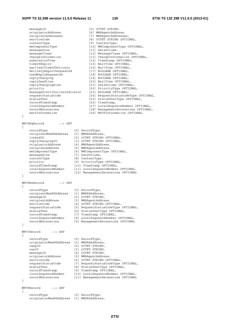| messageID                    | [5] OCTET STRING,                    |
|------------------------------|--------------------------------------|
| originatorAddress            | [6] MMSAgentAddress,                 |
| recipientAddresses           | [7] MMSAgentAddresses,               |
| serviceCode                  | [8] OCTET STRING OPTIONAL,           |
| contentType                  | [9] ContentType,                     |
| mmComponentType              | [10] MMComponentType OPTIONAL,       |
| messageSize                  | [11] DataVolume,                     |
| messageClass                 | [12] MessageClass OPTIONAL,          |
| chargeInformation            | [13] ChargeInformation OPTIONAL,     |
| submissionTime               | [14] TimeStamp OPTIONAL,             |
| timeOfExpiry                 | [15] WaitTime OPTIONAL,              |
| earliestTimeOfDelivery       | [16] WaitTime OPTIONAL,              |
| deliveryReportRequested      | [17] BOOLEAN OPTIONAL,               |
| readReplyRequested           | [18] BOOLEAN OPTIONAL,               |
| replyCharging                | [19] BOOLEAN OPTIONAL,               |
| replyDeadline                | [20] WaitTime OPTIONAL,              |
| replyChargingSize            | [21] DataVolume OPTIONAL,            |
| priority                     | [22] PriorityType OPTIONAL,          |
| messageDistributionIndicator | [23] BOOLEAN OPTIONAL,               |
| requestStatusCode            | [24] RequestStatusCodeType OPTIONAL, |
| statusText                   | [25] StatusTextType OPTIONAL,        |
| recordTimeStamp              | [26] TimeStamp,                      |
| localSequenceNumber          | [27] LocalSequenceNumber OPTIONAL,   |
| recordExtensions             | [28] ManagementExtensions OPTIONAL,  |
| mscfInformation              | [29] MSCFInformation OPTIONAL        |

$$
\overline{}
$$

MM7DRqRecord ::= SET

```
{ 
 recordType [0] RecordType, 
 recipientMmsRSAddress [1] MMSRSAddress, 
 linkedID [2] OCTET STRING OPTIONAL, 
 replyChargingID [3] OCTET STRING OPTIONAL, 
 originatorAddress [4] MMSAgentAddress, 
 recipientAddress [5] MMSAgentAddress, 
 mmComponentType [6] MMComponentType OPTIONAL, 
 messageSize [7] DataVolume, 
 contentType [8] ContentType, 
 priority [9] PriorityType OPTIONAL, 
 recordTimeStamp [10] TimeStamp OPTIONAL, 
 localSequenceNumber [11] LocalSequenceNumber OPTIONAL, 
 recordExtensions [12] ManagementExtensions OPTIONAL 
} 
MM7DRsRecord ::= SET 
{ 
   recordType [0] RecordType, 
   recipientMmsRSAddress [1] MMSRSAddress, 
 messageID [2] OCTET STRING, 
 recipientAddress [3] MMSAgentAddress, 
serviceCode [4] OCTET STRING OPTIONAL,
 requestStatusCode [5] RequestStatusCodeType OPTIONAL, 
 statusText [6] StatusTextType OPTIONAL, 
 recordTimeStamp [7] TimeStamp OPTIONAL, 
 localSequenceNumber [8] LocalSequenceNumber OPTIONAL,
```
 recordExtensions [9] ManagementExtensions OPTIONAL }

MM7CRecord ::= SET

```
{ 
    recordType [0] RecordType, 
 originatorMmsRSAddress [1] MMSRSAddress, 
 vaspID [2] OCTET STRING, 
vasID [3] OCTET STRING,
 messageID [4] OCTET STRING, 
 originatorAddress [5] MMSAgentAddress, 
serviceCode [6] OCTET STRING OPTIONAL,
 requestStatusCode [7] RequestStatusCodeType OPTIONAL, 
 statusText [8] StatusTextType OPTIONAL, 
 recordTimeStamp [9] TimeStamp OPTIONAL, 
 localSequenceNumber [10] LocalSequenceNumber OPTIONAL, 
 recordExtensions [11] ManagementExtensions OPTIONAL 
} 
MM7RRecord ::= SET 
{
```

```
recordType [0] RecordType,
 originatorMmsRSAddress [1] MMSRSAddress,
```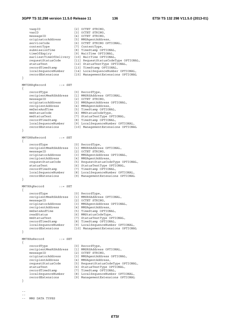### **3GPP TS 32.298 version 11.5.0 Release 11 136 ETSI TS 132 298 V11.5.0 (2013-01)**

```
vaspID [2] OCTET STRING,
   vasID [3] OCTET STRING,
   messageID [4] OCTET STRING,
 originatorAddress [5] MMSAgentAddress, 
serviceCode [6] OCTET STRING OPTIONAL,
 contentType [7] ContentType, 
 submissionTime [8] TimeStamp OPTIONAL, 
 timeOfExpiry [9] WaitTime OPTIONAL, 
    earliestTimeOfDelivery [10] WaitTime OPTIONAL, 
 requestStatusCode [11] RequestStatusCodeType OPTIONAL, 
 statusText [12] StatusTextType OPTIONAL, 
 recordTimeStamp [13] TimeStamp OPTIONAL, 
 localSequenceNumber [14] LocalSequenceNumber OPTIONAL, 
 recordExtensions [15] ManagementExtensions OPTIONAL 
} 
MM7DRRqRecord ::= SET 
{ 
    recordType [0] RecordType, 
    recipientMmsRSAddress [1] MMSRSAddress OPTIONAL, 
 messageID [2] OCTET STRING, 
 originatorAddress [3] MMSAgentAddress OPTIONAL, 
 recipientAddress [4] MMSAgentAddress, 
 mmDateAndTime [5] TimeStamp OPTIONAL, 
 mmStatusCode [6] MMStatusCodeType, 
 mmStatusText [7] StatusTextType OPTIONAL, 
 recordTimeStamp [8] TimeStamp OPTIONAL, 
 localSequenceNumber [9] LocalSequenceNumber OPTIONAL, 
 recordExtensions [10] ManagementExtensions OPTIONAL 
} 
MM7DRRsRecord ::= SET 
{ 
    recordType [0] RecordType, 
 recipientMmsRSAddress [1] MMSRSAddress OPTIONAL, 
 messageID [2] OCTET STRING, 
 originatorAddress [3] MMSAgentAddress OPTIONAL, 
 recipientAddress [4] MMSAgentAddress, 
 requestStatusCode [5] RequestStatusCodeType OPTIONAL, 
 statusText [6] StatusTextType OPTIONAL, 
 recordTimeStamp [7] TimeStamp OPTIONAL, 
 localSequenceNumber [8] LocalSequenceNumber OPTIONAL, 
 recordExtensions [9] ManagementExtensions OPTIONAL 
} 
MM7RRqRecord ::= SET 
{ 
 recordType [0] RecordType, 
 recipientMmsRSAddress [1] MMSRSAddress OPTIONAL, 
 messageID [2] OCTET STRING, 
 originatorAddress [3] MMSAgentAddress OPTIONAL, 
 recipientAddress [4] MMSAgentAddress, 
 mmDateAndTime [5] TimeStamp OPTIONAL, 
 readStatus [6] MMStatusCodeType, 
 mmStatusText [7] StatusTextType OPTIONAL, 
 recordTimeStamp [8] TimeStamp OPTIONAL, 
 localSequenceNumber [9] LocalSequenceNumber OPTIONAL, 
 recordExtensions [10] ManagementExtensions OPTIONAL 
} 
MM7RRsRecord ::= SET 
{ 
    recordType [0] RecordType, 
    recipientMmsRSAddress [1] MMSRSAddress OPTIONAL, 
 messageID [2] OCTET STRING, 
 originatorAddress [3] MMSAgentAddress OPTIONAL, 
 recipientAddress [4] MMSAgentAddress, 
 requestStatusCode [5] RequestStatusCodeType OPTIONAL, 
 statusText [6] StatusTextType OPTIONAL, 
 recordTimeStamp [7] TimeStamp OPTIONAL, 
 localSequenceNumber [8] LocalSequenceNumber OPTIONAL, 
 recordExtensions [9] ManagementExtensions OPTIONAL 
}
```
- --
- --
- -- MMS DATA TYPES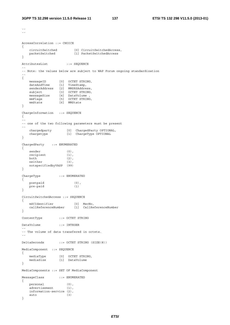--

```
\perp \perpAccessCorrelation ::= CHOICE 
{ 
 circuitSwitched [0] CircuitSwitchedAccess, 
 packetSwitched [1] PacketSwitchedAccess 
} 
AttributesList ::= SEQUENCE
-- 
-- Note: the values below are subject to WAP Forum ongoing standardization 
-- 
{ 
 messageID [0] OCTET STRING, 
 dateAndTime [1] TimeStamp, 
 senderAddress [2] MMSRSAddress, 
 subject [3] OCTET STRING, 
 messageSize [4] DataVolume , 
 mmFlags [5] OCTET STRING, 
 mmState [6] MMState 
} 
ChargeInformation ::= SEQUENCE 
{ 
-- 
-- one of the two following parameters must be present 
-- 
 chargedparty [0] ChargedParty OPTIONAL, 
 chargetype [1] ChargeType OPTIONAL 
} 
ChargedParty ::= ENUMERATED 
{ 
sender (0),
recipient (1),
both (2),
neither (3),
   notspecifiedbyVASP (99) 
} 
ChargeType ::= ENUMERATED 
{ 
   postpaid (0), 
   pre-paid (1) 
} 
CircuitSwitchedAccess ::= SEQUENCE 
{ 
 mSCIdentifier [0] MscNo, 
 callReferenceNumber [1] CallReferenceNumber 
} 
ContentType ::= OCTET STRING 
DataVolume ::= INTEGER 
-- 
-- The volume of data transfered in octets. 
-- 
DeltaSeconds ::= OCTET STRING (SIZE(8)) 
MediaComponent ::= SEQUENCE 
{ 
 mediaType [0] OCTET STRING, 
 mediaSize [1] DataVolume 
} 
MediaComponents ::= SET OF MediaComponent 
MessageClass ::= ENUMERATED 
{ 
 personal (0), 
advertisement (1),
   information-service (2),<br>auto (3)
   auto
}
```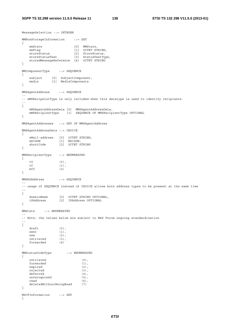MessageSelection ::= INTEGER

```
MMBoxStorageInformation ::= SET 
{ 
mmState [0] MMState,
mmFlag [1] OCTET STRING,
storeStatus [2] StoreStatus,
 storeStatusText [3] StatusTextType, 
 storedMessageReference [4] OCTET STRING 
} 
MMComponentType ::= SEQUENCE 
{ 
 subject [0] SubjectComponent, 
 media [1] MediaComponents 
} 
MMSAgentAddress ::= SEQUENCE 
-- 
-- mMSRecipeintType is only included when this datatype is used to identify recipients. 
-- 
{ 
    mMSAgentAddressData [0] MMSAgentAddressData, 
    mMSRecipientType [1] SEQUENCE OF MMSRecipientType OPTIONAL 
} 
MMSAgentAddresses ::= SET OF MMSAgentAddress 
MMSAgentAddressData ::= CHOICE 
{ 
 eMail-address [0] OCTET STRING, 
 mSISDN [1] MSISDN, 
 shortCode [2] OCTET STRING 
} 
MMSRecipientType ::= ENUMERATED 
{ 
    tO (0), 
   cC (1),<br>bCC (2)bcc} 
MMSRSAddress ::= SEQUENCE 
-- 
-- usage of SEQUENCE instead of CHOICE allows both address types to be present at the same time 
-- 
{ 
 domainName [0] OCTET STRING OPTIONAL, 
 iPAddress [2] IPAddress OPTIONAL 
} 
MMState ::= ENUMERATED 
-- 
-- Note: the values below are subject to WAP Forum ongoing standardization 
-- 
{ 
   draft (0),
   sent (1),
  new (2),<br>retrieved (3),<br>forwarded (4)
   retrieved
   forwarded
} 
MMStatusCodeType ::= ENUMERATED 
{ 
   retrieved (0),<br>forwarded (1),
  forwarded (1),<br>expired (2),
  expired
    rejected (3), 
    deferred (4), 
   unrecognised (5),
   read (6),
    deletedWithoutBeingRead (7) 
} 
MSCFInformation ::= SET 
{
```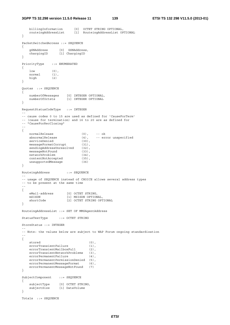# **3GPP TS 32.298 version 11.5.0 Release 11 139 ETSI TS 132 298 V11.5.0 (2013-01)**

```
 billingInformation [0] OCTET STRING OPTIONAL, 
 routeingAddressList [1] RouteingAddressList OPTIONAL 
} 
PacketSwitchedAccess ::= SEQUENCE 
\left\{ \right. gSNAddress [0] GSNAddress, 
 chargingID [1] ChargingID 
} 
PriorityType ::= ENUMERATED 
{ 
   low (0),
    normal (1), 
    high (2) 
} 
Quotas ::= SEQUENCE 
{ 
   numberOfMessages [0] INTEGER OPTIONAL,<br>numberOfOctets [1] INTEGER OPTIONAL
                      10] INTEGER OPTIONAL
} 
RequestStatusCodeType ::= INTEGER 
-- 
-- cause codes 0 to 15 are used as defined for 'CauseForTerm' 
-- (cause for termination) and 16 to 20 are as defined for 
-- "CauseForRecClosing" 
-- 
{ 
   normalRelease (0), -- ok<br>abnormalRelease (4), -- er:
                               (4), -- error unspecified<br>(30),
   serviceDenied (30),<br>messaqeFormatCorrupt (31),
    messageFormatCorrupt (31), 
   sendingAddressUnresolved (32),
   messageNotFound (33),
    networkProblem (34), 
    contentNotAccepted (35), 
    unsupportedMessage (36) 
} 
RouteingAddress ::= SEQUENCE 
-- 
-- usage of SEQUENCE instead of CHOICE allows several address types 
-- to be present at the same time 
-- 
{ 
   eMail-address [0] OCTET STRING,
    mSISDN [1] MSISDN OPTIONAL, 
   shortCode [2] OCTET STRING OPTIONAL
} 
RouteingAddressList ::= SET OF MMSAgentAddress 
StatusTextType ::= OCTET STRING 
StoreStatus ::= INTEGER 
-- 
-- Note: the values below are subject to WAP Forum ongoing standardization 
-- 
{ 
   stored (0),
   errorTransientFailure (1),
    errorTransientMailboxFull (2), 
   errorTransientNetworkProblems (3),
   errorPermanentFailure (4),
    errorPermanentPermissionDenied (5),<br>errorPermanentMessageFormat (6),
   errorPermanentMessageFormat
    errorPermanentMessageNotFound (7) 
} 
SubjectComponent ::= SEQUENCE 
{ 
 subjectType [0] OCTET STRING, 
 subjectSize [1] DataVolume 
} 
Totals ::= SEQUENCE
```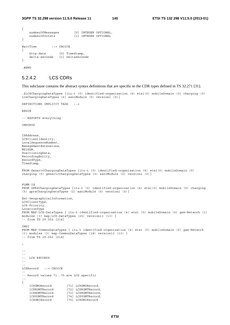```
{ 
    numberOfMessages [0] INTEGER OPTIONAL, 
   numberOfOctets [1] INTEGER OPTIONAL
} 
WaitTime ::= CHOICE
{ 
   http-date [0] TimeStamp,
    delta-seconds [1] DeltaSeconds 
}
```
.#END

# 5.2.4.2 LCS CDRs

This subclause contains the abstract syntax definitions that are specific to the CDR types defined in TS 32.271 [31].

.\$LCSChargingDataTypes {itu-t (0) identified-organization (4) etsi(0) mobileDomain (0) charging (5) lcsChargingDataTypes (6) asn1Module (0) version1 (0)}

DEFINITIONS IMPLICIT TAGS ::=

**BEGIN** 

-- EXPORTS everything

IMPORTS

IPAddress, LCSClientIdentity, LocalSequenceNumber, ManagementExtensions, MSISDN, PositioningData, RecordingEntity, RecordType, TimeStamp FROM GenericChargingDataTypes {itu-t (0) identified-organization (4) etsi(0) mobileDomain (0) charging (5) genericChargingDataTypes (0) asn1Module (0) version1 (0)} PLMN-Id FROM GPRSChargingDataTypes {itu-t (0) identified-organization (4) etsi(0) mobileDomain (0) charging (5) gprsChargingDataTypes (2) asn1Module (0) version1 (0)} Ext-GeographicalInformation, LCSClientType, LCS-Priority, LocationType FROM MAP-LCS-DataTypes { itu-t identified-organization (4) etsi (0) mobileDomain (0) gsm-Network (1) modules (3) map-LCS-DataTypes (25) version13 (13) } -- from TS 29.002 [214] IMSI FROM MAP-CommonDataTypes { itu-t identified-organization (4) etsi (0) mobileDomain (0) gsm-Network (1) modules (3) map-CommonDataTypes (18) version13 (13) } -- from TS 29.002 [214] ; -- -- -- LCS RECORDS -- -- LCSRecord ::= CHOICE -- -- Record values 71..75 are LCS specific -- { lCSGMORecord [71] LCSGMORecord,<br>lCSRGMTRecord [72] LCSRGMTRecord lCSRGMTRecord [72] LCSRGMTRecord, [73] LCSHGMTRecord, lCSVGMTRecord [74] LCSVGMTRecord, lCSGNIRecord [75] LCSGNIRecord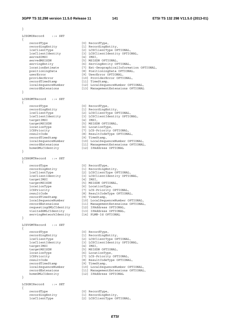```
} 
LCSGMORecord ::= SET 
{ 
 recordType [0] RecordType, 
 recordingEntity [1] RecordingEntity, 
 lcsClientType [2] LCSClientType OPTIONAL, 
 lcsClientIdentity [3] LCSClientIdentity OPTIONAL, 
servedIMSI [4] IMSI,
servedMSISDN [5] MSISDN OPTIONAL,
 servingEntity [6] ServingEntity OPTIONAL, 
 locationEstimate [7] Ext-GeographicalInformation OPTIONAL, 
 positioningData [8] PositioningData OPTIONAL, 
 userError [9] UserError OPTIONAL, 
 providerError [10] ProviderError OPTIONAL, 
 recordTimeStamp [11] TimeStamp, 
 localSequenceNumber [12] LocalSequenceNumber OPTIONAL, 
 recordExtensions [13] ManagementExtensions OPTIONAL 
} 
LCSRGMTRecord ::= SET 
{ 
 recordType [0] RecordType, 
 recordingEntity [1] RecordingEntity, 
 lcsClientType [2] LCSClientType OPTIONAL, 
 lcsClientIdentity [3] LCSClientIdentity OPTIONAL, 
 targetIMSI [4] IMSI, 
 targetMSISDN [5] MSISDN OPTIONAL, 
 locationType [6] LocationType, 
 lCSPriority [7] LCS-Priority OPTIONAL, 
 resultCode [8] ResultCodeType OPTIONAL, 
 recordTimeStamp [9] TimeStamp, 
 localSequenceNumber [10] LocalSequenceNumber OPTIONAL, 
 recordExtensions [11] ManagementExtensions OPTIONAL, 
 homeGMLCIdentity [12] IPAddress OPTIONAL 
} 
LCSHGMTRecord ::= SET 
{ 
 recordType [0] RecordType, 
 recordingEntity [1] RecordingEntity, 
 lcsClientType [2] LCSClientType OPTIONAL, 
 lcsClientIdentity [3] LCSClientIdentity OPTIONAL, 
 targetIMSI [4] IMSI, 
 targetMSISDN [5] MSISDN OPTIONAL, 
 locationType [6] LocationType, 
 lCSPriority [7] LCS-Priority OPTIONAL, 
 resultCode [8] ResultCodeType OPTIONAL, 
 recordTimeStamp [9] TimeStamp, 
 localSequenceNumber [10] LocalSequenceNumber OPTIONAL, 
 recordExtensions [11] ManagementExtensions OPTIONAL, 
 requestingGMLCIdentity [12] IPAddress OPTIONAL, 
 visitedGMLCIdentity [13] IPAddress OPTIONAL, 
 servingNetworkIdentity [14] PLMN-Id OPTIONAL 
} 
LCSVGMTRecord ::= SET 
{ 
 recordType [0] RecordType, 
 recordingEntity [1] RecordingEntity, 
 lcsClientType [2] LCSClientType OPTIONAL, 
 lcsClientIdentity [3] LCSClientIdentity OPTIONAL, 
  rescriencrype<br>lesClientIdentity<br>targetMSI<br>targetMSISDN
 targetMSISDN [5] MSISDN OPTIONAL, 
 locationType [6] LocationType, 
 lCSPriority [7] LCS-Priority OPTIONAL, 
 resultCode [8] ResultCodeType OPTIONAL, 
 recordTimeStamp [9] TimeStamp, 
 localSequenceNumber [10] LocalSequenceNumber OPTIONAL, 
 recordExtensions [11] ManagementExtensions OPTIONAL, 
 homeGMLCIdentity [12] IPAddress OPTIONAL 
} 
LCSGNIRecord ::= SET 
{ 
 recordType [0] RecordType, 
 recordingEntity [1] RecordingEntity,
```
lcsClientType [2] LCSClientType OPTIONAL,

*ETSI*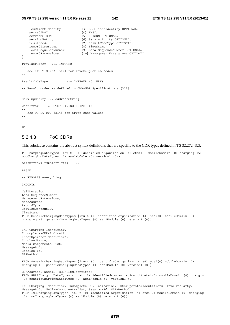# **3GPP TS 32.298 version 11.5.0 Release 11 142 ETSI TS 132 298 V11.5.0 (2013-01)**

```
 lcsClientIdentity [3] LCSClientIdentity OPTIONAL, 
   servedIMSI [4] IMSI,
   servedMSISDN [5] MSISDN OPTIONAL,
   servingEntity [6] ServingEntity OPTIONAL,
   resultCode [7] ResultCodeType OPTIONAL,<br>
recordTimeStamp [8] TimeStamp,
   recordTimeStamp [8] TimeStamp,<br>localSequenceNumber [9] LocalSequen
 localSequenceNumber [9] LocalSequenceNumber OPTIONAL, 
 recordExtensions [10] ManagementExtensions OPTIONAL 
} 
ProviderError ::= INTEGER 
-- 
-- see ITU-T Q.733 [307] for invoke problem codes 
-- 
ResultCodeType ::= INTEGER (0..MAX) 
-- 
-- Result codes as defined in OMA-MLP Specifications [311] 
-- 
ServingEntity ::= AddressString 
UserError ::= OCTET STRING (SIZE (1))
-- 
-- see TS 29.002 [214] for error code values 
--
```
END

# 5.2.4.3 PoC CDRs

This subclause contains the abstract syntax definitions that are specific to the CDR types defined in TS 32.272 [32].

POCChargingDataTypes {itu-t (0) identified-organization (4) etsi(0) mobileDomain (0) charging (5) pocChargingDataTypes (7) asn1Module (0) version1 (0)}

DEFINITIONS IMPLICIT TAGS ::=

BEGIN

-- EXPORTS everything

IMPORTS

```
CallDuration, 
LocalSequenceNumber, 
ManagementExtensions, 
NodeAddress, 
RecordType, 
ServiceContextID, 
TimeStamp 
FROM GenericChargingDataTypes {itu-t (0) identified-organization (4) etsi(0) mobileDomain (0) 
charging (5) genericChargingDataTypes (0) asn1Module (0) version1 (0)} 
IMS-Charging-Identifier, 
Incomplete-CDR-Indication, 
InterOperatorIdentifiers, 
InvolvedParty, 
Media-Components-List, 
MessageBody, 
Session-Id, 
SIPMethod 
FROM GenericChargingDataTypes {itu-t (0) identified-organization (4) etsi(0) mobileDomain (0) 
charging (5) genericChargingDataTypes (0) asn1Module (0) version1 (0)} 
GSNAddress, NodeID, SGSNPLMNIdentifier 
FROM GPRSChargingDataTypes {itu-t (0) identified-organization (4) etsi(0) mobileDomain (0) charging 
(5) genericChargingDataTypes (2) asn1Module (0) version1 (0)} 
IMS-Charging-Identifier, Incomplete-CDR-Indication, InterOperatorIdentifiers, InvolvedParty, 
MessageBody, Media-Components-List, Session-Id, SIP-Method 
FROM IMSChargingDataTypes {itu-t (0) identified-organization (4) etsi(0) mobileDomain (0) charging 
(5) imsChargingDataTypes (4) asn1Module (0) version1 (0)}
```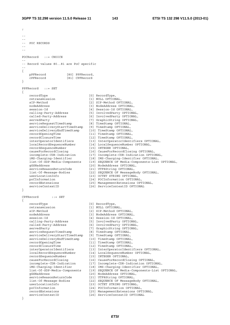```
; 
-- 
-- 
-- POC RECORDS 
-- 
-- 
POCRecord ::= CHOICE 
-- 
-- Record values 80..81 are PoC specific 
-- 
{ 
    pPFRecord [80] PPFRecord, 
    cPFRecord [81] CPFRecord 
} 
PPFRecord ::= SET 
{ 
   recordType [0] RecordType,<br>retransmission [1] NIILL OPTION
                                retransmission in the control of the control of the control of the control of the control of the control of the control of the control of the control of the control of the control of the control of the control of the contr
    sIP-Method [2] SIP-Method OPTIONAL, 
   nodeAddress [3] NodeAddress OPTIONAL,
   session-Id [4] Session-Id OPTIONAL,
 calling-Party-Address [5] InvolvedParty OPTIONAL, 
 called-Party-Address [6] InvolvedParty OPTIONAL, 
 servedParty [7] GraphicString OPTIONAL, 
 serviceRequestTimeStamp [8] TimeStamp OPTIONAL, 
 serviceDeliveryStartTimeStamp [9] TimeStamp OPTIONAL, 
 serviceDeliveryEndTimeStamp [10] TimeStamp OPTIONAL, 
 recordOpeningTime [11] TimeStamp OPTIONAL, 
 recordClosureTime [12] TimeStamp OPTIONAL, 
 interOperatorIdentifiers [13] InterOperatorIdentifiers OPTIONAL, 
 localRecordSequenceNumber [14] LocalSequenceNumber OPTIONAL, 
 recordSequenceNumber [15] INTEGER OPTIONAL, 
 causeForRecordClosing [16] CauseForRecordClosing OPTIONAL, 
 incomplete-CDR-Indication [17] Incomplete-CDR-Indication OPTIONAL, 
 iMS-Charging-Identifier [18] IMS-Charging-Identifier OPTIONAL, 
 list-Of-SDP-Media-Components [19] SEQUENCE OF Media-Components-List OPTIONAL, 
 gGSNaddress [20] NodeAddress OPTIONAL, 
 serviceReasonReturnCode [21] UTF8String OPTIONAL, 
 list-Of-Message-Bodies [22] SEQUENCE OF MessageBody OPTIONAL, 
 userLocationInfo [23] OCTET STRING OPTIONAL, 
 poCInformation [24] POCInformation OPTIONAL, 
 recordExtensions [25] ManagementExtensions OPTIONAL, 
   {25}
{30}
{30}
{31}
{32}
{33}
{34}
{34}
{34}
{34}
{34}
{34}
{34}
{34}
{34}
{34}
{34}
{34}
{34}
{34}
{34}
{34}
{34}
{34}
{34}
{34}
{34}
{34}
{34}
{34}
{34}
{34}} 
CPFRecord ::= SET 
{ 
   recordType [0] RecordType,
   retransmission [1] NULL OPTIONAL,<br>sIP-Method [2] SIP-Method OPT
    sIP-Method [2] SIP-Method OPTIONAL, 
   nodeAddress [3] NodeAddress OPTIONAL,<br>session-Id [4] Session-Id OPTIONAL,
                                [4] Session-Id OPTIONAL,
 calling-Party-Address [5] InvolvedParty OPTIONAL, 
 called-Party-Address [6] InvolvedParty OPTIONAL, 
 servedParty [7] GraphicString OPTIONAL, 
 serviceRequestTimeStamp [8] TimeStamp OPTIONAL, 
 serviceDeliveryStartTimeStamp [9] TimeStamp OPTIONAL, 
 serviceDeliveryEndTimeStamp [10] TimeStamp OPTIONAL, 
 recordOpeningTime [11] TimeStamp OPTIONAL, 
 recordClosureTime [12] TimeStamp OPTIONAL, 
 interOperatorIdentifiers [13] InterOperatorIdentifiers OPTIONAL, 
 localRecordSequenceNumber [14] LocalSequenceNumber OPTIONAL, 
 recordSequenceNumber [15] INTEGER OPTIONAL, 
 causeForRecordClosing [16] CauseForRecordClosing OPTIONAL, 
 incomplete-CDR-Indication [17] Incomplete-CDR-Indication OPTIONAL, 
 iMS-Charging-Identifier [18] IMS-Charging-Identifier OPTIONAL, 
 list-Of-SDP-Media-Components [19] SEQUENCE OF Media-Components-List OPTIONAL, 
 gGSNaddress [20] NodeAddress OPTIONAL, 
 serviceReasonReturnCode [21] UTF8String OPTIONAL, 
 list-Of-Message-Bodies [22] SEQUENCE OF MessageBody OPTIONAL, 
 userLocationInfo [23] OCTET STRING OPTIONAL, 
 poCInformation [24] POCInformation OPTIONAL, 
 recordExtensions [25] ManagementExtensions OPTIONAL, 
 serviceContextID [26] ServiceContextID OPTIONAL 
}
```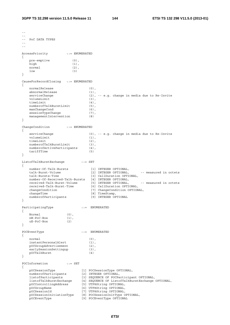$\perp$   $\perp$ -- -- PoC DATA TYPES -- -- AccessPriority ::= ENUMERATED { pre-emptive (0), high (1), normal (2),  $low$  (3) } CauseForRecordClosing ::= ENUMERATED { normalRelease (0),<br>abnormalRelease (1), abnormalRelease<br>serviceChange  $\begin{pmatrix} 2 \end{pmatrix}$ , -- e.g. change in media due to Re-Invite  $\begin{pmatrix} 3 \end{pmatrix}$ .  $vol$ umeLimit timeLimit (4), numberofTalkBurstLimit (5), maxChangeCond (6), sessionTypeChange (7), managementIntervention (8) } ChangeCondition ::= ENUMERATED { serviceChange (0), -- e.g. change in media due to Re-Invite<br>volumeLimit (1), (1), volumeLimit (1),<br>timeLimit (2), timeLimit numberofTalkBurstLimit (3), numberofActiveParticipants (4), tariffTime (5) } ListofTalkBurstExchange ::= SET { number-Of-Talk-Bursts [1] INTEGER OPTIONAL, talk-Burst-Volume [2] INTEGER OPTIONAL, -- measured in octets talk-Bursts-Time [3] CallDuration OPTIONAL, number-Of-Received-Talk-Bursts [4] INTEGER OPTIONAL, received-Talk-Burst-Volume [5] INTEGER OPTIONAL, -- measured in octets received-Talk-Burst-Time [6] CallDuration OPTIONAL, changeCondition [7] ChangeCondition OPTIONAL, changeTime  $[8]$  TimeStamp, numberofParticipants [9] INTEGER OPTIONAL } ParticipatingType  $::=$  ENUMERATED { Normal (0), nW-PoC-Box (1), uE-PoC-Box (2) } POCEventType ::= ENUMERATED { normal (0),<br>instantPersonalAlert (1), instantPersonalAlert pOCGroupAdvertisement (2), earlySessionSettingup (3), pOCTalkBurst (4) } POCInformation ::= SET { pOCSessionType [1] POCSessionType OPTIONAL, numberofParticipants [2] INTEGER OPTIONAL, listofParticipants [3] SEQUENCE OF POCParticipant OPTIONAL, listofTalkBurstExchange [4] SEQUENCE OF ListofTalkBurstExchange OPTIONAL, pOCControllingAddress [5] UTF8String OPTIONAL, pOCGroupName [6] UTF8String OPTIONAL, pOCSessionId [7] UTF8String OPTIONAL, pOCSessionInitiationType [8] POCSessionInitType OPTIONAL, pOCEventType [9] POCEventType OPTIONAL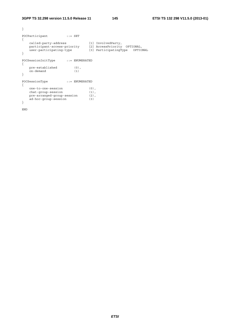```
} 
POCParticipant ::= SET
{ 
 called-party-address [1] InvolvedParty, 
 participant-access-priority [2] AccessPriority OPTIONAL, 
 user-participating-type [3] ParticipatingType OPTIONAL 
} 
POCSessionInitType ::= ENUMERATED 
{ 
 pre-established (0), 
 on-demand (1) 
} 
POCSessionType ::= ENUMERATED 
{ 
 one-to-one-session (0), 
 chat-group-session (1), 
 pre-arranged-group-session (2), 
 ad-hoc-group-session (3) 
}
```
END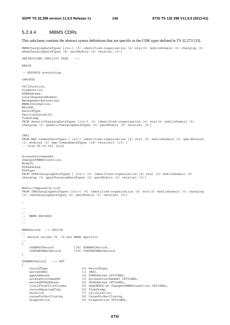#### 5.2.4.4 MBMS CDRs

This subclause contains the abstract syntax definitions that are specific to the CDR types defined in TS 32.273 [33].

MBMSChargingDataTypes {itu-t (0) identified-organization (4) etsi(0) mobileDomain (0) charging (5) mbmsChargingDataTypes (8) asn1Module (0) version1 (0)}

DEFINITIONS IMPLICIT TAGS ::=

**BEGIN** 

-- EXPORTS everything

IMPORTS

CallDuration, Diagnostics, GSNAddress, LocalSequenceNumber, ManagementExtensions, MBMSInformation, MSISDN, RecordType, ServiceContextID, TimeStamp FROM GenericChargingDataTypes {itu-t (0) identified-organization (4) etsi(0) mobileDomain (0) charging (5) genericChargingDataTypes (0) asn1Module (0) version1 (0) } TMST FROM MAP-CommonDataTypes { itu-t identified-organization (4) etsi (0) mobileDomain (0) gsm-Network (1) modules (3) map-CommonDataTypes (18) version13 (13) } -- from TS 29.002 [214] AccessPointNameNI, ChangeOfMBMSCondition, NodeID, PDPAddress, PDPType FROM GPRSChargingDataTypes { itu-t (0) identified-organization (4) etsi (0) mobileDomain (0) charging (5) gprsChargingDataTypes (2) asn1Module (0) version1 (0)} Media-Components-List FROM IMSChargingDataTypes {itu-t (0) identified-organization (4) etsi(0) mobileDomain (0) charging (5) imsChargingDataTypes (4) asn1Module (0) version1 (0)} ; -- -- -- MBMS RECORDS -- -- MBMSRecord ::= CHOICE -- -- Record values 78..79 are MBMS specific -- { sUBBMSCRecord [78] SUBBMSCRecord,<br>cONTENTRMSCRecord [79] CONTENTRMSCRecord cONTENTBMSCRecord [79] CONTENTBMSCRecord } SUBBMSCRecord ::= SET { recordType [0] RecordType,<br>servedIMSI [1] IMSI, servedIMSI<br>qqsnAddress [2] GSNAddress OPTIONAL, accessPointNameNI [3] AccessPointNameNI OPTIONAL, servedPDPAddress [4] PDPAddress OPTIONAL,<br>listOfTrafficVolumes [5] SEQUENCE OF ChangeOf [5] SEQUENCE OF ChangeOfMBMSCondition OPTIONAL,<br>[6] TimeStamp, recordOpeningTime<br>duration [7] CallDuration, causeForRecClosing [8] CauseForRecClosing, diagnostics [9] Diagnostics OPTIONAL,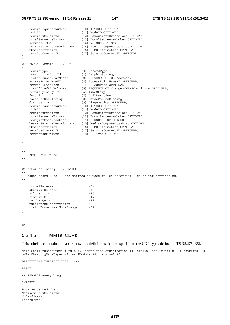#### **3GPP TS 32.298 version 11.5.0 Release 11 147 ETSI TS 132 298 V11.5.0 (2013-01)**

 recordSequenceNumber [10] INTEGER OPTIONAL, nodeID (11) NodeID OPTIONAL,<br>recordExtensions (12) ManagementExtens recordExtensions [12] ManagementExtensions OPTIONAL,<br>localSequenceNumber [13] LocalSequenceNumber OPTIONAL, localSequenceNumber [13] LocalSequenceNumber OPTIONAL, servedMSISDN [14] MSISDN OPTIONAL, bearerServiceDescription [15] Media-Components-List OPTIONAL, mbmsInformation [16] MBMSInformation OPTIONAL, serviceContextID [17] ServiceContextID OPTIONAL } CONTENTBMSCRecord ::= SET { recordType [0] RecordType, contentProviderId [1] GraphicString,<br>listofDownstreamNodes [2] SEQUENCE OF GS listofDownstreamNodes [2] SEQUENCE OF GSNAddress, accessPointNameNI [3] AccessPointNameNI OPTIONAL, servedPDPAddress [4] PDPAddress OPTIONAL, listOfTrafficVolumes [5] SEQUENCE OF ChangeOfMBMSCondition OPTIONAL, recordOpeningTime [6] TimeStamp,<br>duration [7] CallDurati duration [7] CallDuration,<br>causeForRecClosing [8] CauseForRecCl causeForRecClosing, diagnostics [9] Diagnostics OPTIONAL, recordSequenceNumber [10] INTEGER OPTIONAL, nodeID [11] NodeID OPTIONAL, recordExtensions [12] ManagementExtensions OPTIONAL, localSequenceNumber [13] LocalSequenceNumber OPTIONAL, recipientAddressList [14] SEQUENCE OF MSISDN, bearerServiceDescription [15] Media-Components-List OPTIONAL, mbmsInformation [16] MBMSInformation OPTIONAL, serviceContextID [17] ServiceContextID OPTIONAL, servedpdpPDNType [18] PDPType OPTIONAL } -- -- -- MBMS DATA TYPES -- -- CauseForRecClosing ::= INTEGER -- -- cause codes 0 to 15 are defined as used in 'CauseForTerm' (cause for termination) -- { normalRelease (0), abnormalRelease (4), volumeLimit (16), timeLimit (17),<br>maxChangeCond (19), maxChangeCond managementIntervention (20). listofDownstreamNodeChange (59) }

END

#### 5.2.4.5 MMTel CDRs

This subclause contains the abstract syntax definitions that are specific to the CDR types defined in TS 32.275 [35].

MMTelChargingDataTypes {itu-t (0) identified-organization (4) etsi(0) mobileDomain (0) charging (5) mMTelChargingDataTypes (9) asn1Module (0) version1 (0)}

```
DEFINITIONS IMPLICIT TAGS ::=
```
BEGIN

-- EXPORTS everything

IMPORTS

LocalSequenceNumber, ManagementExtensions, NodeAddress, RecordType,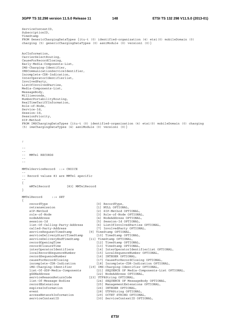```
ServiceContextID, 
SubscriptionID, 
TimeStamp 
FROM GenericChargingDataTypes {itu-t (0) identified-organization (4) etsi(0) mobileDomain (0) 
charging (5) genericChargingDataTypes (0) asn1Module (0) version1 (0)} 
AoCInformation, 
CarrierSelectRouting, 
CauseForRecordClosing, 
Early-Media-Components-List, 
IMS-Charging-Identifier, 
IMSCommunicationServiceIdentifier, 
Incomplete-CDR-Indication, 
InterOperatorIdentifierlist, 
InvolvedParty, 
ListOfInvolvedParties, 
Media-Components-List, 
MessageBody,
Milliseconds, 
NumberPortabilityRouting, 
RealTimeTariffInformation, 
Role-of-Node, 
Service-Id, 
Session-Id, 
SessionPriority, 
SIP-Method 
FROM IMSChargingDataTypes {itu-t (0) identified-organization (4) etsi(0) mobileDomain (0) charging 
(5) imsChargingDataTypes (4) asn1Module (0) version1 (0)} 
; 
-- 
-- 
  MMTel RECORDS
-- 
-- 
MMTelServiceRecord ::= CHOICE 
-- 
-- Record values 83 are MMTel specific 
-- 
{ 
     mMTelRecord [83] MMTelRecord 
} 
MMTelRecord ::= SET 
{ 
    recordType [0] RecordType,
     retransmission [1] NULL OPTIONAL, 
    sIP-Method [2] SIP-Method OPTIONAL,<br>role-of-Node [3] Role-of-Node OPTION
     role-of-Node [3] Role-of-Node OPTIONAL, 
    nodeAddress [4] NodeAddress OPTIONAL,<br>session-Id [5] Session-Id OPTIONAL,
                                           [5] Session-Id OPTIONAL,
 list-Of-Calling-Party-Address [6] ListOfInvolvedParties OPTIONAL, 
 called-Party-Address [7] InvolvedParty OPTIONAL, 
 serviceRequestTimeStamp [9] TimeStamp OPTIONAL, 
 serviceDeliveryStartTimeStamp [10] TimeStamp OPTIONAL, 
 serviceDeliveryEndTimeStamp [11] TimeStamp OPTIONAL, 
 recordOpeningTime [12] TimeStamp OPTIONAL, 
    \begin{minipage}[c]{0.9\linewidth} \end{minipage}[13] \begin{minipage}[c]{0.9\linewidth} \end{minipage}[14] \begin{minipage}[c]{0.9\linewidth} \end{minipage}[15] \begin{minipage}[c]{0.9\linewidth} \end{minipage}[16] \begin{minipage}[c]{0.9\linewidth} \end{minipage}[16] \begin{minipage}[c]{0.9\linewidth} \end{minipage}[16] \begin{minipage}[c]{0.9\linewidth} \end{minipage}[16] \begin{minipage}[c]{0.9\linewidth} \end{minipage}[16] \begin{minipage}[c]{0.9\linewidth} \end{minipage interOperatorIdentifiers [14] InterOperatorIdentifierlist OPTIONAL, 
 localRecordSequenceNumber [15] LocalSequenceNumber OPTIONAL, 
    recordSequenceNumber [16] INTEGER OPTIONAL,<br>causeForRecordClosing [17] CauseForRecordClosing OPTIONAL,
 causeForRecordClosing [17] CauseForRecordClosing OPTIONAL, 
 incomplete-CDR-Indication [18] Incomplete-CDR-Indication OPTIONAL, 
 iMS-Charging-Identifier [19] IMS-Charging-Identifier OPTIONAL, 
 list-Of-SDP-Media-Components [21] SEQUENCE OF Media-Components-List OPTIONAL, 
 gGSNaddress [22] NodeAddress OPTIONAL, 
    serviceReasonReturnCode [23] UTF8String OPTIONAL,
     list-Of-Message-Bodies [24] SEQUENCE OF MessageBody OPTIONAL, 
     recordExtensions [25] ManagementExtensions OPTIONAL, 
    expiresInformation [26] INTEGER OPTIONAL,
    event [28] UTF8String OPTIONAL,<br>accessNetworkInformation [29] OCTET STRING OPTIONAL.
    accessNetworkInformation
    serviceContextID [30] ServiceContextID OPTIONAL,
```
*ETSI*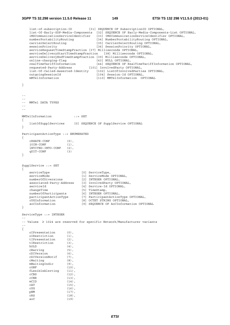}

}

}

}

```
 list-of-subscription-ID [31] SEQUENCE OF SubscriptionID OPTIONAL, 
 list-Of-Early-SDP-Media-Components [32] SEQUENCE OF Early-Media-Components-List OPTIONAL, 
 iMSCommunicationServiceIdentifier [33] IMSCommunicationServiceIdentifier OPTIONAL, 
    numberPortabilityRouting [34] NumberPortabilityRouting OPTIONAL, 
   carrierSelectRouting [35] CarrierSelectRouting OPTIONAL,<br>sessionPriority [36] SessionPriority OPTIONAL,
                                      [36] SessionPriority OPTIONAL,
   serviceRequestTimeStampFraction [37] Milliseconds OPTIONAL,
   serviceDeliveryStartTimeStampFraction [38] Milliseconds OPTIONAL,
    serviceDeliveryEndTimeStampFraction [39] Milliseconds OPTIONAL, 
   online-charging-flag [43] NULL OPTIONAL,
 realTimeTariffInformation [44] SEQUENCE OF RealTimeTariffInformation OPTIONAL, 
 requested-Party-Address [101] InvolvedParty OPTIONAL, 
    list-Of-Called-Asserted-Identity [102] ListOfInvolvedParties OPTIONAL, 
   outgoingSessionId [104] Session-Id OPTIONAL,<br>mMTelInformation [110] MMTelInformation OP
                                       [110] MMTelInformation OPTIONAL
-- 
-- 
-- MMTel DATA TYPES 
-- 
-- 
MMTelInformation ::= SET 
{ 
    listOfSupplServices [0] SEQUENCE OF SupplService OPTIONAL 
ParticipantActionType ::= ENUMERATED 
{ 
   cREATE-CONF (0), 
   jOIN-CONF (1), 
   iNVITED-INTO-CONF (2), 
   qUIT-CONF (3) 
SupplService ::= SET 
{ 
serviceType [0] ServiceType,
serviceMode [1] ServiceMode OPTIONAL,
 numberOfDiversions [2] INTEGER OPTIONAL, 
    associated-Party-Address [3] InvolvedParty OPTIONAL, 
   serviceId [4] Service-Id OPTIONAL,
   changeTime [5] TimeStamp,<br>numberOfParticipants [6] INTEGER OP
    numberOfParticipants [6] INTEGER OPTIONAL, 
    participantActionType [7] ParticipantActionType OPTIONAL, 
   cUGInformation [8] OCTET STRING OPTIONAL,<br>aoCInformation [9] SEQUENCE OF AoCInformat
                               [9] SEQUENCE OF AoCInformation OPTIONAL
ServiceType ::= INTEGER 
-- 
-- Values ≥ 1024 are reserved for specific Network/Manufacturer variants 
-- 
{ 
    oIPresentation (0), 
    oIRestriction (1), 
    tIPresentation (2), 
    tIRestriction (3), 
   hOLD (4),
    cBarring (5), 
   cDIVersion (6),<br>cDIVersionNotif (7),
   cDIVersionNotif (7),<br>
\overline{\text{cWaitina}} (8),
   cWaiting
   mWaitingIndic (9),<br>CONF (10)(10),
    fLexibleAlerting (11), 
   ccBS (12),
   \text{cCNR} (13),
   mCID (14),
    cAT (15), 
    cUG (16), 
    pNM (17), 
   \begin{array}{ccc} \text{CRS} & (18), \\ \text{aoC} & (19) \end{array}(19)
```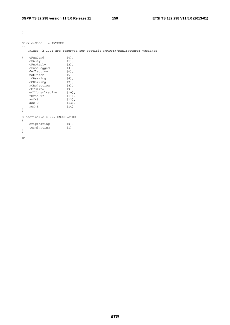}

ServiceMode ::= INTEGER -- -- Values ≥ 1024 are reserved for specific Network/Manufacturer variants --<br>{ cFunCond { cFunCond (0), cFbusy (1), cFnoReply (2), cFnotLogged (3), deflection (4), notReach (5), iCBarring (6), oCBarring (7), aCRejection (8), eCTBlind (9), eCTConsultative (10), threePTY (11), aoC-S (12), aoC-D (13), aoC-E (14) } SubscriberRole ::= ENUMERATED { originating (0), terminating (1) } END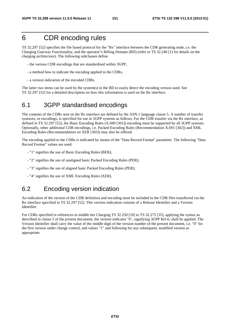## 6 CDR encoding rules

TS 32.297 [52] specifies the file based protocol for the "Bx" interface between the CDR generating node, i.e. the Charging Gateway Functionality, and the operator"s Billing Domain (BD) (refer to TS 32.240 [1] for details on the charging architecture). The following subclauses define

- the various CDR encodings that are standardised within 3GPP,
- a method how to indicate the encoding applied to the CDRs,
- a version indication of the encoded CDRs.

The latter two items can be used by the system(s) in the BD to easily detect the encoding version used. See TS 32.297 [52] for a detailed description on how this information is used on the Bx interface.

## 6.1 3GPP standardised encodings

The contents of the CDRs sent on the Bx interface are defined by the ASN.1 language clause 5. A number of transfer syntaxes, or encodings, is specified for use in 3GPP systems as follows. For the CDR transfer via the Bx interface, as defined in TS 32.297 [52], the Basic Encoding Rules (X.690 [301]) encoding must be supported by all 3GPP systems. Optionally, other additional CDR encodings, i.e. Packed Encoding Rules (Recommendation X.691 [302]) and XML Encoding Rules (Recommendation on XER [303]) may also be offered.

The encoding applied to the CDRs is indicated by means of the "Data Record Format" parameter. The following "Data Record Format" values are used:

- "1" signifies the use of Basic Encoding Rules (BER);
- "2" signifies the use of unaligned basic Packed Encoding Rules (PER);
- "3" signifies the use of aligned basic Packed Encoding Rules (PER);
- "4" signifies the use of XML Encoding Rules (XER).

### 6.2 Encoding version indication

An indication of the version of the CDR definition and encoding must be included in the CDR files transferred via the Bx interface specified in TS 32.297 [52]. This version indication consists of a Release Identifier and a Version Identifier.

For CDRs specified in references in middle tier Charging TS 32.250 [10] to TS 32.275 [35], applying the syntax as described in clause 5 of the present document, the version indicator "6", signifying 3GPP Rel-6, shall be applied. The Version Identifier shall carry the value of the middle digit of the version number of the present document, i.e. "0" for the first version under change control, and values "1" and following for any subsequent, modified version as appropriate.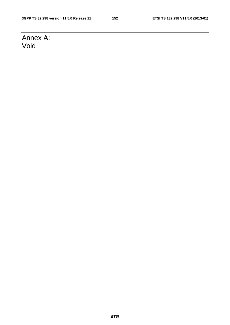# Annex A: Void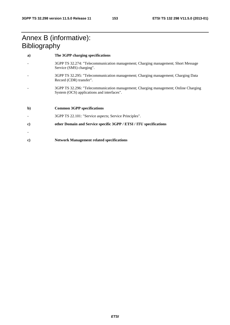## Annex B (informative): **Bibliography**

| a)           | The 3GPP charging specifications                                                                                                  |
|--------------|-----------------------------------------------------------------------------------------------------------------------------------|
|              | 3GPP TS 32.274: "Telecommunication management; Charging management; Short Message<br>Service (SMS) charging".                     |
|              | 3GPP TS 32.295: "Telecommunication management; Charging management; Charging Data<br>Record (CDR) transfer".                      |
|              | 3GPP TS 32.296: "Telecommunication management; Charging management; Online Charging<br>System (OCS) applications and interfaces". |
|              |                                                                                                                                   |
| $\mathbf{b}$ | <b>Common 3GPP specifications</b>                                                                                                 |
|              | 3GPP TS 22.101: "Service aspects; Service Principles".                                                                            |
| c)           | other Domain and Service specific 3GPP / ETSI / ITU specifications                                                                |
|              |                                                                                                                                   |
|              |                                                                                                                                   |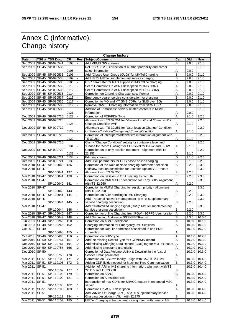# Annex C (informative): Change history

| <b>Change history</b> |              |                              |           |                          |                                                                   |        |                            |               |
|-----------------------|--------------|------------------------------|-----------|--------------------------|-------------------------------------------------------------------|--------|----------------------------|---------------|
| <b>Date</b>           |              | TSG # TSG Doc.               | <b>CR</b> | Rev                      | Subject/Comment                                                   | Cat    | Old                        | <b>New</b>    |
| Sep 2009              |              | SP-45 SP-090541              | 0103      |                          | Add MBMS GW address                                               | B      | 9.0.0                      | 9.1.0         |
|                       |              | Sep 2009 SP-45 SP-090536     |           |                          | Rel-9 CR 32.298 correction of number portability and carrier      |        |                            | 9.1.0         |
|                       |              |                              | 0105      |                          | select information                                                | А      | 9.0.0                      |               |
| Sep 2009              |              | SP-45 SP-090538              | 0106      |                          | Add "Closed User Group (CUG)" for MMTel Charging                  | B      | 9.0.0                      | 9.1.0         |
|                       |              | Sep 2009 SP-45 SP-090538     | 0107      |                          | Add 3PTY MMTel supplementary service charging                     | B      | 9.0.0                      | 9.1.0         |
|                       |              | Sep 2009 SP-45 SP-090538     | 0108      |                          | CDR parameter for RTTI support in IMS offline charging            | B      | 9.0.0                      | 9.1.0         |
|                       |              | Sep 2009 SP-45 SP-090536     | 0110      |                          | Set of Corrections in ASN1 description for IMS CDRs               | A      | 9.0.0                      | 9.1.0         |
|                       |              | Sep 2009 SP-45 SP-090536     | 0112      |                          | Set of Corrections in ASN1 description for EPC CDRs               | A      | 9.0.0                      | 9.1.0         |
|                       |              | Sep 2009 SP-45 SP-090536     | 0114      |                          | Correction on Charging Characteristics Format                     | Α      | 9.0.0                      | 9.1.0         |
|                       |              | Sep 2009 SP-45 SP-090537     | 0115      |                          | Emergency bearer service consideration for charging               | B      | 9.0.0                      | 9.1.0         |
|                       |              | Sep 2009 SP-45 SP-090536     | 0117      |                          | Correction to MO and MT SMS CDRs for SMS over SGs                 | Α      | 9.0.0                      | 9.1.0         |
|                       |              |                              | 0119      |                          |                                                                   |        | 9.0.0                      | 9.1.0         |
|                       |              | Sep 2009 SP-45 SP-090536     |           |                          | Remove CAMEL Charging Information from SGW CDR                    | Α      |                            |               |
|                       |              | Sep 2009 SP-45 SP-090536     |           |                          | Addition of IP multicast delivery related contents in MBMS        |        |                            | 9.1.0         |
|                       |              |                              | 0121      |                          | information                                                       | Α      | 9.0.0                      |               |
|                       |              | Dec 2009   SP-46   SP-090720 | 0123      |                          | Correction of PDP/PDN Type                                        | A      | 9.1.0                      | 9.2.0         |
|                       |              | Dec 2009 SP-46 SP-090720     |           |                          | Alignment with TS 32.251 for "Volume Limit" and "Time Limit" in   |        |                            | 9.2.0         |
|                       |              |                              | 0125      |                          | Change-Condition AVP                                              | Α      | 9.1.0                      |               |
| Dec 2009              |              | SP-46 SP-090720              |           |                          | Alignment with TS 32.251 for "User location Change" Condition     |        |                            | 9.2.0         |
|                       |              |                              | 0127      |                          | in ServiceConditionChange and ChangeCondition                     | Α      | 9.1.0                      |               |
| Dec 2009              |              | SP-46 SP-090720              |           |                          | Correction of interOperatorIdentifiers information alignment with |        |                            | 9.2.0         |
|                       |              |                              | 0129      |                          | TS 32.260                                                         | Α      | 9.1.0                      |               |
|                       |              | Dec 2009 SP-46 SP-090720     |           |                          | Clarify "Change Condition" setting for containers level and       |        |                            | 9.2.0         |
|                       |              |                              | 0131      |                          | "Cause for record Closing" for CDR level for P-GW and S-GW.       | Α      | 9.1.0                      |               |
| Dec 2009              |              | SP-46 SP-090720              |           |                          | Correction on priority session treatment - alignment with TS      |        |                            | 9.2.0         |
|                       |              |                              | 0133      |                          | 22.153                                                            | Α      | 9.1.0                      |               |
| Dec 2009              |              | SP-46 SP-090721              | 0134      |                          | Editorial clean-up                                                | D      | 9.1.0                      | 9.2.0         |
|                       |              | Dec 2009 SP-46 SP-090721     | 0135      |                          | Add CSG parameters for CSG based offline charging                 | B      | 9.1.0                      | 9.2.0         |
| Mar 2010 SP-47        |              | SP-100040                    | 136       |                          | Correction of the Role of Node charging parameter definition      | A      | 9.2.0                      | 9.3.0         |
| Mar 2010              | <b>SP-47</b> |                              |           |                          | Old/New location description for Location update VLR record -     |        |                            | 9.3.0         |
|                       |              | SP-100041                    | 137       |                          | Alignment with TS 32.250.                                         | F      | 9.2.0                      |               |
| Mar 2010              | SP-47        | SP-100041                    | 138       |                          | Correction on Session Id for AS acting as B2BUA                   | F      | 9.2.0                      | 9.3.0         |
| Mar 2010              | <b>SP-47</b> |                              |           |                          | Correction on MMTel CDR description for Early SDP- Alignment      |        |                            | 9.3.0         |
|                       |              | SP-100040                    | 141       |                          | with TS 32.260                                                    | Α      | 9.2.0                      |               |
| Mar 2010              | <b>SP-47</b> |                              |           |                          | Correction in MMTel Charging for session priority - Alignment     |        |                            | 9.3.0         |
|                       |              | SP-100040                    | 143       |                          | with TS 32.260                                                    | Α      | 9.2.0                      |               |
| Mar 2010              | <b>SP-47</b> | SP-100041                    | 144       |                          | Correction on SDP handling in IMS Charging                        | F      | 9.2.0                      | 9.3.0         |
| Mar 2010              | <b>SP-47</b> |                              |           |                          | Add "Personal Network management" MMTel supplementary             |        |                            | 9.3.0         |
|                       |              | SP-100044                    | 145       |                          | service charging description                                      | B      | 9.2.0                      |               |
| Mar 2010              | <b>SP-47</b> |                              |           |                          | Add "Customized Ringing Signal (CRS)" MMTel supplementary         |        |                            | 9.3.0         |
|                       |              | SP-100044                    | 146       |                          | service charging description                                      | B      | 9.2.0                      |               |
| Mar 2010              |              | SP-47 SP-100040              | 147       |                          | Correction for offline Charging from PGW - 3GPP2 User location    | A      | 9.2.0                      | 9.3.0         |
|                       |              | Mar 2010   SP-47   SP-100042 | 148       |                          | Add Originating Address in SGSNSMTRecord                          | B      | 9.3.0                      | 10.0.0        |
|                       |              | Jun 2010   SP-48   SP-100266 | 150       |                          | Correction on ASN.1 definitions                                   | Α      | 10.0.0                     | 10.1.0        |
| Jun 2010              |              | SP-48 SP-100266              | 152       |                          | Charging information for Emergency IMS Sessions                   | A      | 10.0.0                     | 10.1.0        |
| Oct 2010 SP-49        |              |                              |           |                          | Correction for Dual IP addresses associated to one PDN            |        | 10.1.0 10.2.0              |               |
|                       |              | SP-100496                    | 155       |                          | connection                                                        | Α      |                            |               |
|                       |              | Oct 2010 SP-49 SP-100496     | 158       | $\overline{\phantom{a}}$ | Correction on SDP-Type                                            | A      | 10.1.0                     | 10.2.0        |
|                       |              | Dec 2010   SP-50   SP-100754 | 161       | 2                        | Add the missing RecordType for GWMBMSRecord                       | Α      | 10.2.0                     | 10.3.0        |
|                       |              | Dec 2010 SP-50 SP-100757     | 164       | 2                        | Add missing Charging Data Record (CDR) tag for MMTelRecord        | Α      |                            | 10.2.0 10.3.0 |
|                       |              | Dec 2010   SP-50   SP-100758 | 166       | $\overline{2}$           | Add missing timestamp granularity                                 | Α      |                            | 10.2.0 10.3.0 |
| Dec 2010 SP-50        |              |                              |           |                          | Correction of Data Volume Uplink & Downlink in the "List of       |        | 10.2.0                     | 10.3.0        |
|                       |              | SP-100758                    |           |                          |                                                                   |        |                            |               |
|                       |              |                              | 170       |                          | Service Data" parameter                                           | Α<br>F |                            |               |
| Mar 2011              | SP-51        | SP-110109                    | 171       | $\overline{2}$           | Correction on ICSI availability - Align with SA2 TS 23.228        |        | 10.3.0                     | 10.4.0        |
| Mar 2011 SP-51        |              | SP-110105                    | 172       | 3                        | Adding CDR fields needed for Machine Type Communication           | B      |                            | 10.3.0 10.4.0 |
| Mar 2011 SP-51        |              |                              |           |                          | Addition of IARI in IMS charging information, alignment with TS   |        | 10.3.0                     | 10.4.0        |
|                       |              | SP-110109                    | 177       | 1                        | 22.115 and TS 23.228                                              | B      |                            |               |
|                       |              | Mar 2011   SP-51   SP-110108 | 179       | $\mathbf{1}$             | Correction on ASN.1                                               | Α      |                            | 10.3.0 10.4.0 |
| Mar 2011 SP-51        |              | SP-110109                    | 181       | $\mathbf{1}$             | Correction on Subscriber role                                     | F      | $\overline{10.3.0}$ 10.4.0 |               |
| Mar 2011              | SP-51        |                              |           |                          | Introduction of new CDRs for SRVCC feature in enhanced MSC        |        | 10.3.0                     | 10.4.0        |
|                       |              | SP-110108                    | 182       | 1                        | server                                                            | Α      |                            |               |
| Mar 2011              | SP-51        | SP-110108                    | 183       | $\mathbf{1}$             | Corrections in ASN.1 description                                  | A      | 10.3.0                     | 10.4.0        |
| Mar 2011              | SP-51        |                              |           |                          | Add 'Advice Of Charge (AoC)' MMTel supplementary service          |        |                            | 10.3.0 10.4.0 |
|                       |              | SP-110112                    | 184       |                          | Charging description - Align with 32.275                          | B      |                            |               |
|                       |              | Mar 2011   SP-51   SP-110109 | 185       | $\mathbf{1}$             | MMTel Charging enhancement for alignment with generic AS          | C      | 10.3.0 10.4.0              |               |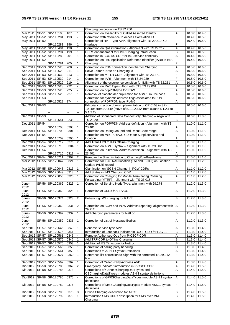|                |              |                                                      |              |                   | Charging description in TS 32.260                                                                                  |                |                                |        |
|----------------|--------------|------------------------------------------------------|--------------|-------------------|--------------------------------------------------------------------------------------------------------------------|----------------|--------------------------------|--------|
|                |              | Mar 2011   SP-51   SP-110108                         | 187          | $\mathbf{1}$      | Correction on availability of Called Asserted Identity                                                             | Α              | 10.3.0 10.4.0                  |        |
|                |              | May 2011 SP-52 SP-110281                             | 193          |                   | Correction with reference to Access Correlation ID                                                                 | F              | 10.4.0 10.5.0                  |        |
| May 2011 SP-52 |              |                                                      |              |                   | Correction of RAT-Type AVP, alignment with TS 29.212, Gx                                                           |                | 10.4.0 10.5.0                  |        |
|                |              | SP-110281                                            | 196          | 1                 | interface                                                                                                          | F              |                                |        |
|                |              | May 2011 SP-52 SP-110404                             | 198          | 1                 | Correction on Qos information - Alignment with TS 29.212                                                           | Α              | 10.4.0 10.5.0                  |        |
|                |              | May 2011 SP-52 SP-110294                             | 199          | 1                 | CDRs enhancement for OMR Charging introduction                                                                     | B              | 10.4.0 10.5.0                  |        |
|                |              | May 2011 SP-52 SP-110280                             | 201          | $\mathbf{1}$      | Correction in SCC AS CDR for IMS service continuity                                                                | $\overline{A}$ | 10.4.0 10.5.0                  |        |
| May 2011 SP-52 |              |                                                      |              |                   | Correction on IMS Application Reference Identifier (IARI) in IMS                                                   |                | 10.4.0 10.5.0                  |        |
|                |              | SP-110281                                            | 205          | 1                 | Charging                                                                                                           | F              |                                |        |
|                |              | Sep 2011 SP-53 SP-110528                             | 208          |                   | Correction on PDN connection identifier for Charging                                                               | Α              | 10.5.0 10.6.0                  |        |
|                |              | Sep 2011 SP-53 SP-110528                             | 211          | 1                 | Solve Editor"s Note on Charging Id                                                                                 | Α<br>F         | 10.5.0 10.6.0                  |        |
|                |              | Sep 2011   SP-53   SP-110530                         | 213          | 1                 | Correction on MT-LR CDR - Alignment with TS 23.271                                                                 |                | 10.5.0 10.6.0                  |        |
|                |              | Sep 2011   SP-53   SP-110530                         | 214          | 1<br>$\mathbf{1}$ | Correction for IARI - Alignment with TS 24.229                                                                     | F              | $10.5.0$ 10.6.0                |        |
|                |              | Sep 2011 SP-53 SP-110529<br>Sep 2011 SP-53 SP-110528 | 219<br>222   |                   | Alignment of the occurrence condition for IMSI with TS 32.251<br>Correction on RAT Type - Align with CT3 TS 29.061 | Α<br>A         | 10.5.0 10.6.0<br>10.5.0 10.6.0 |        |
|                |              | Sep 2011   SP-53   SP-110528                         | 225          |                   | Correction on pdpPDNtype for PGW                                                                                   | Α              | 10.5.0 10.6.0                  |        |
|                |              | Sep 2011   SP-53   SP-110528                         | 227          | 1                 | Removal of placeholder duplication for ASN.1 source code                                                           | Α              | 10.5.0 10.6.0                  |        |
| Sep 2011 SP-53 |              |                                                      |              |                   | Correction for dynamic address flags associated to PDN                                                             |                | 10.5.0 10.6.0                  |        |
|                |              | SP-110528                                            | 274          |                   | connection of PDP/PDN type IPv4v6                                                                                  | Α              |                                |        |
| Sep 2011 SP-53 |              |                                                      |              |                   | Editorial correction of misimplementation of CR 0153 in SP-                                                        |                | 10.5.0 10.6.0                  |        |
|                |              |                                                      |              |                   | 100496 from SA#49 (move of 5.1.2.2.64A from clause 5.1.2.1 to                                                      |                |                                |        |
|                |              |                                                      |              |                   | $5.1.2.2$ ).                                                                                                       |                |                                |        |
| Sep 2011 SP-53 |              |                                                      |              |                   | Addition of Sponsored Data Connectivity charging - Align with                                                      |                | $10.6.0$ 11.0.0                |        |
|                |              | SP-110541                                            | 0238         | 1                 | TS 23.203                                                                                                          | B              |                                |        |
| Dec 2011 SP-54 |              |                                                      |              |                   | Correction on PDP/PDN Address definition - Alignment with TS                                                       |                | $11.0.0$ 11.1.0                |        |
|                |              | SP-110708                                            | 0308         | 1.                | 23.401                                                                                                             | Α              |                                |        |
|                |              | Dec 2011   SP-54   SP-110708                         | 0301         | 1                 | Correction on RatingGroupId and ResultCode range                                                                   | A              | 11.0.0 11.1.0                  |        |
| Dec 2011 SP-54 |              |                                                      |              |                   | Correction on MSC-SRVCC CDRs for Suppl services and                                                                |                | 11.0.0 11.1.0                  |        |
|                |              | SP-110709                                            | 0290         | 1                 | location                                                                                                           | Α              |                                |        |
|                |              | Dec 2011   SP-54   SP-110712                         | 0276         | $\overline{2}$    | Add Transit IOI to IMS Offline Charging                                                                            | B              | 11.0.0 11.1.0                  |        |
|                |              | Dec 2011   SP-54   SP-110710                         | 0304         |                   | Correction on ASN.1 syntax - alignment with TS 29.002                                                              | A              | 11.0.0 11.1.0                  |        |
| Dec 2011 SP-54 |              |                                                      |              |                   | Correction on PDP/PDN Address definition - Alignment with TS                                                       |                | 11.0.0 11.1.0                  |        |
|                |              | SP-110710<br>Dec 2011   SP-54   SP-110711            | 0311<br>0302 | 2                 | 23.401<br>Remove the Size Limitation to ChargingRuleBaseName                                                       | Α<br>C         |                                |        |
|                |              | Mar 2012 SP-55 SP-120047                             | 0321         | $\mathbf{1}$      | Correction for E-UTRAN location (TAI and E-CGI) on Location                                                        | A              | 11.0.0 11.1.0<br>11.1.0 11.2.0 |        |
|                |              |                                                      |              |                   | Update (VLR) record                                                                                                |                |                                |        |
|                |              | Mar 2012 SP-55 SP-120048                             | 0313         |                   | Clarification on 'SGSN Change' in PGW CDRs                                                                         | Α              | 11.1.0 11.2.0                  |        |
|                |              | Mar 2012   SP-55   SP-120049                         | 0318         | 1                 | Add Status in IMS Charging CDR                                                                                     | $\overline{B}$ | 11.1.0 11.2.0                  |        |
|                |              | Mar 2012   SP-55   SP-120055                         | 0320         | $\mathbf{1}$      | Correction on Charging for Mobile Terminating Roaming                                                              | A              | 11.1.0 11.2.0                  |        |
|                |              |                                                      |              |                   | Forwarding (MTRF) - alignment with TS 23.018                                                                       |                |                                |        |
| June-          |              | SP-56 SP-120362                                      | 0323         | $\overline{1}$    | Correction of Serving Node Type, alignment with 29.274                                                             | F              | 11.2.0 11.3.0                  |        |
| 2012           |              |                                                      |              |                   |                                                                                                                    |                |                                |        |
| June-          |              | SP-56 SP-120360                                      | 0325         | $\mathbf{1}$      | Correction of CDRs for SRVCC                                                                                       | Α              | 11.2.0 11.3.0                  |        |
| 2012           |              |                                                      |              |                   |                                                                                                                    |                |                                |        |
| June-          |              | SP-56 SP-120374                                      | 0328         | $ 2\rangle$       | Enhancing IMS charging for RAVEL                                                                                   | B              | 11.2.0 11.3.0                  |        |
| 2012           |              |                                                      |              |                   |                                                                                                                    |                |                                |        |
| June-          |              | SP-56 SP-120360                                      | 0331         | $\overline{2}$    | Correction on SGW and PGW Address reporting, alignment with   A                                                    |                | 11.2.0 11.3.0                  |        |
| 2012           |              |                                                      |              |                   | 29.212                                                                                                             |                |                                |        |
| June-          |              | SP-56 SP-120397                                      | 0332         | $\mathbf{1}$      | Add charging parameters for NetLoc                                                                                 | $\overline{B}$ | 11.2.0 11.3.0                  |        |
| 2012<br>June-  |              | SP-56 SP-120359                                      | 0336         | $\mathbf{1}$      | Correction of List of Message Bodies                                                                               | Α              | 11.2.0 11.3.0                  |        |
| 2012           |              |                                                      |              |                   |                                                                                                                    |                |                                |        |
|                |              | Sep-2012 SP-57 SP-120646                             | 0340         | 1                 | Rename Service-type AVP                                                                                            | Α              | 11.3.0 11.4.0                  |        |
|                |              | Sep-2012 SP-57 SP-120576                             | 0341         |                   | Introduction of Loopback indicator in BGCF CDR for RAVEL                                                           | B              | 11.3.0 11.4.0                  |        |
|                |              | Sep-2012 SP-57 SP-120561                             | 0345         |                   | Remove Authorised-Qos from P-CSCF CDR                                                                              | Α              | 11.3.0 11.4.0                  |        |
|                |              | Sep-2012 SP-57 SP-120576                             | 0346         |                   | Add TRF CDR to Offline Charging                                                                                    | B              | 11.3.0 11.4.0                  |        |
|                |              | Sep-2012 SP-57 SP-120575                             | 0353         | 1                 | Addition of MS Timezone for NetLoc                                                                                 | B              | 11.3.0 11.4.0                  |        |
|                |              | Sep-2012 SP-57 SP-120566                             | 0355         |                   | Correction of calling party handling                                                                               | С              | 11.3.0 11.4.0                  |        |
|                |              | Sep-2012 SP-57 SP-120561                             | 0359         | 1                 | Corrections to ASN.1 Syntax Definitions                                                                            | Α              | 11.3.0 11.4.0                  |        |
|                |              | Sep-2012 SP-57 SP-120627                             | 0360         | 1                 | Reference list correction to align with the corrected TS 29.212                                                    | F              | 11.3.0 11.4.0                  |        |
|                |              |                                                      |              |                   | title                                                                                                              |                |                                |        |
|                |              | Sep-2012 SP-57 SP-120562                             | 0362         | 1                 | Correction of Called-Party-Address AVP                                                                             | A              | 11.3.0 11.4.0                  |        |
|                |              | Dic-2012   SP-58   SP-120785                         | 0369         | $\overline{2}$    | Emergency Indicator introduction in P-CSCF CDR                                                                     | Α              | 11.4.0                         | 11.5.0 |
|                |              | Dic-2012   SP-58   SP-120784                         | 0373         |                   | Corrections of GenericChargingDataTypes and                                                                        | A              | 11.4.0 11.5.0                  |        |
|                |              |                                                      |              |                   | CSChargingDataTypes modules ASN.1 syntax definitions                                                               |                |                                |        |
| Dic-2012       | <b>SP-58</b> | SP-120786                                            | 0375         |                   | Corrections of GPRSChargingDataTypes module ASN.1 syntax                                                           | Α              | 11.4.0                         | 11.5.0 |
|                |              |                                                      | 0376         |                   | definitions<br>Corrections of MMSChargingDataTypes module ASN.1 syntax                                             | F              | 11.4.0 11.5.0                  |        |
| Dic-2012       |              | SP-58 SP-120789                                      |              |                   | definitions                                                                                                        |                |                                |        |
|                |              | Dic-2012   SP-58   SP-120793                         | 0378         | 3                 | Offline Charging description for ATCF                                                                              | $\overline{B}$ | 11.4.0 11.5.0                  |        |
| Dic-2012       |              | SP-58 SP-120792                                      | 0379         | 1                 | Introduction SMS CDRs description for SMS over MME                                                                 | B              | 11.4.0 11.5.0                  |        |
|                |              |                                                      |              |                   | Charging                                                                                                           |                |                                |        |
|                |              |                                                      |              |                   |                                                                                                                    |                |                                |        |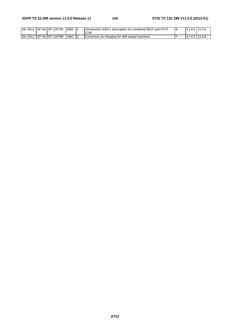| Dic-2012 | ISP-58 ISP-120793 | 0380 | <sup>1</sup> description for combined IBCF and ATCF<br>Introduction ASN.1<br><b>CDR</b> | 1.4.0 | 11.5.0 |
|----------|-------------------|------|-----------------------------------------------------------------------------------------|-------|--------|
| Dic-2012 | ISP-58 ISP-120789 | 0382 | Correction on charging for IMS transit functions                                        | 1.4.0 | 11.5.0 |